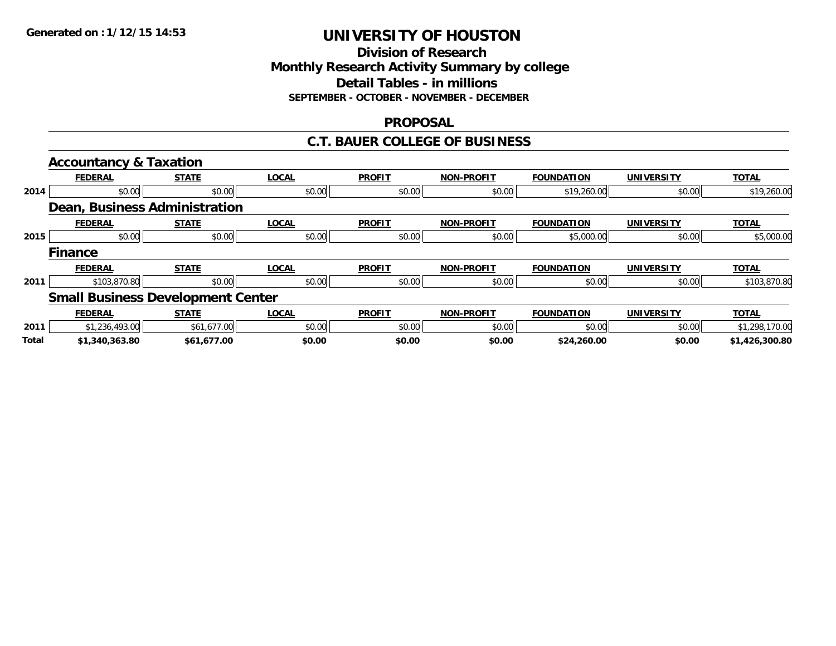### **Division of Research Monthly Research Activity Summary by college Detail Tables - in millions SEPTEMBER - OCTOBER - NOVEMBER - DECEMBER**

### **PROPOSAL**

#### **C.T. BAUER COLLEGE OF BUSINESS**

|              | <b>Accountancy &amp; Taxation</b>        |              |              |               |                   |                   |                   |                |
|--------------|------------------------------------------|--------------|--------------|---------------|-------------------|-------------------|-------------------|----------------|
|              | <b>FEDERAL</b>                           | <b>STATE</b> | <b>LOCAL</b> | <b>PROFIT</b> | <b>NON-PROFIT</b> | <b>FOUNDATION</b> | <b>UNIVERSITY</b> | <b>TOTAL</b>   |
| 2014         | \$0.00                                   | \$0.00       | \$0.00       | \$0.00        | \$0.00            | \$19,260.00       | \$0.00            | \$19,260.00    |
|              | Dean, Business Administration            |              |              |               |                   |                   |                   |                |
|              | <b>FEDERAL</b>                           | <b>STATE</b> | <b>LOCAL</b> | <b>PROFIT</b> | <b>NON-PROFIT</b> | <b>FOUNDATION</b> | <b>UNIVERSITY</b> | <b>TOTAL</b>   |
| 2015         | \$0.00                                   | \$0.00       | \$0.00       | \$0.00        | \$0.00            | \$5,000.00        | \$0.00            | \$5,000.00     |
|              | <b>Finance</b>                           |              |              |               |                   |                   |                   |                |
|              | <b>FEDERAL</b>                           | <b>STATE</b> | <b>LOCAL</b> | <b>PROFIT</b> | <b>NON-PROFIT</b> | <b>FOUNDATION</b> | <b>UNIVERSITY</b> | <b>TOTAL</b>   |
| 2011         | \$103,870.80                             | \$0.00       | \$0.00       | \$0.00        | \$0.00            | \$0.00            | \$0.00            | \$103,870.80   |
|              | <b>Small Business Development Center</b> |              |              |               |                   |                   |                   |                |
|              | <b>FEDERAL</b>                           | <b>STATE</b> | <b>LOCAL</b> | <b>PROFIT</b> | <b>NON-PROFIT</b> | <b>FOUNDATION</b> | <b>UNIVERSITY</b> | <b>TOTAL</b>   |
| 2011         | \$1,236,493.00                           | \$61,677.00  | \$0.00       | \$0.00        | \$0.00            | \$0.00            | \$0.00            | \$1,298,170.00 |
| <b>Total</b> | \$1,340,363.80                           | \$61,677.00  | \$0.00       | \$0.00        | \$0.00            | \$24,260.00       | \$0.00            | \$1,426,300.80 |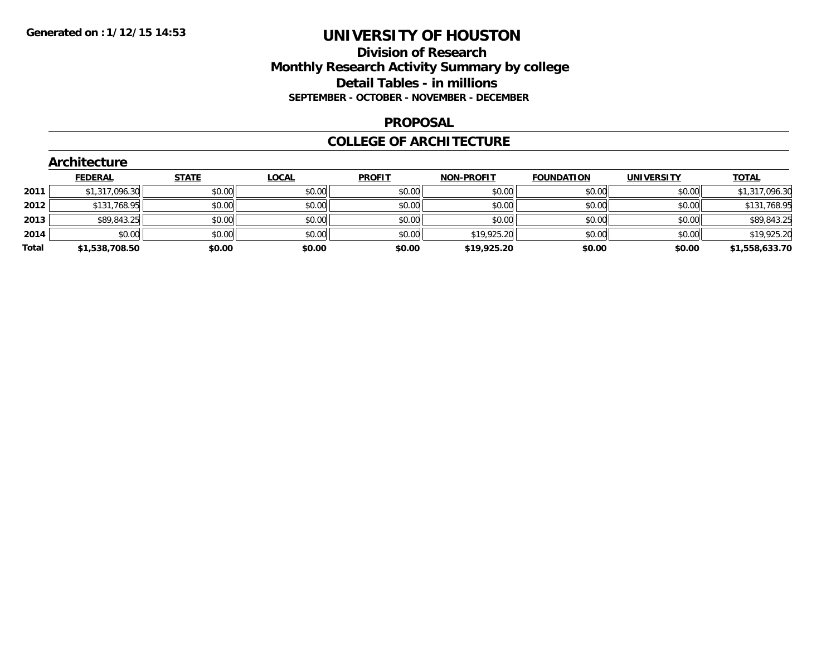### **Division of Research Monthly Research Activity Summary by college Detail Tables - in millions SEPTEMBER - OCTOBER - NOVEMBER - DECEMBER**

#### **PROPOSAL**

#### **COLLEGE OF ARCHITECTURE**

|       | Architecture   |              |              |               |                   |                   |                   |                |  |  |  |  |
|-------|----------------|--------------|--------------|---------------|-------------------|-------------------|-------------------|----------------|--|--|--|--|
|       | <b>FEDERAL</b> | <b>STATE</b> | <b>LOCAL</b> | <b>PROFIT</b> | <b>NON-PROFIT</b> | <b>FOUNDATION</b> | <b>UNIVERSITY</b> | <b>TOTAL</b>   |  |  |  |  |
| 2011  | \$1,317,096.30 | \$0.00       | \$0.00       | \$0.00        | \$0.00            | \$0.00            | \$0.00            | \$1,317,096.30 |  |  |  |  |
| 2012  | \$131,768.95   | \$0.00       | \$0.00       | \$0.00        | \$0.00            | \$0.00            | \$0.00            | \$131,768.95   |  |  |  |  |
| 2013  | \$89,843.25    | \$0.00       | \$0.00       | \$0.00        | \$0.00            | \$0.00            | \$0.00            | \$89,843.25    |  |  |  |  |
| 2014  | \$0.00         | \$0.00       | \$0.00       | \$0.00        | \$19,925.20       | \$0.00            | \$0.00            | \$19,925.20    |  |  |  |  |
| Total | \$1,538,708.50 | \$0.00       | \$0.00       | \$0.00        | \$19,925.20       | \$0.00            | \$0.00            | \$1,558,633.70 |  |  |  |  |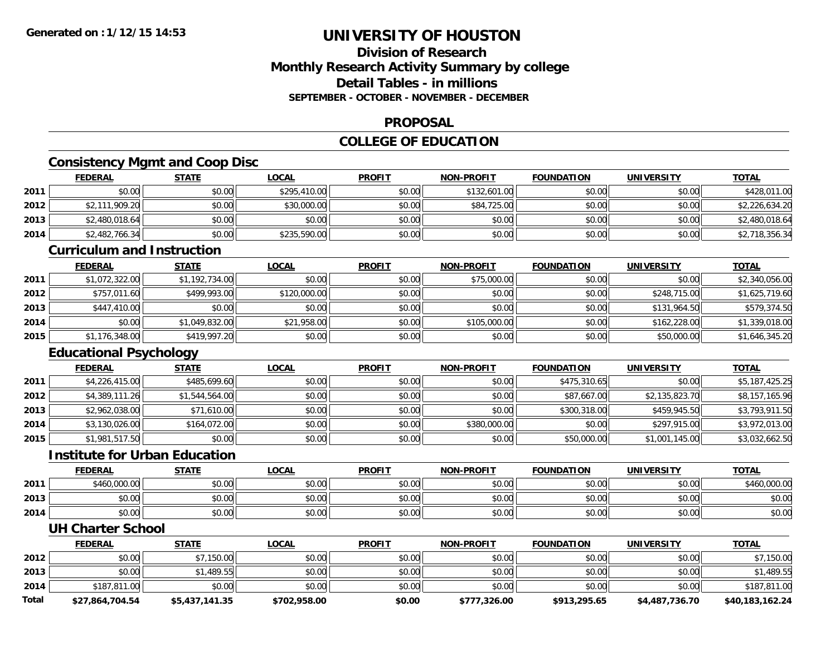### **Division of ResearchMonthly Research Activity Summary by college Detail Tables - in millionsSEPTEMBER - OCTOBER - NOVEMBER - DECEMBER**

#### **PROPOSAL**

## **COLLEGE OF EDUCATION**

## **Consistency Mgmt and Coop Disc**

|      | <b>FEDERAL</b>                    | <b>STATE</b>   | <b>LOCAL</b> | <b>PROFIT</b> | <b>NON-PROFIT</b> | <b>FOUNDATION</b> | <b>UNIVERSITY</b> | <b>TOTAL</b>   |  |  |  |
|------|-----------------------------------|----------------|--------------|---------------|-------------------|-------------------|-------------------|----------------|--|--|--|
| 2011 | \$0.00                            | \$0.00         | \$295,410.00 | \$0.00        | \$132,601.00      | \$0.00            | \$0.00            | \$428,011.00   |  |  |  |
| 2012 | \$2,111,909.20                    | \$0.00         | \$30,000.00  | \$0.00        | \$84,725.00       | \$0.00            | \$0.00            | \$2,226,634.20 |  |  |  |
| 2013 | \$2,480,018.64                    | \$0.00         | \$0.00       | \$0.00        | \$0.00            | \$0.00            | \$0.00            | \$2,480,018.64 |  |  |  |
| 2014 | \$2,482,766.34                    | \$0.00         | \$235,590.00 | \$0.00        | \$0.00            | \$0.00            | \$0.00            | \$2,718,356.34 |  |  |  |
|      | <b>Curriculum and Instruction</b> |                |              |               |                   |                   |                   |                |  |  |  |
|      | <b>FEDERAL</b>                    | <b>STATE</b>   | <b>LOCAL</b> | <b>PROFIT</b> | <b>NON-PROFIT</b> | <b>FOUNDATION</b> | <b>UNIVERSITY</b> | <b>TOTAL</b>   |  |  |  |
| 2011 | \$1,072,322.00                    | \$1,192,734.00 | \$0.00       | \$0.00        | \$75,000.00       | \$0.00            | \$0.00            | \$2,340,056.00 |  |  |  |
| 2012 | \$757,011.60                      | \$499,993.00   | \$120,000.00 | \$0.00        | \$0.00            | \$0.00            | \$248,715.00      | \$1,625,719.60 |  |  |  |
| 2013 | \$447,410.00                      | \$0.00         | \$0.00       | \$0.00        | \$0.00            | \$0.00            | \$131,964.50      | \$579,374.50   |  |  |  |
| 2014 | \$0.00                            | \$1,049,832.00 | \$21,958.00  | \$0.00        | \$105,000.00      | \$0.00            | \$162,228.00      | \$1,339,018.00 |  |  |  |
| 2015 | \$1,176,348.00                    | \$419,997.20   | \$0.00       | \$0.00        | \$0.00            | \$0.00            | \$50,000.00       | \$1,646,345.20 |  |  |  |
|      | <b>Educational Psychology</b>     |                |              |               |                   |                   |                   |                |  |  |  |
|      | <b>FEDERAL</b>                    | <b>STATE</b>   | <b>LOCAL</b> | <b>PROFIT</b> | <b>NON-PROFIT</b> | <b>FOUNDATION</b> | <b>UNIVERSITY</b> | <b>TOTAL</b>   |  |  |  |
| 2011 | \$4,226,415.00                    | \$485,699.60   | \$0.00       | \$0.00        | \$0.00            | \$475,310.65      | \$0.00            | \$5,187,425.25 |  |  |  |
| 2012 | \$4,389,111.26                    | \$1,544,564.00 | \$0.00       | \$0.00        | \$0.00            | \$87,667.00       | \$2,135,823.70    | \$8,157,165.96 |  |  |  |
| 2013 | \$2,962,038.00                    | \$71,610.00    | \$0.00       | \$0.00        | \$0.00            | \$300,318.00      | \$459,945.50      | \$3,793,911.50 |  |  |  |

4 \$3,130,026.00| \$164,072.00| \$0.00| \$0.00| \$0.00| \$380,000.00| \$380,000.00| \$0.00| \$297,915.00| \$3,972,013.00

\$1,981,517.50 \$0.00 \$0.00 \$0.00 \$0.00 \$50,000.00 \$1,001,145.00 \$3,032,662.50

**FEDERAL STATE LOCAL PROFIT NON-PROFIT FOUNDATION UNIVERSITY TOTAL**

1 \$460,000.00 \$0.00 \$0.00 \$0.00 \$0.00 \$0.00 \$0.00 \$0.00 \$0.00 \$0.00 \$0.00 \$0.00 \$0.00 \$160,000.00

\$0.00 \$0.00 \$0.00 \$0.00 \$0.00 \$0.00 \$0.00 \$0.00

4 \$0.00 \$0.00 \$0.00 \$0.00 \$0.00 \$0.00 \$0.00 \$0.00 \$0.00 \$0.00 \$0.00 \$0.00 \$0.00 \$0.00 \$0.00 \$0.00 \$0.00

**TOTAL** 

**UH Charter School**

**Institute for Urban Education**

**2014**

**2015**

**2011**

**2013**

**2014**

|       | <b>FEDERAL</b>  | STATE                    | <u>LOCAL</u> | <b>PROFIT</b> | <b>NON-PROFIT</b> | <b>FOUNDATION</b> | <b>UNIVERSITY</b> | <b>TOTAL</b>    |
|-------|-----------------|--------------------------|--------------|---------------|-------------------|-------------------|-------------------|-----------------|
| 2012  | \$0.00          | \$7,150.00               | \$0.00       | \$0.00        | \$0.00            | \$0.00            | \$0.00            | ,150.00         |
| 2013  | \$0.00          | $.1,489.55$ <sup>1</sup> | \$0.00       | \$0.00        | \$0.00            | \$0.00            | \$0.00            | \$1,489.55      |
| 2014  | \$187,811.00    | \$0.00                   | \$0.00       | \$0.00        | \$0.00            | \$0.00            | \$0.00            | \$187,811.00    |
| Total | \$27,864,704.54 | \$5,437,141.35           | \$702,958.00 | \$0.00        | \$777,326.00      | \$913,295.65      | \$4,487,736.70    | \$40,183,162.24 |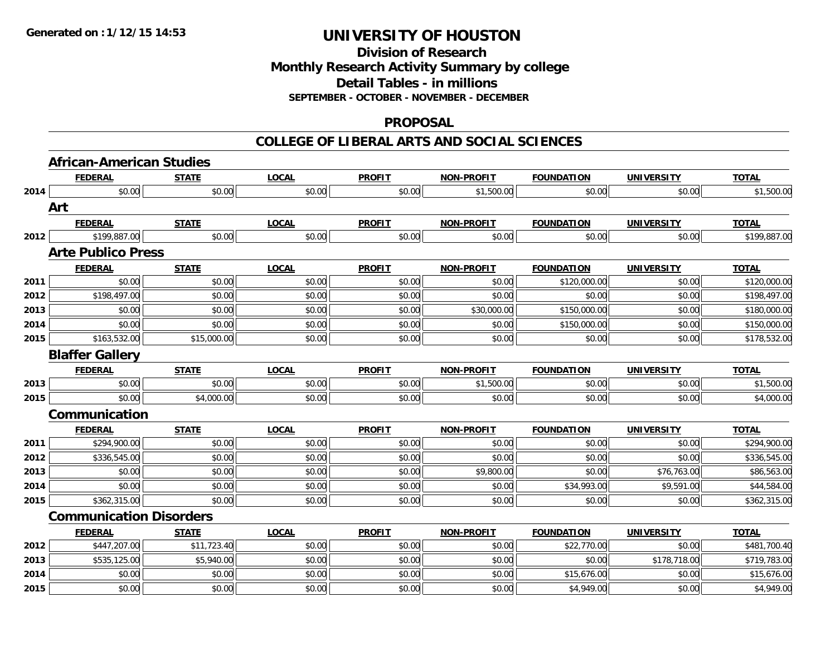## **Division of ResearchMonthly Research Activity Summary by college Detail Tables - in millions SEPTEMBER - OCTOBER - NOVEMBER - DECEMBER**

#### **PROPOSAL**

|      | <b>African-American Studies</b> |              |              |               |                   |                   |                   |              |
|------|---------------------------------|--------------|--------------|---------------|-------------------|-------------------|-------------------|--------------|
|      | <b>FEDERAL</b>                  | <b>STATE</b> | <b>LOCAL</b> | <b>PROFIT</b> | <b>NON-PROFIT</b> | <b>FOUNDATION</b> | <b>UNIVERSITY</b> | <b>TOTAL</b> |
| 2014 | \$0.00                          | \$0.00       | \$0.00       | \$0.00        | \$1,500.00        | \$0.00            | \$0.00            | \$1,500.00   |
|      | Art                             |              |              |               |                   |                   |                   |              |
|      | <b>FEDERAL</b>                  | <b>STATE</b> | <b>LOCAL</b> | <b>PROFIT</b> | <b>NON-PROFIT</b> | <b>FOUNDATION</b> | <b>UNIVERSITY</b> | <b>TOTAL</b> |
| 2012 | \$199,887.00                    | \$0.00       | \$0.00       | \$0.00        | \$0.00            | \$0.00            | \$0.00            | \$199,887.00 |
|      | <b>Arte Publico Press</b>       |              |              |               |                   |                   |                   |              |
|      | <b>FEDERAL</b>                  | <b>STATE</b> | <b>LOCAL</b> | <b>PROFIT</b> | <b>NON-PROFIT</b> | <b>FOUNDATION</b> | <b>UNIVERSITY</b> | <b>TOTAL</b> |
| 2011 | \$0.00                          | \$0.00       | \$0.00       | \$0.00        | \$0.00            | \$120,000.00      | \$0.00            | \$120,000.00 |
| 2012 | \$198,497.00                    | \$0.00       | \$0.00       | \$0.00        | \$0.00            | \$0.00            | \$0.00            | \$198,497.00 |
| 2013 | \$0.00                          | \$0.00       | \$0.00       | \$0.00        | \$30,000.00       | \$150,000.00      | \$0.00            | \$180,000.00 |
| 2014 | \$0.00                          | \$0.00       | \$0.00       | \$0.00        | \$0.00            | \$150,000.00      | \$0.00            | \$150,000.00 |
| 2015 | \$163,532.00                    | \$15,000.00  | \$0.00       | \$0.00        | \$0.00            | \$0.00            | \$0.00            | \$178,532.00 |
|      | <b>Blaffer Gallery</b>          |              |              |               |                   |                   |                   |              |
|      | <b>FEDERAL</b>                  | <b>STATE</b> | <b>LOCAL</b> | <b>PROFIT</b> | <b>NON-PROFIT</b> | <b>FOUNDATION</b> | <b>UNIVERSITY</b> | <b>TOTAL</b> |
| 2013 | \$0.00                          | \$0.00       | \$0.00       | \$0.00        | \$1,500.00        | \$0.00            | \$0.00            | \$1,500.00   |
| 2015 | \$0.00                          | \$4,000.00   | \$0.00       | \$0.00        | \$0.00            | \$0.00            | \$0.00            | \$4,000.00   |
|      | Communication                   |              |              |               |                   |                   |                   |              |
|      | <b>FEDERAL</b>                  | <b>STATE</b> | <b>LOCAL</b> | <b>PROFIT</b> | <b>NON-PROFIT</b> | <b>FOUNDATION</b> | <b>UNIVERSITY</b> | <b>TOTAL</b> |
| 2011 | \$294,900.00                    | \$0.00       | \$0.00       | \$0.00        | \$0.00            | \$0.00            | \$0.00            | \$294,900.00 |
| 2012 | \$336,545.00                    | \$0.00       | \$0.00       | \$0.00        | \$0.00            | \$0.00            | \$0.00            | \$336,545.00 |
| 2013 | \$0.00                          | \$0.00       | \$0.00       | \$0.00        | \$9,800.00        | \$0.00            | \$76,763.00       | \$86,563.00  |
| 2014 | \$0.00                          | \$0.00       | \$0.00       | \$0.00        | \$0.00            | \$34,993.00       | \$9,591.00        | \$44,584.00  |
| 2015 | \$362,315.00                    | \$0.00       | \$0.00       | \$0.00        | \$0.00            | \$0.00            | \$0.00            | \$362,315.00 |
|      | <b>Communication Disorders</b>  |              |              |               |                   |                   |                   |              |
|      | <b>FEDERAL</b>                  | <b>STATE</b> | <b>LOCAL</b> | <b>PROFIT</b> | <b>NON-PROFIT</b> | <b>FOUNDATION</b> | <b>UNIVERSITY</b> | <b>TOTAL</b> |
| 2012 | \$447,207.00                    | \$11,723.40  | \$0.00       | \$0.00        | \$0.00            | \$22,770.00       | \$0.00            | \$481,700.40 |
| 2013 | \$535,125.00                    | \$5,940.00   | \$0.00       | \$0.00        | \$0.00            | \$0.00            | \$178,718.00      | \$719,783.00 |
| 2014 | \$0.00                          | \$0.00       | \$0.00       | \$0.00        | \$0.00            | \$15,676.00       | \$0.00            | \$15,676.00  |
| 2015 | \$0.00                          | \$0.00       | \$0.00       | \$0.00        | \$0.00            | \$4,949.00        | \$0.00            | \$4,949.00   |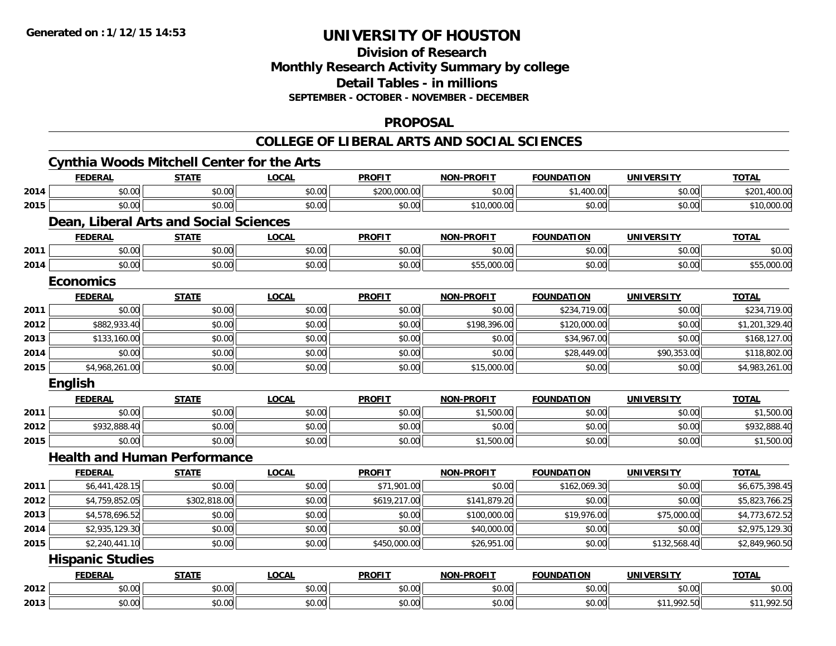#### **Division of Research Monthly Research Activity Summary by college Detail Tables - in millions SEPTEMBER - OCTOBER - NOVEMBER - DECEMBER**

#### **PROPOSAL**

|      |                         | <b>Cynthia Woods Mitchell Center for the Arts</b> |              |               |                   |                   |                   |                |
|------|-------------------------|---------------------------------------------------|--------------|---------------|-------------------|-------------------|-------------------|----------------|
|      | <b>FEDERAL</b>          | <b>STATE</b>                                      | <b>LOCAL</b> | <b>PROFIT</b> | <b>NON-PROFIT</b> | <b>FOUNDATION</b> | <b>UNIVERSITY</b> | <b>TOTAL</b>   |
| 2014 | \$0.00                  | \$0.00                                            | \$0.00       | \$200,000.00  | \$0.00            | \$1,400.00        | \$0.00            | \$201,400.00   |
| 2015 | \$0.00                  | \$0.00                                            | \$0.00       | \$0.00        | \$10,000.00       | \$0.00            | \$0.00            | \$10,000.00    |
|      |                         | Dean, Liberal Arts and Social Sciences            |              |               |                   |                   |                   |                |
|      | <b>FEDERAL</b>          | <b>STATE</b>                                      | <b>LOCAL</b> | <b>PROFIT</b> | <b>NON-PROFIT</b> | <b>FOUNDATION</b> | <b>UNIVERSITY</b> | <b>TOTAL</b>   |
| 2011 | \$0.00                  | \$0.00                                            | \$0.00       | \$0.00        | \$0.00            | \$0.00            | \$0.00            | \$0.00         |
| 2014 | \$0.00                  | \$0.00                                            | \$0.00       | \$0.00        | \$55,000.00       | \$0.00            | \$0.00            | \$55,000.00    |
|      | <b>Economics</b>        |                                                   |              |               |                   |                   |                   |                |
|      | <b>FEDERAL</b>          | <b>STATE</b>                                      | <b>LOCAL</b> | <b>PROFIT</b> | <b>NON-PROFIT</b> | <b>FOUNDATION</b> | <b>UNIVERSITY</b> | <b>TOTAL</b>   |
| 2011 | \$0.00                  | \$0.00                                            | \$0.00       | \$0.00        | \$0.00            | \$234,719.00      | \$0.00            | \$234,719.00   |
| 2012 | \$882,933.40            | \$0.00                                            | \$0.00       | \$0.00        | \$198,396.00      | \$120,000.00      | \$0.00            | \$1,201,329.40 |
| 2013 | \$133,160.00            | \$0.00                                            | \$0.00       | \$0.00        | \$0.00            | \$34,967.00       | \$0.00            | \$168,127.00   |
| 2014 | \$0.00                  | \$0.00                                            | \$0.00       | \$0.00        | \$0.00            | \$28,449.00       | \$90,353.00       | \$118,802.00   |
| 2015 | \$4,968,261.00          | \$0.00                                            | \$0.00       | \$0.00        | \$15,000.00       | \$0.00            | \$0.00            | \$4,983,261.00 |
|      | English                 |                                                   |              |               |                   |                   |                   |                |
|      | <b>FEDERAL</b>          | <b>STATE</b>                                      | <b>LOCAL</b> | <b>PROFIT</b> | <b>NON-PROFIT</b> | <b>FOUNDATION</b> | <b>UNIVERSITY</b> | <b>TOTAL</b>   |
| 2011 | \$0.00                  | \$0.00                                            | \$0.00       | \$0.00        | \$1,500.00        | \$0.00            | \$0.00            | \$1,500.00     |
| 2012 | \$932,888.40            | \$0.00                                            | \$0.00       | \$0.00        | \$0.00            | \$0.00            | \$0.00            | \$932,888.40   |
| 2015 | \$0.00                  | \$0.00                                            | \$0.00       | \$0.00        | \$1,500.00        | \$0.00            | \$0.00            | \$1,500.00     |
|      |                         | <b>Health and Human Performance</b>               |              |               |                   |                   |                   |                |
|      | <b>FEDERAL</b>          | <b>STATE</b>                                      | <b>LOCAL</b> | <b>PROFIT</b> | <b>NON-PROFIT</b> | <b>FOUNDATION</b> | <b>UNIVERSITY</b> | <b>TOTAL</b>   |
| 2011 | \$6,441,428.15          | \$0.00                                            | \$0.00       | \$71,901.00   | \$0.00            | \$162,069.30      | \$0.00            | \$6,675,398.45 |
| 2012 | \$4,759,852.05          | \$302,818.00                                      | \$0.00       | \$619,217.00  | \$141,879.20      | \$0.00            | \$0.00            | \$5,823,766.25 |
| 2013 | \$4,578,696.52          | \$0.00                                            | \$0.00       | \$0.00        | \$100,000.00      | \$19,976.00       | \$75,000.00       | \$4,773,672.52 |
| 2014 | \$2,935,129.30          | \$0.00                                            | \$0.00       | \$0.00        | \$40,000.00       | \$0.00            | \$0.00            | \$2,975,129.30 |
| 2015 | \$2,240,441.10          | \$0.00                                            | \$0.00       | \$450,000.00  | \$26,951.00       | \$0.00            | \$132,568.40      | \$2,849,960.50 |
|      | <b>Hispanic Studies</b> |                                                   |              |               |                   |                   |                   |                |
|      | <b>FEDERAL</b>          | <b>STATE</b>                                      | <b>LOCAL</b> | <b>PROFIT</b> | <b>NON-PROFIT</b> | <b>FOUNDATION</b> | <b>UNIVERSITY</b> | <b>TOTAL</b>   |
| 2012 | \$0.00                  | \$0.00                                            | \$0.00       | \$0.00        | \$0.00            | \$0.00            | \$0.00            | \$0.00         |
| 2013 | \$0.00                  | \$0.00                                            | \$0.00       | \$0.00        | \$0.00            | \$0.00            | \$11,992.50       | \$11,992.50    |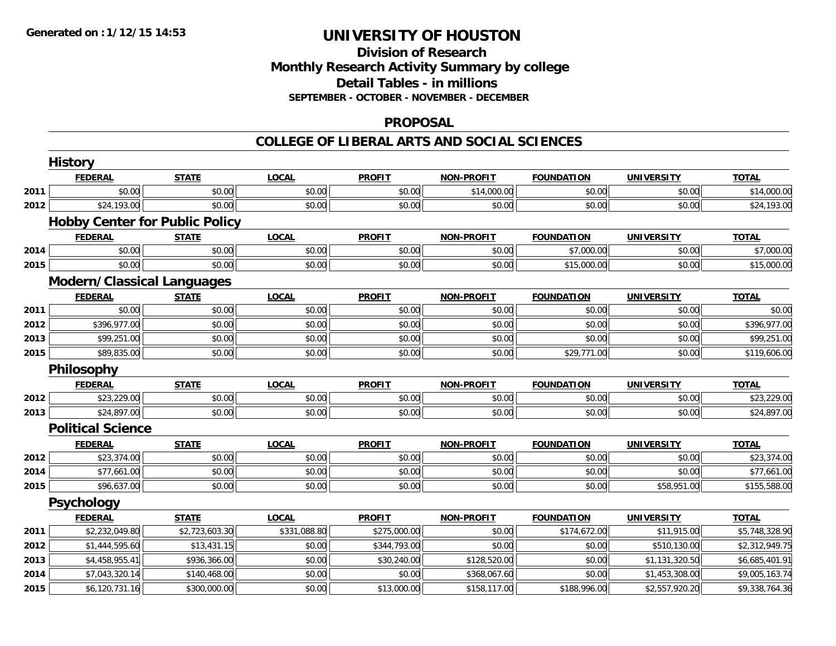### **Division of Research Monthly Research Activity Summary by college Detail Tables - in millions SEPTEMBER - OCTOBER - NOVEMBER - DECEMBER**

#### **PROPOSAL**

|      | <b>History</b>                        |                |              |               |                   |                   |                   |                |
|------|---------------------------------------|----------------|--------------|---------------|-------------------|-------------------|-------------------|----------------|
|      | <b>FEDERAL</b>                        | <b>STATE</b>   | <b>LOCAL</b> | <b>PROFIT</b> | <b>NON-PROFIT</b> | <b>FOUNDATION</b> | <b>UNIVERSITY</b> | <b>TOTAL</b>   |
| 2011 | \$0.00                                | \$0.00         | \$0.00       | \$0.00        | \$14,000.00       | \$0.00            | \$0.00            | \$14,000.00    |
| 2012 | \$24,193.00                           | \$0.00         | \$0.00       | \$0.00        | \$0.00            | \$0.00            | \$0.00            | \$24,193.00    |
|      | <b>Hobby Center for Public Policy</b> |                |              |               |                   |                   |                   |                |
|      | <b>FEDERAL</b>                        | <b>STATE</b>   | <b>LOCAL</b> | <b>PROFIT</b> | <b>NON-PROFIT</b> | <b>FOUNDATION</b> | <b>UNIVERSITY</b> | <b>TOTAL</b>   |
| 2014 | \$0.00                                | \$0.00         | \$0.00       | \$0.00        | \$0.00            | \$7,000.00        | \$0.00            | \$7,000.00     |
| 2015 | \$0.00                                | \$0.00         | \$0.00       | \$0.00        | \$0.00            | \$15,000.00       | \$0.00            | \$15,000.00    |
|      | <b>Modern/Classical Languages</b>     |                |              |               |                   |                   |                   |                |
|      | <b>FEDERAL</b>                        | <b>STATE</b>   | <b>LOCAL</b> | <b>PROFIT</b> | <b>NON-PROFIT</b> | <b>FOUNDATION</b> | <b>UNIVERSITY</b> | <b>TOTAL</b>   |
| 2011 | \$0.00                                | \$0.00         | \$0.00       | \$0.00        | \$0.00            | \$0.00            | \$0.00            | \$0.00         |
| 2012 | \$396,977.00                          | \$0.00         | \$0.00       | \$0.00        | \$0.00            | \$0.00            | \$0.00            | \$396,977.00   |
| 2013 | \$99,251.00                           | \$0.00         | \$0.00       | \$0.00        | \$0.00            | \$0.00            | \$0.00            | \$99,251.00    |
| 2015 | \$89,835.00                           | \$0.00         | \$0.00       | \$0.00        | \$0.00            | \$29,771.00       | \$0.00            | \$119,606.00   |
|      | Philosophy                            |                |              |               |                   |                   |                   |                |
|      | <b>FEDERAL</b>                        | <b>STATE</b>   | <b>LOCAL</b> | <b>PROFIT</b> | <b>NON-PROFIT</b> | <b>FOUNDATION</b> | <b>UNIVERSITY</b> | <b>TOTAL</b>   |
| 2012 | \$23,229.00                           | \$0.00         | \$0.00       | \$0.00        | \$0.00            | \$0.00            | \$0.00            | \$23,229.00    |
| 2013 | \$24,897.00                           | \$0.00         | \$0.00       | \$0.00        | \$0.00            | \$0.00            | \$0.00            | \$24,897.00    |
|      | <b>Political Science</b>              |                |              |               |                   |                   |                   |                |
|      | <b>FEDERAL</b>                        | <b>STATE</b>   | <b>LOCAL</b> | <b>PROFIT</b> | <b>NON-PROFIT</b> | <b>FOUNDATION</b> | <b>UNIVERSITY</b> | <b>TOTAL</b>   |
| 2012 | \$23,374.00                           | \$0.00         | \$0.00       | \$0.00        | \$0.00            | \$0.00            | \$0.00            | \$23,374.00    |
| 2014 | \$77,661.00                           | \$0.00         | \$0.00       | \$0.00        | \$0.00            | \$0.00            | \$0.00            | \$77,661.00    |
| 2015 | \$96,637.00                           | \$0.00         | \$0.00       | \$0.00        | \$0.00            | \$0.00            | \$58,951.00       | \$155,588.00   |
|      | <b>Psychology</b>                     |                |              |               |                   |                   |                   |                |
|      | <b>FEDERAL</b>                        | <b>STATE</b>   | <b>LOCAL</b> | <b>PROFIT</b> | <b>NON-PROFIT</b> | <b>FOUNDATION</b> | <b>UNIVERSITY</b> | <b>TOTAL</b>   |
| 2011 | \$2,232,049.80                        | \$2,723,603.30 | \$331,088.80 | \$275,000.00  | \$0.00            | \$174,672.00      | \$11,915.00       | \$5,748,328.90 |
| 2012 | \$1,444,595.60                        | \$13,431.15    | \$0.00       | \$344,793.00  | \$0.00            | \$0.00            | \$510,130.00      | \$2,312,949.75 |
| 2013 | \$4,458,955.41                        | \$936,366.00   | \$0.00       | \$30,240.00   | \$128,520.00      | \$0.00            | \$1,131,320.50    | \$6,685,401.91 |
| 2014 | \$7,043,320.14                        | \$140,468.00   | \$0.00       | \$0.00        | \$368,067.60      | \$0.00            | \$1,453,308.00    | \$9,005,163.74 |
| 2015 | \$6,120,731.16                        | \$300,000.00   | \$0.00       | \$13,000.00   | \$158,117.00      | \$188,996.00      | \$2,557,920.20    | \$9,338,764.36 |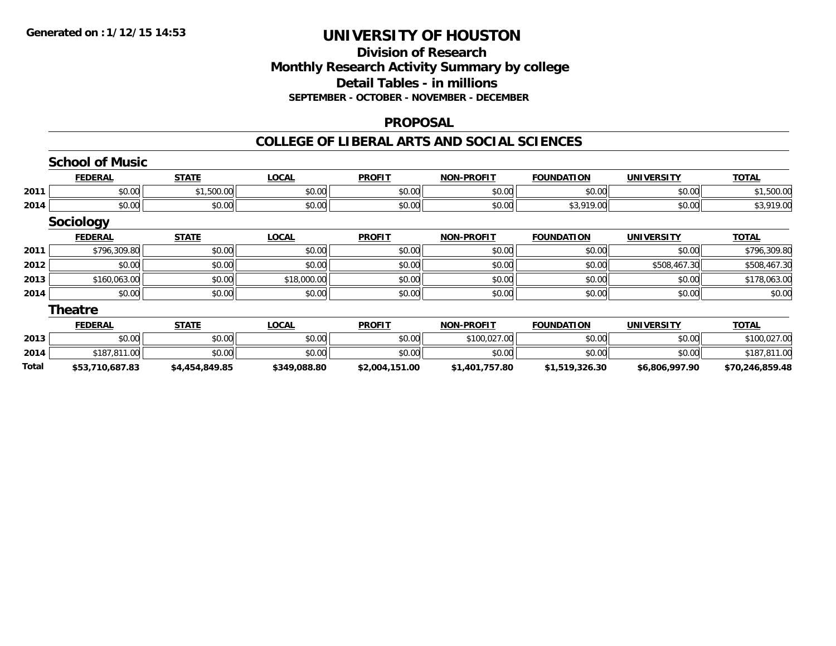## **Division of ResearchMonthly Research Activity Summary by college Detail Tables - in millions SEPTEMBER - OCTOBER - NOVEMBER - DECEMBER**

#### **PROPOSAL**

|       | <b>School of Music</b> |                |              |                |                   |                   |                   |                 |
|-------|------------------------|----------------|--------------|----------------|-------------------|-------------------|-------------------|-----------------|
|       | <b>FEDERAL</b>         | <b>STATE</b>   | <b>LOCAL</b> | <b>PROFIT</b>  | <b>NON-PROFIT</b> | <b>FOUNDATION</b> | <b>UNIVERSITY</b> | <b>TOTAL</b>    |
| 2011  | \$0.00                 | \$1,500.00     | \$0.00       | \$0.00         | \$0.00            | \$0.00            | \$0.00            | \$1,500.00      |
| 2014  | \$0.00                 | \$0.00         | \$0.00       | \$0.00         | \$0.00            | \$3,919.00        | \$0.00            | \$3,919.00      |
|       | Sociology              |                |              |                |                   |                   |                   |                 |
|       | <b>FEDERAL</b>         | <b>STATE</b>   | <b>LOCAL</b> | <b>PROFIT</b>  | <b>NON-PROFIT</b> | <b>FOUNDATION</b> | <b>UNIVERSITY</b> | <b>TOTAL</b>    |
| 2011  | \$796,309.80           | \$0.00         | \$0.00       | \$0.00         | \$0.00            | \$0.00            | \$0.00            | \$796,309.80    |
| 2012  | \$0.00                 | \$0.00         | \$0.00       | \$0.00         | \$0.00            | \$0.00            | \$508,467.30      | \$508,467.30    |
| 2013  | \$160,063.00           | \$0.00         | \$18,000.00  | \$0.00         | \$0.00            | \$0.00            | \$0.00            | \$178,063.00    |
| 2014  | \$0.00                 | \$0.00         | \$0.00       | \$0.00         | \$0.00            | \$0.00            | \$0.00            | \$0.00          |
|       | <b>Theatre</b>         |                |              |                |                   |                   |                   |                 |
|       | <b>FEDERAL</b>         | <b>STATE</b>   | <b>LOCAL</b> | <b>PROFIT</b>  | <b>NON-PROFIT</b> | <b>FOUNDATION</b> | <b>UNIVERSITY</b> | <b>TOTAL</b>    |
| 2013  | \$0.00                 | \$0.00         | \$0.00       | \$0.00         | \$100,027.00      | \$0.00            | \$0.00            | \$100,027.00    |
| 2014  | \$187,811.00           | \$0.00         | \$0.00       | \$0.00         | \$0.00            | \$0.00            | \$0.00            | \$187,811.00    |
| Total | \$53,710,687.83        | \$4,454,849.85 | \$349,088.80 | \$2,004,151.00 | \$1,401,757.80    | \$1,519,326.30    | \$6,806,997.90    | \$70,246,859.48 |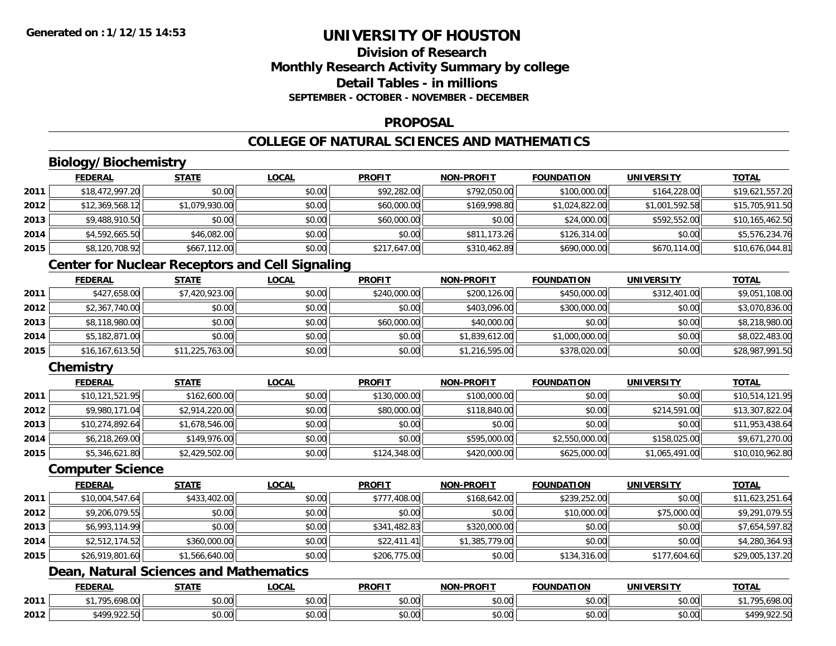## **Division of ResearchMonthly Research Activity Summary by college Detail Tables - in millionsSEPTEMBER - OCTOBER - NOVEMBER - DECEMBER**

#### **PROPOSAL**

## **COLLEGE OF NATURAL SCIENCES AND MATHEMATICS**

## **Biology/Biochemistry**

|      | <u>FEDERAL</u>  | <b>STATE</b>   | <b>LOCAL</b> | <b>PROFIT</b> | <b>NON-PROFIT</b> | <b>FOUNDATION</b> | <b>UNIVERSITY</b> | <b>TOTAL</b>    |
|------|-----------------|----------------|--------------|---------------|-------------------|-------------------|-------------------|-----------------|
| 2011 | \$18,472,997.20 | \$0.00         | \$0.00       | \$92,282.00   | \$792,050.00      | \$100,000.00      | \$164,228.00      | \$19,621,557.20 |
| 2012 | \$12,369,568.12 | \$1,079,930.00 | \$0.00       | \$60,000.00   | \$169,998.80      | \$1,024,822.00    | \$1,001,592.58    | \$15,705,911.50 |
| 2013 | \$9,488,910.50  | \$0.00         | \$0.00       | \$60,000.00   | \$0.00            | \$24,000.00       | \$592,552.00      | \$10,165,462.50 |
| 2014 | \$4,592,665.50  | \$46,082.00    | \$0.00       | \$0.00        | \$811,173.26      | \$126,314.00      | \$0.00            | \$5,576,234.76  |
| 2015 | \$8,120,708.92  | \$667,112.00   | \$0.00       | \$217,647.00  | \$310,462.89      | \$690,000.00      | \$670.114.00      | \$10,676,044.81 |

## **Center for Nuclear Receptors and Cell Signaling**

|      | <b>FEDERAL</b>    | <b>STATE</b>    | <b>LOCAL</b> | <b>PROFIT</b> | <b>NON-PROFIT</b> | <b>FOUNDATION</b> | <b>UNIVERSITY</b> | <b>TOTAL</b>    |
|------|-------------------|-----------------|--------------|---------------|-------------------|-------------------|-------------------|-----------------|
| 2011 | \$427,658.00      | \$7,420,923.00  | \$0.00       | \$240,000.00  | \$200,126.00      | \$450,000.00      | \$312,401.00      | \$9,051,108.00  |
| 2012 | \$2,367,740.00    | \$0.00          | \$0.00       | \$0.00        | \$403,096.00      | \$300,000.00      | \$0.00            | \$3,070,836.00  |
| 2013 | \$8,118,980.00    | \$0.00          | \$0.00       | \$60,000.00   | \$40,000.00       | \$0.00            | \$0.00            | \$8,218,980.00  |
| 2014 | \$5,182,871.00    | \$0.00          | \$0.00       | \$0.00        | \$1,839,612.00    | \$1,000,000.00    | \$0.00            | \$8,022,483.00  |
| 2015 | \$16, 167, 613.50 | \$11,225,763.00 | \$0.00       | \$0.00        | \$1,216,595.00    | \$378,020.00      | \$0.00            | \$28,987,991.50 |

## **Chemistry**

|      | <b>FEDERAL</b>  | <b>STATE</b>   | <u>LOCAL</u> | <b>PROFIT</b> | <b>NON-PROFIT</b> | <b>FOUNDATION</b> | <b>UNIVERSITY</b> | <b>TOTAL</b>    |
|------|-----------------|----------------|--------------|---------------|-------------------|-------------------|-------------------|-----------------|
| 2011 | \$10,121,521.95 | \$162,600.00   | \$0.00       | \$130,000.00  | \$100,000.00      | \$0.00            | \$0.00            | \$10,514,121.95 |
| 2012 | \$9,980,171.04  | \$2,914,220.00 | \$0.00       | \$80,000.00   | \$118,840.00      | \$0.00            | \$214,591.00      | \$13,307,822.04 |
| 2013 | \$10,274,892.64 | \$1,678,546.00 | \$0.00       | \$0.00        | \$0.00            | \$0.00            | \$0.00            | \$11,953,438.64 |
| 2014 | \$6,218,269.00  | \$149,976.00   | \$0.00       | \$0.00        | \$595,000.00      | \$2,550,000.00    | \$158,025.00      | \$9,671,270.00  |
| 2015 | \$5,346,621.80  | \$2,429,502.00 | \$0.00       | \$124,348.00  | \$420,000.00      | \$625,000.00      | \$1,065,491.00    | \$10,010,962.80 |

#### **Computer Science**

|      | <b>FEDERAL</b>  | <b>STATE</b>   | <b>LOCAL</b> | <b>PROFIT</b> | <b>NON-PROFIT</b> | <b>FOUNDATION</b> | UNIVERSITY   | <b>TOTAL</b>    |
|------|-----------------|----------------|--------------|---------------|-------------------|-------------------|--------------|-----------------|
| 2011 | \$10,004,547.64 | \$433,402.00   | \$0.00       | \$777,408.00  | \$168,642.00      | \$239,252.00      | \$0.00       | \$11,623,251.64 |
| 2012 | \$9,206,079.55  | \$0.00         | \$0.00       | \$0.00        | \$0.00            | \$10,000.00       | \$75,000.00  | \$9,291,079.55  |
| 2013 | \$6,993,114.99  | \$0.00         | \$0.00       | \$341,482.83  | \$320,000.00      | \$0.00            | \$0.00       | \$7,654,597.82  |
| 2014 | \$2,512,174.52  | \$360,000.00   | \$0.00       | \$22,411.41   | \$1,385,779.00    | \$0.00            | \$0.00       | \$4,280,364.93  |
| 2015 | \$26,919,801.60 | \$1,566,640.00 | \$0.00       | \$206,775.00  | \$0.00            | \$134,316.00      | \$177,604.60 | \$29,005,137.20 |

## **Dean, Natural Sciences and Mathematics**

|      | <b>FEDERAL</b>                                       | $- - - - -$   | <b>OCAI</b>        | <b>PROFIT</b>      | <b>LPROFIT</b><br>81/18 | FOUNDATION                                         | UNIVERSIT                                     | <b>TOTI</b>                |
|------|------------------------------------------------------|---------------|--------------------|--------------------|-------------------------|----------------------------------------------------|-----------------------------------------------|----------------------------|
| 2011 | 100.00<br>705                                        | 0000<br>DU.UU | $\sim$ 00<br>vu.uu | 0000<br>JU.UU      | 0000<br>vu.vu           | \$0.00                                             | no ool<br>งบ.บบ                               | $\sim$<br>79,070.00        |
| 2012 | <b>CONS</b><br>$\sim$ $\sim$ $\sim$ $\sim$<br>122.31 | 0000<br>JU.UU | $\sim$ 00<br>vv.vv | $\sim$ 00<br>JU.UL | 0000<br>JU.UU           | $\mathsf{A}\cap\mathsf{A}\cap\mathsf{A}$<br>\$0.00 | $\mathfrak{g}$ $\mathfrak{g}$<br><b>DU.UU</b> | OOD EC<br>t 1 OC<br>722.JU |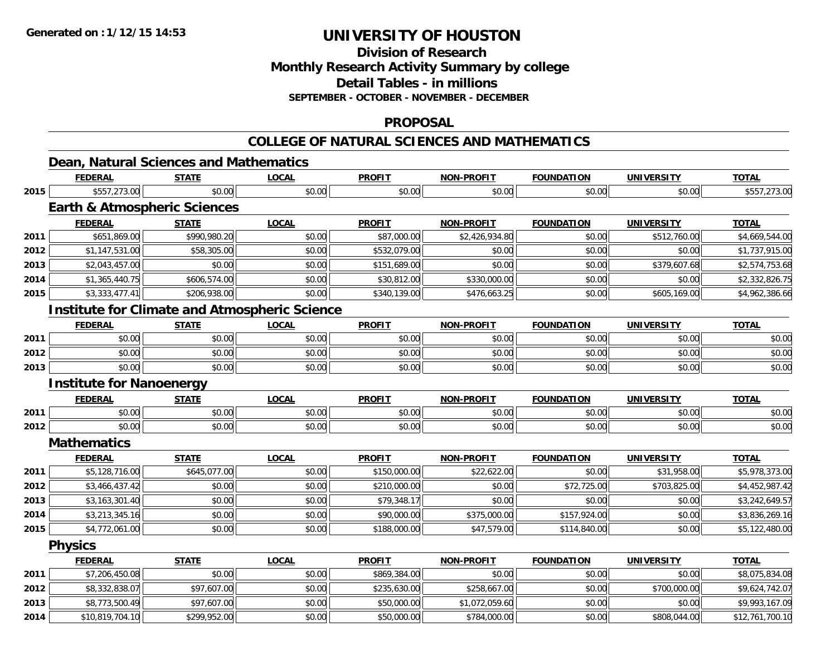**2014**

# **UNIVERSITY OF HOUSTON**

**Division of ResearchMonthly Research Activity Summary by college Detail Tables - in millions**

#### **SEPTEMBER - OCTOBER - NOVEMBER - DECEMBER**

### **PROPOSAL**

## **COLLEGE OF NATURAL SCIENCES AND MATHEMATICS**

|      |                                                      |              | <u>UULLEUE UF INATURAL SUTEINUES AIND MATHEMATIUS</u> |               |                   |                   |                   |                |  |  |  |
|------|------------------------------------------------------|--------------|-------------------------------------------------------|---------------|-------------------|-------------------|-------------------|----------------|--|--|--|
|      | Dean, Natural Sciences and Mathematics               |              |                                                       |               |                   |                   |                   |                |  |  |  |
|      | <b>FEDERAL</b>                                       | <b>STATE</b> | <b>LOCAL</b>                                          | <b>PROFIT</b> | <b>NON-PROFIT</b> | <b>FOUNDATION</b> | <b>UNIVERSITY</b> | <b>TOTAL</b>   |  |  |  |
| 2015 | \$557,273.00                                         | \$0.00       | \$0.00                                                | \$0.00        | \$0.00            | \$0.00            | \$0.00            | \$557,273.00   |  |  |  |
|      | <b>Earth &amp; Atmospheric Sciences</b>              |              |                                                       |               |                   |                   |                   |                |  |  |  |
|      | <b>FEDERAL</b>                                       | <b>STATE</b> | <b>LOCAL</b>                                          | <b>PROFIT</b> | <b>NON-PROFIT</b> | <b>FOUNDATION</b> | <b>UNIVERSITY</b> | <b>TOTAL</b>   |  |  |  |
| 2011 | \$651,869.00                                         | \$990,980.20 | \$0.00                                                | \$87,000.00   | \$2,426,934.80    | \$0.00            | \$512,760.00      | \$4,669,544.00 |  |  |  |
| 2012 | \$1,147,531.00                                       | \$58,305.00  | \$0.00                                                | \$532,079.00  | \$0.00            | \$0.00            | \$0.00            | \$1,737,915.00 |  |  |  |
| 2013 | \$2,043,457.00                                       | \$0.00       | \$0.00                                                | \$151,689.00  | \$0.00            | \$0.00            | \$379,607.68      | \$2,574,753.68 |  |  |  |
| 2014 | \$1,365,440.75                                       | \$606,574.00 | \$0.00                                                | \$30,812.00   | \$330,000.00      | \$0.00            | \$0.00            | \$2,332,826.75 |  |  |  |
| 2015 | \$3,333,477.41                                       | \$206,938.00 | \$0.00                                                | \$340,139.00  | \$476,663.25      | \$0.00            | \$605,169.00      | \$4,962,386.66 |  |  |  |
|      | <b>Institute for Climate and Atmospheric Science</b> |              |                                                       |               |                   |                   |                   |                |  |  |  |
|      | <b>FEDERAL</b>                                       | <b>STATE</b> | <b>LOCAL</b>                                          | <b>PROFIT</b> | NON-PROFIT        | <b>FOUNDATION</b> | <b>UNIVERSITY</b> | <b>TOTAL</b>   |  |  |  |
| 2011 | \$0.00                                               | \$0.00       | \$0.00                                                | \$0.00        | \$0.00            | \$0.00            | \$0.00            | \$0.00         |  |  |  |
| 2012 | \$0.00                                               | \$0.00       | \$0.00                                                | \$0.00        | \$0.00            | \$0.00            | \$0.00            | \$0.00         |  |  |  |
| 2013 | \$0.00                                               | \$0.00       | \$0.00                                                | \$0.00        | \$0.00            | \$0.00            | \$0.00            | \$0.00         |  |  |  |
|      | <b>Institute for Nanoenergy</b>                      |              |                                                       |               |                   |                   |                   |                |  |  |  |
|      | <b>FEDERAL</b>                                       | <b>STATE</b> | <b>LOCAL</b>                                          | <b>PROFIT</b> | NON-PROFIT        | <b>FOUNDATION</b> | <b>UNIVERSITY</b> | <b>TOTAL</b>   |  |  |  |
| 2011 | \$0.00                                               | \$0.00       | \$0.00                                                | \$0.00        | \$0.00            | \$0.00            | \$0.00            | \$0.00         |  |  |  |
| 2012 | \$0.00                                               | \$0.00       | \$0.00                                                | \$0.00        | \$0.00            | \$0.00            | \$0.00            | \$0.00         |  |  |  |
|      | <b>Mathematics</b>                                   |              |                                                       |               |                   |                   |                   |                |  |  |  |
|      | <b>FEDERAL</b>                                       | <b>STATE</b> | <b>LOCAL</b>                                          | <b>PROFIT</b> | <b>NON-PROFIT</b> | <b>FOUNDATION</b> | <b>UNIVERSITY</b> | <b>TOTAL</b>   |  |  |  |
| 2011 | \$5,128,716.00                                       | \$645,077.00 | \$0.00                                                | \$150,000.00  | \$22,622.00       | \$0.00            | \$31,958.00       | \$5,978,373.00 |  |  |  |
| 2012 | \$3,466,437.42                                       | \$0.00       | \$0.00                                                | \$210,000.00  | \$0.00            | \$72,725.00       | \$703,825.00      | \$4,452,987.42 |  |  |  |
| 2013 | \$3,163,301.40                                       | \$0.00       | \$0.00                                                | \$79,348.17   | \$0.00            | \$0.00            | \$0.00            | \$3,242,649.57 |  |  |  |
| 2014 | \$3,213,345.16                                       | \$0.00       | \$0.00                                                | \$90,000.00   | \$375,000.00      | \$157,924.00      | \$0.00            | \$3,836,269.16 |  |  |  |
| 2015 | \$4,772,061.00                                       | \$0.00       | \$0.00                                                | \$188,000.00  | \$47,579.00       | \$114,840.00      | \$0.00            | \$5,122,480.00 |  |  |  |
|      | <b>Physics</b>                                       |              |                                                       |               |                   |                   |                   |                |  |  |  |
|      | <b>FEDERAL</b>                                       | <b>STATE</b> | <b>LOCAL</b>                                          | <b>PROFIT</b> | <b>NON-PROFIT</b> | <b>FOUNDATION</b> | <b>UNIVERSITY</b> | <b>TOTAL</b>   |  |  |  |
| 2011 | \$7,206,450.08                                       | \$0.00       | \$0.00                                                | \$869,384.00  | \$0.00            | \$0.00            | \$0.00            | \$8,075,834.08 |  |  |  |
| 2012 | \$8,332,838.07                                       | \$97,607.00  | \$0.00                                                | \$235,630.00  | \$258,667.00      | \$0.00            | \$700,000.00      | \$9,624,742.07 |  |  |  |
| 2013 | \$8,773,500.49                                       | \$97,607.00  | \$0.00                                                | \$50,000.00   | \$1,072,059.60    | \$0.00            | \$0.00            | \$9,993,167.09 |  |  |  |

4 \$10,819,704.10| \$299,952.00| \$0.00| \$0.00| \$50,000.00| \$784,000.00| \$0.00| \$00.00| \$808,044.00| \$12,761,700.10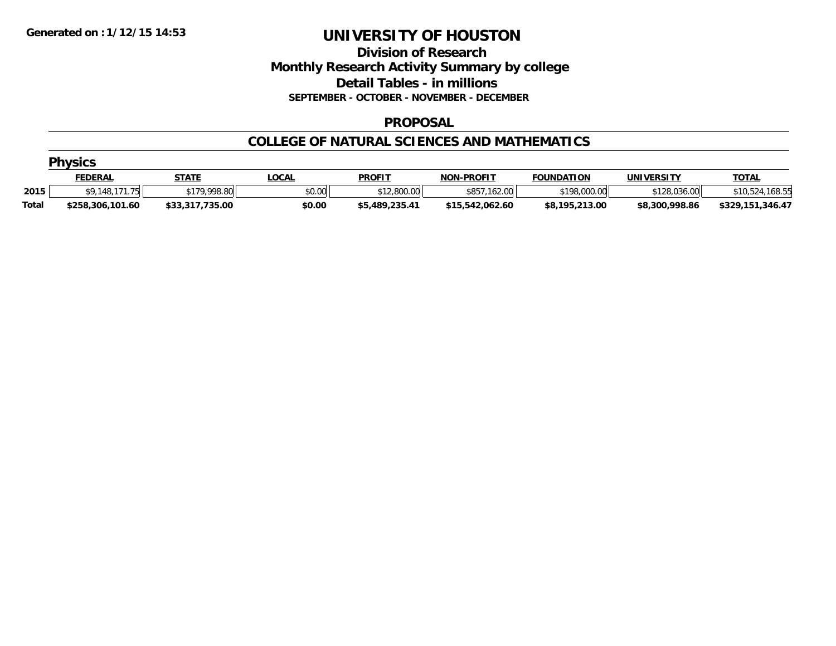### **Division of Research Monthly Research Activity Summary by college Detail Tables - in millions SEPTEMBER - OCTOBER - NOVEMBER - DECEMBER**

#### **PROPOSAL**

#### **COLLEGE OF NATURAL SCIENCES AND MATHEMATICS**

|              | <b>Physics</b>   |                 |              |                |                   |                   |                |                  |  |  |  |  |
|--------------|------------------|-----------------|--------------|----------------|-------------------|-------------------|----------------|------------------|--|--|--|--|
|              | <u>FEDERAL</u>   | <b>STATE</b>    | <b>LOCAL</b> | <b>PROFIT</b>  | <b>NON-PROFIT</b> | <b>FOUNDATION</b> | UNIVERSITY     | <b>TOTAL</b>     |  |  |  |  |
| 2015         | \$9,148,171,75   | \$179,998.80    | \$0.00       | \$12,800.00    | 162.00<br>\$857   | \$198,000.00      | \$128,036.00   | \$10,524,168.55  |  |  |  |  |
| <b>Total</b> | \$258,306,101.60 | \$33,317,735.00 | \$0.00       | \$5,489,235.41 | \$15,542,062.60   | \$8,195,213.00    | \$8,300,998.86 | \$329,151,346.47 |  |  |  |  |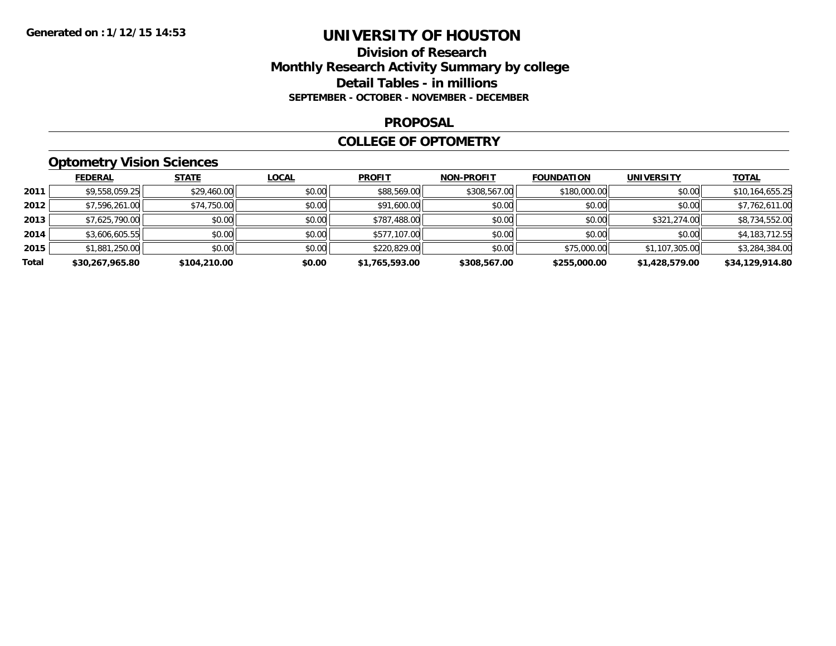### **Division of Research Monthly Research Activity Summary by college Detail Tables - in millions SEPTEMBER - OCTOBER - NOVEMBER - DECEMBER**

#### **PROPOSAL**

#### **COLLEGE OF OPTOMETRY**

## **Optometry Vision Sciences**

|       | <b>FEDERAL</b>  | <b>STATE</b> | <b>LOCAL</b> | <b>PROFIT</b>  | <b>NON-PROFIT</b> | <b>FOUNDATION</b> | <b>UNIVERSITY</b> | <b>TOTAL</b>    |
|-------|-----------------|--------------|--------------|----------------|-------------------|-------------------|-------------------|-----------------|
| 2011  | \$9,558,059.25  | \$29,460.00  | \$0.00       | \$88,569.00    | \$308,567.00      | \$180,000.00      | \$0.00            | \$10,164,655.25 |
| 2012  | \$7,596,261.00  | \$74,750.00  | \$0.00       | \$91,600.00    | \$0.00            | \$0.00            | \$0.00            | \$7,762,611.00  |
| 2013  | \$7,625,790.00  | \$0.00       | \$0.00       | \$787,488.00   | \$0.00            | \$0.00            | \$321,274.00      | \$8,734,552.00  |
| 2014  | \$3,606,605.55  | \$0.00       | \$0.00       | \$577,107.00   | \$0.00            | \$0.00            | \$0.00            | \$4,183,712.55  |
| 2015  | \$1,881,250.00  | \$0.00       | \$0.00       | \$220,829.00   | \$0.00            | \$75,000.00       | \$1,107,305.00    | \$3,284,384.00  |
| Total | \$30,267,965.80 | \$104,210.00 | \$0.00       | \$1,765,593.00 | \$308,567.00      | \$255,000.00      | \$1,428,579.00    | \$34.129.914.80 |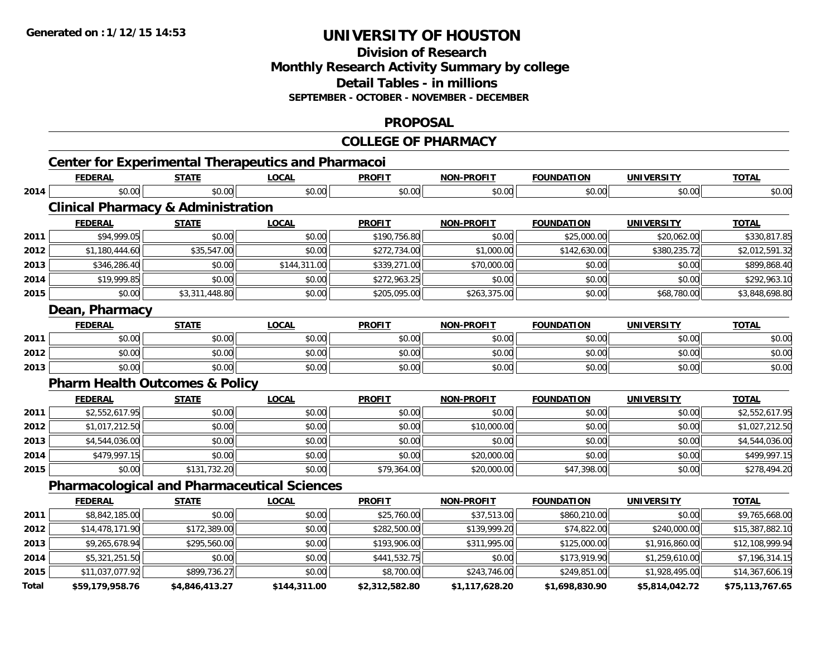#### **Division of Research Monthly Research Activity Summary by college Detail Tables - in millions SEPTEMBER - OCTOBER - NOVEMBER - DECEMBER**

#### **PROPOSAL**

### **COLLEGE OF PHARMACY**

|              | <b>Center for Experimental Therapeutics and Pharmacoi</b> |                |              |                |                   |                   |                   |                 |
|--------------|-----------------------------------------------------------|----------------|--------------|----------------|-------------------|-------------------|-------------------|-----------------|
|              | <b>FEDERAL</b>                                            | <b>STATE</b>   | <b>LOCAL</b> | <b>PROFIT</b>  | <b>NON-PROFIT</b> | <b>FOUNDATION</b> | <b>UNIVERSITY</b> | <b>TOTAL</b>    |
| 2014         | \$0.00                                                    | \$0.00         | \$0.00       | \$0.00         | \$0.00            | \$0.00            | \$0.00            | \$0.00          |
|              | <b>Clinical Pharmacy &amp; Administration</b>             |                |              |                |                   |                   |                   |                 |
|              | <b>FEDERAL</b>                                            | <b>STATE</b>   | <b>LOCAL</b> | <b>PROFIT</b>  | <b>NON-PROFIT</b> | <b>FOUNDATION</b> | <b>UNIVERSITY</b> | <b>TOTAL</b>    |
| 2011         | \$94,999.05                                               | \$0.00         | \$0.00       | \$190,756.80   | \$0.00            | \$25,000.00       | \$20,062.00       | \$330,817.85    |
| 2012         | \$1,180,444.60                                            | \$35,547.00    | \$0.00       | \$272,734.00   | \$1,000.00        | \$142,630.00      | \$380,235.72      | \$2,012,591.32  |
| 2013         | \$346,286.40                                              | \$0.00         | \$144,311.00 | \$339,271.00   | \$70,000.00       | \$0.00            | \$0.00            | \$899,868.40    |
| 2014         | \$19,999.85                                               | \$0.00         | \$0.00       | \$272,963.25   | \$0.00            | \$0.00            | \$0.00            | \$292,963.10    |
| 2015         | \$0.00                                                    | \$3,311,448.80 | \$0.00       | \$205,095.00   | \$263,375.00      | \$0.00            | \$68,780.00       | \$3,848,698.80  |
|              | Dean, Pharmacy                                            |                |              |                |                   |                   |                   |                 |
|              | <b>FEDERAL</b>                                            | <b>STATE</b>   | <b>LOCAL</b> | <b>PROFIT</b>  | <b>NON-PROFIT</b> | <b>FOUNDATION</b> | <b>UNIVERSITY</b> | <b>TOTAL</b>    |
| 2011         | \$0.00                                                    | \$0.00         | \$0.00       | \$0.00         | \$0.00            | \$0.00            | \$0.00            | \$0.00          |
| 2012         | \$0.00                                                    | \$0.00         | \$0.00       | \$0.00         | \$0.00            | \$0.00            | \$0.00            | \$0.00          |
| 2013         | \$0.00                                                    | \$0.00         | \$0.00       | \$0.00         | \$0.00            | \$0.00            | \$0.00            | \$0.00          |
|              | <b>Pharm Health Outcomes &amp; Policy</b>                 |                |              |                |                   |                   |                   |                 |
|              | <b>FEDERAL</b>                                            | <b>STATE</b>   | <b>LOCAL</b> | <b>PROFIT</b>  | <b>NON-PROFIT</b> | <b>FOUNDATION</b> | <b>UNIVERSITY</b> | <b>TOTAL</b>    |
| 2011         | \$2,552,617.95                                            | \$0.00         | \$0.00       | \$0.00         | \$0.00            | \$0.00            | \$0.00            | \$2,552,617.95  |
| 2012         | \$1,017,212.50                                            | \$0.00         | \$0.00       | \$0.00         | \$10,000.00       | \$0.00            | \$0.00            | \$1,027,212.50  |
| 2013         | \$4,544,036.00                                            | \$0.00         | \$0.00       | \$0.00         | \$0.00            | \$0.00            | \$0.00            | \$4,544,036.00  |
| 2014         | \$479,997.15                                              | \$0.00         | \$0.00       | \$0.00         | \$20,000.00       | \$0.00            | \$0.00            | \$499,997.15    |
| 2015         | \$0.00                                                    | \$131,732.20   | \$0.00       | \$79,364.00    | \$20,000.00       | \$47,398.00       | \$0.00            | \$278,494.20    |
|              | <b>Pharmacological and Pharmaceutical Sciences</b>        |                |              |                |                   |                   |                   |                 |
|              | <b>FEDERAL</b>                                            | <b>STATE</b>   | <b>LOCAL</b> | <b>PROFIT</b>  | NON-PROFIT        | <b>FOUNDATION</b> | <b>UNIVERSITY</b> | <b>TOTAL</b>    |
| 2011         | \$8,842,185.00                                            | \$0.00         | \$0.00       | \$25,760.00    | \$37,513.00       | \$860,210.00      | \$0.00            | \$9,765,668.00  |
| 2012         | \$14,478,171.90                                           | \$172,389.00   | \$0.00       | \$282,500.00   | \$139,999.20      | \$74,822.00       | \$240,000.00      | \$15,387,882.10 |
| 2013         | \$9,265,678.94                                            | \$295,560.00   | \$0.00       | \$193,906.00   | \$311,995.00      | \$125,000.00      | \$1,916,860.00    | \$12,108,999.94 |
| 2014         | \$5,321,251.50                                            | \$0.00         | \$0.00       | \$441,532.75   | \$0.00            | \$173,919.90      | \$1,259,610.00    | \$7,196,314.15  |
| 2015         | \$11,037,077.92                                           | \$899,736.27   | \$0.00       | \$8,700.00     | \$243,746.00      | \$249,851.00      | \$1,928,495.00    | \$14,367,606.19 |
| <b>Total</b> | \$59,179,958.76                                           | \$4,846,413.27 | \$144,311.00 | \$2,312,582.80 | \$1,117,628.20    | \$1,698,830.90    | \$5,814,042.72    | \$75,113,767.65 |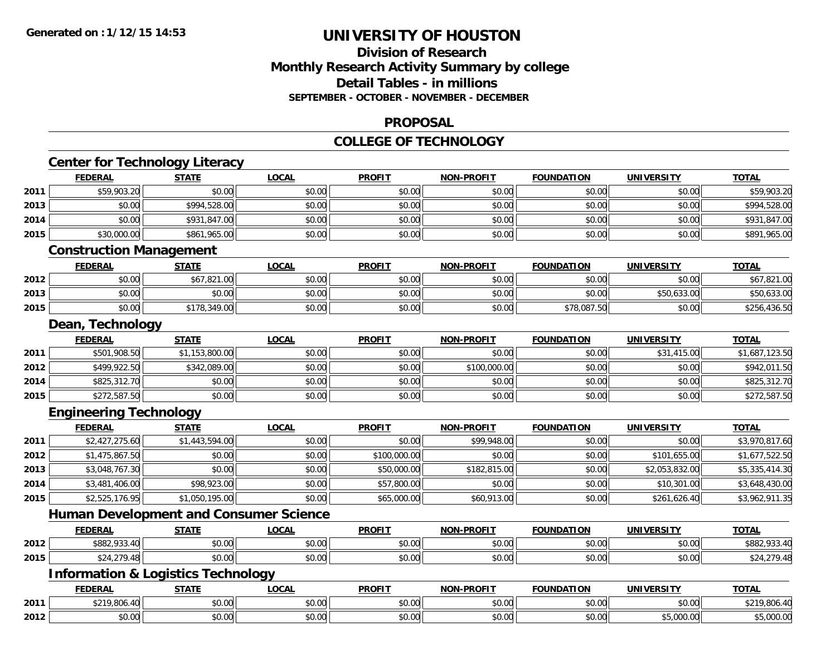## **Division of ResearchMonthly Research Activity Summary by college Detail Tables - in millions SEPTEMBER - OCTOBER - NOVEMBER - DECEMBER**

#### **PROPOSAL**

#### **COLLEGE OF TECHNOLOGY**

|      |                                | <b>Center for Technology Literacy</b>         |              |               |                   |                   |                   |                |
|------|--------------------------------|-----------------------------------------------|--------------|---------------|-------------------|-------------------|-------------------|----------------|
|      | <b>FEDERAL</b>                 | <b>STATE</b>                                  | <b>LOCAL</b> | <b>PROFIT</b> | <b>NON-PROFIT</b> | <b>FOUNDATION</b> | <b>UNIVERSITY</b> | <b>TOTAL</b>   |
| 2011 | \$59,903.20                    | \$0.00                                        | \$0.00       | \$0.00        | \$0.00            | \$0.00            | \$0.00            | \$59,903.20    |
| 2013 | \$0.00                         | \$994,528.00                                  | \$0.00       | \$0.00        | \$0.00            | \$0.00            | \$0.00            | \$994,528.00   |
| 2014 | \$0.00                         | \$931,847.00                                  | \$0.00       | \$0.00        | \$0.00            | \$0.00            | \$0.00            | \$931,847.00   |
| 2015 | \$30,000.00                    | \$861,965.00                                  | \$0.00       | \$0.00        | \$0.00            | \$0.00            | \$0.00            | \$891,965.00   |
|      | <b>Construction Management</b> |                                               |              |               |                   |                   |                   |                |
|      | <b>FEDERAL</b>                 | <b>STATE</b>                                  | <b>LOCAL</b> | <b>PROFIT</b> | <b>NON-PROFIT</b> | <b>FOUNDATION</b> | <b>UNIVERSITY</b> | <b>TOTAL</b>   |
| 2012 | \$0.00                         | \$67,821.00                                   | \$0.00       | \$0.00        | \$0.00            | \$0.00            | \$0.00            | \$67,821.00    |
| 2013 | \$0.00                         | \$0.00                                        | \$0.00       | \$0.00        | \$0.00            | \$0.00            | \$50,633.00       | \$50,633.00    |
| 2015 | \$0.00                         | \$178,349.00                                  | \$0.00       | \$0.00        | \$0.00            | \$78,087.50       | \$0.00            | \$256,436.50   |
|      | Dean, Technology               |                                               |              |               |                   |                   |                   |                |
|      | <b>FEDERAL</b>                 | <b>STATE</b>                                  | <b>LOCAL</b> | <b>PROFIT</b> | <b>NON-PROFIT</b> | <b>FOUNDATION</b> | <b>UNIVERSITY</b> | <b>TOTAL</b>   |
| 2011 | \$501,908.50                   | \$1,153,800.00                                | \$0.00       | \$0.00        | \$0.00            | \$0.00            | \$31,415.00       | \$1,687,123.50 |
| 2012 | \$499,922.50                   | \$342,089.00                                  | \$0.00       | \$0.00        | \$100,000.00      | \$0.00            | \$0.00            | \$942,011.50   |
| 2014 | \$825,312.70                   | \$0.00                                        | \$0.00       | \$0.00        | \$0.00            | \$0.00            | \$0.00            | \$825,312.70   |
| 2015 | \$272,587.50                   | \$0.00                                        | \$0.00       | \$0.00        | \$0.00            | \$0.00            | \$0.00            | \$272,587.50   |
|      | <b>Engineering Technology</b>  |                                               |              |               |                   |                   |                   |                |
|      | <b>FEDERAL</b>                 | <b>STATE</b>                                  | <b>LOCAL</b> | <b>PROFIT</b> | <b>NON-PROFIT</b> | <b>FOUNDATION</b> | <b>UNIVERSITY</b> | <b>TOTAL</b>   |
| 2011 | \$2,427,275.60                 | \$1,443,594.00                                | \$0.00       | \$0.00        | \$99,948.00       | \$0.00            | \$0.00            | \$3,970,817.60 |
| 2012 | \$1,475,867.50                 | \$0.00                                        | \$0.00       | \$100,000.00  | \$0.00            | \$0.00            | \$101,655.00      | \$1,677,522.50 |
| 2013 | \$3,048,767.30                 | \$0.00                                        | \$0.00       | \$50,000.00   | \$182,815.00      | \$0.00            | \$2,053,832.00    | \$5,335,414.30 |
| 2014 | \$3,481,406.00                 | \$98,923.00                                   | \$0.00       | \$57,800.00   | \$0.00            | \$0.00            | \$10,301.00       | \$3,648,430.00 |
| 2015 | \$2,525,176.95                 | \$1,050,195.00                                | \$0.00       | \$65,000.00   | \$60,913.00       | \$0.00            | \$261,626.40      | \$3,962,911.35 |
|      |                                | <b>Human Development and Consumer Science</b> |              |               |                   |                   |                   |                |
|      | <b>FEDERAL</b>                 | <b>STATE</b>                                  | <b>LOCAL</b> | <b>PROFIT</b> | <b>NON-PROFIT</b> | <b>FOUNDATION</b> | <b>UNIVERSITY</b> | <b>TOTAL</b>   |
| 2012 | \$882,933.40                   | \$0.00                                        | \$0.00       | \$0.00        | \$0.00            | \$0.00            | \$0.00            | \$882,933.40   |
| 2015 | \$24,279.48                    | \$0.00                                        | \$0.00       | \$0.00        | \$0.00            | \$0.00            | \$0.00            | \$24,279.48    |
|      |                                | <b>Information &amp; Logistics Technology</b> |              |               |                   |                   |                   |                |
|      | <b>FEDERAL</b>                 | <b>STATE</b>                                  | <b>LOCAL</b> | <b>PROFIT</b> | <b>NON-PROFIT</b> | <b>FOUNDATION</b> | <b>UNIVERSITY</b> | <b>TOTAL</b>   |
| 2011 | \$219,806.40                   | \$0.00                                        | \$0.00       | \$0.00        | \$0.00            | \$0.00            | \$0.00            | \$219,806.40   |
| 2012 | \$0.00                         | \$0.00                                        | \$0.00       | \$0.00        | \$0.00            | \$0.00            | \$5,000.00        | \$5,000.00     |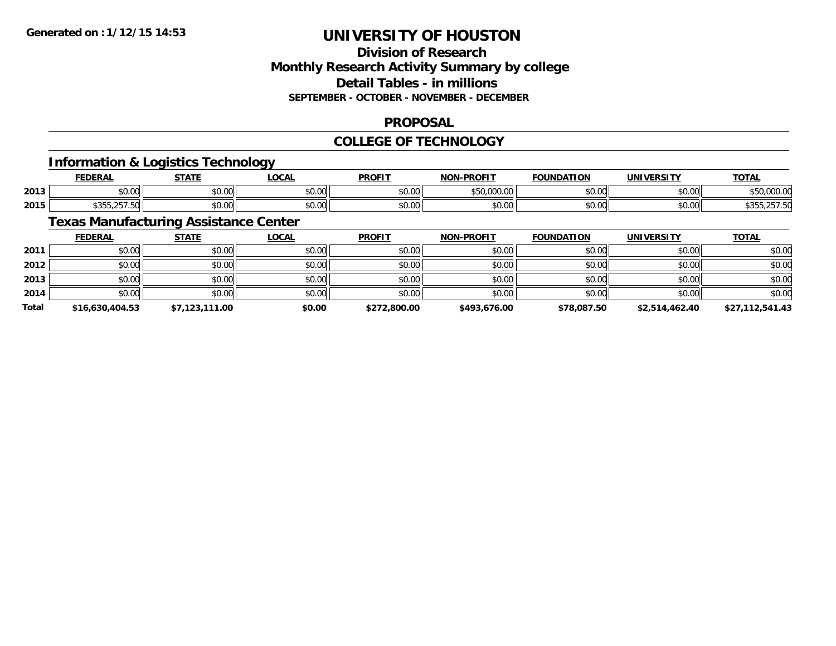## **Division of ResearchMonthly Research Activity Summary by college Detail Tables - in millions SEPTEMBER - OCTOBER - NOVEMBER - DECEMBER**

### **PROPOSAL**

### **COLLEGE OF TECHNOLOGY**

### **Information & Logistics Technology**

|      | <b>FEDERAL</b> | $\gamma$ tatr     | <b>OCAL</b> | <b>PROFIT</b>          | <b>-PROFIT</b><br>חחו     | DATION<br><b>FAURU</b> | UNIVERSITY | <u>TOTAL</u>         |
|------|----------------|-------------------|-------------|------------------------|---------------------------|------------------------|------------|----------------------|
| 2013 | ሶስ ሰሰ<br>טט.טע | 0000<br>vv.vv     | \$0.00      | 0000<br>JU.U           | ATA AAA<br>uuu.uu<br>, טע | 0000                   | \$0.00     | 0.0000<br>.,,,,,,,,, |
| 2015 | よつにに<br>---    | $\cdots$<br>vu.vu | \$0.00      | 0 <sub>n</sub><br>JU.U | $\sim$ 00<br>vv.vv        | $\sim$ 00              | \$0.00     | 1.2.11               |

## **Texas Manufacturing Assistance Center**

|              | <b>FEDERAL</b>  | <u>STATE</u>   | <b>LOCAL</b> | <b>PROFIT</b> | <b>NON-PROFIT</b> | <b>FOUNDATION</b> | <b>UNIVERSITY</b> | <b>TOTAL</b>    |
|--------------|-----------------|----------------|--------------|---------------|-------------------|-------------------|-------------------|-----------------|
| 2011         | \$0.00          | \$0.00         | \$0.00       | \$0.00        | \$0.00            | \$0.00            | \$0.00            | \$0.00          |
| 2012         | \$0.00          | \$0.00         | \$0.00       | \$0.00        | \$0.00            | \$0.00            | \$0.00            | \$0.00          |
| 2013         | \$0.00          | \$0.00         | \$0.00       | \$0.00        | \$0.00            | \$0.00            | \$0.00            | \$0.00          |
| 2014         | \$0.00          | \$0.00         | \$0.00       | \$0.00        | \$0.00            | \$0.00            | \$0.00            | \$0.00          |
| <b>Total</b> | \$16,630,404.53 | \$7,123,111.00 | \$0.00       | \$272,800.00  | \$493,676.00      | \$78,087.50       | \$2,514,462.40    | \$27,112,541.43 |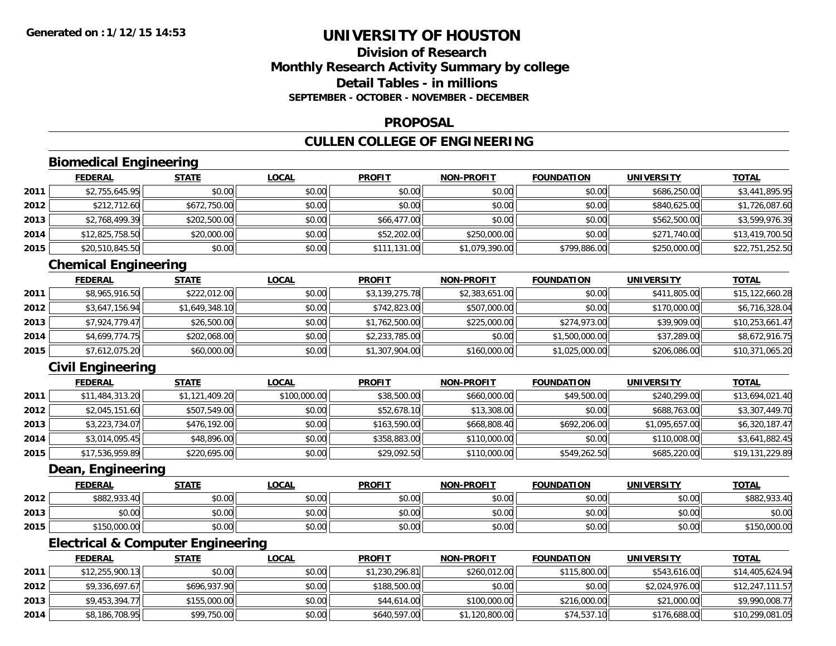### **Division of ResearchMonthly Research Activity Summary by college Detail Tables - in millionsSEPTEMBER - OCTOBER - NOVEMBER - DECEMBER**

### **PROPOSAL**

## **CULLEN COLLEGE OF ENGINEERING**

## **Biomedical Engineering**

|      | <b>FEDERAL</b>  | <b>STATE</b> | <b>LOCAL</b> | <b>PROFIT</b> | <b>NON-PROFIT</b> | <b>FOUNDATION</b> | <b>UNIVERSITY</b> | <b>TOTAL</b>    |
|------|-----------------|--------------|--------------|---------------|-------------------|-------------------|-------------------|-----------------|
| 2011 | \$2,755,645.95  | \$0.00       | \$0.00       | \$0.00        | \$0.00            | \$0.00            | \$686,250.00      | \$3,441,895.95  |
| 2012 | \$212,712.60    | \$672,750.00 | \$0.00       | \$0.00        | \$0.00            | \$0.00            | \$840,625.00      | \$1,726,087.60  |
| 2013 | \$2,768,499.39  | \$202,500.00 | \$0.00       | \$66,477.00   | \$0.00            | \$0.00            | \$562,500.00      | \$3,599,976.39  |
| 2014 | \$12,825,758.50 | \$20,000.00  | \$0.00       | \$52,202.00   | \$250,000.00      | \$0.00            | \$271,740.00      | \$13,419,700.50 |
| 2015 | \$20,510,845.50 | \$0.00       | \$0.00       | \$111,131.00  | \$1,079,390.00    | \$799,886.00      | \$250,000.00      | \$22,751,252.50 |

## **Chemical Engineering**

|      | <b>FEDERAL</b> | <u>STATE</u>   | <b>LOCAL</b> | <b>PROFIT</b>  | <b>NON-PROFIT</b> | <b>FOUNDATION</b> | <b>UNIVERSITY</b> | <b>TOTAL</b>    |
|------|----------------|----------------|--------------|----------------|-------------------|-------------------|-------------------|-----------------|
| 2011 | \$8,965,916.50 | \$222,012.00   | \$0.00       | \$3,139,275.78 | \$2,383,651.00    | \$0.00            | \$411,805.00      | \$15,122,660.28 |
| 2012 | \$3,647,156.94 | \$1,649,348.10 | \$0.00       | \$742,823.00   | \$507,000.00      | \$0.00            | \$170,000.00      | \$6,716,328.04  |
| 2013 | \$7,924,779.47 | \$26,500.00    | \$0.00       | \$1,762,500.00 | \$225,000.00      | \$274,973.00      | \$39,909.00       | \$10,253,661.47 |
| 2014 | \$4,699,774.75 | \$202,068.00   | \$0.00       | \$2,233,785.00 | \$0.00            | \$1,500,000.00    | \$37,289.00       | \$8,672,916.75  |
| 2015 | \$7,612,075.20 | \$60,000.00    | \$0.00       | \$1,307,904.00 | \$160,000.00      | \$1,025,000.00    | \$206,086.00      | \$10,371,065.20 |

## **Civil Engineering**

|      | <b>FEDERAL</b>  | <b>STATE</b>   | <b>LOCAL</b> | <b>PROFIT</b> | <b>NON-PROFIT</b> | <b>FOUNDATION</b> | <b>UNIVERSITY</b> | <b>TOTAL</b>    |
|------|-----------------|----------------|--------------|---------------|-------------------|-------------------|-------------------|-----------------|
| 2011 | \$11,484,313.20 | \$1,121,409.20 | \$100,000.00 | \$38,500.00   | \$660,000.00      | \$49,500.00       | \$240,299.00      | \$13,694,021.40 |
| 2012 | \$2,045,151.60  | \$507,549.00   | \$0.00       | \$52,678.10   | \$13,308.00       | \$0.00            | \$688,763.00      | \$3,307,449.70  |
| 2013 | \$3,223,734.07  | \$476,192.00   | \$0.00       | \$163,590.00  | \$668,808.40      | \$692,206.00      | \$1,095,657.00    | \$6,320,187.47  |
| 2014 | \$3,014,095.45  | \$48,896.00    | \$0.00       | \$358,883.00  | \$110,000.00      | \$0.00            | \$110,008.00      | \$3,641,882.45  |
| 2015 | \$17,536,959.89 | \$220,695.00   | \$0.00       | \$29,092.50   | \$110,000.00      | \$549,262.50      | \$685,220.00      | \$19,131,229.89 |

#### **Dean, Engineering**

|      | <b>FEDERAL</b> | STATE  | LOCAL  | <b>PROFIT</b> | <b>NON-PROFIT</b> | <b>FOUNDATION</b> | <b>UNIVERSITY</b> | <u>TOTAL</u> |
|------|----------------|--------|--------|---------------|-------------------|-------------------|-------------------|--------------|
| 2012 | \$882,933.40   | \$0.00 | \$0.00 | \$0.00        | \$0.00            | \$0.00            | \$0.00            | \$882,933.40 |
| 2013 | \$0.00         | \$0.00 | \$0.00 | \$0.00        | \$0.00            | \$0.00            | \$0.00            | \$0.00       |
| 2015 | \$150,000.00   | \$0.00 | \$0.00 | \$0.00        | \$0.00            | \$0.00            | \$0.00            | \$150,000.00 |

## **Electrical & Computer Engineering**

|      | <b>FEDERAL</b>  | <u>STATE</u> | <u>LOCAL</u> | <b>PROFIT</b>  | <b>NON-PROFIT</b> | <b>FOUNDATION</b> | UNIVERSITY     | <b>TOTAL</b>    |
|------|-----------------|--------------|--------------|----------------|-------------------|-------------------|----------------|-----------------|
| 2011 | \$12,255,900.13 | \$0.00       | \$0.00       | \$1,230,296.81 | \$260,012.00      | \$115,800.00      | \$543,616.00   | \$14,405,624.94 |
| 2012 | \$9,336,697.67  | \$696,937.90 | \$0.00       | \$188,500.00   | \$0.00            | \$0.00            | \$2,024,976.00 | \$12,247,111.57 |
| 2013 | \$9,453,394.77  | \$155,000.00 | \$0.00       | \$44,614.00    | \$100,000,00      | \$216,000.00      | \$21,000.00    | \$9,990,008.77  |
| 2014 | \$8,186,708.95  | \$99,750.00  | \$0.00       | \$640,597.00   | \$1,120,800.00    | \$74,537.10       | \$176,688,00   | \$10,299,081.05 |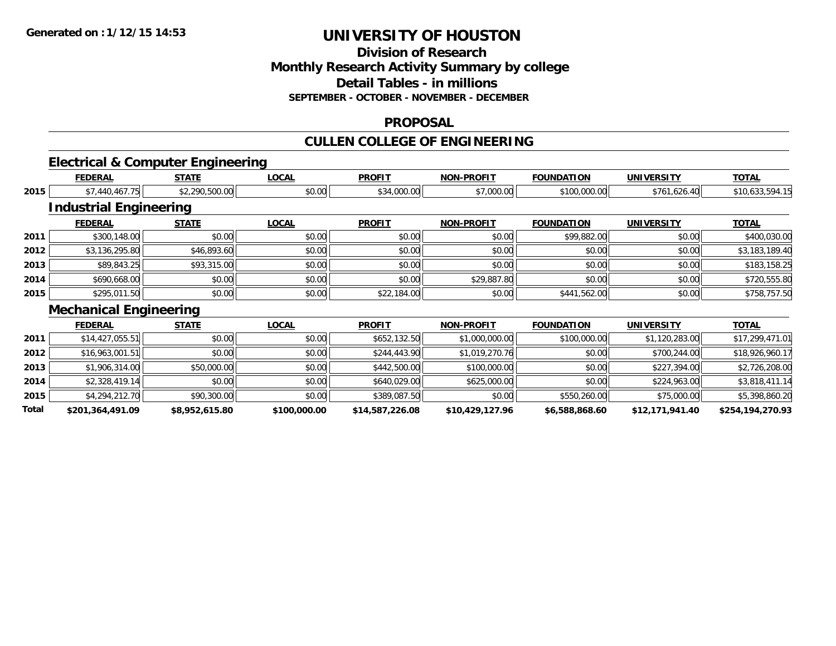**Total**

# **UNIVERSITY OF HOUSTON**

### **Division of ResearchMonthly Research Activity Summary by college Detail Tables - in millions SEPTEMBER - OCTOBER - NOVEMBER - DECEMBER**

#### **PROPOSAL**

## **CULLEN COLLEGE OF ENGINEERING**

## **Electrical & Computer Engineering**

|      | <b>FEDERAL</b>                | <b>STATE</b>   | <b>LOCAL</b> | <b>PROFIT</b> | <b>NON-PROFIT</b> | <b>FOUNDATION</b> | <b>UNIVERSITY</b> | <b>TOTAL</b>    |
|------|-------------------------------|----------------|--------------|---------------|-------------------|-------------------|-------------------|-----------------|
| 2015 | \$7,440,467.75                | \$2,290,500.00 | \$0.00       | \$34,000.00   | \$7,000.00        | \$100,000.00      | \$761,626.40      | \$10,633,594.15 |
|      | <b>Industrial Engineering</b> |                |              |               |                   |                   |                   |                 |
|      | <b>FEDERAL</b>                | <b>STATE</b>   | <b>LOCAL</b> | <b>PROFIT</b> | <b>NON-PROFIT</b> | <b>FOUNDATION</b> | <b>UNIVERSITY</b> | <b>TOTAL</b>    |
| 2011 | \$300,148.00                  | \$0.00         | \$0.00       | \$0.00        | \$0.00            | \$99,882.00       | \$0.00            | \$400,030.00    |
| 2012 | \$3,136,295.80                | \$46,893.60    | \$0.00       | \$0.00        | \$0.00            | \$0.00            | \$0.00            | \$3,183,189.40  |
| 2013 | \$89,843.25                   | \$93,315.00    | \$0.00       | \$0.00        | \$0.00            | \$0.00            | \$0.00            | \$183,158.25    |
| 2014 | \$690,668.00                  | \$0.00         | \$0.00       | \$0.00        | \$29,887.80       | \$0.00            | \$0.00            | \$720,555.80    |
| 2015 | \$295,011.50                  | \$0.00         | \$0.00       | \$22,184.00   | \$0.00            | \$441,562.00      | \$0.00            | \$758,757.50    |
|      | <b>Mechanical Engineering</b> |                |              |               |                   |                   |                   |                 |
|      | <b>FEDERAL</b>                | <b>STATE</b>   | <b>LOCAL</b> | <b>PROFIT</b> | <b>NON-PROFIT</b> | <b>FOUNDATION</b> | <b>UNIVERSITY</b> | <b>TOTAL</b>    |
| 2011 | \$14,427,055.51               | \$0.00         | \$0.00       | \$652,132.50  | \$1,000,000.00    | \$100,000.00      | \$1,120,283.00    | \$17,299,471.01 |
| 2012 | \$16,963,001.51               | \$0.00         | \$0.00       | \$244,443.90  | \$1,019,270.76    | \$0.00            | \$700,244.00      | \$18,926,960.17 |
| 2013 | \$1,906,314.00                | \$50,000.00    | \$0.00       | \$442,500.00  | \$100,000.00      | \$0.00            | \$227,394.00      | \$2,726,208.00  |
| 2014 | \$2,328,419.14                | \$0.00         | \$0.00       | \$640,029.00  | \$625,000.00      | \$0.00            | \$224,963.00      | \$3,818,411.14  |
| 2015 | \$4,294,212.70                | \$90,300.00    | \$0.00       | \$389,087.50  | \$0.00            | \$550,260.00      | \$75,000.00       | \$5,398,860.20  |

**\$201,364,491.09 \$8,952,615.80 \$100,000.00 \$14,587,226.08 \$10,429,127.96 \$6,588,868.60 \$12,171,941.40 \$254,194,270.93**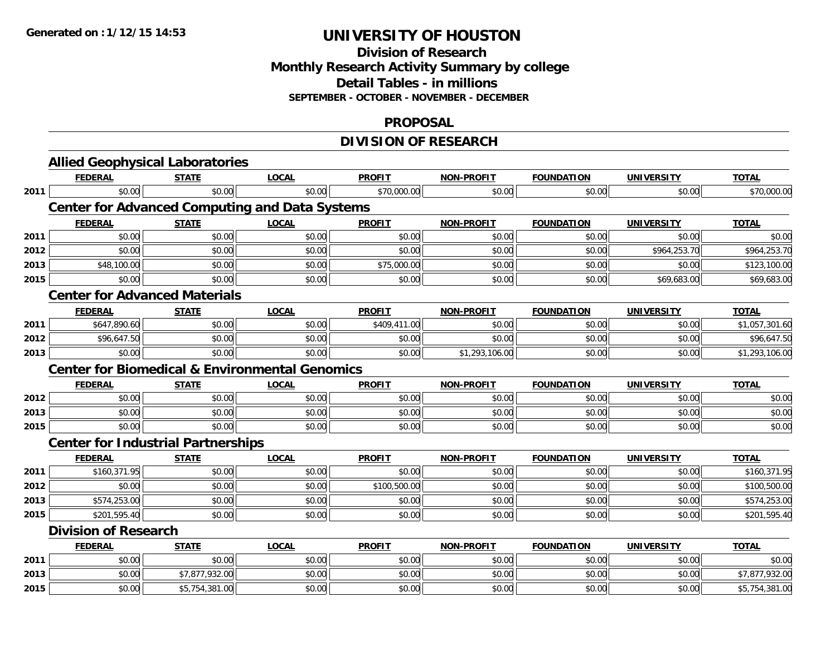### **Division of Research Monthly Research Activity Summary by college Detail Tables - in millions SEPTEMBER - OCTOBER - NOVEMBER - DECEMBER**

#### **PROPOSAL**

## **DIVISION OF RESEARCH**

|      | <b>Allied Geophysical Laboratories</b>                    |                |              |               |                   |                   |                   |                |
|------|-----------------------------------------------------------|----------------|--------------|---------------|-------------------|-------------------|-------------------|----------------|
|      | <b>FEDERAL</b>                                            | <b>STATE</b>   | <b>LOCAL</b> | <b>PROFIT</b> | <b>NON-PROFIT</b> | <b>FOUNDATION</b> | <b>UNIVERSITY</b> | <b>TOTAL</b>   |
| 2011 | \$0.00                                                    | \$0.00         | \$0.00       | \$70,000.00   | \$0.00            | \$0.00            | \$0.00            | \$70,000.00    |
|      | <b>Center for Advanced Computing and Data Systems</b>     |                |              |               |                   |                   |                   |                |
|      | <b>FEDERAL</b>                                            | <b>STATE</b>   | <b>LOCAL</b> | <b>PROFIT</b> | <b>NON-PROFIT</b> | <b>FOUNDATION</b> | <b>UNIVERSITY</b> | <b>TOTAL</b>   |
| 2011 | \$0.00                                                    | \$0.00         | \$0.00       | \$0.00        | \$0.00            | \$0.00            | \$0.00            | \$0.00         |
| 2012 | \$0.00                                                    | \$0.00         | \$0.00       | \$0.00        | \$0.00            | \$0.00            | \$964,253.70      | \$964,253.70   |
| 2013 | \$48,100.00                                               | \$0.00         | \$0.00       | \$75,000.00   | \$0.00            | \$0.00            | \$0.00            | \$123,100.00   |
| 2015 | \$0.00                                                    | \$0.00         | \$0.00       | \$0.00        | \$0.00            | \$0.00            | \$69,683.00       | \$69,683.00    |
|      | <b>Center for Advanced Materials</b>                      |                |              |               |                   |                   |                   |                |
|      | <b>FEDERAL</b>                                            | <b>STATE</b>   | <b>LOCAL</b> | <b>PROFIT</b> | <b>NON-PROFIT</b> | <b>FOUNDATION</b> | <b>UNIVERSITY</b> | <b>TOTAL</b>   |
| 2011 | \$647,890.60                                              | \$0.00         | \$0.00       | \$409,411.00  | \$0.00            | \$0.00            | \$0.00            | \$1,057,301.60 |
| 2012 | \$96,647.50                                               | \$0.00         | \$0.00       | \$0.00        | \$0.00            | \$0.00            | \$0.00            | \$96,647.50    |
| 2013 | \$0.00                                                    | \$0.00         | \$0.00       | \$0.00        | \$1,293,106.00    | \$0.00            | \$0.00            | \$1,293,106.00 |
|      | <b>Center for Biomedical &amp; Environmental Genomics</b> |                |              |               |                   |                   |                   |                |
|      | <b>FEDERAL</b>                                            | <b>STATE</b>   | <b>LOCAL</b> | <b>PROFIT</b> | <b>NON-PROFIT</b> | <b>FOUNDATION</b> | <b>UNIVERSITY</b> | <b>TOTAL</b>   |
| 2012 | \$0.00                                                    | \$0.00         | \$0.00       | \$0.00        | \$0.00            | \$0.00            | \$0.00            | \$0.00         |
| 2013 | \$0.00                                                    | \$0.00         | \$0.00       | \$0.00        | \$0.00            | \$0.00            | \$0.00            | \$0.00         |
| 2015 | \$0.00                                                    | \$0.00         | \$0.00       | \$0.00        | \$0.00            | \$0.00            | \$0.00            | \$0.00         |
|      | <b>Center for Industrial Partnerships</b>                 |                |              |               |                   |                   |                   |                |
|      | <b>FEDERAL</b>                                            | <b>STATE</b>   | <b>LOCAL</b> | <b>PROFIT</b> | <b>NON-PROFIT</b> | <b>FOUNDATION</b> | <b>UNIVERSITY</b> | <b>TOTAL</b>   |
| 2011 | \$160,371.95                                              | \$0.00         | \$0.00       | \$0.00        | \$0.00            | \$0.00            | \$0.00            | \$160,371.95   |
| 2012 | \$0.00                                                    | \$0.00         | \$0.00       | \$100,500.00  | \$0.00            | \$0.00            | \$0.00            | \$100,500.00   |
| 2013 | \$574,253.00                                              | \$0.00         | \$0.00       | \$0.00        | \$0.00            | \$0.00            | \$0.00            | \$574,253.00   |
| 2015 | \$201,595.40                                              | \$0.00         | \$0.00       | \$0.00        | \$0.00            | \$0.00            | \$0.00            | \$201,595.40   |
|      | <b>Division of Research</b>                               |                |              |               |                   |                   |                   |                |
|      | <b>FEDERAL</b>                                            | <b>STATE</b>   | <b>LOCAL</b> | <b>PROFIT</b> | <b>NON-PROFIT</b> | <b>FOUNDATION</b> | <b>UNIVERSITY</b> | <b>TOTAL</b>   |
| 2011 | \$0.00                                                    | \$0.00         | \$0.00       | \$0.00        | \$0.00            | \$0.00            | \$0.00            | \$0.00         |
| 2013 | \$0.00                                                    | \$7,877,932.00 | \$0.00       | \$0.00        | \$0.00            | \$0.00            | \$0.00            | \$7,877,932.00 |
| 2015 | \$0.00                                                    | \$5,754,381.00 | \$0.00       | \$0.00        | \$0.00            | \$0.00            | \$0.00            | \$5,754,381.00 |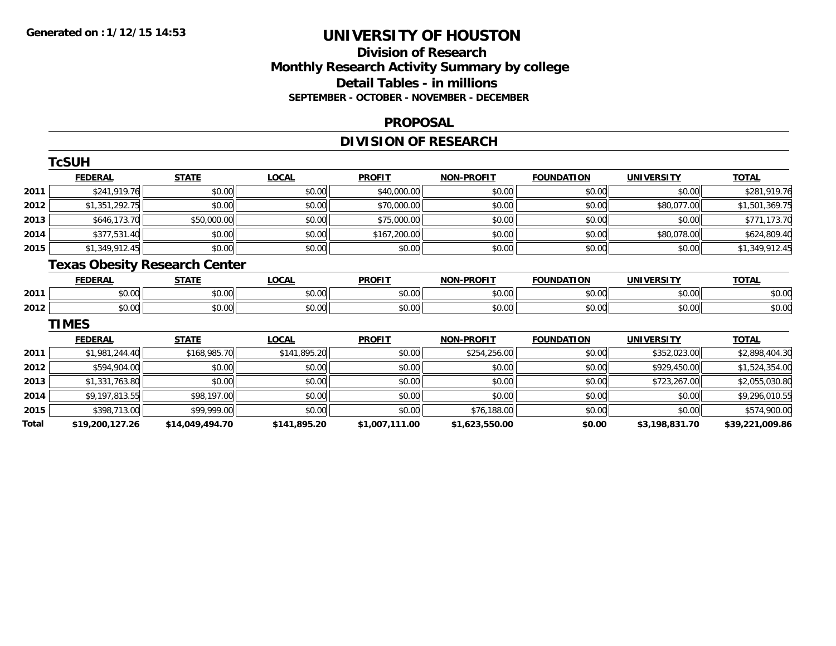## **Division of ResearchMonthly Research Activity Summary by college Detail Tables - in millions SEPTEMBER - OCTOBER - NOVEMBER - DECEMBER**

#### **PROPOSAL**

## **DIVISION OF RESEARCH**

|       | <b>TcSUH</b>                         |                 |              |                |                   |                   |                   |                 |
|-------|--------------------------------------|-----------------|--------------|----------------|-------------------|-------------------|-------------------|-----------------|
|       | <b>FEDERAL</b>                       | <b>STATE</b>    | <u>LOCAL</u> | <b>PROFIT</b>  | <b>NON-PROFIT</b> | <b>FOUNDATION</b> | <b>UNIVERSITY</b> | <b>TOTAL</b>    |
| 2011  | \$241,919.76                         | \$0.00          | \$0.00       | \$40,000.00    | \$0.00            | \$0.00            | \$0.00            | \$281,919.76    |
| 2012  | \$1,351,292.75                       | \$0.00          | \$0.00       | \$70,000.00    | \$0.00            | \$0.00            | \$80,077.00       | \$1,501,369.75  |
| 2013  | \$646,173.70                         | \$50,000.00     | \$0.00       | \$75,000.00    | \$0.00            | \$0.00            | \$0.00            | \$771,173.70    |
| 2014  | \$377,531.40                         | \$0.00          | \$0.00       | \$167,200.00   | \$0.00            | \$0.00            | \$80,078.00       | \$624,809.40    |
| 2015  | \$1,349,912.45                       | \$0.00          | \$0.00       | \$0.00         | \$0.00            | \$0.00            | \$0.00            | \$1,349,912.45  |
|       | <b>Texas Obesity Research Center</b> |                 |              |                |                   |                   |                   |                 |
|       | <b>FEDERAL</b>                       | <b>STATE</b>    | <b>LOCAL</b> | <b>PROFIT</b>  | <b>NON-PROFIT</b> | <b>FOUNDATION</b> | <b>UNIVERSITY</b> | <b>TOTAL</b>    |
| 2011  | \$0.00                               | \$0.00          | \$0.00       | \$0.00         | \$0.00            | \$0.00            | \$0.00            | \$0.00          |
| 2012  | \$0.00                               | \$0.00          | \$0.00       | \$0.00         | \$0.00            | \$0.00            | \$0.00            | \$0.00          |
|       | <b>TIMES</b>                         |                 |              |                |                   |                   |                   |                 |
|       | <b>FEDERAL</b>                       | <b>STATE</b>    | <u>LOCAL</u> | <b>PROFIT</b>  | <b>NON-PROFIT</b> | <b>FOUNDATION</b> | <b>UNIVERSITY</b> | <b>TOTAL</b>    |
| 2011  | \$1,981,244.40                       | \$168,985.70    | \$141,895.20 | \$0.00         | \$254,256.00      | \$0.00            | \$352,023.00      | \$2,898,404.30  |
| 2012  | \$594,904.00                         | \$0.00          | \$0.00       | \$0.00         | \$0.00            | \$0.00            | \$929,450.00      | \$1,524,354.00  |
| 2013  | \$1,331,763.80                       | \$0.00          | \$0.00       | \$0.00         | \$0.00            | \$0.00            | \$723,267.00      | \$2,055,030.80  |
| 2014  | \$9,197,813.55                       | \$98,197.00     | \$0.00       | \$0.00         | \$0.00            | \$0.00            | \$0.00            | \$9,296,010.55  |
| 2015  | \$398,713.00                         | \$99,999.00     | \$0.00       | \$0.00         | \$76,188.00       | \$0.00            | \$0.00            | \$574,900.00    |
| Total | \$19,200,127.26                      | \$14,049,494.70 | \$141,895.20 | \$1,007,111.00 | \$1,623,550.00    | \$0.00            | \$3,198,831.70    | \$39,221,009.86 |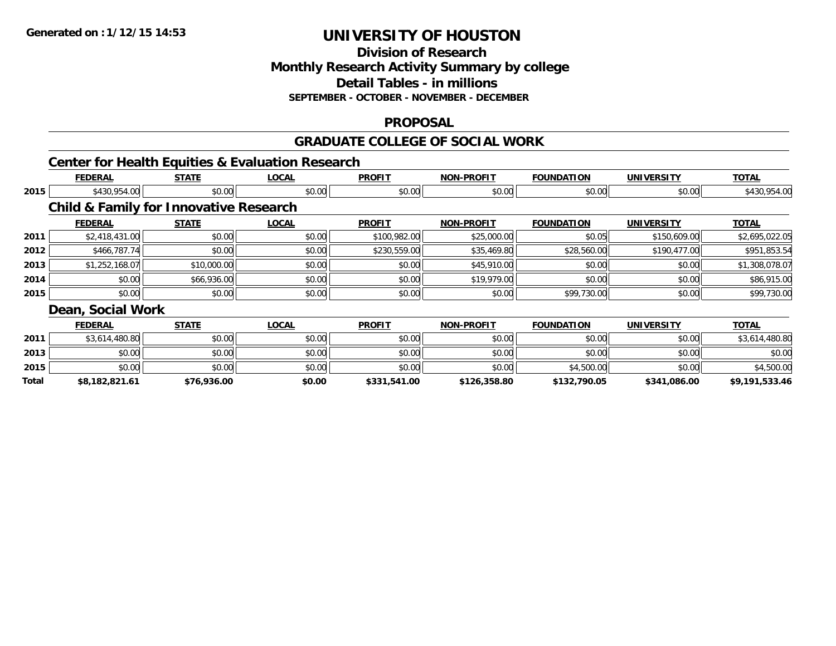## **Division of ResearchMonthly Research Activity Summary by college Detail Tables - in millions SEPTEMBER - OCTOBER - NOVEMBER - DECEMBER**

#### **PROPOSAL**

#### **GRADUATE COLLEGE OF SOCIAL WORK**

## **Center for Health Equities & Evaluation Research**

|       | <b>FEDERAL</b>                                    | <b>STATE</b> | <b>LOCAL</b> | <b>PROFIT</b> | <b>NON-PROFIT</b> | <b>FOUNDATION</b> | <b>UNIVERSITY</b> | <b>TOTAL</b>   |
|-------|---------------------------------------------------|--------------|--------------|---------------|-------------------|-------------------|-------------------|----------------|
| 2015  | \$430,954.00                                      | \$0.00       | \$0.00       | \$0.00        | \$0.00            | \$0.00            | \$0.00            | \$430,954.00   |
|       | <b>Child &amp; Family for Innovative Research</b> |              |              |               |                   |                   |                   |                |
|       | <b>FEDERAL</b>                                    | <b>STATE</b> | <b>LOCAL</b> | <b>PROFIT</b> | <b>NON-PROFIT</b> | <b>FOUNDATION</b> | <b>UNIVERSITY</b> | <b>TOTAL</b>   |
| 2011  | \$2,418,431.00                                    | \$0.00       | \$0.00       | \$100,982.00  | \$25,000.00       | \$0.05            | \$150,609.00      | \$2,695,022.05 |
| 2012  | \$466,787.74                                      | \$0.00       | \$0.00       | \$230,559.00  | \$35,469.80       | \$28,560.00       | \$190,477.00      | \$951,853.54   |
| 2013  | \$1,252,168.07                                    | \$10,000.00  | \$0.00       | \$0.00        | \$45,910.00       | \$0.00            | \$0.00            | \$1,308,078.07 |
| 2014  | \$0.00                                            | \$66,936.00  | \$0.00       | \$0.00        | \$19,979.00       | \$0.00            | \$0.00            | \$86,915.00    |
| 2015  | \$0.00                                            | \$0.00       | \$0.00       | \$0.00        | \$0.00            | \$99,730.00       | \$0.00            | \$99,730.00    |
|       | Dean, Social Work                                 |              |              |               |                   |                   |                   |                |
|       | <b>FEDERAL</b>                                    | <b>STATE</b> | <b>LOCAL</b> | <b>PROFIT</b> | <b>NON-PROFIT</b> | <b>FOUNDATION</b> | <b>UNIVERSITY</b> | <b>TOTAL</b>   |
| 2011  | \$3,614,480.80                                    | \$0.00       | \$0.00       | \$0.00        | \$0.00            | \$0.00            | \$0.00            | \$3,614,480.80 |
| 2013  | \$0.00                                            | \$0.00       | \$0.00       | \$0.00        | \$0.00            | \$0.00            | \$0.00            | \$0.00         |
| 2015  | \$0.00                                            | \$0.00       | \$0.00       | \$0.00        | \$0.00            | \$4,500.00        | \$0.00            | \$4,500.00     |
| Total | \$8,182,821.61                                    | \$76,936.00  | \$0.00       | \$331,541.00  | \$126,358.80      | \$132,790.05      | \$341,086.00      | \$9,191,533.46 |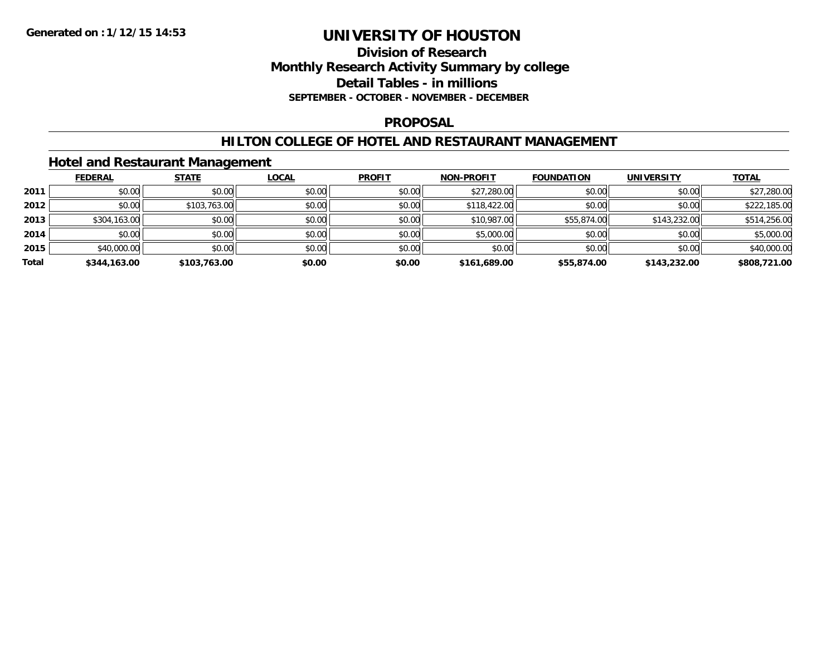### **Division of Research Monthly Research Activity Summary by college Detail Tables - in millions SEPTEMBER - OCTOBER - NOVEMBER - DECEMBER**

#### **PROPOSAL**

#### **HILTON COLLEGE OF HOTEL AND RESTAURANT MANAGEMENT**

### **Hotel and Restaurant Management**

|       | <b>FEDERAL</b> | <b>STATE</b> | <b>LOCAL</b> | <b>PROFIT</b> | <b>NON-PROFIT</b> | <b>FOUNDATION</b> | <b>UNIVERSITY</b> | <b>TOTAL</b> |
|-------|----------------|--------------|--------------|---------------|-------------------|-------------------|-------------------|--------------|
| 2011  | \$0.00         | \$0.00       | \$0.00       | \$0.00        | \$27,280.00       | \$0.00            | \$0.00            | \$27,280.00  |
| 2012  | \$0.00         | \$103,763.00 | \$0.00       | \$0.00        | \$118,422.00      | \$0.00            | \$0.00            | \$222,185.00 |
| 2013  | \$304,163.00   | \$0.00       | \$0.00       | \$0.00        | \$10,987.00       | \$55,874.00       | \$143,232.00      | \$514,256.00 |
| 2014  | \$0.00         | \$0.00       | \$0.00       | \$0.00        | \$5,000.00        | \$0.00            | \$0.00            | \$5,000.00   |
| 2015  | \$40,000.00    | \$0.00       | \$0.00       | \$0.00        | \$0.00            | \$0.00            | \$0.00            | \$40,000.00  |
| Total | \$344,163.00   | \$103,763.00 | \$0.00       | \$0.00        | \$161,689.00      | \$55,874.00       | \$143,232.00      | \$808,721.00 |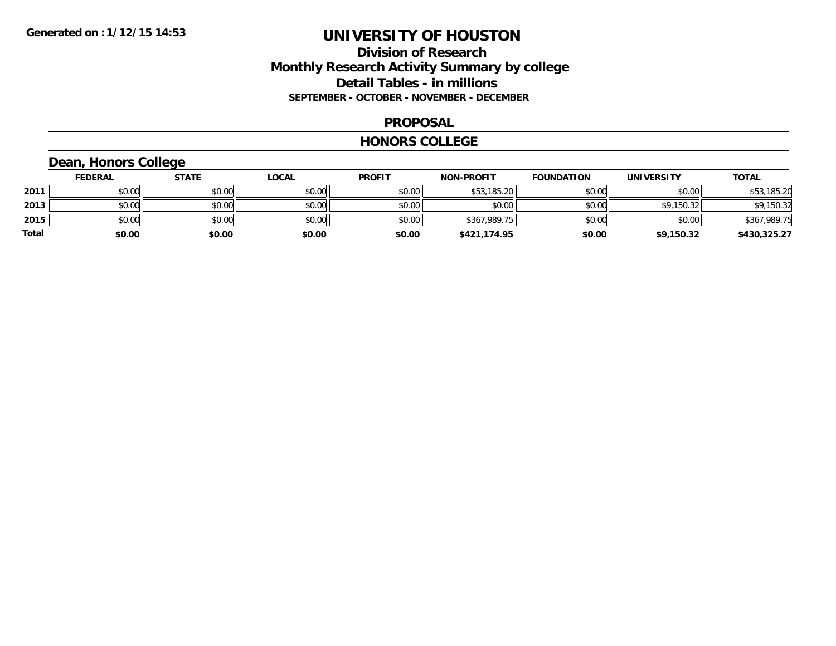### **Division of Research Monthly Research Activity Summary by college Detail Tables - in millions SEPTEMBER - OCTOBER - NOVEMBER - DECEMBER**

#### **PROPOSAL**

#### **HONORS COLLEGE**

## **Dean, Honors College**

|       | <b>FEDERAL</b> | <u>STATE</u> | <b>LOCAL</b> | <b>PROFIT</b> | <b>NON-PROFIT</b> | <b>FOUNDATION</b> | <b>UNIVERSITY</b> | <b>TOTAL</b> |
|-------|----------------|--------------|--------------|---------------|-------------------|-------------------|-------------------|--------------|
| 2011  | \$0.00         | \$0.00       | \$0.00       | \$0.00        | \$53,185.20       | \$0.00            | \$0.00            | \$53,185.20  |
| 2013  | \$0.00         | \$0.00       | \$0.00       | \$0.00        | \$0.00            | \$0.00            | \$9,150.32        | \$9,150.32   |
| 2015  | \$0.00         | \$0.00       | \$0.00       | \$0.00        | \$367,989.75      | \$0.00            | \$0.00            | \$367,989.75 |
| Total | \$0.00         | \$0.00       | \$0.00       | \$0.00        | \$421,174.95      | \$0.00            | \$9,150.32        | \$430,325.27 |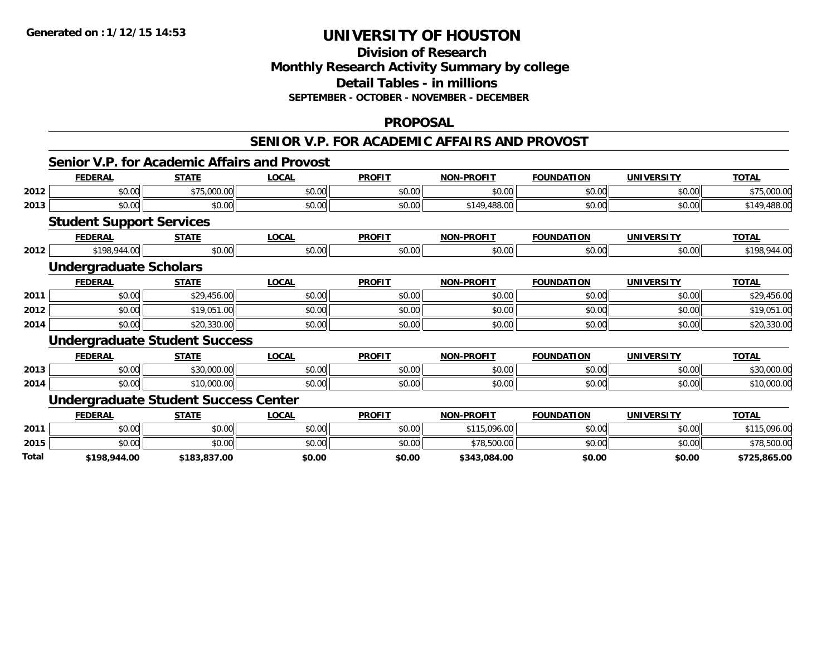## **Division of ResearchMonthly Research Activity Summary by college Detail Tables - in millions SEPTEMBER - OCTOBER - NOVEMBER - DECEMBER**

#### **PROPOSAL**

#### **SENIOR V.P. FOR ACADEMIC AFFAIRS AND PROVOST**

#### **Senior V.P. for Academic Affairs and Provost**

|       | <b>FEDERAL</b>                              | <b>STATE</b> | <b>LOCAL</b> | <b>PROFIT</b> | <b>NON-PROFIT</b> | <b>FOUNDATION</b> | <b>UNIVERSITY</b> | <b>TOTAL</b> |
|-------|---------------------------------------------|--------------|--------------|---------------|-------------------|-------------------|-------------------|--------------|
| 2012  | \$0.00                                      | \$75,000.00  | \$0.00       | \$0.00        | \$0.00            | \$0.00            | \$0.00            | \$75,000.00  |
| 2013  | \$0.00                                      | \$0.00       | \$0.00       | \$0.00        | \$149,488.00      | \$0.00            | \$0.00            | \$149,488.00 |
|       | <b>Student Support Services</b>             |              |              |               |                   |                   |                   |              |
|       | <b>FEDERAL</b>                              | <b>STATE</b> | <b>LOCAL</b> | <b>PROFIT</b> | <b>NON-PROFIT</b> | <b>FOUNDATION</b> | <b>UNIVERSITY</b> | <b>TOTAL</b> |
| 2012  | \$198,944.00                                | \$0.00       | \$0.00       | \$0.00        | \$0.00            | \$0.00            | \$0.00            | \$198,944.00 |
|       | <b>Undergraduate Scholars</b>               |              |              |               |                   |                   |                   |              |
|       | <b>FEDERAL</b>                              | <b>STATE</b> | <b>LOCAL</b> | <b>PROFIT</b> | <b>NON-PROFIT</b> | <b>FOUNDATION</b> | <b>UNIVERSITY</b> | <b>TOTAL</b> |
| 2011  | \$0.00                                      | \$29,456.00  | \$0.00       | \$0.00        | \$0.00            | \$0.00            | \$0.00            | \$29,456.00  |
| 2012  | \$0.00                                      | \$19,051.00  | \$0.00       | \$0.00        | \$0.00            | \$0.00            | \$0.00            | \$19,051.00  |
| 2014  | \$0.00                                      | \$20,330.00  | \$0.00       | \$0.00        | \$0.00            | \$0.00            | \$0.00            | \$20,330.00  |
|       | <b>Undergraduate Student Success</b>        |              |              |               |                   |                   |                   |              |
|       | <b>FEDERAL</b>                              | <b>STATE</b> | <b>LOCAL</b> | <b>PROFIT</b> | <b>NON-PROFIT</b> | <b>FOUNDATION</b> | <b>UNIVERSITY</b> | <b>TOTAL</b> |
| 2013  | \$0.00                                      | \$30,000.00  | \$0.00       | \$0.00        | \$0.00            | \$0.00            | \$0.00            | \$30,000.00  |
| 2014  | \$0.00                                      | \$10,000.00  | \$0.00       | \$0.00        | \$0.00            | \$0.00            | \$0.00            | \$10,000.00  |
|       | <b>Undergraduate Student Success Center</b> |              |              |               |                   |                   |                   |              |
|       | <b>FEDERAL</b>                              | <b>STATE</b> | <b>LOCAL</b> | <b>PROFIT</b> | <b>NON-PROFIT</b> | <b>FOUNDATION</b> | <b>UNIVERSITY</b> | <b>TOTAL</b> |
| 2011  | \$0.00                                      | \$0.00       | \$0.00       | \$0.00        | \$115,096.00      | \$0.00            | \$0.00            | \$115,096.00 |
| 2015  | \$0.00                                      | \$0.00       | \$0.00       | \$0.00        | \$78,500.00       | \$0.00            | \$0.00            | \$78,500.00  |
| Total | \$198,944.00                                | \$183,837.00 | \$0.00       | \$0.00        | \$343,084.00      | \$0.00            | \$0.00            | \$725,865.00 |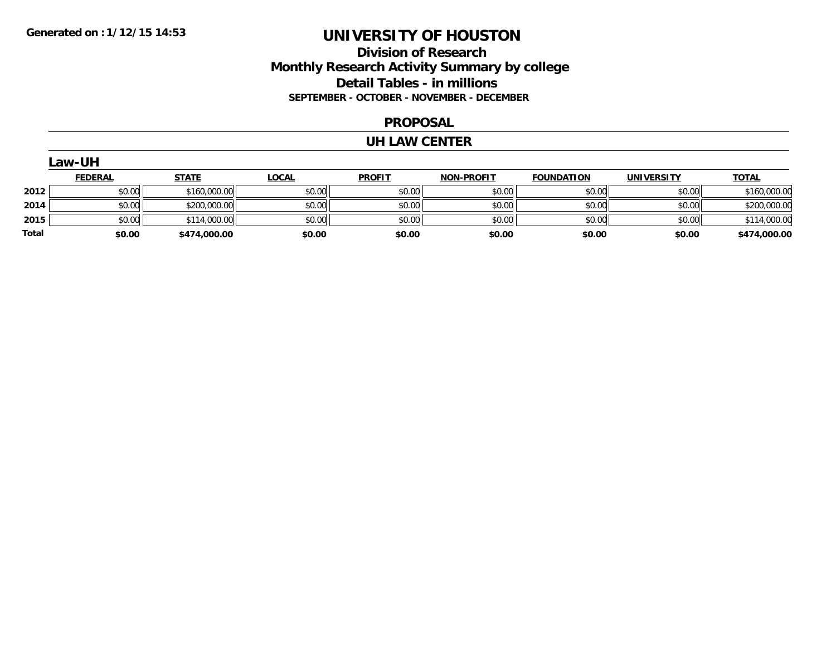### **Division of Research Monthly Research Activity Summary by college Detail Tables - in millions SEPTEMBER - OCTOBER - NOVEMBER - DECEMBER**

#### **PROPOSAL**

#### **UH LAW CENTER**

|       | Law-UH         |              |              |               |                   |                   |                   |              |  |  |
|-------|----------------|--------------|--------------|---------------|-------------------|-------------------|-------------------|--------------|--|--|
|       | <u>FEDERAL</u> | <b>STATE</b> | <b>LOCAL</b> | <b>PROFIT</b> | <b>NON-PROFIT</b> | <b>FOUNDATION</b> | <b>UNIVERSITY</b> | <b>TOTAL</b> |  |  |
| 2012  | \$0.00         | \$160,000.00 | \$0.00       | \$0.00        | \$0.00            | \$0.00            | \$0.00            | \$160,000.00 |  |  |
| 2014  | \$0.00         | \$200,000.00 | \$0.00       | \$0.00        | \$0.00            | \$0.00            | \$0.00            | \$200,000.00 |  |  |
| 2015  | \$0.00         | \$114,000.00 | \$0.00       | \$0.00        | \$0.00            | \$0.00            | \$0.00            | \$114,000.00 |  |  |
| Total | \$0.00         | \$474,000.00 | \$0.00       | \$0.00        | \$0.00            | \$0.00            | \$0.00            | \$474,000.00 |  |  |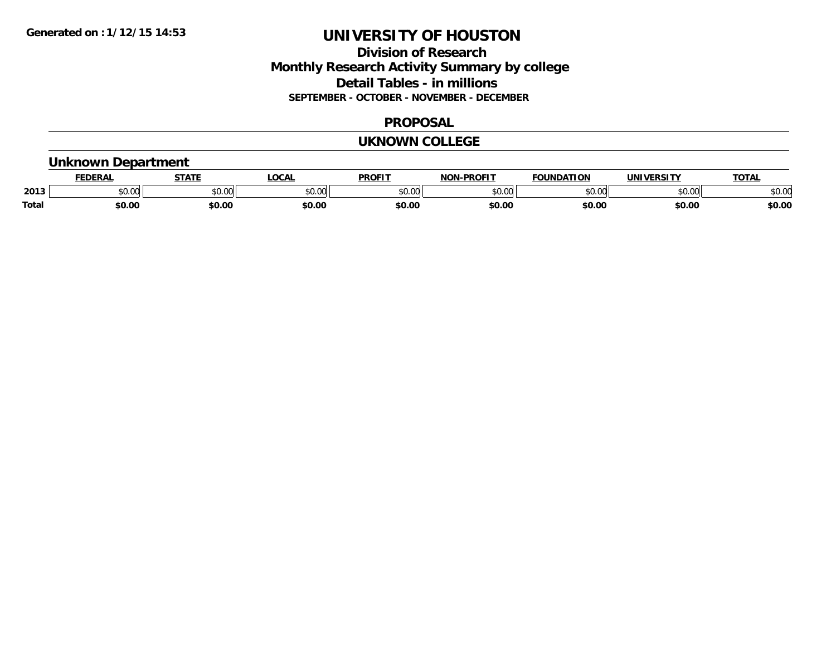### **Division of Research Monthly Research Activity Summary by college Detail Tables - in millions SEPTEMBER - OCTOBER - NOVEMBER - DECEMBER**

#### **PROPOSAL**

#### **UKNOWN COLLEGE**

### **Unknown Department**

|              | <b>DERAI</b>  | <b>STATE</b>           | <b>OCAL</b> | <b>PROFIT</b> | <b>DDAEIT</b><br><b>BIAB</b> | IDATION | <b>VEDCITY</b> | <b>TOTAL</b> |
|--------------|---------------|------------------------|-------------|---------------|------------------------------|---------|----------------|--------------|
| 2013         | 0.00<br>JU.UU | $\sim$ $\sim$<br>vv.vv | \$0.00      | 0000<br>JU.UU | 0000<br>v.vu                 | ስ ለሰ    | \$0.00         | \$0.00       |
| <b>Total</b> | \$0.00        | \$0.00                 | \$0.00      | ⊄∩ ∩∕<br>JU.U | \$0.00                       | \$0.00  | \$0.00         | \$0.00       |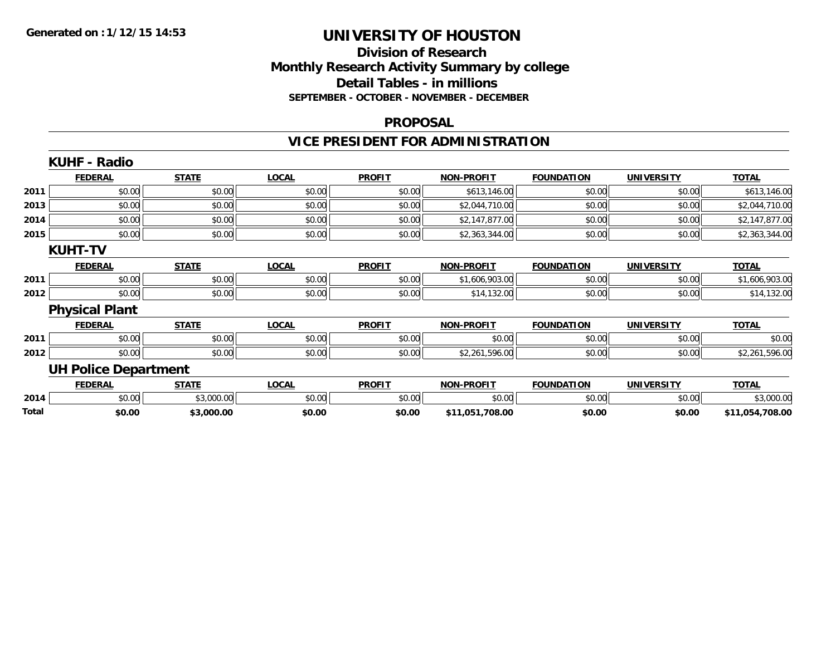### **Division of Research Monthly Research Activity Summary by college Detail Tables - in millions SEPTEMBER - OCTOBER - NOVEMBER - DECEMBER**

#### **PROPOSAL**

## **VICE PRESIDENT FOR ADMINISTRATION**

|       | <b>KUHF - Radio</b>         |              |              |               |                   |                   |                   |                 |
|-------|-----------------------------|--------------|--------------|---------------|-------------------|-------------------|-------------------|-----------------|
|       | <b>FEDERAL</b>              | <b>STATE</b> | <b>LOCAL</b> | <b>PROFIT</b> | <b>NON-PROFIT</b> | <b>FOUNDATION</b> | <b>UNIVERSITY</b> | <b>TOTAL</b>    |
| 2011  | \$0.00                      | \$0.00       | \$0.00       | \$0.00        | \$613,146.00      | \$0.00            | \$0.00            | \$613,146.00    |
| 2013  | \$0.00                      | \$0.00       | \$0.00       | \$0.00        | \$2,044,710.00    | \$0.00            | \$0.00            | \$2,044,710.00  |
| 2014  | \$0.00                      | \$0.00       | \$0.00       | \$0.00        | \$2,147,877.00    | \$0.00            | \$0.00            | \$2,147,877.00  |
| 2015  | \$0.00                      | \$0.00       | \$0.00       | \$0.00        | \$2,363,344.00    | \$0.00            | \$0.00            | \$2,363,344.00  |
|       | <b>KUHT-TV</b>              |              |              |               |                   |                   |                   |                 |
|       | <b>FEDERAL</b>              | <b>STATE</b> | <b>LOCAL</b> | <b>PROFIT</b> | <b>NON-PROFIT</b> | <b>FOUNDATION</b> | <b>UNIVERSITY</b> | <b>TOTAL</b>    |
| 2011  | \$0.00                      | \$0.00       | \$0.00       | \$0.00        | \$1,606,903.00    | \$0.00            | \$0.00            | \$1,606,903.00  |
| 2012  | \$0.00                      | \$0.00       | \$0.00       | \$0.00        | \$14,132.00       | \$0.00            | \$0.00            | \$14,132.00     |
|       | <b>Physical Plant</b>       |              |              |               |                   |                   |                   |                 |
|       | <b>FEDERAL</b>              | <b>STATE</b> | <b>LOCAL</b> | <b>PROFIT</b> | <b>NON-PROFIT</b> | <b>FOUNDATION</b> | <b>UNIVERSITY</b> | <b>TOTAL</b>    |
| 2011  | \$0.00                      | \$0.00       | \$0.00       | \$0.00        | \$0.00            | \$0.00            | \$0.00            | \$0.00          |
| 2012  | \$0.00                      | \$0.00       | \$0.00       | \$0.00        | \$2,261,596.00    | \$0.00            | \$0.00            | \$2,261,596.00  |
|       | <b>UH Police Department</b> |              |              |               |                   |                   |                   |                 |
|       | <b>FEDERAL</b>              | <b>STATE</b> | <b>LOCAL</b> | <b>PROFIT</b> | <b>NON-PROFIT</b> | <b>FOUNDATION</b> | <b>UNIVERSITY</b> | <b>TOTAL</b>    |
| 2014  | \$0.00                      | \$3,000.00   | \$0.00       | \$0.00        | \$0.00            | \$0.00            | \$0.00            | \$3,000.00      |
| Total | \$0.00                      | \$3,000.00   | \$0.00       | \$0.00        | \$11,051,708.00   | \$0.00            | \$0.00            | \$11,054,708.00 |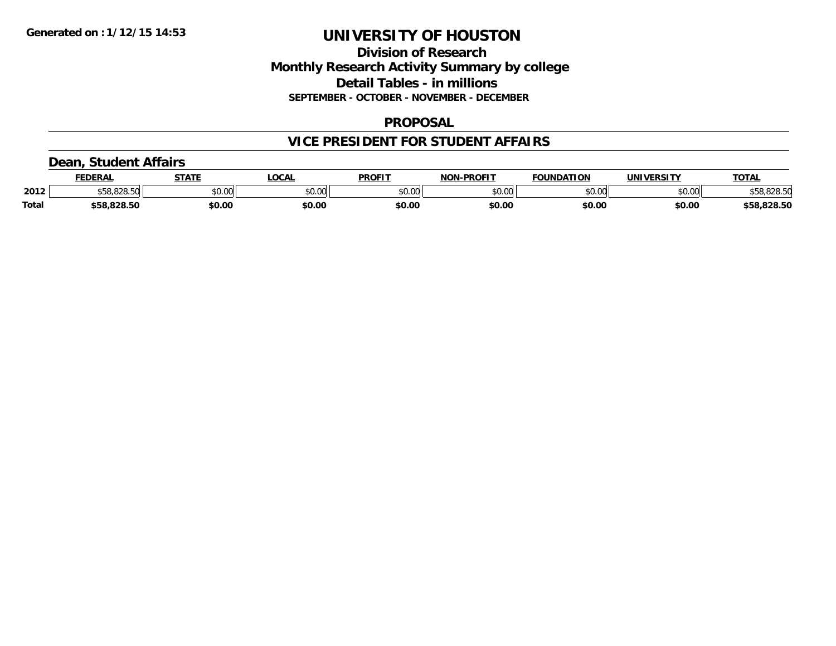### **Division of Research Monthly Research Activity Summary by college Detail Tables - in millions SEPTEMBER - OCTOBER - NOVEMBER - DECEMBER**

#### **PROPOSAL**

## **VICE PRESIDENT FOR STUDENT AFFAIRS**

### **Dean, Student Affairs**

|       | <b>FEDERAL</b> | <b>STATE</b> | <b>OCAL</b> | <b>PROFIT</b> | <b>L-PROFIT</b><br>NON. | <b>FOUNDATION</b> | <b>UNIVERSITY</b> | TOTA.       |
|-------|----------------|--------------|-------------|---------------|-------------------------|-------------------|-------------------|-------------|
| 2012  | 000E           | \$0.00       | vu.vu       | \$0.00        | 0000<br>PU.UU           | \$0.00            | mn n¢<br>DU.UU    | \$58,828.50 |
| Total | \$58.828.50    | \$0.00       | \$0.00      | \$0.00        | \$0.00                  | \$0.00            | \$0.00            | \$58,828.50 |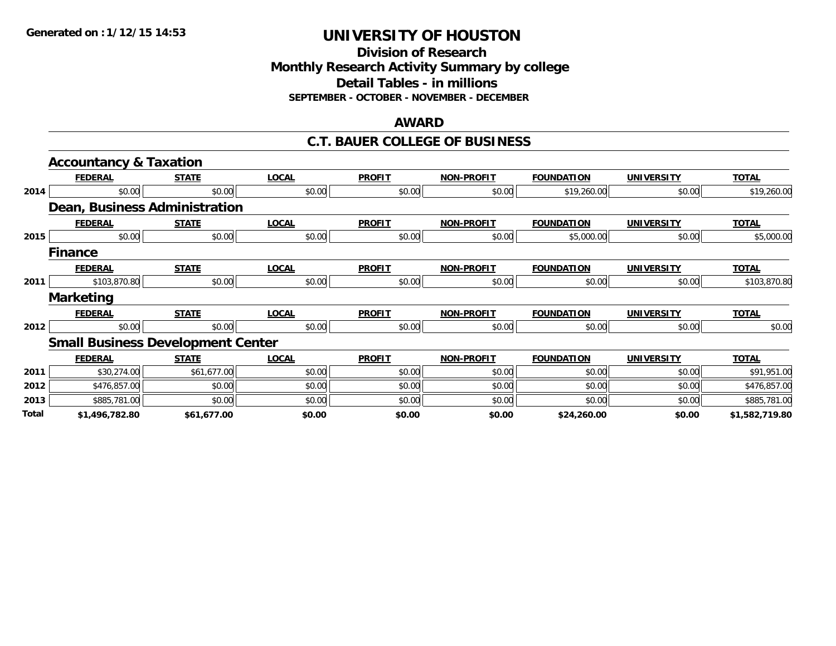**Division of Research Monthly Research Activity Summary by college Detail Tables - in millions SEPTEMBER - OCTOBER - NOVEMBER - DECEMBER**

#### **AWARD**

#### **C.T. BAUER COLLEGE OF BUSINESS**

|       | <b>Accountancy &amp; Taxation</b>        |              |              |               |                   |                   |                   |                |
|-------|------------------------------------------|--------------|--------------|---------------|-------------------|-------------------|-------------------|----------------|
|       | <b>FEDERAL</b>                           | <b>STATE</b> | <b>LOCAL</b> | <b>PROFIT</b> | <b>NON-PROFIT</b> | <b>FOUNDATION</b> | <b>UNIVERSITY</b> | <b>TOTAL</b>   |
| 2014  | \$0.00                                   | \$0.00       | \$0.00       | \$0.00        | \$0.00            | \$19,260.00       | \$0.00            | \$19,260.00    |
|       | <b>Dean, Business Administration</b>     |              |              |               |                   |                   |                   |                |
|       | <b>FEDERAL</b>                           | <b>STATE</b> | <b>LOCAL</b> | <b>PROFIT</b> | <b>NON-PROFIT</b> | <b>FOUNDATION</b> | <b>UNIVERSITY</b> | <b>TOTAL</b>   |
| 2015  | \$0.00                                   | \$0.00       | \$0.00       | \$0.00        | \$0.00            | \$5,000.00        | \$0.00            | \$5,000.00     |
|       | <b>Finance</b>                           |              |              |               |                   |                   |                   |                |
|       | <b>FEDERAL</b>                           | <b>STATE</b> | <b>LOCAL</b> | <b>PROFIT</b> | <b>NON-PROFIT</b> | <b>FOUNDATION</b> | <b>UNIVERSITY</b> | <b>TOTAL</b>   |
| 2011  | \$103,870.80                             | \$0.00       | \$0.00       | \$0.00        | \$0.00            | \$0.00            | \$0.00            | \$103,870.80   |
|       | <b>Marketing</b>                         |              |              |               |                   |                   |                   |                |
|       | <b>FEDERAL</b>                           | <b>STATE</b> | <b>LOCAL</b> | <b>PROFIT</b> | <b>NON-PROFIT</b> | <b>FOUNDATION</b> | <b>UNIVERSITY</b> | <b>TOTAL</b>   |
| 2012  | \$0.00                                   | \$0.00       | \$0.00       | \$0.00        | \$0.00            | \$0.00            | \$0.00            | \$0.00         |
|       | <b>Small Business Development Center</b> |              |              |               |                   |                   |                   |                |
|       | <b>FEDERAL</b>                           | <b>STATE</b> | <b>LOCAL</b> | <b>PROFIT</b> | <b>NON-PROFIT</b> | <b>FOUNDATION</b> | <b>UNIVERSITY</b> | <b>TOTAL</b>   |
| 2011  | \$30,274.00                              | \$61,677.00  | \$0.00       | \$0.00        | \$0.00            | \$0.00            | \$0.00            | \$91,951.00    |
| 2012  | \$476,857.00                             | \$0.00       | \$0.00       | \$0.00        | \$0.00            | \$0.00            | \$0.00            | \$476,857.00   |
| 2013  | \$885,781.00                             | \$0.00       | \$0.00       | \$0.00        | \$0.00            | \$0.00            | \$0.00            | \$885,781.00   |
| Total | \$1,496,782.80                           | \$61,677.00  | \$0.00       | \$0.00        | \$0.00            | \$24,260.00       | \$0.00            | \$1,582,719.80 |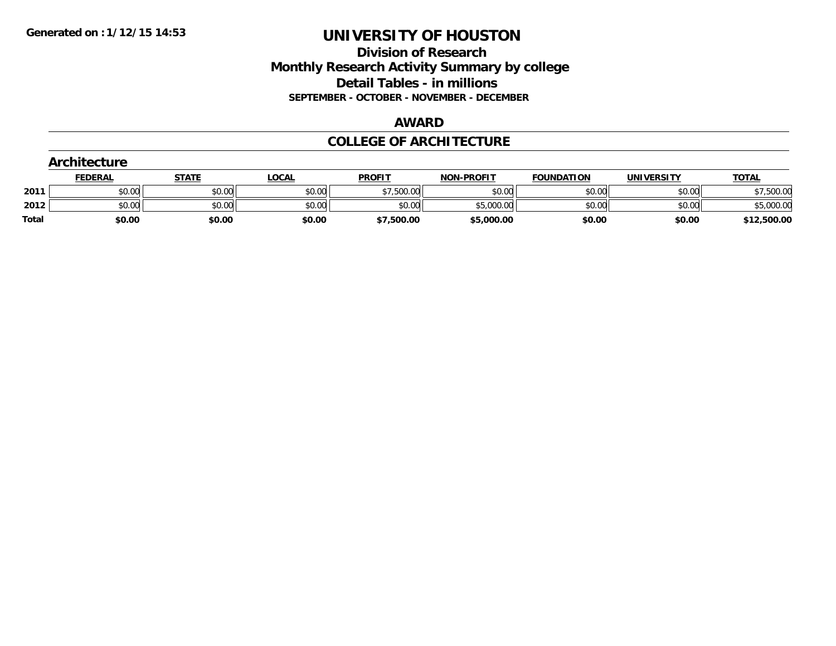### **Division of Research Monthly Research Activity Summary by college Detail Tables - in millions SEPTEMBER - OCTOBER - NOVEMBER - DECEMBER**

#### **AWARD**

### **COLLEGE OF ARCHITECTURE**

|              | Architecture   |              |              |               |                   |                   |                   |              |  |  |
|--------------|----------------|--------------|--------------|---------------|-------------------|-------------------|-------------------|--------------|--|--|
|              | <b>FEDERAL</b> | <b>STATE</b> | <u>LOCAL</u> | <b>PROFIT</b> | <b>NON-PROFIT</b> | <b>FOUNDATION</b> | <b>UNIVERSITY</b> | <b>TOTAL</b> |  |  |
| 2011         | \$0.00         | \$0.00       | \$0.00       | \$7,500.00    | \$0.00            | \$0.00            | \$0.00            | \$7,500.00   |  |  |
| 2012         | \$0.00         | \$0.00       | \$0.00       | \$0.00        | \$5,000.00        | \$0.00            | \$0.00            | \$5,000.00   |  |  |
| <b>Total</b> | \$0.00         | \$0.00       | \$0.00       | \$7,500.00    | \$5,000.00        | \$0.00            | \$0.00            | \$12,500.00  |  |  |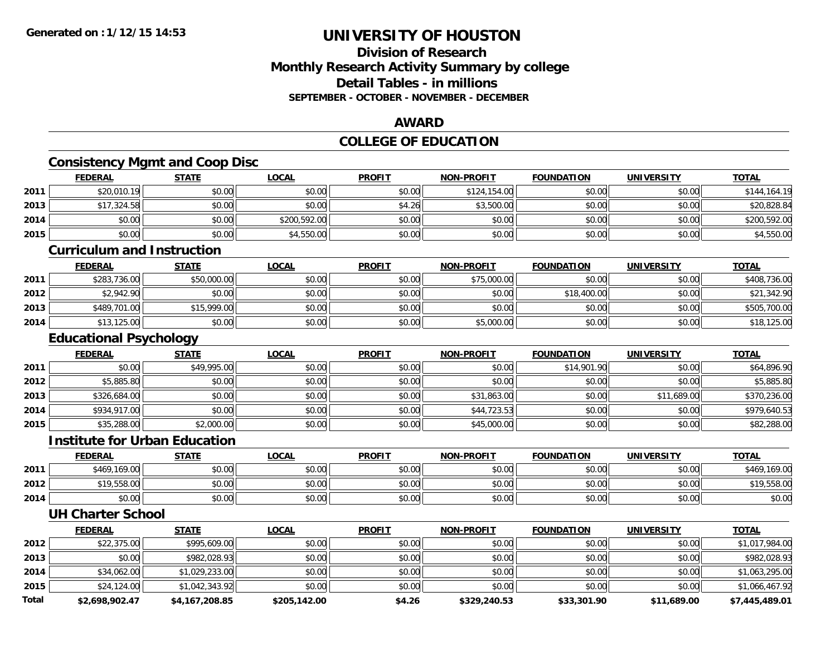### **Division of ResearchMonthly Research Activity Summary by college Detail Tables - in millionsSEPTEMBER - OCTOBER - NOVEMBER - DECEMBER**

### **AWARD**

## **COLLEGE OF EDUCATION**

# **Consistency Mgmt and Coop Disc**

|      | <b>FEDERAL</b> | <b>STATE</b> | <u>LOCAL</u> | <b>PROFIT</b> | <b>NON-PROFIT</b> | <b>FOUNDATION</b> | <b>UNIVERSITY</b> | <b>TOTAL</b> |
|------|----------------|--------------|--------------|---------------|-------------------|-------------------|-------------------|--------------|
| 2011 | \$20,010.19    | \$0.00       | \$0.00       | \$0.00        | \$124,154.00      | \$0.00            | \$0.00            | \$144,164.19 |
| 2013 | \$17,324.58    | \$0.00       | \$0.00       | \$4.26        | \$3,500.00        | \$0.00            | \$0.00            | \$20,828.84  |
| 2014 | \$0.00         | \$0.00       | \$200,592.00 | \$0.00        | \$0.00            | \$0.00            | \$0.00            | \$200,592.00 |
| 2015 | \$0.00         | \$0.00       | \$4,550.00   | \$0.00        | \$0.00            | \$0.00            | \$0.00            | \$4,550.00   |

#### **Curriculum and Instruction**

|      | <b>FEDERAL</b> | <b>STATE</b> | <u>LOCAL</u> | <b>PROFIT</b> | <b>NON-PROFIT</b> | <b>FOUNDATION</b> | <b>UNIVERSITY</b> | <b>TOTAL</b> |
|------|----------------|--------------|--------------|---------------|-------------------|-------------------|-------------------|--------------|
| 2011 | \$283,736.00   | \$50,000.00  | \$0.00       | \$0.00        | \$75,000.00       | \$0.00            | \$0.00            | \$408,736.00 |
| 2012 | \$2,942.90     | \$0.00       | \$0.00       | \$0.00        | \$0.00            | \$18,400.00       | \$0.00            | \$21,342.90  |
| 2013 | \$489,701.00   | \$15,999.00  | \$0.00       | \$0.00        | \$0.00            | \$0.00            | \$0.00            | \$505,700.00 |
| 2014 | \$13,125.00    | \$0.00       | \$0.00       | \$0.00        | \$5,000.00        | \$0.00            | \$0.00            | \$18,125.00  |

## **Educational Psychology**

|      | <b>FEDERAL</b> | <b>STATE</b> | <b>LOCAL</b> | <b>PROFIT</b> | <b>NON-PROFIT</b> | <b>FOUNDATION</b> | <b>UNIVERSITY</b> | <b>TOTAL</b> |
|------|----------------|--------------|--------------|---------------|-------------------|-------------------|-------------------|--------------|
| 2011 | \$0.00         | \$49,995.00  | \$0.00       | \$0.00        | \$0.00            | \$14,901.90       | \$0.00            | \$64,896.90  |
| 2012 | \$5,885.80     | \$0.00       | \$0.00       | \$0.00        | \$0.00            | \$0.00            | \$0.00            | \$5,885.80   |
| 2013 | \$326,684.00   | \$0.00       | \$0.00       | \$0.00        | \$31,863.00       | \$0.00            | \$11,689.00       | \$370,236.00 |
| 2014 | \$934,917.00   | \$0.00       | \$0.00       | \$0.00        | \$44,723.53       | \$0.00            | \$0.00            | \$979,640.53 |
| 2015 | \$35,288.00    | \$2,000.00   | \$0.00       | \$0.00        | \$45,000.00       | \$0.00            | \$0.00            | \$82,288.00  |

#### **Institute for Urban Education**

|      | <b>FEDERAL</b> | <b>STATE</b> | <b>LOCAL</b> | <b>PROFIT</b> | <b>NON-PROFIT</b> | <b>FOUNDATION</b> | <b>UNIVERSITY</b> | <b>TOTAL</b>    |
|------|----------------|--------------|--------------|---------------|-------------------|-------------------|-------------------|-----------------|
| 2011 | \$469,169.00   | \$0.00       | \$0.00       | \$0.00        | \$0.00            | \$0.00            | \$0.00            | 169.00<br>\$469 |
| 2012 | \$19,558.00    | \$0.00       | \$0.00       | \$0.00        | \$0.00            | \$0.00            | \$0.00            | \$19,558.00     |
| 2014 | \$0.00         | \$0.00       | \$0.00       | \$0.00        | \$0.00            | \$0.00            | \$0.00            | \$0.00          |

#### **UH Charter School**

|       | <b>FEDERAL</b> | <b>STATE</b>   | <u>LOCAL</u> | <b>PROFIT</b> | <b>NON-PROFIT</b> | <b>FOUNDATION</b> | <b>UNIVERSITY</b> | <b>TOTAL</b>   |
|-------|----------------|----------------|--------------|---------------|-------------------|-------------------|-------------------|----------------|
| 2012  | \$22,375.00    | \$995,609.00   | \$0.00       | \$0.00        | \$0.00            | \$0.00            | \$0.00            | \$1,017,984.00 |
| 2013  | \$0.00         | \$982,028.93   | \$0.00       | \$0.00        | \$0.00            | \$0.00            | \$0.00            | \$982,028.93   |
| 2014  | \$34,062.00    | \$1,029,233.00 | \$0.00       | \$0.00        | \$0.00            | \$0.00            | \$0.00            | \$1,063,295.00 |
| 2015  | \$24,124.00    | \$1,042,343.92 | \$0.00       | \$0.00        | \$0.00            | \$0.00            | \$0.00            | \$1,066,467.92 |
| Total | \$2,698,902.47 | \$4,167,208.85 | \$205,142.00 | \$4.26        | \$329,240.53      | \$33,301.90       | \$11,689.00       | \$7,445,489.01 |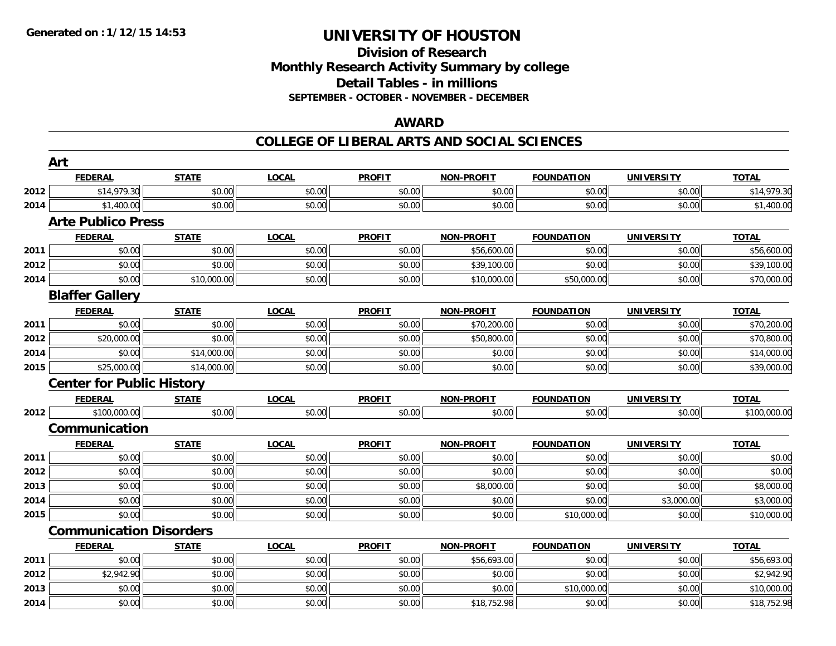## **Division of ResearchMonthly Research Activity Summary by college Detail Tables - in millions SEPTEMBER - OCTOBER - NOVEMBER - DECEMBER**

### **AWARD**

|      | Art                              |              |              |               |                   |                   |                   |              |
|------|----------------------------------|--------------|--------------|---------------|-------------------|-------------------|-------------------|--------------|
|      | <b>FEDERAL</b>                   | <b>STATE</b> | <b>LOCAL</b> | <b>PROFIT</b> | <b>NON-PROFIT</b> | <b>FOUNDATION</b> | <b>UNIVERSITY</b> | <b>TOTAL</b> |
| 2012 | \$14,979.30                      | \$0.00       | \$0.00       | \$0.00        | \$0.00            | \$0.00            | \$0.00            | \$14,979.30  |
| 2014 | \$1,400.00                       | \$0.00       | \$0.00       | \$0.00        | \$0.00            | \$0.00            | \$0.00            | \$1,400.00   |
|      | <b>Arte Publico Press</b>        |              |              |               |                   |                   |                   |              |
|      | <b>FEDERAL</b>                   | <b>STATE</b> | <b>LOCAL</b> | <b>PROFIT</b> | <b>NON-PROFIT</b> | <b>FOUNDATION</b> | <b>UNIVERSITY</b> | <b>TOTAL</b> |
| 2011 | \$0.00                           | \$0.00       | \$0.00       | \$0.00        | \$56,600.00       | \$0.00            | \$0.00            | \$56,600.00  |
| 2012 | \$0.00                           | \$0.00       | \$0.00       | \$0.00        | \$39,100.00       | \$0.00            | \$0.00            | \$39,100.00  |
| 2014 | \$0.00                           | \$10,000.00  | \$0.00       | \$0.00        | \$10,000.00       | \$50,000.00       | \$0.00            | \$70,000.00  |
|      | <b>Blaffer Gallery</b>           |              |              |               |                   |                   |                   |              |
|      | <b>FEDERAL</b>                   | <b>STATE</b> | <b>LOCAL</b> | <b>PROFIT</b> | <b>NON-PROFIT</b> | <b>FOUNDATION</b> | <b>UNIVERSITY</b> | <b>TOTAL</b> |
| 2011 | \$0.00                           | \$0.00       | \$0.00       | \$0.00        | \$70,200.00       | \$0.00            | \$0.00            | \$70,200.00  |
| 2012 | \$20,000.00                      | \$0.00       | \$0.00       | \$0.00        | \$50,800.00       | \$0.00            | \$0.00            | \$70,800.00  |
| 2014 | \$0.00                           | \$14,000.00  | \$0.00       | \$0.00        | \$0.00            | \$0.00            | \$0.00            | \$14,000.00  |
| 2015 | \$25,000.00                      | \$14,000.00  | \$0.00       | \$0.00        | \$0.00            | \$0.00            | \$0.00            | \$39,000.00  |
|      | <b>Center for Public History</b> |              |              |               |                   |                   |                   |              |
|      | <b>FEDERAL</b>                   | <b>STATE</b> | <b>LOCAL</b> | <b>PROFIT</b> | <b>NON-PROFIT</b> | <b>FOUNDATION</b> | <b>UNIVERSITY</b> | <b>TOTAL</b> |
| 2012 | \$100,000.00                     | \$0.00       | \$0.00       | \$0.00        | \$0.00            | \$0.00            | \$0.00            | \$100,000.00 |
|      | Communication                    |              |              |               |                   |                   |                   |              |
|      | <b>FEDERAL</b>                   | <b>STATE</b> | <b>LOCAL</b> | <b>PROFIT</b> | <b>NON-PROFIT</b> | <b>FOUNDATION</b> | <b>UNIVERSITY</b> | <b>TOTAL</b> |
| 2011 | \$0.00                           | \$0.00       | \$0.00       | \$0.00        | \$0.00            | \$0.00            | \$0.00            | \$0.00       |
| 2012 | \$0.00                           | \$0.00       | \$0.00       | \$0.00        | \$0.00            | \$0.00            | \$0.00            | \$0.00       |
| 2013 | \$0.00                           | \$0.00       | \$0.00       | \$0.00        | \$8,000.00        | \$0.00            | \$0.00            | \$8,000.00   |
| 2014 | \$0.00                           | \$0.00       | \$0.00       | \$0.00        | \$0.00            | \$0.00            | \$3,000.00        | \$3,000.00   |
| 2015 | \$0.00                           | \$0.00       | \$0.00       | \$0.00        | \$0.00            | \$10,000.00       | \$0.00            | \$10,000.00  |
|      | <b>Communication Disorders</b>   |              |              |               |                   |                   |                   |              |
|      | <b>FEDERAL</b>                   | <b>STATE</b> | <b>LOCAL</b> | <b>PROFIT</b> | <b>NON-PROFIT</b> | <b>FOUNDATION</b> | <b>UNIVERSITY</b> | <b>TOTAL</b> |
| 2011 | \$0.00                           | \$0.00       | \$0.00       | \$0.00        | \$56,693.00       | \$0.00            | \$0.00            | \$56,693.00  |
| 2012 | \$2,942.90                       | \$0.00       | \$0.00       | \$0.00        | \$0.00            | \$0.00            | \$0.00            | \$2,942.90   |
| 2013 | \$0.00                           | \$0.00       | \$0.00       | \$0.00        | \$0.00            | \$10,000.00       | \$0.00            | \$10,000.00  |
| 2014 | \$0.00                           | \$0.00       | \$0.00       | \$0.00        | \$18,752.98       | \$0.00            | \$0.00            | \$18,752.98  |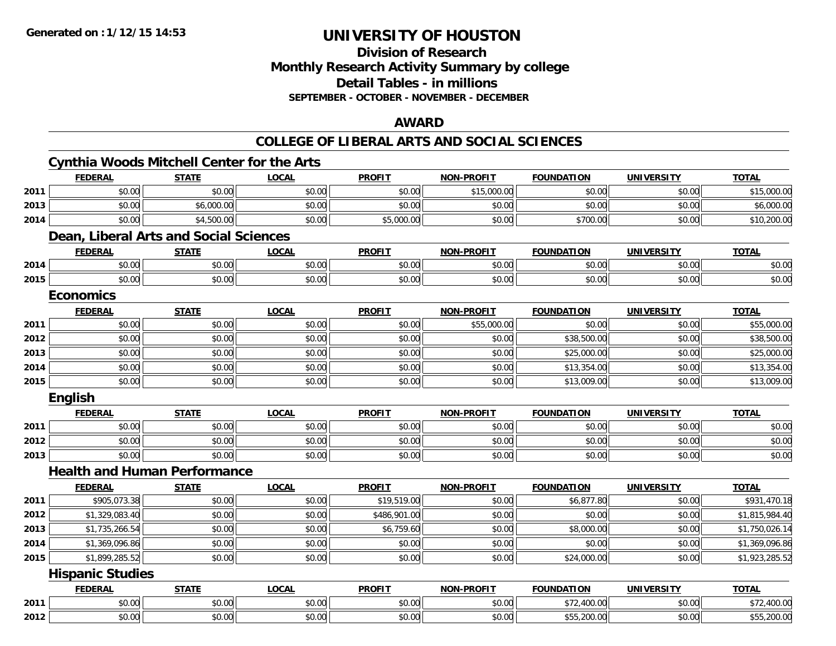### **Division of Research Monthly Research Activity Summary by college Detail Tables - in millions SEPTEMBER - OCTOBER - NOVEMBER - DECEMBER**

#### **AWARD**

|      |                         | Cynthia Woods Mitchell Center for the Arts |              |               |                   |                   |                   |                |
|------|-------------------------|--------------------------------------------|--------------|---------------|-------------------|-------------------|-------------------|----------------|
|      | <b>FEDERAL</b>          | <b>STATE</b>                               | <b>LOCAL</b> | <b>PROFIT</b> | <b>NON-PROFIT</b> | <b>FOUNDATION</b> | <b>UNIVERSITY</b> | <b>TOTAL</b>   |
| 2011 | \$0.00                  | \$0.00                                     | \$0.00       | \$0.00        | \$15,000.00       | \$0.00            | \$0.00            | \$15,000.00    |
| 2013 | \$0.00                  | \$6,000.00                                 | \$0.00       | \$0.00        | \$0.00            | \$0.00            | \$0.00            | \$6,000.00     |
| 2014 | \$0.00                  | \$4,500.00                                 | \$0.00       | \$5,000.00    | \$0.00            | \$700.00          | \$0.00            | \$10,200.00    |
|      |                         | Dean, Liberal Arts and Social Sciences     |              |               |                   |                   |                   |                |
|      | <b>FEDERAL</b>          | <b>STATE</b>                               | <b>LOCAL</b> | <b>PROFIT</b> | <b>NON-PROFIT</b> | <b>FOUNDATION</b> | <b>UNIVERSITY</b> | <b>TOTAL</b>   |
| 2014 | \$0.00                  | \$0.00                                     | \$0.00       | \$0.00        | \$0.00            | \$0.00            | \$0.00            | \$0.00         |
| 2015 | \$0.00                  | \$0.00                                     | \$0.00       | \$0.00        | \$0.00            | \$0.00            | \$0.00            | \$0.00         |
|      | <b>Economics</b>        |                                            |              |               |                   |                   |                   |                |
|      | <b>FEDERAL</b>          | <b>STATE</b>                               | <b>LOCAL</b> | <b>PROFIT</b> | <b>NON-PROFIT</b> | <b>FOUNDATION</b> | <b>UNIVERSITY</b> | <b>TOTAL</b>   |
| 2011 | \$0.00                  | \$0.00                                     | \$0.00       | \$0.00        | \$55,000.00       | \$0.00            | \$0.00            | \$55,000.00    |
| 2012 | \$0.00                  | \$0.00                                     | \$0.00       | \$0.00        | \$0.00            | \$38,500.00       | \$0.00            | \$38,500.00    |
| 2013 | \$0.00                  | \$0.00                                     | \$0.00       | \$0.00        | \$0.00            | \$25,000.00       | \$0.00            | \$25,000.00    |
| 2014 | \$0.00                  | \$0.00                                     | \$0.00       | \$0.00        | \$0.00            | \$13,354.00       | \$0.00            | \$13,354.00    |
| 2015 | \$0.00                  | \$0.00                                     | \$0.00       | \$0.00        | \$0.00            | \$13,009.00       | \$0.00            | \$13,009.00    |
|      | <b>English</b>          |                                            |              |               |                   |                   |                   |                |
|      | <b>FEDERAL</b>          | <b>STATE</b>                               | <b>LOCAL</b> | <b>PROFIT</b> | <b>NON-PROFIT</b> | <b>FOUNDATION</b> | <b>UNIVERSITY</b> | <b>TOTAL</b>   |
| 2011 | \$0.00                  | \$0.00                                     | \$0.00       | \$0.00        | \$0.00            | \$0.00            | \$0.00            | \$0.00         |
| 2012 | \$0.00                  | \$0.00                                     | \$0.00       | \$0.00        | \$0.00            | \$0.00            | \$0.00            | \$0.00         |
| 2013 | \$0.00                  | \$0.00                                     | \$0.00       | \$0.00        | \$0.00            | \$0.00            | \$0.00            | \$0.00         |
|      |                         | <b>Health and Human Performance</b>        |              |               |                   |                   |                   |                |
|      | <b>FEDERAL</b>          | <b>STATE</b>                               | <b>LOCAL</b> | <b>PROFIT</b> | <b>NON-PROFIT</b> | <b>FOUNDATION</b> | <b>UNIVERSITY</b> | <b>TOTAL</b>   |
| 2011 | \$905,073.38            | \$0.00                                     | \$0.00       | \$19,519.00   | \$0.00            | \$6,877.80        | \$0.00            | \$931,470.18   |
| 2012 | \$1,329,083.40          | \$0.00                                     | \$0.00       | \$486,901.00  | \$0.00            | \$0.00            | \$0.00            | \$1,815,984.40 |
| 2013 | \$1,735,266.54          | \$0.00                                     | \$0.00       | \$6,759.60    | \$0.00            | \$8,000.00        | \$0.00            | \$1,750,026.14 |
| 2014 | \$1,369,096.86          | \$0.00                                     | \$0.00       | \$0.00        | \$0.00            | \$0.00            | \$0.00            | \$1,369,096.86 |
| 2015 | \$1,899,285.52          | \$0.00                                     | \$0.00       | \$0.00        | \$0.00            | \$24,000.00       | \$0.00            | \$1,923,285.52 |
|      | <b>Hispanic Studies</b> |                                            |              |               |                   |                   |                   |                |
|      | <b>FEDERAL</b>          | <b>STATE</b>                               | <b>LOCAL</b> | <b>PROFIT</b> | <b>NON-PROFIT</b> | <b>FOUNDATION</b> | <b>UNIVERSITY</b> | <b>TOTAL</b>   |
| 2011 | \$0.00                  | \$0.00                                     | \$0.00       | \$0.00        | \$0.00            | \$72,400.00       | \$0.00            | \$72,400.00    |
| 2012 | \$0.00                  | \$0.00                                     | \$0.00       | \$0.00        | \$0.00            | \$55,200.00       | \$0.00            | \$55,200.00    |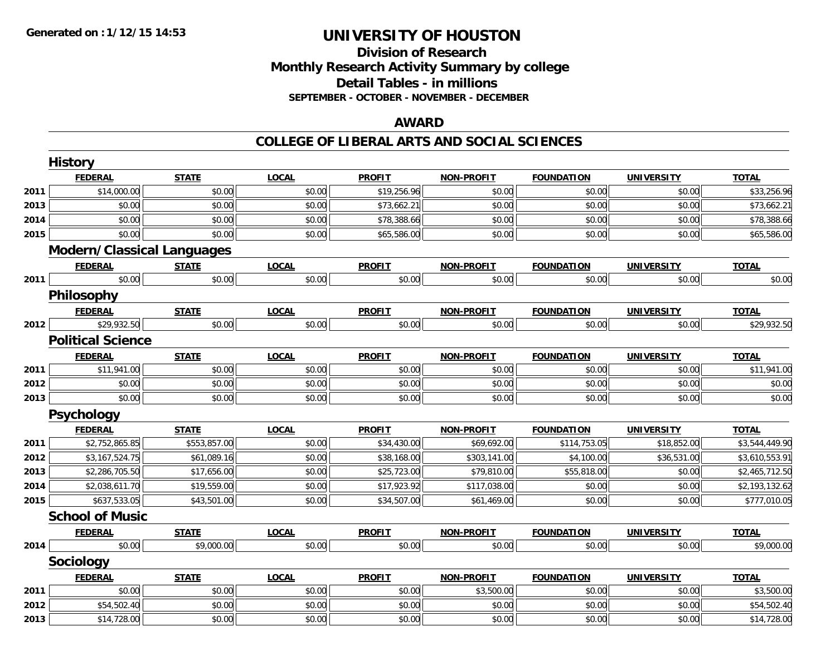## **Division of ResearchMonthly Research Activity Summary by college Detail Tables - in millions SEPTEMBER - OCTOBER - NOVEMBER - DECEMBER**

### **AWARD**

|      | <b>History</b>                    |              |              |               |                   |                   |                   |                |
|------|-----------------------------------|--------------|--------------|---------------|-------------------|-------------------|-------------------|----------------|
|      | <b>FEDERAL</b>                    | <b>STATE</b> | <b>LOCAL</b> | <b>PROFIT</b> | <b>NON-PROFIT</b> | <b>FOUNDATION</b> | <b>UNIVERSITY</b> | <b>TOTAL</b>   |
| 2011 | \$14,000.00                       | \$0.00       | \$0.00       | \$19,256.96   | \$0.00            | \$0.00            | \$0.00            | \$33,256.96    |
| 2013 | \$0.00                            | \$0.00       | \$0.00       | \$73,662.21   | \$0.00            | \$0.00            | \$0.00            | \$73,662.21    |
| 2014 | \$0.00                            | \$0.00       | \$0.00       | \$78,388.66   | \$0.00            | \$0.00            | \$0.00            | \$78,388.66    |
| 2015 | \$0.00                            | \$0.00       | \$0.00       | \$65,586.00   | \$0.00            | \$0.00            | \$0.00            | \$65,586.00    |
|      | <b>Modern/Classical Languages</b> |              |              |               |                   |                   |                   |                |
|      | <b>FEDERAL</b>                    | <b>STATE</b> | <b>LOCAL</b> | <b>PROFIT</b> | <b>NON-PROFIT</b> | <b>FOUNDATION</b> | <b>UNIVERSITY</b> | <b>TOTAL</b>   |
| 2011 | \$0.00                            | \$0.00       | \$0.00       | \$0.00        | \$0.00            | \$0.00            | \$0.00            | \$0.00         |
|      | Philosophy                        |              |              |               |                   |                   |                   |                |
|      | <b>FEDERAL</b>                    | <b>STATE</b> | <b>LOCAL</b> | <b>PROFIT</b> | <b>NON-PROFIT</b> | <b>FOUNDATION</b> | <b>UNIVERSITY</b> | <b>TOTAL</b>   |
| 2012 | \$29,932.50                       | \$0.00       | \$0.00       | \$0.00        | \$0.00            | \$0.00            | \$0.00            | \$29,932.50    |
|      | <b>Political Science</b>          |              |              |               |                   |                   |                   |                |
|      | <b>FEDERAL</b>                    | <b>STATE</b> | <b>LOCAL</b> | <b>PROFIT</b> | <b>NON-PROFIT</b> | <b>FOUNDATION</b> | <b>UNIVERSITY</b> | <b>TOTAL</b>   |
| 2011 | \$11,941.00                       | \$0.00       | \$0.00       | \$0.00        | \$0.00            | \$0.00            | \$0.00            | \$11,941.00    |
| 2012 | \$0.00                            | \$0.00       | \$0.00       | \$0.00        | \$0.00            | \$0.00            | \$0.00            | \$0.00         |
| 2013 | \$0.00                            | \$0.00       | \$0.00       | \$0.00        | \$0.00            | \$0.00            | \$0.00            | \$0.00         |
|      | Psychology                        |              |              |               |                   |                   |                   |                |
|      | <b>FEDERAL</b>                    | <b>STATE</b> | <b>LOCAL</b> | <b>PROFIT</b> | <b>NON-PROFIT</b> | <b>FOUNDATION</b> | <b>UNIVERSITY</b> | <b>TOTAL</b>   |
| 2011 | \$2,752,865.85                    | \$553,857.00 | \$0.00       | \$34,430.00   | \$69,692.00       | \$114,753.05      | \$18,852.00       | \$3,544,449.90 |
| 2012 | \$3,167,524.75                    | \$61,089.16  | \$0.00       | \$38,168.00   | \$303,141.00      | \$4,100.00        | \$36,531.00       | \$3,610,553.91 |
| 2013 | \$2,286,705.50                    | \$17,656.00  | \$0.00       | \$25,723.00   | \$79,810.00       | \$55,818.00       | \$0.00            | \$2,465,712.50 |
| 2014 | \$2,038,611.70                    | \$19,559.00  | \$0.00       | \$17,923.92   | \$117,038.00      | \$0.00            | \$0.00            | \$2,193,132.62 |
| 2015 | \$637,533.05                      | \$43,501.00  | \$0.00       | \$34,507.00   | \$61,469.00       | \$0.00            | \$0.00            | \$777,010.05   |
|      | <b>School of Music</b>            |              |              |               |                   |                   |                   |                |
|      | <b>FEDERAL</b>                    | <b>STATE</b> | <b>LOCAL</b> | <b>PROFIT</b> | <b>NON-PROFIT</b> | <b>FOUNDATION</b> | <b>UNIVERSITY</b> | <b>TOTAL</b>   |
| 2014 | \$0.00                            | \$9,000.00   | \$0.00       | \$0.00        | \$0.00            | \$0.00            | \$0.00            | \$9,000.00     |
|      | Sociology                         |              |              |               |                   |                   |                   |                |
|      | <b>FEDERAL</b>                    | <b>STATE</b> | <b>LOCAL</b> | <b>PROFIT</b> | <b>NON-PROFIT</b> | <b>FOUNDATION</b> | <b>UNIVERSITY</b> | <b>TOTAL</b>   |
| 2011 | \$0.00                            | \$0.00       | \$0.00       | \$0.00        | \$3,500.00        | \$0.00            | \$0.00            | \$3,500.00     |
| 2012 | \$54,502.40                       | \$0.00       | \$0.00       | \$0.00        | \$0.00            | \$0.00            | \$0.00            | \$54,502.40    |
| 2013 | \$14,728.00                       | \$0.00       | \$0.00       | \$0.00        | \$0.00            | \$0.00            | \$0.00            | \$14,728.00    |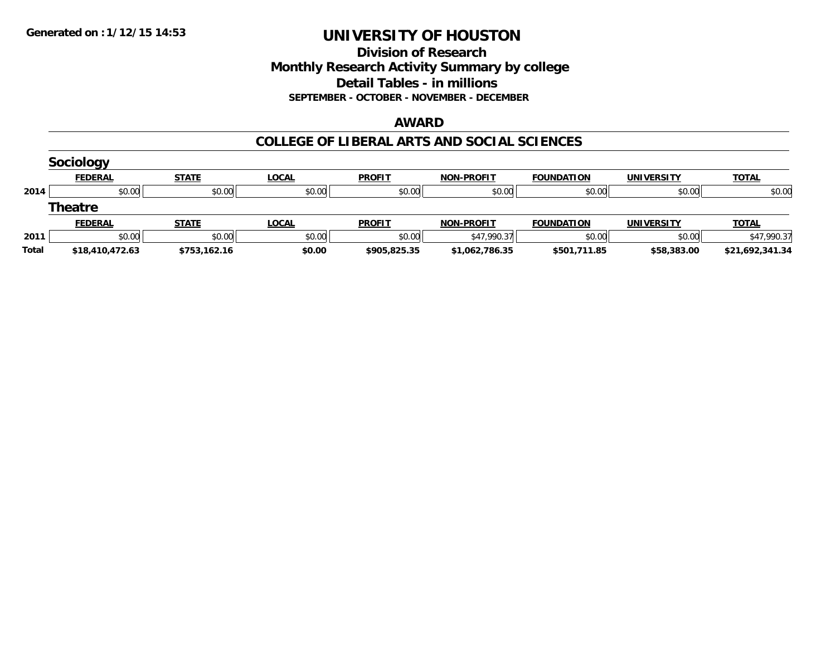### **Division of Research Monthly Research Activity Summary by college Detail Tables - in millions SEPTEMBER - OCTOBER - NOVEMBER - DECEMBER**

#### **AWARD**

|       | <b>Sociology</b> |              |              |               |                   |                   |                   |                 |
|-------|------------------|--------------|--------------|---------------|-------------------|-------------------|-------------------|-----------------|
|       | <b>FEDERAL</b>   | <b>STATE</b> | <b>LOCAL</b> | <b>PROFIT</b> | <b>NON-PROFIT</b> | <b>FOUNDATION</b> | <b>UNIVERSITY</b> | <b>TOTAL</b>    |
| 2014  | \$0.00           | \$0.00       | \$0.00       | \$0.00        | \$0.00            | \$0.00            | \$0.00            | \$0.00          |
|       | <b>Theatre</b>   |              |              |               |                   |                   |                   |                 |
|       | <b>FEDERAL</b>   | <b>STATE</b> | <b>LOCAL</b> | <b>PROFIT</b> | <b>NON-PROFIT</b> | <b>FOUNDATION</b> | <b>UNIVERSITY</b> | <b>TOTAL</b>    |
| 2011  | \$0.00           | \$0.00       | \$0.00       | \$0.00        | \$47,990.37       | \$0.00            | \$0.00            | \$47,990.37     |
| Total | \$18,410,472.63  | \$753.162.16 | \$0.00       | \$905,825.35  | \$1,062,786.35    | \$501,711.85      | \$58,383.00       | \$21,692,341.34 |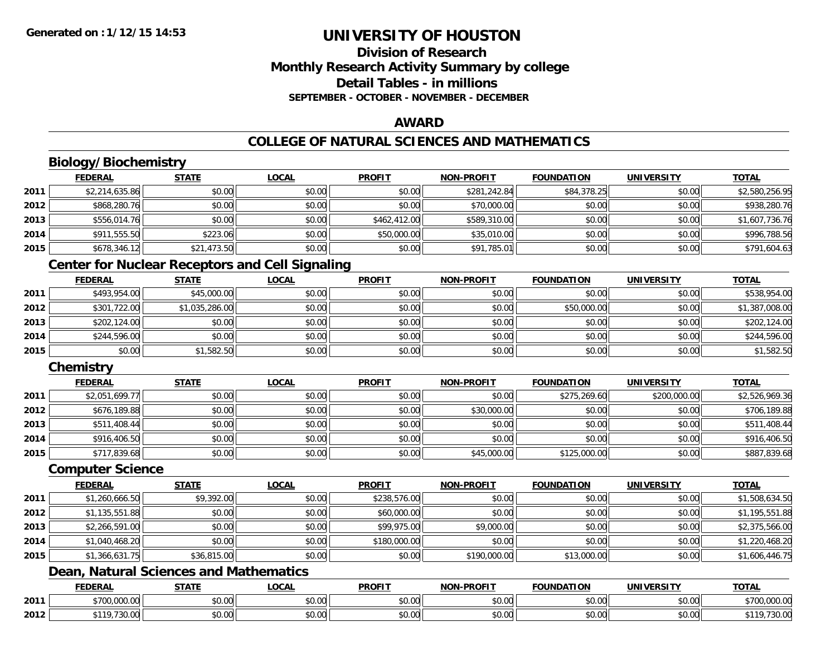## **Division of ResearchMonthly Research Activity Summary by college Detail Tables - in millionsSEPTEMBER - OCTOBER - NOVEMBER - DECEMBER**

### **AWARD**

## **COLLEGE OF NATURAL SCIENCES AND MATHEMATICS**

## **Biology/Biochemistry**

|      | <b>FEDERAL</b> | <b>STATE</b> | <b>LOCAL</b> | <b>PROFIT</b> | <b>NON-PROFIT</b> | <b>FOUNDATION</b> | <b>UNIVERSITY</b> | <b>TOTAL</b>   |
|------|----------------|--------------|--------------|---------------|-------------------|-------------------|-------------------|----------------|
| 2011 | \$2,214,635.86 | \$0.00       | \$0.00       | \$0.00        | \$281,242.84      | \$84,378.25       | \$0.00            | \$2,580,256.95 |
| 2012 | \$868,280.76   | \$0.00       | \$0.00       | \$0.00        | \$70,000.00       | \$0.00            | \$0.00            | \$938,280.76   |
| 2013 | \$556,014.76   | \$0.00       | \$0.00       | \$462,412.00  | \$589,310.00      | \$0.00            | \$0.00            | \$1,607,736.76 |
| 2014 | \$911,555.50   | \$223.06     | \$0.00       | \$50,000.00   | \$35,010.00       | \$0.00            | \$0.00            | \$996,788.56   |
| 2015 | \$678,346.12   | \$21,473.50  | \$0.00       | \$0.00        | \$91,785.01       | \$0.00            | \$0.00            | \$791,604.63   |

## **Center for Nuclear Receptors and Cell Signaling**

|      | <b>FEDERAL</b> | <u>STATE</u>   | <u>LOCAL</u> | <b>PROFIT</b> | <b>NON-PROFIT</b> | <b>FOUNDATION</b> | <b>UNIVERSITY</b> | <b>TOTAL</b>   |
|------|----------------|----------------|--------------|---------------|-------------------|-------------------|-------------------|----------------|
| 2011 | \$493,954.00   | \$45,000.00    | \$0.00       | \$0.00        | \$0.00            | \$0.00            | \$0.00            | \$538,954.00   |
| 2012 | \$301,722.00   | \$1,035,286.00 | \$0.00       | \$0.00        | \$0.00            | \$50,000.00       | \$0.00            | \$1,387,008.00 |
| 2013 | \$202,124.00   | \$0.00         | \$0.00       | \$0.00        | \$0.00            | \$0.00            | \$0.00            | \$202,124.00   |
| 2014 | \$244,596.00   | \$0.00         | \$0.00       | \$0.00        | \$0.00            | \$0.00            | \$0.00            | \$244,596.00   |
| 2015 | \$0.00         | \$1,582.50     | \$0.00       | \$0.00        | \$0.00            | \$0.00            | \$0.00            | \$1,582.50     |

## **Chemistry**

|      | <u>FEDERAL</u> | <u>STATE</u> | <u>LOCAL</u> | <b>PROFIT</b> | <b>NON-PROFIT</b> | <b>FOUNDATION</b> | <b>UNIVERSITY</b> | <b>TOTAL</b>   |
|------|----------------|--------------|--------------|---------------|-------------------|-------------------|-------------------|----------------|
| 2011 | \$2,051,699.77 | \$0.00       | \$0.00       | \$0.00        | \$0.00            | \$275,269.60      | \$200,000.00      | \$2,526,969.36 |
| 2012 | \$676,189.88   | \$0.00       | \$0.00       | \$0.00        | \$30,000.00       | \$0.00            | \$0.00            | \$706,189.88   |
| 2013 | \$511,408.44   | \$0.00       | \$0.00       | \$0.00        | \$0.00            | \$0.00            | \$0.00            | \$511,408.44   |
| 2014 | \$916,406.50   | \$0.00       | \$0.00       | \$0.00        | \$0.00            | \$0.00            | \$0.00            | \$916,406.50   |
| 2015 | \$717,839.68   | \$0.00       | \$0.00       | \$0.00        | \$45,000.00       | \$125,000.00      | \$0.00            | \$887,839.68   |

#### **Computer Science**

|      | <b>FEDERAL</b> | <b>STATE</b> | <b>LOCAL</b> | <b>PROFIT</b> | <b>NON-PROFIT</b> | <b>FOUNDATION</b> | <b>UNIVERSITY</b> | <b>TOTAL</b>   |
|------|----------------|--------------|--------------|---------------|-------------------|-------------------|-------------------|----------------|
| 2011 | \$1,260,666.50 | \$9,392.00   | \$0.00       | \$238,576.00  | \$0.00            | \$0.00            | \$0.00            | \$1,508,634.50 |
| 2012 | \$1,135,551.88 | \$0.00       | \$0.00       | \$60,000.00   | \$0.00            | \$0.00            | \$0.00            | \$1,195,551.88 |
| 2013 | \$2,266,591.00 | \$0.00       | \$0.00       | \$99,975.00   | \$9,000.00        | \$0.00            | \$0.00            | \$2,375,566.00 |
| 2014 | \$1,040,468.20 | \$0.00       | \$0.00       | \$180,000.00  | \$0.00            | \$0.00            | \$0.00            | \$1,220,468.20 |
| 2015 | \$1,366,631.75 | \$36,815.00  | \$0.00       | \$0.00        | \$190,000.00      | \$13,000.00       | \$0.00            | \$1,606,446.75 |

## **Dean, Natural Sciences and Mathematics**

|      | <b>FEDERAL</b>                      | <b>STATE</b>    | <b>_OCAL</b>       | <b>PROFIT</b> | $LDD$ $N$<br>וחרות   | NDATION | UNIVERSITY                | <b>TOTAL</b>                |
|------|-------------------------------------|-----------------|--------------------|---------------|----------------------|---------|---------------------------|-----------------------------|
| 2011 | 000<br>0.700<br>$\sim$<br>07.UU.UUU | $\sim$<br>JU.UU | $\sim$ 00<br>vv.vv | 0000<br>vu.vu | 0000<br>pu.uu        | \$0.00  | 0000<br>\$U.UU            | ተግ ሰ<br>00000<br>700,000.00 |
| 2012 | $ -$<br>$\sim$<br>70.UU             | 0000<br>JU.U    | $\sim$ 00<br>vv.vv | 0000<br>PO.OO | 0.00<br><b>DU.UU</b> | \$0.00  | $\sim$ 00<br><b>DU.UG</b> | JU.UL                       |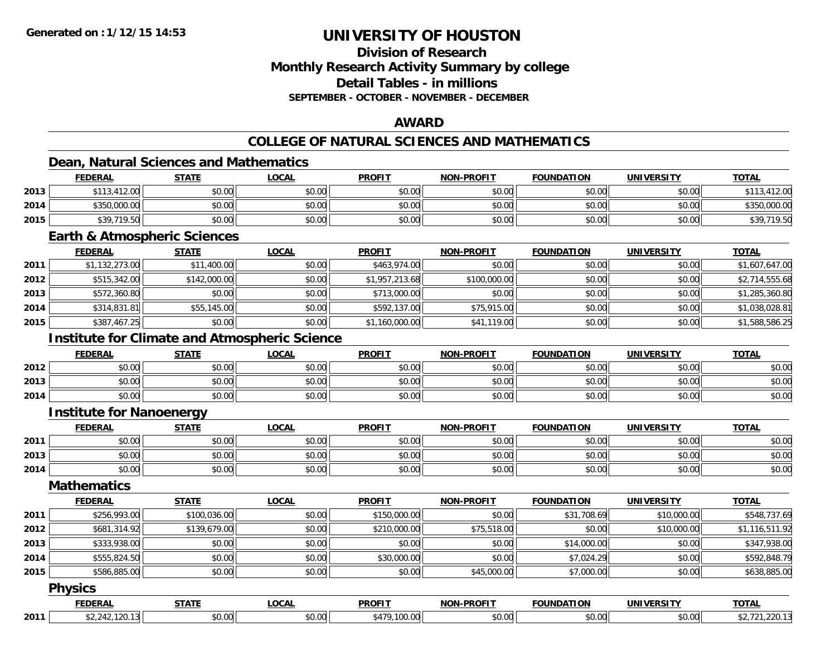## **Division of ResearchMonthly Research Activity Summary by college Detail Tables - in millions SEPTEMBER - OCTOBER - NOVEMBER - DECEMBER**

#### **AWARD**

## **COLLEGE OF NATURAL SCIENCES AND MATHEMATICS**

## **Dean, Natural Sciences and Mathematics**

|      | <b>FEDERAL</b> | <b>STATE</b> | <u>LOCAL</u> | <b>PROFIT</b> | <b>NON-PROFIT</b> | <b>FOUNDATION</b> | <b>UNIVERSITY</b> | <b>TOTAL</b>           |
|------|----------------|--------------|--------------|---------------|-------------------|-------------------|-------------------|------------------------|
| 2013 | \$113,412.00   | \$0.00       | \$0.00       | \$0.00        | \$0.00            | \$0.00            | \$0.00            |                        |
| 2014 | \$350,000.00   | \$0.00       | \$0.00       | \$0.00        | \$0.00            | \$0.00            | \$0.00            | \$350,000.00           |
| 2015 | \$39,719.50    | \$0.00       | \$0.00       | \$0.00        | \$0.00            | \$0.00            | \$0.00            | 110F<br>\$39,<br>'Y.JU |

#### **Earth & Atmospheric Sciences**

|      | <b>FEDERAL</b> | <b>STATE</b> | <u>LOCAL</u> | <b>PROFIT</b>  | <b>NON-PROFIT</b> | <b>FOUNDATION</b> | UNIVERSITY | <b>TOTAL</b>   |
|------|----------------|--------------|--------------|----------------|-------------------|-------------------|------------|----------------|
| 2011 | \$1,132,273.00 | \$11,400.00  | \$0.00       | \$463,974.00   | \$0.00            | \$0.00            | \$0.00     | \$1,607,647.00 |
| 2012 | \$515,342.00   | \$142,000.00 | \$0.00       | \$1,957,213.68 | \$100,000.00      | \$0.00            | \$0.00     | \$2,714,555.68 |
| 2013 | \$572,360.80   | \$0.00       | \$0.00       | \$713,000.00   | \$0.00            | \$0.00            | \$0.00     | \$1,285,360.80 |
| 2014 | \$314,831.81   | \$55,145.00  | \$0.00       | \$592,137.00   | \$75,915.00       | \$0.00            | \$0.00     | \$1,038,028.81 |
| 2015 | \$387,467.25   | \$0.00       | \$0.00       | \$1,160,000.00 | \$41,119.00       | \$0.00            | \$0.00     | \$1,588,586.25 |

## **Institute for Climate and Atmospheric Science**

|      | <b>FEDERAL</b> | <b>STATE</b> | <u>LOCAL</u>         | <b>PROFIT</b> | <b>NON-PROFIT</b> | <b>FOUNDATION</b> | <b>UNIVERSITY</b> | <b>TOTAL</b> |
|------|----------------|--------------|----------------------|---------------|-------------------|-------------------|-------------------|--------------|
| 2012 | \$0.00         | \$0.00       | 0000<br>JU.UU        | \$0.00        | \$0.00            | \$0.00            | \$0.00            | \$0.00       |
| 2013 | \$0.00         | \$0.00       | 0000<br>\$U.UU       | \$0.00        | \$0.00            | \$0.00            | \$0.00            | \$0.00       |
| 2014 | \$0.00         | \$0.00       | 0000<br><b>JU.UU</b> | \$0.00        | \$0.00            | \$0.00            | \$0.00            | \$0.00       |

#### **Institute for Nanoenergy**

|      | <b>FEDERAL</b> | <b>STATE</b> | <u>LOCAL</u> | <b>PROFIT</b> | <b>NON-PROFIT</b> | <b>FOUNDATION</b> | <b>UNIVERSITY</b> | <b>TOTAL</b> |
|------|----------------|--------------|--------------|---------------|-------------------|-------------------|-------------------|--------------|
| 2011 | ልስ ለሰ<br>DU.UU | \$0.00       | \$0.00       | \$0.00        | \$0.00            | \$0.00            | \$0.00            | \$0.00       |
| 2013 | ሶስ ሰሰ<br>JU.UU | \$0.00       | \$0.00       | \$0.00        | \$0.00            | \$0.00            | \$0.00            | \$0.00       |
| 2014 | \$0.00         | \$0.00       | \$0.00       | \$0.00        | \$0.00            | \$0.00            | \$0.00            | \$0.00       |

#### **Mathematics**

|      | <b>FEDERAL</b> | <b>STATE</b> | LOCAL  | <b>PROFIT</b> | <b>NON-PROFIT</b> | <b>FOUNDATION</b> | <b>UNIVERSITY</b> | <b>TOTAL</b>   |
|------|----------------|--------------|--------|---------------|-------------------|-------------------|-------------------|----------------|
| 2011 | \$256,993.00   | \$100,036.00 | \$0.00 | \$150,000.00  | \$0.00            | \$31,708.69       | \$10,000.00       | \$548,737.69   |
| 2012 | \$681,314.92   | \$139,679.00 | \$0.00 | \$210,000.00  | \$75,518.00       | \$0.00            | \$10,000.00       | \$1,116,511.92 |
| 2013 | \$333,938.00   | \$0.00       | \$0.00 | \$0.00        | \$0.00            | \$14,000.00       | \$0.00            | \$347,938.00   |
| 2014 | \$555,824.50   | \$0.00       | \$0.00 | \$30,000.00   | \$0.00            | \$7,024.29        | \$0.00            | \$592,848.79   |
| 2015 | \$586,885.00   | \$0.00       | \$0.00 | \$0.00        | \$45,000.00       | \$7,000.00        | \$0.00            | \$638,885.00   |
|      | $ -$           |              |        |               |                   |                   |                   |                |

#### **Physics**

|      | -----         | .OCAL                 | <b>DDAEIT</b> | . | <b>EQUINDAT</b><br>.   | <b>TIMIN/E</b><br>$\sim$ $\sim$ $\sim$ $\sim$ | <b>TOTAL</b> |
|------|---------------|-----------------------|---------------|---|------------------------|-----------------------------------------------|--------------|
| 2011 | 0.00<br>DU.UU | $\cap$ $\cap$<br>v.vv |               | . | - - -<br>$\hat{v}$<br> | nn nnll<br>וטט.טע                             |              |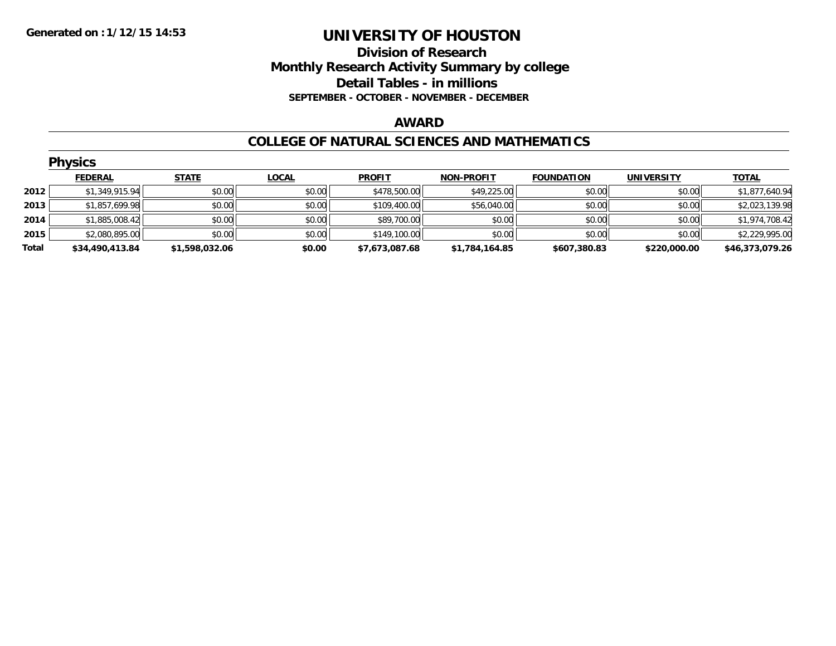### **Division of Research Monthly Research Activity Summary by college Detail Tables - in millions SEPTEMBER - OCTOBER - NOVEMBER - DECEMBER**

#### **AWARD**

#### **COLLEGE OF NATURAL SCIENCES AND MATHEMATICS**

|       | <b>Physics</b>  |                |              |                |                   |                   |                   |                 |
|-------|-----------------|----------------|--------------|----------------|-------------------|-------------------|-------------------|-----------------|
|       | <b>FEDERAL</b>  | <b>STATE</b>   | <b>LOCAL</b> | <b>PROFIT</b>  | <b>NON-PROFIT</b> | <b>FOUNDATION</b> | <b>UNIVERSITY</b> | <b>TOTAL</b>    |
| 2012  | \$1,349,915.94  | \$0.00         | \$0.00       | \$478,500.00   | \$49,225.00       | \$0.00            | \$0.00            | \$1,877,640.94  |
| 2013  | \$1,857,699.98  | \$0.00         | \$0.00       | \$109,400.00   | \$56,040.00       | \$0.00            | \$0.00            | \$2,023,139.98  |
| 2014  | \$1,885,008.42  | \$0.00         | \$0.00       | \$89,700.00    | \$0.00            | \$0.00            | \$0.00            | \$1,974,708.42  |
| 2015  | \$2,080,895.00  | \$0.00         | \$0.00       | \$149,100.00   | \$0.00            | \$0.00            | \$0.00            | \$2,229,995.00  |
| Total | \$34,490,413.84 | \$1,598,032.06 | \$0.00       | \$7,673,087.68 | \$1,784,164.85    | \$607,380.83      | \$220,000.00      | \$46,373,079.26 |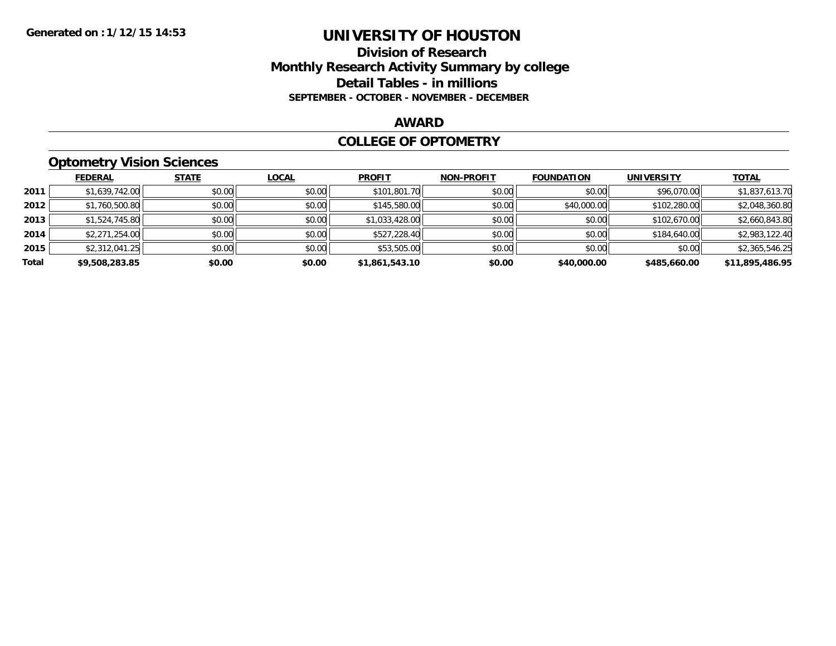#### **Division of Research Monthly Research Activity Summary by college Detail Tables - in millions SEPTEMBER - OCTOBER - NOVEMBER - DECEMBER**

#### **AWARD**

#### **COLLEGE OF OPTOMETRY**

## **Optometry Vision Sciences**

|       | <b>FEDERAL</b> | <b>STATE</b> | <b>LOCAL</b> | <b>PROFIT</b>  | <b>NON-PROFIT</b> | <b>FOUNDATION</b> | <b>UNIVERSITY</b> | <u>TOTAL</u>    |
|-------|----------------|--------------|--------------|----------------|-------------------|-------------------|-------------------|-----------------|
| 2011  | \$1,639,742.00 | \$0.00       | \$0.00       | \$101,801.70   | \$0.00            | \$0.00            | \$96,070.00       | \$1,837,613.70  |
| 2012  | \$1,760,500.80 | \$0.00       | \$0.00       | \$145,580.00   | \$0.00            | \$40,000.00       | \$102,280.00      | \$2,048,360.80  |
| 2013  | \$1,524,745.80 | \$0.00       | \$0.00       | \$1,033,428.00 | \$0.00            | \$0.00            | \$102,670.00      | \$2,660,843.80  |
| 2014  | \$2,271,254.00 | \$0.00       | \$0.00       | \$527,228.40   | \$0.00            | \$0.00            | \$184,640.00      | \$2,983,122.40  |
| 2015  | \$2,312,041.25 | \$0.00       | \$0.00       | \$53,505.00    | \$0.00            | \$0.00            | \$0.00            | \$2,365,546.25  |
| Total | \$9,508,283.85 | \$0.00       | \$0.00       | \$1,861,543.10 | \$0.00            | \$40,000.00       | \$485,660.00      | \$11,895,486.95 |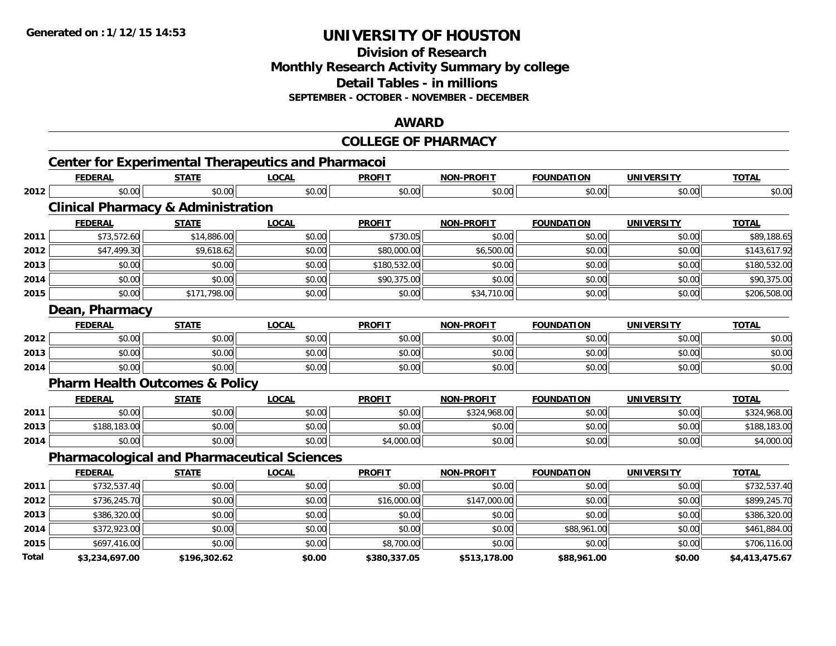**Division of Research Monthly Research Activity Summary by college Detail Tables - in millions SEPTEMBER - OCTOBER - NOVEMBER - DECEMBER**

#### **AWARD**

|       |                                                           |              |              | <b>COLLEGE OF PHARMACY</b> |                   |                   |                   |                |
|-------|-----------------------------------------------------------|--------------|--------------|----------------------------|-------------------|-------------------|-------------------|----------------|
|       | <b>Center for Experimental Therapeutics and Pharmacoi</b> |              |              |                            |                   |                   |                   |                |
|       | <b>FEDERAL</b>                                            | <b>STATE</b> | <b>LOCAL</b> | <b>PROFIT</b>              | <b>NON-PROFIT</b> | <b>FOUNDATION</b> | <b>UNIVERSITY</b> | <b>TOTAL</b>   |
| 2012  | \$0.00                                                    | \$0.00       | \$0.00       | \$0.00                     | \$0.00            | \$0.00            | \$0.00            | \$0.00         |
|       | <b>Clinical Pharmacy &amp; Administration</b>             |              |              |                            |                   |                   |                   |                |
|       | <b>FEDERAL</b>                                            | <b>STATE</b> | <b>LOCAL</b> | <b>PROFIT</b>              | <b>NON-PROFIT</b> | <b>FOUNDATION</b> | <b>UNIVERSITY</b> | <b>TOTAL</b>   |
| 2011  | \$73,572.60                                               | \$14,886.00  | \$0.00       | \$730.05                   | \$0.00            | \$0.00            | \$0.00            | \$89,188.65    |
| 2012  | \$47,499.30                                               | \$9,618.62   | \$0.00       | \$80,000.00                | \$6,500.00        | \$0.00            | \$0.00            | \$143,617.92   |
| 2013  | \$0.00                                                    | \$0.00       | \$0.00       | \$180,532.00               | \$0.00            | \$0.00            | \$0.00            | \$180,532.00   |
| 2014  | \$0.00                                                    | \$0.00       | \$0.00       | \$90,375.00                | \$0.00            | \$0.00            | \$0.00            | \$90,375.00    |
| 2015  | \$0.00                                                    | \$171,798.00 | \$0.00       | \$0.00                     | \$34,710.00       | \$0.00            | \$0.00            | \$206,508.00   |
|       | Dean, Pharmacy                                            |              |              |                            |                   |                   |                   |                |
|       | <b>FEDERAL</b>                                            | <b>STATE</b> | <b>LOCAL</b> | <b>PROFIT</b>              | <b>NON-PROFIT</b> | <b>FOUNDATION</b> | <b>UNIVERSITY</b> | <b>TOTAL</b>   |
| 2012  | \$0.00                                                    | \$0.00       | \$0.00       | \$0.00                     | \$0.00            | \$0.00            | \$0.00            | \$0.00         |
| 2013  | \$0.00                                                    | \$0.00       | \$0.00       | \$0.00                     | \$0.00            | \$0.00            | \$0.00            | \$0.00         |
| 2014  | \$0.00                                                    | \$0.00       | \$0.00       | \$0.00                     | \$0.00            | \$0.00            | \$0.00            | \$0.00         |
|       | <b>Pharm Health Outcomes &amp; Policy</b>                 |              |              |                            |                   |                   |                   |                |
|       | <b>FEDERAL</b>                                            | <b>STATE</b> | <b>LOCAL</b> | <b>PROFIT</b>              | <b>NON-PROFIT</b> | <b>FOUNDATION</b> | <b>UNIVERSITY</b> | <b>TOTAL</b>   |
| 2011  | \$0.00                                                    | \$0.00       | \$0.00       | \$0.00                     | \$324,968.00      | \$0.00            | \$0.00            | \$324,968.00   |
| 2013  | \$188,183.00                                              | \$0.00       | \$0.00       | \$0.00                     | \$0.00            | \$0.00            | \$0.00            | \$188,183.00   |
| 2014  | \$0.00                                                    | \$0.00       | \$0.00       | \$4,000.00                 | \$0.00            | \$0.00            | \$0.00            | \$4,000.00     |
|       | <b>Pharmacological and Pharmaceutical Sciences</b>        |              |              |                            |                   |                   |                   |                |
|       | <b>FEDERAL</b>                                            | <b>STATE</b> | <b>LOCAL</b> | <b>PROFIT</b>              | <b>NON-PROFIT</b> | <b>FOUNDATION</b> | <b>UNIVERSITY</b> | <b>TOTAL</b>   |
| 2011  | \$732,537.40                                              | \$0.00       | \$0.00       | \$0.00                     | \$0.00            | \$0.00            | \$0.00            | \$732,537.40   |
| 2012  | \$736,245.70                                              | \$0.00       | \$0.00       | \$16,000.00                | \$147,000.00      | \$0.00            | \$0.00            | \$899,245.70   |
| 2013  | \$386,320.00                                              | \$0.00       | \$0.00       | \$0.00                     | \$0.00            | \$0.00            | \$0.00            | \$386,320.00   |
| 2014  | \$372,923.00                                              | \$0.00       | \$0.00       | \$0.00                     | \$0.00            | \$88,961.00       | \$0.00            | \$461,884.00   |
| 2015  | \$697,416.00                                              | \$0.00       | \$0.00       | \$8,700.00                 | \$0.00            | \$0.00            | \$0.00            | \$706,116.00   |
| Total | \$3.234.697.00                                            | \$196.302.62 | \$0.00       | \$380.337.05               | \$513.178.00      | \$88.961.00       | \$0.00            | \$4.413.475.67 |

**\$3,234,697.00 \$196,302.62 \$0.00 \$380,337.05 \$513,178.00 \$88,961.00 \$0.00 \$4,413,475.67**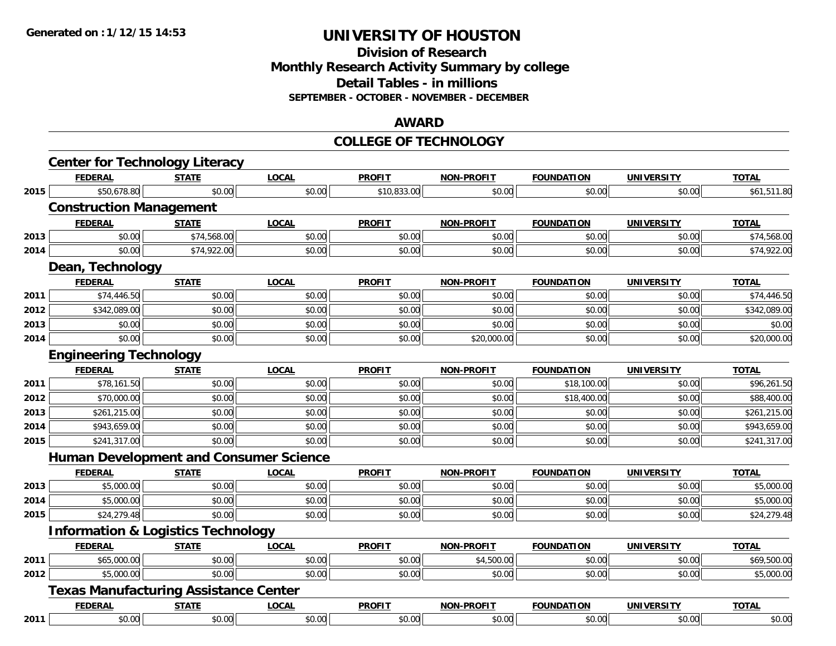#### **Division of Research Monthly Research Activity Summary by college Detail Tables - in millions SEPTEMBER - OCTOBER - NOVEMBER - DECEMBER**

#### **AWARD**

#### **COLLEGE OF TECHNOLOGY**

|      | <b>FEDERAL</b>                                | <b>STATE</b> | <b>LOCAL</b> | <b>PROFIT</b> | <b>NON-PROFIT</b> | <b>FOUNDATION</b> | <b>UNIVERSITY</b> | <b>TOTAL</b> |
|------|-----------------------------------------------|--------------|--------------|---------------|-------------------|-------------------|-------------------|--------------|
| 2015 | \$50,678.80                                   | \$0.00       | \$0.00       | \$10,833.00   | \$0.00            | \$0.00            | \$0.00            | \$61,511.80  |
|      | <b>Construction Management</b>                |              |              |               |                   |                   |                   |              |
|      | <b>FEDERAL</b>                                | <b>STATE</b> | <b>LOCAL</b> | <b>PROFIT</b> | <b>NON-PROFIT</b> | <b>FOUNDATION</b> | <b>UNIVERSITY</b> | <b>TOTAL</b> |
| 2013 | \$0.00                                        | \$74,568.00  | \$0.00       | \$0.00        | \$0.00            | \$0.00            | \$0.00            | \$74,568.00  |
| 2014 | \$0.00                                        | \$74,922.00  | \$0.00       | \$0.00        | \$0.00            | \$0.00            | \$0.00            | \$74,922.00  |
|      | Dean, Technology                              |              |              |               |                   |                   |                   |              |
|      | <b>FEDERAL</b>                                | <b>STATE</b> | <b>LOCAL</b> | <b>PROFIT</b> | <b>NON-PROFIT</b> | <b>FOUNDATION</b> | <b>UNIVERSITY</b> | <b>TOTAL</b> |
| 2011 | \$74,446.50                                   | \$0.00       | \$0.00       | \$0.00        | \$0.00            | \$0.00            | \$0.00            | \$74,446.50  |
| 2012 | \$342,089.00                                  | \$0.00       | \$0.00       | \$0.00        | \$0.00            | \$0.00            | \$0.00            | \$342,089.00 |
| 2013 | \$0.00                                        | \$0.00       | \$0.00       | \$0.00        | \$0.00            | \$0.00            | \$0.00            | \$0.00       |
| 2014 | \$0.00                                        | \$0.00       | \$0.00       | \$0.00        | \$20,000.00       | \$0.00            | \$0.00            | \$20,000.00  |
|      | <b>Engineering Technology</b>                 |              |              |               |                   |                   |                   |              |
|      | <b>FEDERAL</b>                                | <b>STATE</b> | <b>LOCAL</b> | <b>PROFIT</b> | <b>NON-PROFIT</b> | <b>FOUNDATION</b> | <b>UNIVERSITY</b> | <b>TOTAL</b> |
| 2011 | \$78,161.50                                   | \$0.00       | \$0.00       | \$0.00        | \$0.00            | \$18,100.00       | \$0.00            | \$96,261.50  |
| 2012 | \$70,000.00                                   | \$0.00       | \$0.00       | \$0.00        | \$0.00            | \$18,400.00       | \$0.00            | \$88,400.00  |
| 2013 | \$261,215.00                                  | \$0.00       | \$0.00       | \$0.00        | \$0.00            | \$0.00            | \$0.00            | \$261,215.00 |
| 2014 | \$943,659.00                                  | \$0.00       | \$0.00       | \$0.00        | \$0.00            | \$0.00            | \$0.00            | \$943,659.00 |
| 2015 | \$241,317.00                                  | \$0.00       | \$0.00       | \$0.00        | \$0.00            | \$0.00            | \$0.00            | \$241,317.00 |
|      | <b>Human Development and Consumer Science</b> |              |              |               |                   |                   |                   |              |
|      | <b>FEDERAL</b>                                | <b>STATE</b> | <b>LOCAL</b> | <b>PROFIT</b> | <b>NON-PROFIT</b> | <b>FOUNDATION</b> | <b>UNIVERSITY</b> | <b>TOTAL</b> |
| 2013 | \$5,000.00                                    | \$0.00       | \$0.00       | \$0.00        | \$0.00            | \$0.00            | \$0.00            | \$5,000.00   |
| 2014 | \$5,000.00                                    | \$0.00       | \$0.00       | \$0.00        | \$0.00            | \$0.00            | \$0.00            | \$5,000.00   |
| 2015 | \$24,279.48                                   | \$0.00       | \$0.00       | \$0.00        | \$0.00            | \$0.00            | \$0.00            | \$24,279.48  |
|      | <b>Information &amp; Logistics Technology</b> |              |              |               |                   |                   |                   |              |
|      | <b>FEDERAL</b>                                | <b>STATE</b> | <b>LOCAL</b> | <b>PROFIT</b> | <b>NON-PROFIT</b> | <b>FOUNDATION</b> | <b>UNIVERSITY</b> | <b>TOTAL</b> |
| 2011 | \$65,000.00                                   | \$0.00       | \$0.00       | \$0.00        | \$4,500.00        | \$0.00            | \$0.00            | \$69,500.00  |
| 2012 | \$5,000.00                                    | \$0.00       | \$0.00       | \$0.00        | \$0.00            | \$0.00            | \$0.00            | \$5,000.00   |
|      | <b>Texas Manufacturing Assistance Center</b>  |              |              |               |                   |                   |                   |              |
|      | <b>FEDERAL</b>                                | <b>STATE</b> | <b>LOCAL</b> | <b>PROFIT</b> | <b>NON-PROFIT</b> | <b>FOUNDATION</b> | <b>UNIVERSITY</b> | <b>TOTAL</b> |
| 2011 | \$0.00                                        | \$0.00       | \$0.00       | \$0.00        | \$0.00            | \$0.00            | \$0.00            | \$0.00       |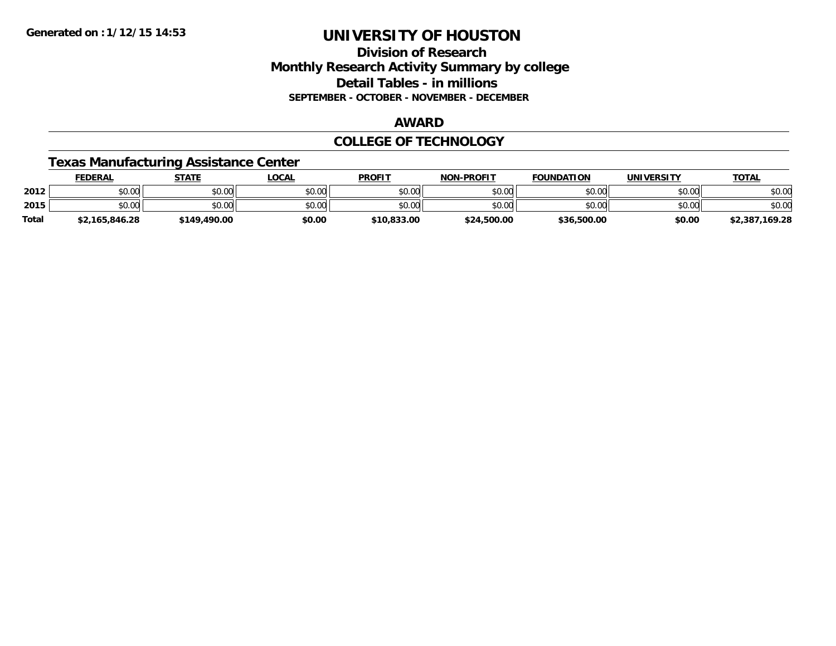#### **Division of Research Monthly Research Activity Summary by college Detail Tables - in millions SEPTEMBER - OCTOBER - NOVEMBER - DECEMBER**

#### **AWARD**

#### **COLLEGE OF TECHNOLOGY**

#### **Texas Manufacturing Assistance Center**

|              | <b>FEDERAL</b> | <b>STATE</b> | _OCAL  | <b>PROFIT</b> | <b>NON-PROFIT</b> | <b>FOUNDATION</b> | UNIVERSITY | <b>TOTAL</b>   |
|--------------|----------------|--------------|--------|---------------|-------------------|-------------------|------------|----------------|
| 2012         | \$0.00         | \$0.00       | \$0.00 | \$0.00        | \$0.00            | \$0.00            | \$0.00     | \$0.00         |
| 2015         | \$0.00         | \$0.00       | \$0.00 | \$0.00        | \$0.00            | \$0.00            | \$0.00     | \$0.00         |
| <b>Total</b> | \$2,165,846.28 | \$149,490.00 | \$0.00 | \$10,833,00   | \$24,500.00       | \$36,500.00       | \$0.00     | \$2,387,169.28 |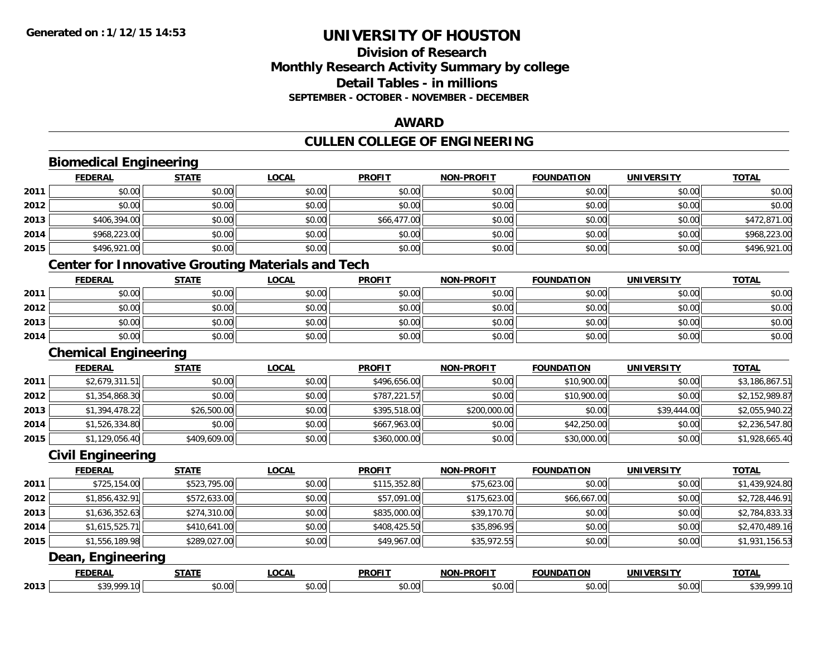**2013**

## **UNIVERSITY OF HOUSTON**

#### **Division of ResearchMonthly Research Activity Summary by college Detail Tables - in millionsSEPTEMBER - OCTOBER - NOVEMBER - DECEMBER**

#### **AWARD**

#### **CULLEN COLLEGE OF ENGINEERING**

#### **Biomedical Engineering FEDERAL STATE LOCAL PROFIT NON-PROFIT FOUNDATION UNIVERSITY TOTALTOTAL 2011** \$0.00 \$0.00 \$0.00 \$0.00 \$0.00 \$0.00 \$0.00 \$0.00 **2012**2 | \$0.00 \$0.00 \$0.00 \$0.00 \$0.00 \$0.00 \$0.00 \$0.00 \$0.00 \$0.00 \$0.00 \$0.00 \$0.00 \$0.00 \$0.00 \$0.00 \$0.00 \$0.0 **2013** \$406,394.00 \$0.00 \$0.00 \$66,477.00 \$0.00 \$0.00 \$0.00 \$472,871.00 **2014**4 \$968,223.00 \$0.00 \$0.00 \$0.00 \$0.00 \$0.00 \$0.00 \$0.00 \$0.00 \$0.00 \$0.00 \$0.00 \$0.00 \$0.00 \$968,223.00 **2015** \$496,921.00 \$0.00 \$0.00 \$0.00 \$0.00 \$0.00 \$0.00 \$496,921.00 **Center for Innovative Grouting Materials and Tech FEDERAL STATE LOCAL PROFIT NON-PROFIT FOUNDATION UNIVERSITY TOTAL2011** \$0.00 \$0.00 \$0.00 \$0.00 \$0.00 \$0.00 \$0.00 \$0.00 **2012**2 | \$0.00 \$0.00 \$0.00 \$0.00 \$0.00 \$0.00 \$0.00 \$0.00 \$0.00 \$0.00 \$0.00 \$0.00 \$0.00 \$0.00 \$0.00 \$0.00 \$0.00 \$0.0 **2013** $\textbf{3} \mid \textbf{3} \mid \textbf{5} \mid \textbf{5} \mid \textbf{6} \mid \textbf{7} \mid \textbf{8} \mid \textbf{1} \mid \textbf{1} \mid \textbf{1} \mid \textbf{1} \mid \textbf{1} \mid \textbf{1} \mid \textbf{1} \mid \textbf{1} \mid \textbf{1} \mid \textbf{1} \mid \textbf{1} \mid \textbf{1} \mid \textbf{1} \mid \textbf{1} \mid \textbf{1} \mid \textbf{1} \mid \textbf{1} \mid \textbf{1} \mid \textbf{1} \mid \textbf{1} \mid \textbf{$ **2014**4 \$0.00 \$0.00 \$0.00 \$0.00 \$0.00 \$0.00 \$0.00 \$0.00 \$0.00 \$0.00 \$0.00 \$0.00 \$0.00 \$0.00 \$0.00 \$0.00 \$0.00 \$0.00 **Chemical Engineering FEDERAL STATE LOCAL PROFIT NON-PROFIT FOUNDATION UNIVERSITY TOTAL2011** \$2,679,311.51 \$0.00 \$0.00 \$496,656.00 \$0.00 \$10,900.00 \$0.00 \$3,186,867.51 **2012** $\textbf{2} \parallel \textcolor{red}{0.354,868.30} \parallel \textcolor{red}{0.00} \parallel \textcolor{red}{0.354,868.30} \parallel \textcolor{red}{0.354,868.30} \parallel \textcolor{red}{0.354,868.30} \parallel \textcolor{red}{0.354,868.30} \parallel \textcolor{red}{0.354,868.30} \parallel \textcolor{red}{0.354,868.30} \parallel \textcolor{red}{0.354,868.30} \parallel \textcolor{red}{0.354,868.30} \parallel \textcolor{red}{0.354$ **2013** $\bf{3} \mid \textcolor{red}{8} \textcolor{red}{\bf{3}} \mid \textcolor{red}{\bf{3}} \textcolor{red}{\bf{3}} \textcolor{black}{\bf{4}} \textcolor{black}{\bf{4}} \textcolor{black}{\bf{5}} \textcolor{black}{\bf{5}} \textcolor{black}{\bf{5}} \textcolor{black}{\bf{5}} \textcolor{black}{\bf{0}} \textcolor{black}{\bf{0}} \textcolor{black}{\bf{0}} \textcolor{black}{\bf{0}} \textcolor{black}{\textbf{0}} \textcolor{black}{\bf{0}} \textcolor{black}{\bf{0}} \textcolor{black}{\bf{0}} \textcolor{black}{\bf{0}} \textcolor{black$ **2014**4 \$1,526,334.80|| \$0.00|| \$0.00|| \$667,963.00|| \$0.00|| \$42,250.00|| \$0.00|| \$2,236,547.80 **2015** \$1,129,056.40 \$409,609.00 \$0.00 \$360,000.00 \$0.00 \$30,000.00 \$0.00 \$1,928,665.40 **Civil Engineering FEDERAL STATE LOCAL PROFIT NON-PROFIT FOUNDATION UNIVERSITY TOTAL2011** \$725,154.00 \$523,795.00 \$0.00 \$115,352.80 \$75,623.00 \$0.00 \$0.00 \$1,439,924.80 **2012** $\texttt{2} \mid \texttt{3} \mid \texttt{3} \mid \texttt{3} \mid \texttt{4} \mid \texttt{5} \mid \texttt{5} \mid \texttt{5} \mid \texttt{5} \mid \texttt{5} \mid \texttt{5} \mid \texttt{5} \mid \texttt{5} \mid \texttt{5} \mid \texttt{5} \mid \texttt{5} \mid \texttt{5} \mid \texttt{5} \mid \texttt{5} \mid \texttt{5} \mid \texttt{5} \mid \texttt{5} \mid \texttt{5} \mid \texttt{5} \mid \texttt{5} \mid \texttt{5} \mid \texttt{5} \mid \texttt{5$ **2013** \$1,636,352.63 \$274,310.00 \$0.00 \$835,000.00 \$39,170.70 \$0.00 \$0.00 \$2,784,833.33 **2014**4 \$1,615,525.71|| \$410,641.00|| \$0.00|| \$408,425.50|| \$35,896.95|| \$0.00|| \$0.00|| \$2,470,489.16 **2015** \$1,556,189.98 \$289,027.00 \$0.00 \$49,967.00 \$35,972.55 \$0.00 \$0.00 \$1,931,156.53 **Dean, Engineering FEDERAL STATE LOCAL PROFIT NON-PROFIT FOUNDATION UNIVERSITY TOTAL**

\$39,999.10 \$0.00 \$0.00 \$0.00 \$0.00 \$0.00 \$0.00 \$39,999.10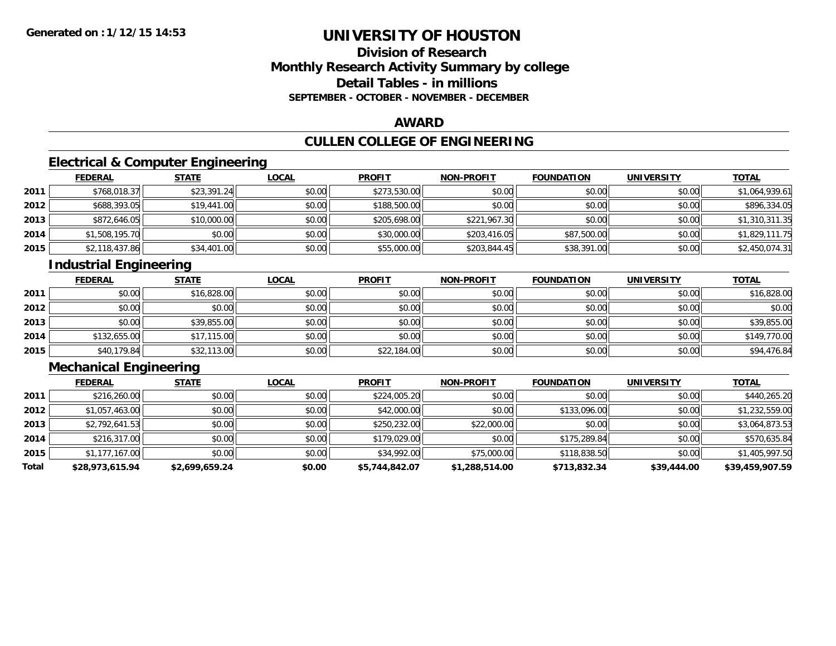### **Division of ResearchMonthly Research Activity Summary by college Detail Tables - in millions SEPTEMBER - OCTOBER - NOVEMBER - DECEMBER**

#### **AWARD**

## **CULLEN COLLEGE OF ENGINEERING**

### **Electrical & Computer Engineering**

|      | <b>FEDERAL</b> | <b>STATE</b> | <b>LOCAL</b> | <b>PROFIT</b> | <b>NON-PROFIT</b> | <b>FOUNDATION</b> | <b>UNIVERSITY</b> | <b>TOTAL</b>   |
|------|----------------|--------------|--------------|---------------|-------------------|-------------------|-------------------|----------------|
| 2011 | \$768,018.37   | \$23,391.24  | \$0.00       | \$273,530.00  | \$0.00            | \$0.00            | \$0.00            | \$1,064,939.61 |
| 2012 | \$688,393.05   | \$19,441.00  | \$0.00       | \$188,500.00  | \$0.00            | \$0.00            | \$0.00            | \$896,334.05   |
| 2013 | \$872,646.05   | \$10,000.00  | \$0.00       | \$205,698.00  | \$221,967.30      | \$0.00            | \$0.00            | \$1,310,311.35 |
| 2014 | \$1,508,195.70 | \$0.00       | \$0.00       | \$30,000.00   | \$203,416.05      | \$87,500.00       | \$0.00            | \$1,829,111.75 |
| 2015 | \$2,118,437.86 | \$34,401.00  | \$0.00       | \$55,000.00   | \$203,844.45      | \$38,391.00       | \$0.00            | \$2,450,074.31 |

## **Industrial Engineering**

|      | <b>FEDERAL</b> | <b>STATE</b> | <u>LOCAL</u> | <b>PROFIT</b> | <b>NON-PROFIT</b> | <b>FOUNDATION</b> | <b>UNIVERSITY</b> | <b>TOTAL</b> |
|------|----------------|--------------|--------------|---------------|-------------------|-------------------|-------------------|--------------|
| 2011 | \$0.00         | \$16,828.00  | \$0.00       | \$0.00        | \$0.00            | \$0.00            | \$0.00            | \$16,828.00  |
| 2012 | \$0.00         | \$0.00       | \$0.00       | \$0.00        | \$0.00            | \$0.00            | \$0.00            | \$0.00       |
| 2013 | \$0.00         | \$39,855.00  | \$0.00       | \$0.00        | \$0.00            | \$0.00            | \$0.00            | \$39,855.00  |
| 2014 | \$132,655.00   | \$17,115.00  | \$0.00       | \$0.00        | \$0.00            | \$0.00            | \$0.00            | \$149,770.00 |
| 2015 | \$40,179.84    | \$32,113.00  | \$0.00       | \$22,184.00   | \$0.00            | \$0.00            | \$0.00            | \$94,476.84  |

## **Mechanical Engineering**

|       | <b>FEDERAL</b>  | <b>STATE</b>   | <b>LOCAL</b> | <b>PROFIT</b>  | <b>NON-PROFIT</b> | <b>FOUNDATION</b> | <b>UNIVERSITY</b> | <b>TOTAL</b>    |
|-------|-----------------|----------------|--------------|----------------|-------------------|-------------------|-------------------|-----------------|
| 2011  | \$216,260.00    | \$0.00         | \$0.00       | \$224,005.20   | \$0.00            | \$0.00            | \$0.00            | \$440,265.20    |
| 2012  | \$1,057,463.00  | \$0.00         | \$0.00       | \$42,000.00    | \$0.00            | \$133,096.00      | \$0.00            | \$1,232,559.00  |
| 2013  | \$2,792,641.53  | \$0.00         | \$0.00       | \$250,232.00   | \$22,000.00       | \$0.00            | \$0.00            | \$3,064,873.53  |
| 2014  | \$216,317.00    | \$0.00         | \$0.00       | \$179,029,00   | \$0.00            | \$175,289.84      | \$0.00            | \$570,635.84    |
| 2015  | \$1,177,167.00  | \$0.00         | \$0.00       | \$34,992.00    | \$75,000.00       | \$118,838.50      | \$0.00            | \$1,405,997.50  |
| Total | \$28,973,615.94 | \$2,699,659.24 | \$0.00       | \$5,744,842.07 | \$1,288,514.00    | \$713,832.34      | \$39,444.00       | \$39,459,907.59 |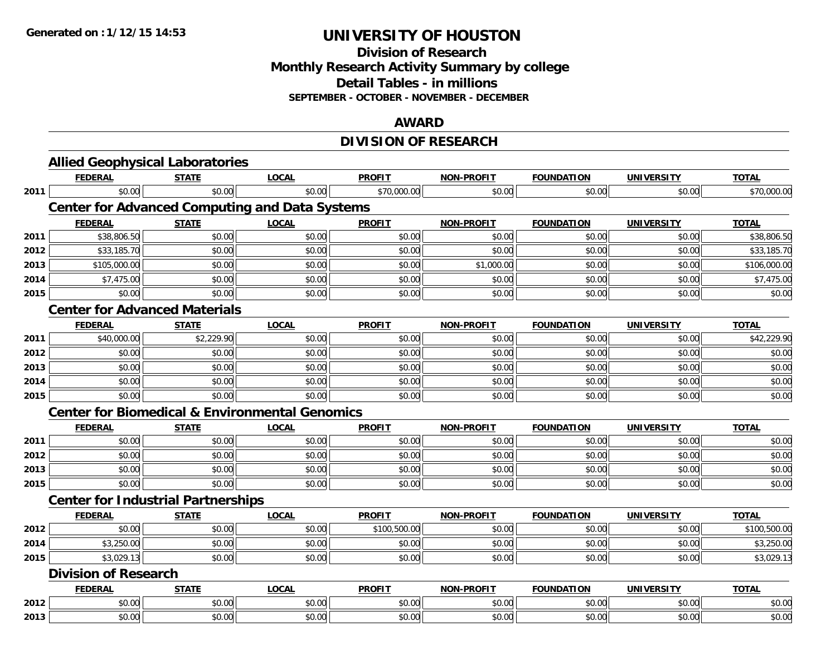#### **Division of Research Monthly Research Activity Summary by college Detail Tables - in millions SEPTEMBER - OCTOBER - NOVEMBER - DECEMBER**

#### **AWARD**

## **DIVISION OF RESEARCH**

|      | <b>Allied Geophysical Laboratories</b>                    |              |              |               |                   |                   |                   |              |
|------|-----------------------------------------------------------|--------------|--------------|---------------|-------------------|-------------------|-------------------|--------------|
|      | <b>FEDERAL</b>                                            | <b>STATE</b> | <b>LOCAL</b> | <b>PROFIT</b> | <b>NON-PROFIT</b> | <b>FOUNDATION</b> | <b>UNIVERSITY</b> | <b>TOTAL</b> |
| 2011 | \$0.00                                                    | \$0.00       | \$0.00       | \$70,000.00   | \$0.00            | \$0.00            | \$0.00            | \$70,000.00  |
|      | <b>Center for Advanced Computing and Data Systems</b>     |              |              |               |                   |                   |                   |              |
|      | <b>FEDERAL</b>                                            | <b>STATE</b> | <b>LOCAL</b> | <b>PROFIT</b> | <b>NON-PROFIT</b> | <b>FOUNDATION</b> | <b>UNIVERSITY</b> | <b>TOTAL</b> |
| 2011 | \$38,806.50                                               | \$0.00       | \$0.00       | \$0.00        | \$0.00            | \$0.00            | \$0.00            | \$38,806.50  |
| 2012 | \$33,185.70                                               | \$0.00       | \$0.00       | \$0.00        | \$0.00            | \$0.00            | \$0.00            | \$33,185.70  |
| 2013 | \$105,000.00                                              | \$0.00       | \$0.00       | \$0.00        | \$1,000.00        | \$0.00            | \$0.00            | \$106,000.00 |
| 2014 | \$7,475.00                                                | \$0.00       | \$0.00       | \$0.00        | \$0.00            | \$0.00            | \$0.00            | \$7,475.00   |
| 2015 | \$0.00                                                    | \$0.00       | \$0.00       | \$0.00        | \$0.00            | \$0.00            | \$0.00            | \$0.00       |
|      | <b>Center for Advanced Materials</b>                      |              |              |               |                   |                   |                   |              |
|      | <b>FEDERAL</b>                                            | <b>STATE</b> | <b>LOCAL</b> | <b>PROFIT</b> | <b>NON-PROFIT</b> | <b>FOUNDATION</b> | <b>UNIVERSITY</b> | <b>TOTAL</b> |
| 2011 | \$40,000.00                                               | \$2,229.90   | \$0.00       | \$0.00        | \$0.00            | \$0.00            | \$0.00            | \$42,229.90  |
| 2012 | \$0.00                                                    | \$0.00       | \$0.00       | \$0.00        | \$0.00            | \$0.00            | \$0.00            | \$0.00       |
| 2013 | \$0.00                                                    | \$0.00       | \$0.00       | \$0.00        | \$0.00            | \$0.00            | \$0.00            | \$0.00       |
| 2014 | \$0.00                                                    | \$0.00       | \$0.00       | \$0.00        | \$0.00            | \$0.00            | \$0.00            | \$0.00       |
| 2015 | \$0.00                                                    | \$0.00       | \$0.00       | \$0.00        | \$0.00            | \$0.00            | \$0.00            | \$0.00       |
|      | <b>Center for Biomedical &amp; Environmental Genomics</b> |              |              |               |                   |                   |                   |              |
|      | <b>FEDERAL</b>                                            | <b>STATE</b> | <b>LOCAL</b> | <b>PROFIT</b> | <b>NON-PROFIT</b> | <b>FOUNDATION</b> | <b>UNIVERSITY</b> | <b>TOTAL</b> |
| 2011 | \$0.00                                                    | \$0.00       | \$0.00       | \$0.00        | \$0.00            | \$0.00            | \$0.00            | \$0.00       |
| 2012 | \$0.00                                                    | \$0.00       | \$0.00       | \$0.00        | \$0.00            | \$0.00            | \$0.00            | \$0.00       |
| 2013 | \$0.00                                                    | \$0.00       | \$0.00       | \$0.00        | \$0.00            | \$0.00            | \$0.00            | \$0.00       |
| 2015 | \$0.00                                                    | \$0.00       | \$0.00       | \$0.00        | \$0.00            | \$0.00            | \$0.00            | \$0.00       |
|      | <b>Center for Industrial Partnerships</b>                 |              |              |               |                   |                   |                   |              |
|      | <b>FEDERAL</b>                                            | <b>STATE</b> | <b>LOCAL</b> | <b>PROFIT</b> | <b>NON-PROFIT</b> | <b>FOUNDATION</b> | <b>UNIVERSITY</b> | <b>TOTAL</b> |
| 2012 | \$0.00                                                    | \$0.00       | \$0.00       | \$100,500.00  | \$0.00            | \$0.00            | \$0.00            | \$100,500.00 |
| 2014 | \$3,250.00                                                | \$0.00       | \$0.00       | \$0.00        | \$0.00            | \$0.00            | \$0.00            | \$3,250.00   |
| 2015 | \$3,029.13                                                | \$0.00       | \$0.00       | \$0.00        | \$0.00            | \$0.00            | \$0.00            | \$3,029.13   |
|      | <b>Division of Research</b>                               |              |              |               |                   |                   |                   |              |
|      | <b>FEDERAL</b>                                            | <b>STATE</b> | <b>LOCAL</b> | <b>PROFIT</b> | <b>NON-PROFIT</b> | <b>FOUNDATION</b> | <b>UNIVERSITY</b> | <b>TOTAL</b> |
| 2012 | \$0.00                                                    | \$0.00       | \$0.00       | \$0.00        | \$0.00            | \$0.00            | \$0.00            | \$0.00       |
| 2013 | \$0.00                                                    | \$0.00       | \$0.00       | \$0.00        | \$0.00            | \$0.00            | \$0.00            | \$0.00       |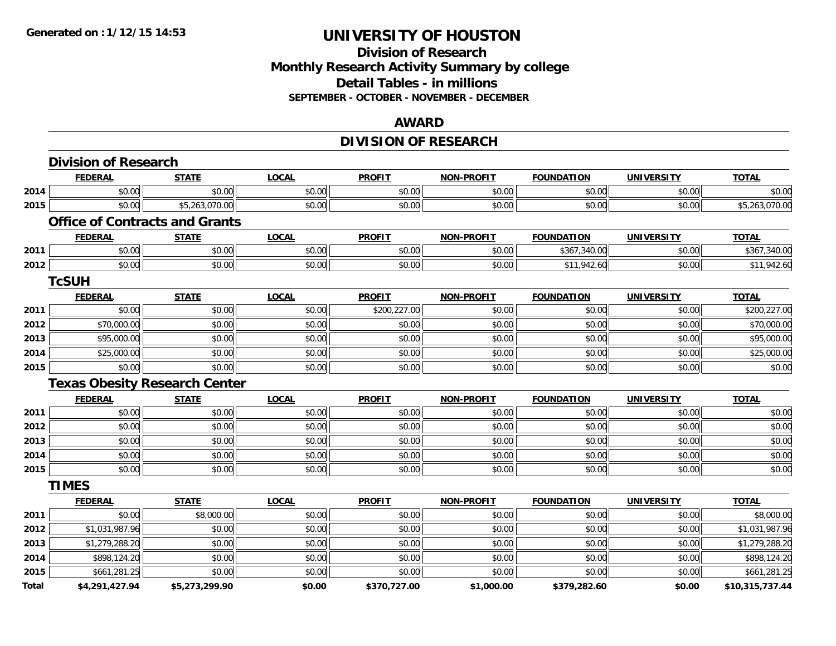#### **Division of Research Monthly Research Activity Summary by college Detail Tables - in millions SEPTEMBER - OCTOBER - NOVEMBER - DECEMBER**

#### **AWARD**

## **DIVISION OF RESEARCH**

|       | <b>Division of Research</b>           |                |              |               |                   |                   |                   |                 |
|-------|---------------------------------------|----------------|--------------|---------------|-------------------|-------------------|-------------------|-----------------|
|       | <b>FEDERAL</b>                        | <b>STATE</b>   | <b>LOCAL</b> | <b>PROFIT</b> | <b>NON-PROFIT</b> | <b>FOUNDATION</b> | <b>UNIVERSITY</b> | <b>TOTAL</b>    |
| 2014  | \$0.00                                | \$0.00         | \$0.00       | \$0.00        | \$0.00            | \$0.00            | \$0.00            | \$0.00          |
| 2015  | \$0.00                                | \$5,263,070.00 | \$0.00       | \$0.00        | \$0.00            | \$0.00            | \$0.00            | \$5,263,070.00  |
|       | <b>Office of Contracts and Grants</b> |                |              |               |                   |                   |                   |                 |
|       | <b>FEDERAL</b>                        | <b>STATE</b>   | <b>LOCAL</b> | <b>PROFIT</b> | <b>NON-PROFIT</b> | <b>FOUNDATION</b> | <b>UNIVERSITY</b> | <b>TOTAL</b>    |
| 2011  | \$0.00                                | \$0.00         | \$0.00       | \$0.00        | \$0.00            | \$367,340.00      | \$0.00            | \$367,340.00    |
| 2012  | \$0.00                                | \$0.00         | \$0.00       | \$0.00        | \$0.00            | \$11,942.60       | \$0.00            | \$11,942.60     |
|       | <b>TcSUH</b>                          |                |              |               |                   |                   |                   |                 |
|       | <b>FEDERAL</b>                        | <b>STATE</b>   | <b>LOCAL</b> | <b>PROFIT</b> | <b>NON-PROFIT</b> | <b>FOUNDATION</b> | <b>UNIVERSITY</b> | <b>TOTAL</b>    |
| 2011  | \$0.00                                | \$0.00         | \$0.00       | \$200,227.00  | \$0.00            | \$0.00            | \$0.00            | \$200,227.00    |
| 2012  | \$70,000.00                           | \$0.00         | \$0.00       | \$0.00        | \$0.00            | \$0.00            | \$0.00            | \$70,000.00     |
| 2013  | \$95,000.00                           | \$0.00         | \$0.00       | \$0.00        | \$0.00            | \$0.00            | \$0.00            | \$95,000.00     |
| 2014  | \$25,000.00                           | \$0.00         | \$0.00       | \$0.00        | \$0.00            | \$0.00            | \$0.00            | \$25,000.00     |
| 2015  | \$0.00                                | \$0.00         | \$0.00       | \$0.00        | \$0.00            | \$0.00            | \$0.00            | \$0.00          |
|       | <b>Texas Obesity Research Center</b>  |                |              |               |                   |                   |                   |                 |
|       | <b>FEDERAL</b>                        | <b>STATE</b>   | <b>LOCAL</b> | <b>PROFIT</b> | <b>NON-PROFIT</b> | <b>FOUNDATION</b> | <b>UNIVERSITY</b> | <b>TOTAL</b>    |
| 2011  | \$0.00                                | \$0.00         | \$0.00       | \$0.00        | \$0.00            | \$0.00            | \$0.00            | \$0.00          |
| 2012  | \$0.00                                | \$0.00         | \$0.00       | \$0.00        | \$0.00            | \$0.00            | \$0.00            | \$0.00          |
| 2013  | \$0.00                                | \$0.00         | \$0.00       | \$0.00        | \$0.00            | \$0.00            | \$0.00            | \$0.00          |
| 2014  | \$0.00                                | \$0.00         | \$0.00       | \$0.00        | \$0.00            | \$0.00            | \$0.00            | \$0.00          |
| 2015  | \$0.00                                | \$0.00         | \$0.00       | \$0.00        | \$0.00            | \$0.00            | \$0.00            | \$0.00          |
|       | <b>TIMES</b>                          |                |              |               |                   |                   |                   |                 |
|       | <b>FEDERAL</b>                        | <b>STATE</b>   | <b>LOCAL</b> | <b>PROFIT</b> | <b>NON-PROFIT</b> | <b>FOUNDATION</b> | <b>UNIVERSITY</b> | <b>TOTAL</b>    |
| 2011  | \$0.00                                | \$8,000.00     | \$0.00       | \$0.00        | \$0.00            | \$0.00            | \$0.00            | \$8,000.00      |
| 2012  | \$1,031,987.96                        | \$0.00         | \$0.00       | \$0.00        | \$0.00            | \$0.00            | \$0.00            | \$1,031,987.96  |
| 2013  | \$1,279,288.20                        | \$0.00         | \$0.00       | \$0.00        | \$0.00            | \$0.00            | \$0.00            | \$1,279,288.20  |
| 2014  | \$898,124.20                          | \$0.00         | \$0.00       | \$0.00        | \$0.00            | \$0.00            | \$0.00            | \$898,124.20    |
| 2015  | \$661,281.25                          | \$0.00         | \$0.00       | \$0.00        | \$0.00            | \$0.00            | \$0.00            | \$661,281.25    |
| Total | \$4,291,427.94                        | \$5,273,299.90 | \$0.00       | \$370,727.00  | \$1,000.00        | \$379,282.60      | \$0.00            | \$10,315,737.44 |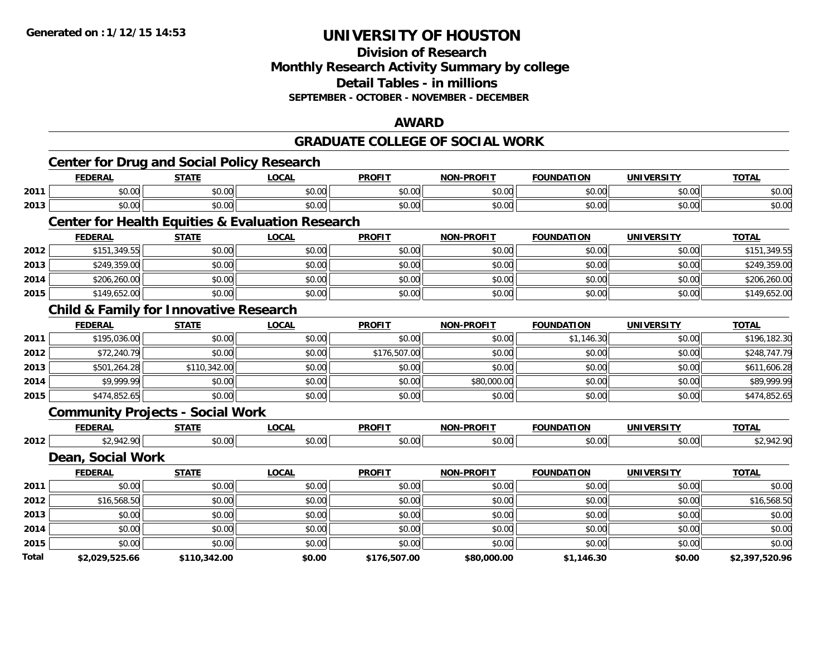#### **Division of Research Monthly Research Activity Summary by college Detail Tables - in millions SEPTEMBER - OCTOBER - NOVEMBER - DECEMBER**

#### **AWARD**

#### **GRADUATE COLLEGE OF SOCIAL WORK**

|       | <b>Center for Drug and Social Policy Research</b> |              |                                                             |               |                   |                   |                   |                |
|-------|---------------------------------------------------|--------------|-------------------------------------------------------------|---------------|-------------------|-------------------|-------------------|----------------|
|       | <b>FEDERAL</b>                                    | <b>STATE</b> | <b>LOCAL</b>                                                | <b>PROFIT</b> | <b>NON-PROFIT</b> | <b>FOUNDATION</b> | <b>UNIVERSITY</b> | <b>TOTAL</b>   |
| 2011  | \$0.00                                            | \$0.00       | \$0.00                                                      | \$0.00        | \$0.00            | \$0.00            | \$0.00            | \$0.00         |
| 2013  | \$0.00                                            | \$0.00       | \$0.00                                                      | \$0.00        | \$0.00            | \$0.00            | \$0.00            | \$0.00         |
|       |                                                   |              | <b>Center for Health Equities &amp; Evaluation Research</b> |               |                   |                   |                   |                |
|       | <b>FEDERAL</b>                                    | <b>STATE</b> | <b>LOCAL</b>                                                | <b>PROFIT</b> | <b>NON-PROFIT</b> | <b>FOUNDATION</b> | <b>UNIVERSITY</b> | <b>TOTAL</b>   |
| 2012  | \$151,349.55                                      | \$0.00       | \$0.00                                                      | \$0.00        | \$0.00            | \$0.00            | \$0.00            | \$151,349.55   |
| 2013  | \$249,359.00                                      | \$0.00       | \$0.00                                                      | \$0.00        | \$0.00            | \$0.00            | \$0.00            | \$249,359.00   |
| 2014  | \$206,260.00                                      | \$0.00       | \$0.00                                                      | \$0.00        | \$0.00            | \$0.00            | \$0.00            | \$206,260.00   |
| 2015  | \$149,652.00                                      | \$0.00       | \$0.00                                                      | \$0.00        | \$0.00            | \$0.00            | \$0.00            | \$149,652.00   |
|       | <b>Child &amp; Family for Innovative Research</b> |              |                                                             |               |                   |                   |                   |                |
|       | <b>FEDERAL</b>                                    | <b>STATE</b> | <b>LOCAL</b>                                                | <b>PROFIT</b> | <b>NON-PROFIT</b> | <b>FOUNDATION</b> | <b>UNIVERSITY</b> | <b>TOTAL</b>   |
| 2011  | \$195,036.00                                      | \$0.00       | \$0.00                                                      | \$0.00        | \$0.00            | \$1,146.30        | \$0.00            | \$196,182.30   |
| 2012  | \$72,240.79                                       | \$0.00       | \$0.00                                                      | \$176,507.00  | \$0.00            | \$0.00            | \$0.00            | \$248,747.79   |
| 2013  | \$501,264.28                                      | \$110,342.00 | \$0.00                                                      | \$0.00        | \$0.00            | \$0.00            | \$0.00            | \$611,606.28   |
| 2014  | \$9,999.99                                        | \$0.00       | \$0.00                                                      | \$0.00        | \$80,000.00       | \$0.00            | \$0.00            | \$89,999.99    |
| 2015  | \$474,852.65                                      | \$0.00       | \$0.00                                                      | \$0.00        | \$0.00            | \$0.00            | \$0.00            | \$474,852.65   |
|       | <b>Community Projects - Social Work</b>           |              |                                                             |               |                   |                   |                   |                |
|       | <b>FEDERAL</b>                                    | <b>STATE</b> | <b>LOCAL</b>                                                | <b>PROFIT</b> | <b>NON-PROFIT</b> | <b>FOUNDATION</b> | <b>UNIVERSITY</b> | <b>TOTAL</b>   |
| 2012  | \$2,942.90                                        | \$0.00       | \$0.00                                                      | \$0.00        | \$0.00            | \$0.00            | \$0.00            | \$2,942.90     |
|       | Dean, Social Work                                 |              |                                                             |               |                   |                   |                   |                |
|       | <b>FEDERAL</b>                                    | <b>STATE</b> | <b>LOCAL</b>                                                | <b>PROFIT</b> | <b>NON-PROFIT</b> | <b>FOUNDATION</b> | <b>UNIVERSITY</b> | <b>TOTAL</b>   |
| 2011  | \$0.00                                            | \$0.00       | \$0.00                                                      | \$0.00        | \$0.00            | \$0.00            | \$0.00            | \$0.00         |
| 2012  | \$16,568.50                                       | \$0.00       | \$0.00                                                      | \$0.00        | \$0.00            | \$0.00            | \$0.00            | \$16,568.50    |
| 2013  | \$0.00                                            | \$0.00       | \$0.00                                                      | \$0.00        | \$0.00            | \$0.00            | \$0.00            | \$0.00         |
| 2014  | \$0.00                                            | \$0.00       | \$0.00                                                      | \$0.00        | \$0.00            | \$0.00            | \$0.00            | \$0.00         |
| 2015  | \$0.00                                            | \$0.00       | \$0.00                                                      | \$0.00        | \$0.00            | \$0.00            | \$0.00            | \$0.00         |
| Total | \$2,029,525.66                                    | \$110,342.00 | \$0.00                                                      | \$176,507.00  | \$80,000.00       | \$1,146.30        | \$0.00            | \$2,397,520.96 |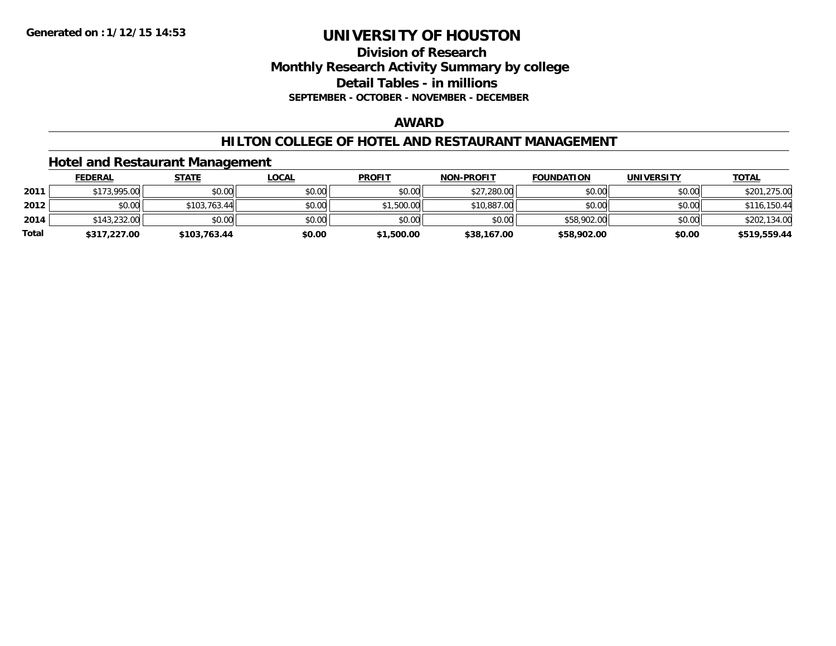### **Division of ResearchMonthly Research Activity Summary by college Detail Tables - in millions SEPTEMBER - OCTOBER - NOVEMBER - DECEMBER**

#### **AWARD**

#### **HILTON COLLEGE OF HOTEL AND RESTAURANT MANAGEMENT**

#### **Hotel and Restaurant Management**

|              | <b>FEDERAL</b> | <u>STATE</u> | <u>LOCAL</u> | <b>PROFIT</b> | <b>NON-PROFIT</b> | <b>FOUNDATION</b> | UNIVERSITY | <b>TOTAL</b> |
|--------------|----------------|--------------|--------------|---------------|-------------------|-------------------|------------|--------------|
| 2011         | \$173,995.00   | \$0.00       | \$0.00       | \$0.00        | \$27,280.00       | \$0.00            | \$0.00     | \$201,275.00 |
| 2012         | \$0.00         | \$103.763.44 | \$0.00       | \$1,500.00    | \$10,887.00       | \$0.00            | \$0.00     | \$116,150.44 |
| 2014         | \$143,232,00   | \$0.00       | \$0.00       | \$0.00        | \$0.00            | \$58,902.00       | \$0.00     | \$202,134.00 |
| <b>Total</b> | \$317,227.00   | \$103,763.44 | \$0.00       | \$1,500.00    | \$38,167.00       | \$58,902.00       | \$0.00     | \$519,559.44 |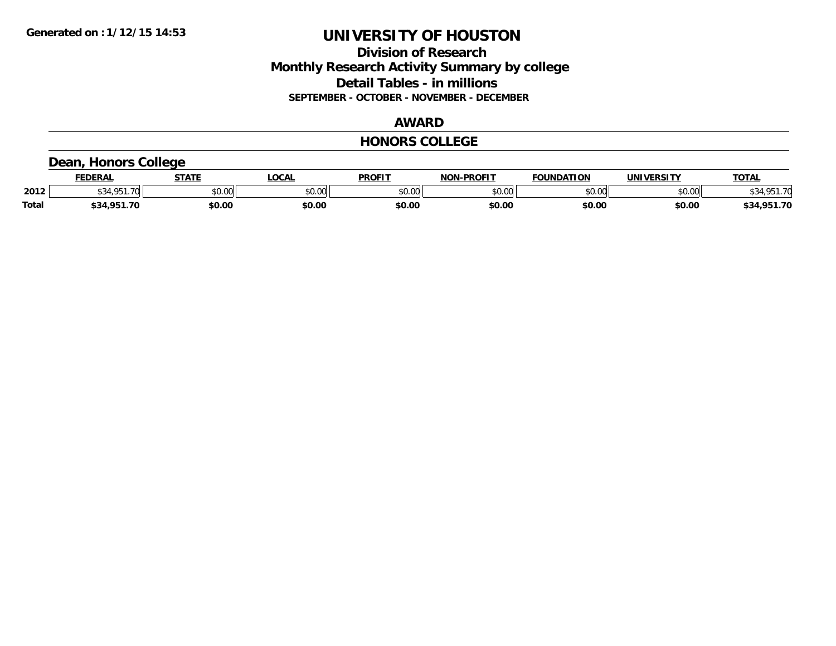### **Division of Research Monthly Research Activity Summary by college Detail Tables - in millions SEPTEMBER - OCTOBER - NOVEMBER - DECEMBER**

### **AWARD**

#### **HONORS COLLEGE**

#### **Dean, Honors College**

|              | <b>FEDERAL</b> | <b>STATE</b> | <b>OCAL</b> | <b>PROFIT</b> | -PROFIT<br>NON | <b>FOUNDATION</b> | <b>UNIVERSITY</b> | <u> ΤΟΤΑ.</u> |
|--------------|----------------|--------------|-------------|---------------|----------------|-------------------|-------------------|---------------|
| 2012         | .70<br>1 O.F   | \$0.00       | JU.UU       | \$0.00        | ልስ ባህ<br>DU.UU | \$0.00            | \$0.00            | \$34.951.70   |
| <b>Total</b> | \$34,951.70    | \$0.00       | \$0.00      | \$0.00        | \$0.00         | \$0.00            | \$0.00            | \$34,951.70   |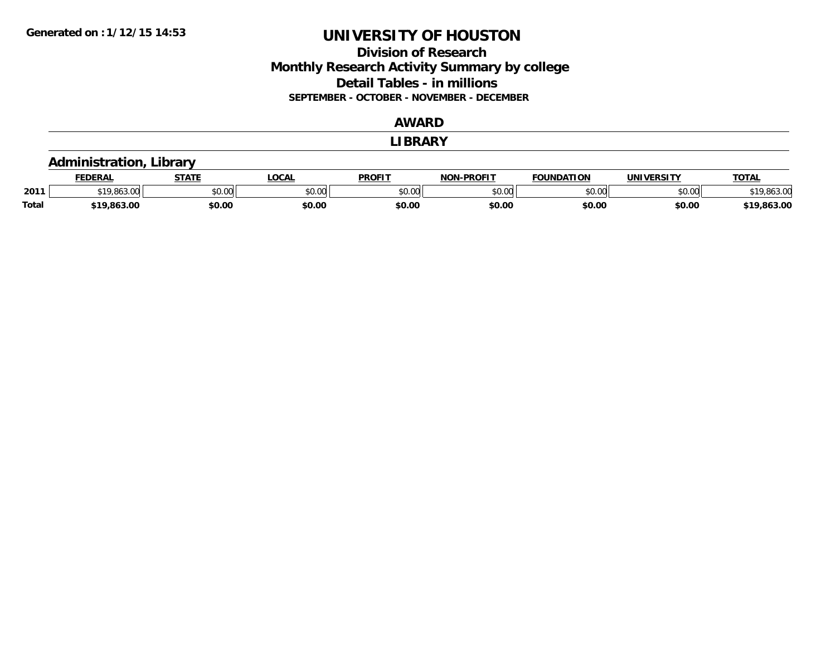### **Division of Research Monthly Research Activity Summary by college Detail Tables - in millions SEPTEMBER - OCTOBER - NOVEMBER - DECEMBER**

#### **AWARD**

#### **LIBRARY**

#### **Administration, Library**

|              | <b>FEDERAL</b>  | <b>СТАТЕ</b> | LOCAL  | <b>PROFIT</b> | <b>NON-PROFIT</b> | <b>FOUNDATION</b> | UNIVERSITY | <b>TOTAL</b>     |
|--------------|-----------------|--------------|--------|---------------|-------------------|-------------------|------------|------------------|
| 2011         | $\sim$<br>טט.טע | \$0.00       | \$0.00 | \$0.00        | 0000<br>PU.UU     | \$0.00            | \$0.00     | \$19,863.00      |
| <b>Total</b> | \$19,863.00     | \$0.00       | \$0.00 | \$0.00        | \$0.OC            | \$0.00            | \$0.00     | .863.00<br>0 1 C |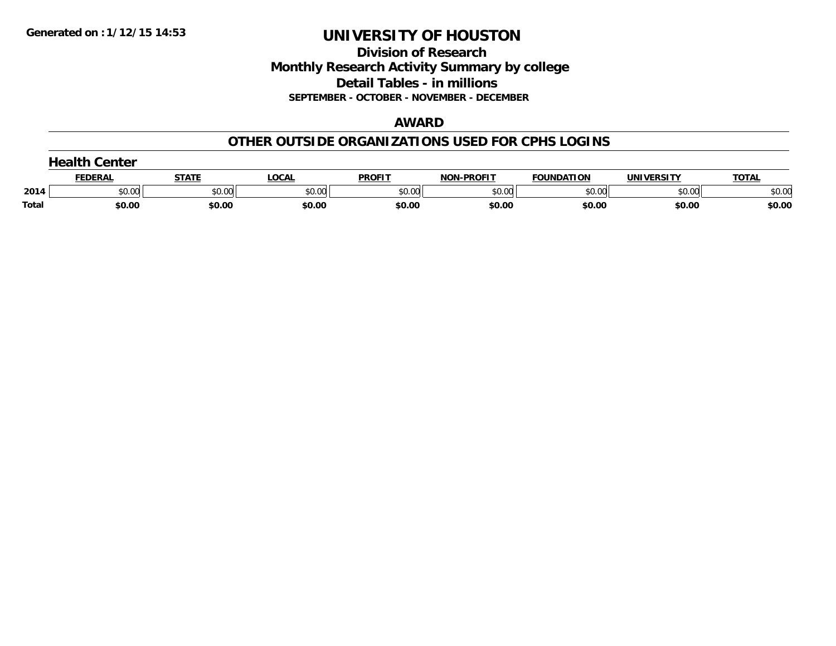**Division of Research Monthly Research Activity Summary by college Detail Tables - in millions SEPTEMBER - OCTOBER - NOVEMBER - DECEMBER**

#### **AWARD**

#### **OTHER OUTSIDE ORGANIZATIONS USED FOR CPHS LOGINS**

|       | Center         |        |        |               |                   |                   |            |              |  |  |
|-------|----------------|--------|--------|---------------|-------------------|-------------------|------------|--------------|--|--|
|       | <b>FEDERAI</b> | STATE  | ∟OCAL  | <b>PROFIT</b> | <b>NON-PROFIT</b> | <b>FOUNDATION</b> | UNIVERSITY | <b>TOTAL</b> |  |  |
| 2014  | \$0.00         | \$0.00 | \$0.00 | \$0.00        | \$0.00            | \$0.00            | \$0.00     | \$0.00       |  |  |
| Total | \$0.00         | \$0.00 | \$0.00 | \$0.00        | \$0.00            | \$0.00            | \$0.00     | \$0.00       |  |  |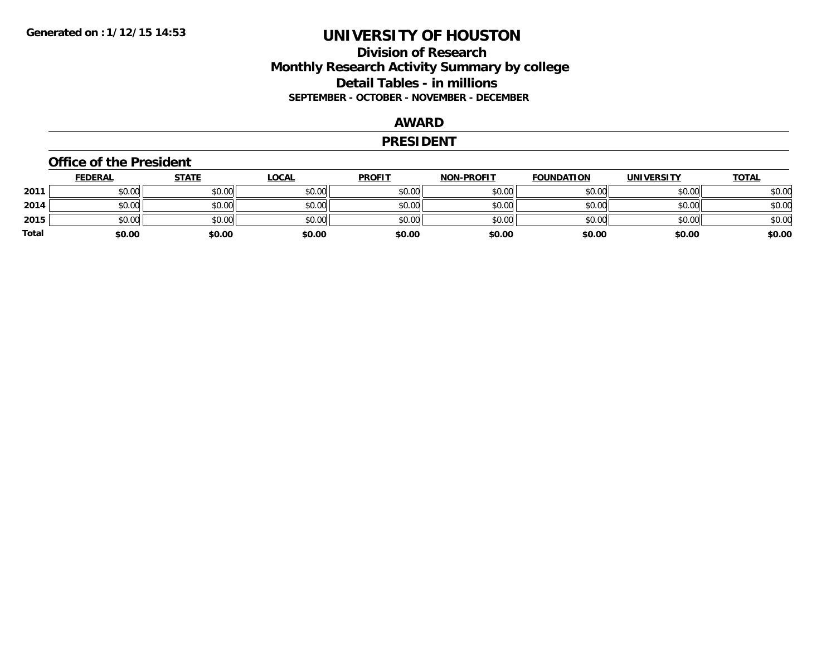### **Division of Research Monthly Research Activity Summary by college Detail Tables - in millions SEPTEMBER - OCTOBER - NOVEMBER - DECEMBER**

#### **AWARD**

#### **PRESIDENT**

#### **Office of the President**

|       | <b>FEDERAL</b> | <b>STATE</b> | <b>LOCAL</b> | <b>PROFIT</b> | <b>NON-PROFIT</b> | <b>FOUNDATION</b> | <b>UNIVERSITY</b> | <u>TOTAL</u> |
|-------|----------------|--------------|--------------|---------------|-------------------|-------------------|-------------------|--------------|
| 2011  | \$0.00         | \$0.00       | \$0.00       | \$0.00        | \$0.00            | \$0.00            | \$0.00            | \$0.00       |
| 2014  | \$0.00         | \$0.00       | \$0.00       | \$0.00        | \$0.00            | \$0.00            | \$0.00            | \$0.00       |
| 2015  | \$0.00         | \$0.00       | \$0.00       | \$0.00        | \$0.00            | \$0.00            | \$0.00            | \$0.00       |
| Total | \$0.00         | \$0.00       | \$0.00       | \$0.00        | \$0.00            | \$0.00            | \$0.00            | \$0.00       |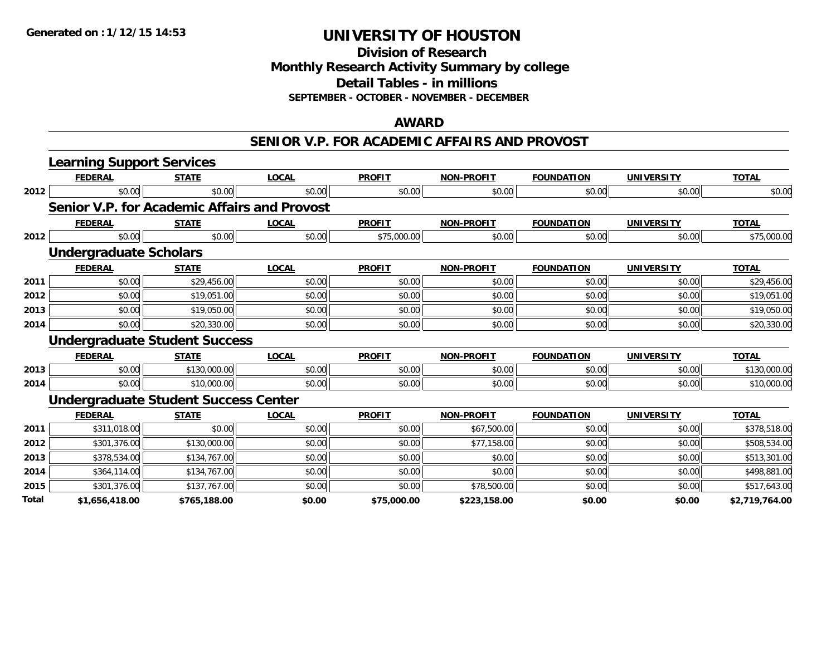**Division of Research Monthly Research Activity Summary by college**

**Detail Tables - in millions**

**SEPTEMBER - OCTOBER - NOVEMBER - DECEMBER**

#### **AWARD**

#### **SENIOR V.P. FOR ACADEMIC AFFAIRS AND PROVOST**

|       | <b>Learning Support Services</b>             |              |              |               |                   |                   |                   |                |
|-------|----------------------------------------------|--------------|--------------|---------------|-------------------|-------------------|-------------------|----------------|
|       | <b>FEDERAL</b>                               | <b>STATE</b> | <b>LOCAL</b> | <b>PROFIT</b> | <b>NON-PROFIT</b> | <b>FOUNDATION</b> | <b>UNIVERSITY</b> | <b>TOTAL</b>   |
| 2012  | \$0.00                                       | \$0.00       | \$0.00       | \$0.00        | \$0.00            | \$0.00            | \$0.00            | \$0.00         |
|       | Senior V.P. for Academic Affairs and Provost |              |              |               |                   |                   |                   |                |
|       | <b>FEDERAL</b>                               | <b>STATE</b> | <b>LOCAL</b> | <b>PROFIT</b> | <b>NON-PROFIT</b> | <b>FOUNDATION</b> | <b>UNIVERSITY</b> | <b>TOTAL</b>   |
| 2012  | \$0.00                                       | \$0.00       | \$0.00       | \$75,000.00   | \$0.00            | \$0.00            | \$0.00            | \$75,000.00    |
|       | <b>Undergraduate Scholars</b>                |              |              |               |                   |                   |                   |                |
|       | <b>FEDERAL</b>                               | <b>STATE</b> | <b>LOCAL</b> | <b>PROFIT</b> | <b>NON-PROFIT</b> | <b>FOUNDATION</b> | <b>UNIVERSITY</b> | <b>TOTAL</b>   |
| 2011  | \$0.00                                       | \$29,456.00  | \$0.00       | \$0.00        | \$0.00            | \$0.00            | \$0.00            | \$29,456.00    |
| 2012  | \$0.00                                       | \$19,051.00  | \$0.00       | \$0.00        | \$0.00            | \$0.00            | \$0.00            | \$19,051.00    |
| 2013  | \$0.00                                       | \$19,050.00  | \$0.00       | \$0.00        | \$0.00            | \$0.00            | \$0.00            | \$19,050.00    |
| 2014  | \$0.00                                       | \$20,330.00  | \$0.00       | \$0.00        | \$0.00            | \$0.00            | \$0.00            | \$20,330.00    |
|       | <b>Undergraduate Student Success</b>         |              |              |               |                   |                   |                   |                |
|       | <b>FEDERAL</b>                               | <b>STATE</b> | <b>LOCAL</b> | <b>PROFIT</b> | <b>NON-PROFIT</b> | <b>FOUNDATION</b> | <b>UNIVERSITY</b> | <b>TOTAL</b>   |
| 2013  | \$0.00                                       | \$130,000.00 | \$0.00       | \$0.00        | \$0.00            | \$0.00            | \$0.00            | \$130,000.00   |
| 2014  | \$0.00                                       | \$10,000.00  | \$0.00       | \$0.00        | \$0.00            | \$0.00            | \$0.00            | \$10,000.00    |
|       | <b>Undergraduate Student Success Center</b>  |              |              |               |                   |                   |                   |                |
|       | <b>FEDERAL</b>                               | <b>STATE</b> | <b>LOCAL</b> | <b>PROFIT</b> | <b>NON-PROFIT</b> | <b>FOUNDATION</b> | <b>UNIVERSITY</b> | <b>TOTAL</b>   |
| 2011  | \$311,018.00                                 | \$0.00       | \$0.00       | \$0.00        | \$67,500.00       | \$0.00            | \$0.00            | \$378,518.00   |
| 2012  | \$301,376.00                                 | \$130,000.00 | \$0.00       | \$0.00        | \$77,158.00       | \$0.00            | \$0.00            | \$508,534.00   |
| 2013  | \$378,534.00                                 | \$134,767.00 | \$0.00       | \$0.00        | \$0.00            | \$0.00            | \$0.00            | \$513,301.00   |
| 2014  | \$364,114.00                                 | \$134,767.00 | \$0.00       | \$0.00        | \$0.00            | \$0.00            | \$0.00            | \$498,881.00   |
| 2015  | \$301,376.00                                 | \$137,767.00 | \$0.00       | \$0.00        | \$78,500.00       | \$0.00            | \$0.00            | \$517,643.00   |
| Total | \$1,656,418.00                               | \$765,188.00 | \$0.00       | \$75,000.00   | \$223,158.00      | \$0.00            | \$0.00            | \$2,719,764.00 |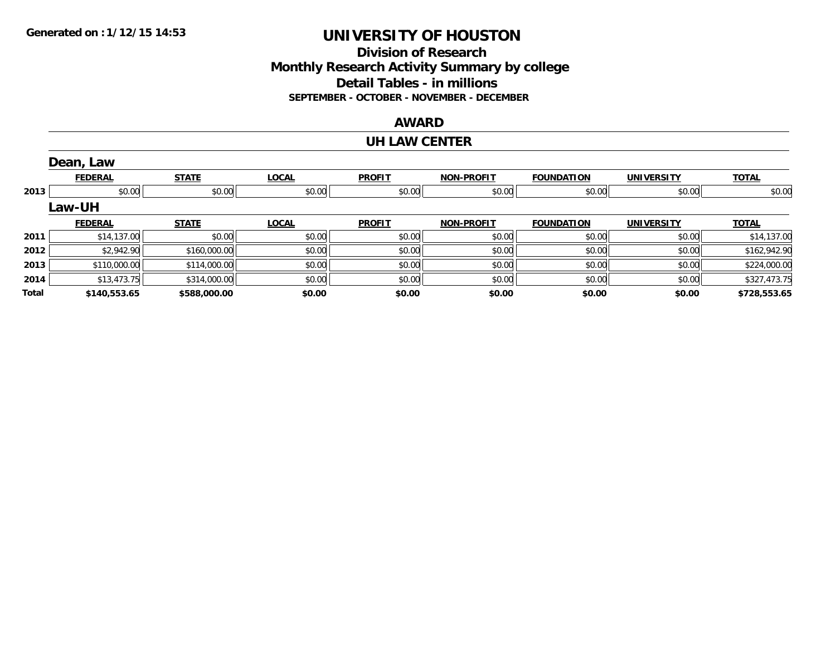#### **Division of Research Monthly Research Activity Summary by college Detail Tables - in millions SEPTEMBER - OCTOBER - NOVEMBER - DECEMBER**

#### **AWARD**

#### **UH LAW CENTER**

|       | Dean, Law      |              |              |               |                   |                   |                   |              |
|-------|----------------|--------------|--------------|---------------|-------------------|-------------------|-------------------|--------------|
|       | <b>FEDERAL</b> | <b>STATE</b> | <b>LOCAL</b> | <b>PROFIT</b> | <b>NON-PROFIT</b> | <b>FOUNDATION</b> | <b>UNIVERSITY</b> | <b>TOTAL</b> |
| 2013  | \$0.00         | \$0.00       | \$0.00       | \$0.00        | \$0.00            | \$0.00            | \$0.00            | \$0.00       |
|       | <b>Law-UH</b>  |              |              |               |                   |                   |                   |              |
|       | <b>FEDERAL</b> | <b>STATE</b> | <b>LOCAL</b> | <b>PROFIT</b> | <b>NON-PROFIT</b> | <b>FOUNDATION</b> | <b>UNIVERSITY</b> | <b>TOTAL</b> |
| 2011  | \$14,137.00    | \$0.00       | \$0.00       | \$0.00        | \$0.00            | \$0.00            | \$0.00            | \$14,137.00  |
| 2012  | \$2,942.90     | \$160,000.00 | \$0.00       | \$0.00        | \$0.00            | \$0.00            | \$0.00            | \$162,942.90 |
| 2013  | \$110,000.00   | \$114,000.00 | \$0.00       | \$0.00        | \$0.00            | \$0.00            | \$0.00            | \$224,000.00 |
| 2014  | \$13,473.75    | \$314,000.00 | \$0.00       | \$0.00        | \$0.00            | \$0.00            | \$0.00            | \$327,473.75 |
| Total | \$140,553.65   | \$588,000.00 | \$0.00       | \$0.00        | \$0.00            | \$0.00            | \$0.00            | \$728,553.65 |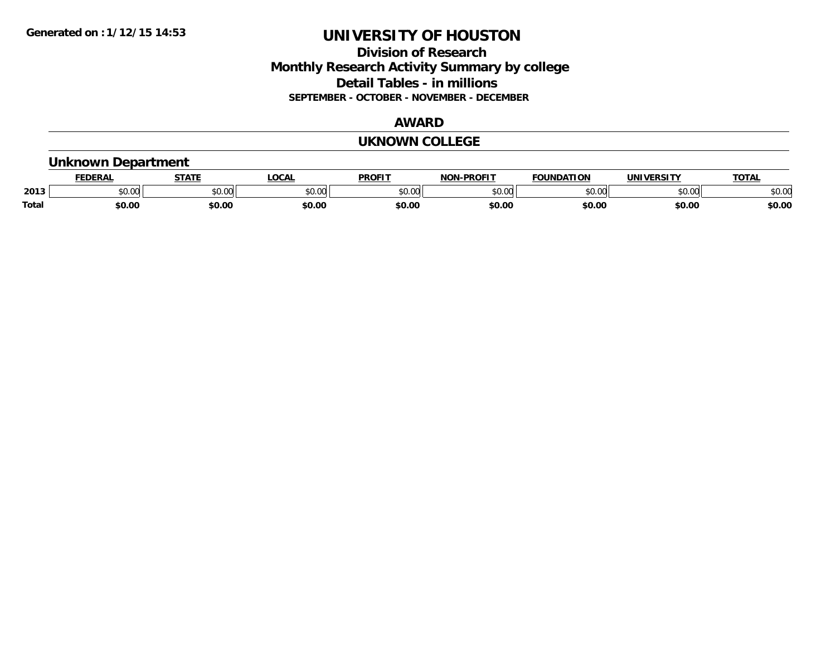### **Division of Research Monthly Research Activity Summary by college Detail Tables - in millions SEPTEMBER - OCTOBER - NOVEMBER - DECEMBER**

#### **AWARD**

#### **UKNOWN COLLEGE**

#### **Unknown Department**

|       | .<br>- מ     | <b>STATI</b>       | OCA                                                                                    | <b>PROFIT</b> | <b>DDAEIT</b><br><b>BIAB</b> | ΠΟΝ            | <u>urneitv</u><br><b>INIV</b> | TOTA.          |
|-------|--------------|--------------------|----------------------------------------------------------------------------------------|---------------|------------------------------|----------------|-------------------------------|----------------|
| 2013  | 0000<br>u.uu | $\sim$ 0.00<br>υv. | $\begin{array}{c} \hline \text{A} & \text{A} & \text{B} \\ \hline \end{array}$<br>יש.ט | 0000<br>JU.UU | $*$ $\cap$ $\cap$<br>ט.טע    | 0 <sub>n</sub> | \$0.00                        | ልስ ስሰ<br>DU.UU |
| Total | \$0.00       | \$0.00             | \$0.00                                                                                 | ቀስ ሰ<br>Ψv.υ  | \$0.00                       | \$0.00         | \$0.00                        | \$0.00         |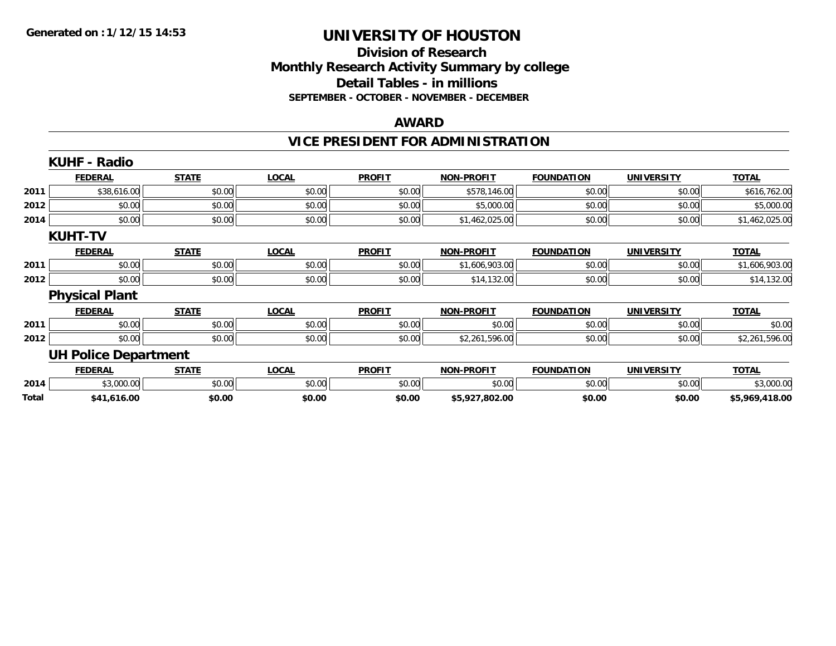#### **Division of Research Monthly Research Activity Summary by college Detail Tables - in millions SEPTEMBER - OCTOBER - NOVEMBER - DECEMBER**

#### **AWARD**

## **VICE PRESIDENT FOR ADMINISTRATION**

|       | <b>KUHF - Radio</b>         |              |              |               |                   |                   |                   |                |
|-------|-----------------------------|--------------|--------------|---------------|-------------------|-------------------|-------------------|----------------|
|       | <b>FEDERAL</b>              | <b>STATE</b> | <b>LOCAL</b> | <b>PROFIT</b> | <b>NON-PROFIT</b> | <b>FOUNDATION</b> | <b>UNIVERSITY</b> | <u>TOTAL</u>   |
| 2011  | \$38,616.00                 | \$0.00       | \$0.00       | \$0.00        | \$578,146.00      | \$0.00            | \$0.00            | \$616,762.00   |
| 2012  | \$0.00                      | \$0.00       | \$0.00       | \$0.00        | \$5,000.00        | \$0.00            | \$0.00            | \$5,000.00     |
| 2014  | \$0.00                      | \$0.00       | \$0.00       | \$0.00        | \$1,462,025.00    | \$0.00            | \$0.00            | \$1,462,025.00 |
|       | <b>KUHT-TV</b>              |              |              |               |                   |                   |                   |                |
|       | <b>FEDERAL</b>              | <b>STATE</b> | <b>LOCAL</b> | <b>PROFIT</b> | <b>NON-PROFIT</b> | <b>FOUNDATION</b> | <b>UNIVERSITY</b> | <b>TOTAL</b>   |
| 2011  | \$0.00                      | \$0.00       | \$0.00       | \$0.00        | \$1,606,903.00    | \$0.00            | \$0.00            | \$1,606,903.00 |
| 2012  | \$0.00                      | \$0.00       | \$0.00       | \$0.00        | \$14,132.00       | \$0.00            | \$0.00            | \$14,132.00    |
|       | <b>Physical Plant</b>       |              |              |               |                   |                   |                   |                |
|       | <b>FEDERAL</b>              | <b>STATE</b> | <b>LOCAL</b> | <b>PROFIT</b> | <b>NON-PROFIT</b> | <b>FOUNDATION</b> | <b>UNIVERSITY</b> | <b>TOTAL</b>   |
| 2011  | \$0.00                      | \$0.00       | \$0.00       | \$0.00        | \$0.00            | \$0.00            | \$0.00            | \$0.00         |
| 2012  | \$0.00                      | \$0.00       | \$0.00       | \$0.00        | \$2,261,596.00    | \$0.00            | \$0.00            | \$2,261,596.00 |
|       | <b>UH Police Department</b> |              |              |               |                   |                   |                   |                |
|       | <b>FEDERAL</b>              | <b>STATE</b> | <b>LOCAL</b> | <b>PROFIT</b> | <b>NON-PROFIT</b> | <b>FOUNDATION</b> | <b>UNIVERSITY</b> | <b>TOTAL</b>   |
| 2014  | \$3,000.00                  | \$0.00       | \$0.00       | \$0.00        | \$0.00            | \$0.00            | \$0.00            | \$3,000.00     |
| Total | \$41,616.00                 | \$0.00       | \$0.00       | \$0.00        | \$5,927,802.00    | \$0.00            | \$0.00            | \$5,969,418.00 |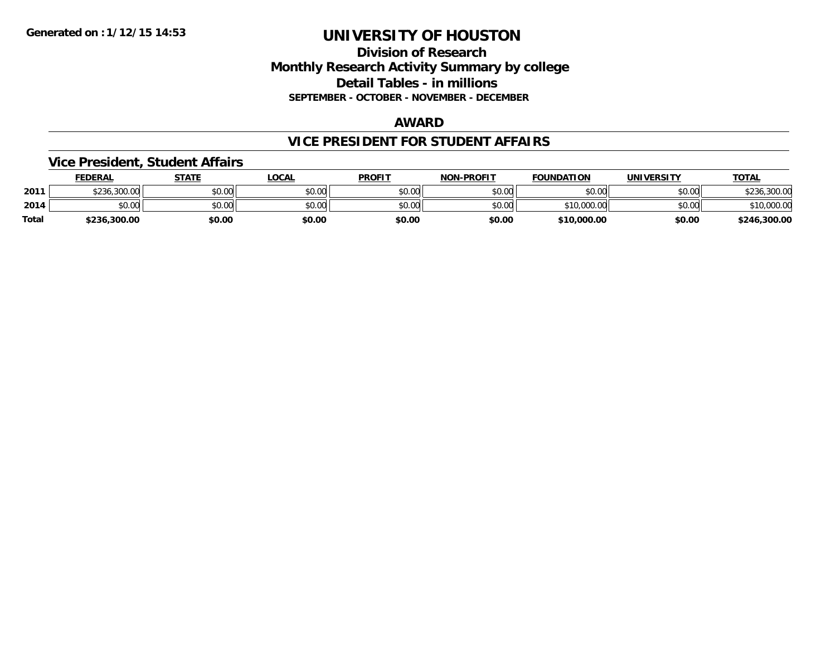#### **Division of Research Monthly Research Activity Summary by college Detail Tables - in millions SEPTEMBER - OCTOBER - NOVEMBER - DECEMBER**

#### **AWARD**

#### **VICE PRESIDENT FOR STUDENT AFFAIRS**

#### **Vice President, Student Affairs**

|       | <b>FEDERAL</b> | STATE  | LOCAL  | <b>PROFIT</b> | <b>NON-PROFIT</b> | <b>FOUNDATION</b> | UNIVERSITY | <u> ΤΟΤΑL</u> |
|-------|----------------|--------|--------|---------------|-------------------|-------------------|------------|---------------|
| 2011  | \$236,300.00   | \$0.00 | \$0.00 | \$0.00        | \$0.00            | \$0.00            | \$0.00     | 300.00.       |
| 2014  | \$0.00         | \$0.00 | \$0.00 | \$0.00        | \$0.00            | \$10,000.00       | \$0.00     | \$10,000.00   |
| Total | \$236,300.00   | \$0.00 | \$0.00 | \$0.00        | \$0.00            | \$10,000.00       | \$0.00     | \$246,300.00  |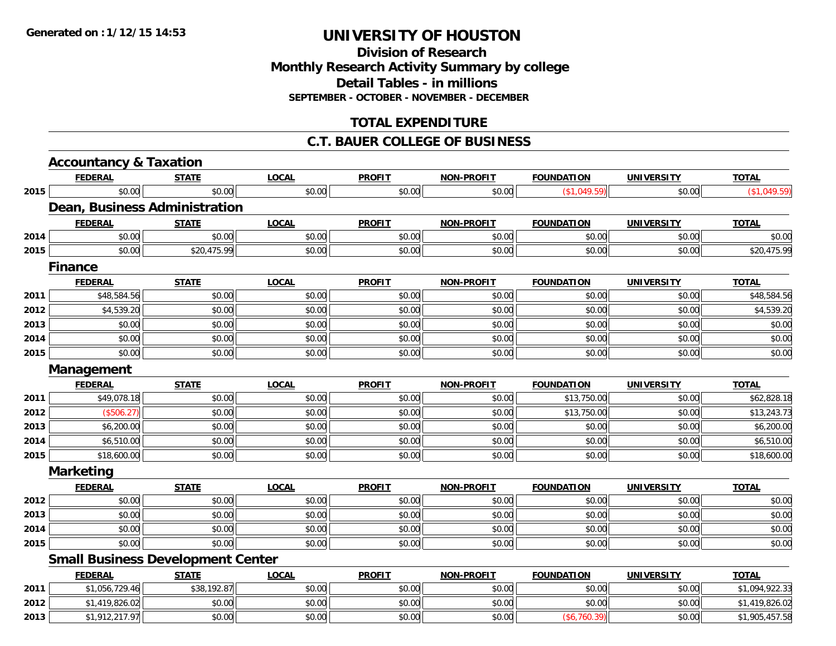### **Division of ResearchMonthly Research Activity Summary by college Detail Tables - in millions SEPTEMBER - OCTOBER - NOVEMBER - DECEMBER**

### **TOTAL EXPENDITURE**

#### **C.T. BAUER COLLEGE OF BUSINESS**

|      | <b>Accountancy &amp; Taxation</b>        |              |              |               |                   |                   |                   |                |
|------|------------------------------------------|--------------|--------------|---------------|-------------------|-------------------|-------------------|----------------|
|      | <b>FEDERAL</b>                           | <b>STATE</b> | <b>LOCAL</b> | <b>PROFIT</b> | <b>NON-PROFIT</b> | <b>FOUNDATION</b> | <b>UNIVERSITY</b> | <b>TOTAL</b>   |
| 2015 | \$0.00                                   | \$0.00       | \$0.00       | \$0.00        | \$0.00            | (\$1,049.59)      | \$0.00            | (\$1,049.59)   |
|      | <b>Dean, Business Administration</b>     |              |              |               |                   |                   |                   |                |
|      | <b>FEDERAL</b>                           | <b>STATE</b> | <b>LOCAL</b> | <b>PROFIT</b> | <b>NON-PROFIT</b> | <b>FOUNDATION</b> | <b>UNIVERSITY</b> | <b>TOTAL</b>   |
| 2014 | \$0.00                                   | \$0.00       | \$0.00       | \$0.00        | \$0.00            | \$0.00            | \$0.00            | \$0.00         |
| 2015 | \$0.00                                   | \$20,475.99  | \$0.00       | \$0.00        | \$0.00            | \$0.00            | \$0.00            | \$20,475.99    |
|      | <b>Finance</b>                           |              |              |               |                   |                   |                   |                |
|      | <b>FEDERAL</b>                           | <b>STATE</b> | <b>LOCAL</b> | <b>PROFIT</b> | <b>NON-PROFIT</b> | <b>FOUNDATION</b> | <b>UNIVERSITY</b> | <b>TOTAL</b>   |
| 2011 | \$48,584.56                              | \$0.00       | \$0.00       | \$0.00        | \$0.00            | \$0.00            | \$0.00            | \$48,584.56    |
| 2012 | \$4,539.20                               | \$0.00       | \$0.00       | \$0.00        | \$0.00            | \$0.00            | \$0.00            | \$4,539.20     |
| 2013 | \$0.00                                   | \$0.00       | \$0.00       | \$0.00        | \$0.00            | \$0.00            | \$0.00            | \$0.00         |
| 2014 | \$0.00                                   | \$0.00       | \$0.00       | \$0.00        | \$0.00            | \$0.00            | \$0.00            | \$0.00         |
| 2015 | \$0.00                                   | \$0.00       | \$0.00       | \$0.00        | \$0.00            | \$0.00            | \$0.00            | \$0.00         |
|      | Management                               |              |              |               |                   |                   |                   |                |
|      | <b>FEDERAL</b>                           | <b>STATE</b> | <b>LOCAL</b> | <b>PROFIT</b> | <b>NON-PROFIT</b> | <b>FOUNDATION</b> | <b>UNIVERSITY</b> | <b>TOTAL</b>   |
| 2011 | \$49,078.18                              | \$0.00       | \$0.00       | \$0.00        | \$0.00            | \$13,750.00       | \$0.00            | \$62,828.18    |
| 2012 | (\$506.27)                               | \$0.00       | \$0.00       | \$0.00        | \$0.00            | \$13,750.00       | \$0.00            | \$13,243.73    |
| 2013 | \$6,200.00                               | \$0.00       | \$0.00       | \$0.00        | \$0.00            | \$0.00            | \$0.00            | \$6,200.00     |
| 2014 | \$6,510.00                               | \$0.00       | \$0.00       | \$0.00        | \$0.00            | \$0.00            | \$0.00            | \$6,510.00     |
| 2015 | \$18,600.00                              | \$0.00       | \$0.00       | \$0.00        | \$0.00            | \$0.00            | \$0.00            | \$18,600.00    |
|      | <b>Marketing</b>                         |              |              |               |                   |                   |                   |                |
|      | <b>FEDERAL</b>                           | <b>STATE</b> | <b>LOCAL</b> | <b>PROFIT</b> | <b>NON-PROFIT</b> | <b>FOUNDATION</b> | <b>UNIVERSITY</b> | <b>TOTAL</b>   |
| 2012 | \$0.00                                   | \$0.00       | \$0.00       | \$0.00        | \$0.00            | \$0.00            | \$0.00            | \$0.00         |
| 2013 | \$0.00                                   | \$0.00       | \$0.00       | \$0.00        | \$0.00            | \$0.00            | \$0.00            | \$0.00         |
| 2014 | \$0.00                                   | \$0.00       | \$0.00       | \$0.00        | \$0.00            | \$0.00            | \$0.00            | \$0.00         |
| 2015 | \$0.00                                   | \$0.00       | \$0.00       | \$0.00        | \$0.00            | \$0.00            | \$0.00            | \$0.00         |
|      | <b>Small Business Development Center</b> |              |              |               |                   |                   |                   |                |
|      | <b>FEDERAL</b>                           | <b>STATE</b> | <b>LOCAL</b> | <b>PROFIT</b> | <b>NON-PROFIT</b> | <b>FOUNDATION</b> | <b>UNIVERSITY</b> | <b>TOTAL</b>   |
| 2011 | \$1,056,729.46                           | \$38,192.87  | \$0.00       | \$0.00        | \$0.00            | \$0.00            | \$0.00            | \$1,094,922.33 |
| 2012 | \$1,419,826.02                           | \$0.00       | \$0.00       | \$0.00        | \$0.00            | \$0.00            | \$0.00            | \$1,419,826.02 |
| 2013 | \$1,912,217.97                           | \$0.00       | \$0.00       | \$0.00        | \$0.00            | (\$6,760.39)      | \$0.00            | \$1,905,457.58 |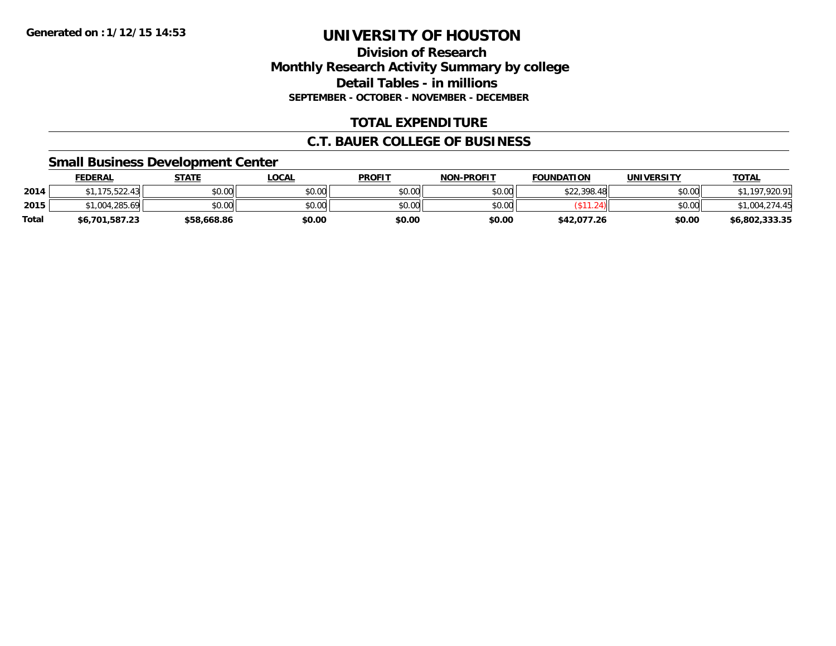#### **Division of Research Monthly Research Activity Summary by college Detail Tables - in millions SEPTEMBER - OCTOBER - NOVEMBER - DECEMBER**

### **TOTAL EXPENDITURE**

#### **C.T. BAUER COLLEGE OF BUSINESS**

#### **Small Business Development Center**

|              | <b>FEDERAL</b> | <b>STATE</b> | <b>LOCAL</b> | <b>PROFIT</b> | <b>NON-PROFIT</b> | <b>FOUNDATION</b> | UNIVERSITY | <b>TOTAL</b>   |
|--------------|----------------|--------------|--------------|---------------|-------------------|-------------------|------------|----------------|
| 2014         | 175,522.43     | \$0.00       | \$0.00       | \$0.00        | \$0.00            | \$22,398.48       | \$0.00     | 920.91         |
| 2015         | \$1,004,285.69 | \$0.00       | \$0.00       | \$0.00        | \$0.00            |                   | \$0.00     | \$1,004,274.45 |
| <b>Total</b> | \$6,701,587.23 | \$58,668.86  | \$0.00       | \$0.00        | \$0.00            | \$42,077.26       | \$0.00     | \$6,802,333.35 |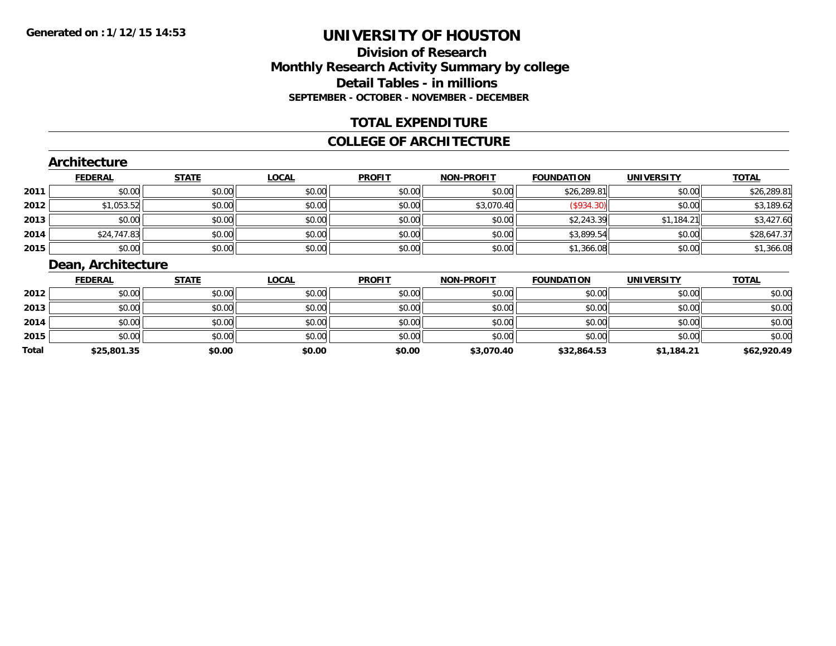### **Division of ResearchMonthly Research Activity Summary by college Detail Tables - in millions SEPTEMBER - OCTOBER - NOVEMBER - DECEMBER**

### **TOTAL EXPENDITURE**

#### **COLLEGE OF ARCHITECTURE**

#### **Architecture**

|      | <b>FEDERAL</b> | <b>STATE</b> | <b>LOCAL</b> | <b>PROFIT</b> | <b>NON-PROFIT</b> | <b>FOUNDATION</b> | <b>UNIVERSITY</b> | <b>TOTAL</b> |
|------|----------------|--------------|--------------|---------------|-------------------|-------------------|-------------------|--------------|
| 2011 | \$0.00         | \$0.00       | \$0.00       | \$0.00        | \$0.00            | \$26,289.81       | \$0.00            | \$26,289.81  |
| 2012 | \$1,053.52     | \$0.00       | \$0.00       | \$0.00        | \$3,070.40        | (\$934.30)        | \$0.00            | \$3,189.62   |
| 2013 | \$0.00         | \$0.00       | \$0.00       | \$0.00        | \$0.00            | \$2,243.39        | \$1,184.21        | \$3,427.60   |
| 2014 | \$24,747.83    | \$0.00       | \$0.00       | \$0.00        | \$0.00            | \$3,899.54        | \$0.00            | \$28,647.37  |
| 2015 | \$0.00         | \$0.00       | \$0.00       | \$0.00        | \$0.00            | \$1,366.08        | \$0.00            | \$1,366.08   |

### **Dean, Architecture**

|       | <b>FEDERAL</b> | <b>STATE</b> | <u>LOCAL</u> | <b>PROFIT</b> | <b>NON-PROFIT</b> | <b>FOUNDATION</b> | <b>UNIVERSITY</b> | <b>TOTAL</b> |
|-------|----------------|--------------|--------------|---------------|-------------------|-------------------|-------------------|--------------|
| 2012  | \$0.00         | \$0.00       | \$0.00       | \$0.00        | \$0.00            | \$0.00            | \$0.00            | \$0.00       |
| 2013  | \$0.00         | \$0.00       | \$0.00       | \$0.00        | \$0.00            | \$0.00            | \$0.00            | \$0.00       |
| 2014  | \$0.00         | \$0.00       | \$0.00       | \$0.00        | \$0.00            | \$0.00            | \$0.00            | \$0.00       |
| 2015  | \$0.00         | \$0.00       | \$0.00       | \$0.00        | \$0.00            | \$0.00            | \$0.00            | \$0.00       |
| Total | \$25,801.35    | \$0.00       | \$0.00       | \$0.00        | \$3,070.40        | \$32,864.53       | \$1,184.21        | \$62,920.49  |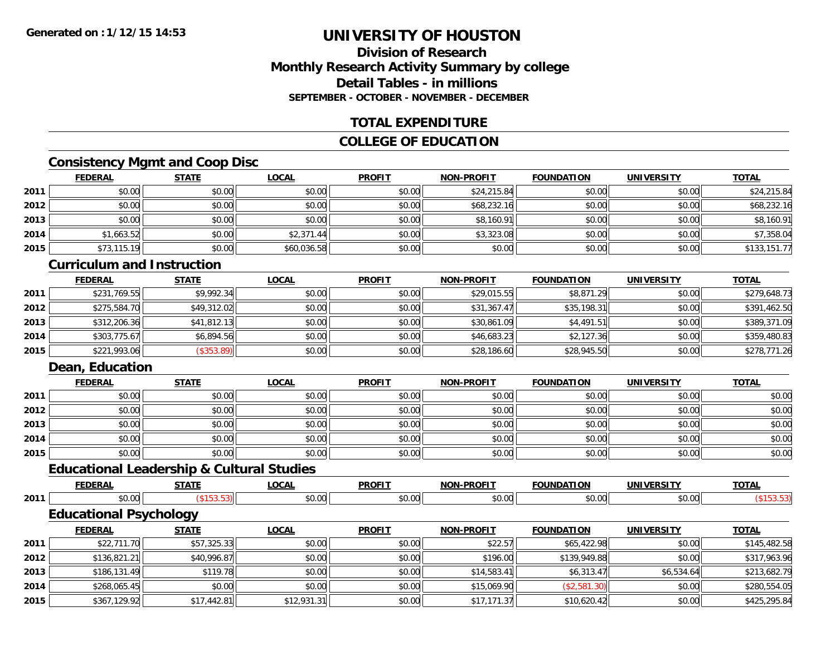### **Division of ResearchMonthly Research Activity Summary by college Detail Tables - in millionsSEPTEMBER - OCTOBER - NOVEMBER - DECEMBER**

### **TOTAL EXPENDITURE**

#### **COLLEGE OF EDUCATION**

### **Consistency Mgmt and Coop Disc**

|      | <b>FEDERAL</b> | <b>STATE</b> | <b>LOCAL</b> | <b>PROFIT</b> | <b>NON-PROFIT</b> | <b>FOUNDATION</b> | <b>UNIVERSITY</b> | <b>TOTAL</b> |
|------|----------------|--------------|--------------|---------------|-------------------|-------------------|-------------------|--------------|
| 2011 | \$0.00         | \$0.00       | \$0.00       | \$0.00        | \$24,215.84       | \$0.00            | \$0.00            | \$24,215.84  |
| 2012 | \$0.00         | \$0.00       | \$0.00       | \$0.00        | \$68,232.16       | \$0.00            | \$0.00            | \$68,232.16  |
| 2013 | \$0.00         | \$0.00       | \$0.00       | \$0.00        | \$8,160.91        | \$0.00            | \$0.00            | \$8,160.91   |
| 2014 | \$1,663.52     | \$0.00       | \$2,371.44   | \$0.00        | \$3,323.08        | \$0.00            | \$0.00            | \$7,358.04   |
| 2015 | \$73,115.19    | \$0.00       | \$60,036.58  | \$0.00        | \$0.00            | \$0.00            | \$0.00            | \$133,151.77 |

#### **Curriculum and Instruction**

|      | <b>FEDERAL</b> | <u>STATE</u> | <u>LOCAL</u> | <b>PROFIT</b> | <b>NON-PROFIT</b> | <b>FOUNDATION</b> | <b>UNIVERSITY</b> | <b>TOTAL</b> |
|------|----------------|--------------|--------------|---------------|-------------------|-------------------|-------------------|--------------|
| 2011 | \$231,769.55   | \$9,992.34   | \$0.00       | \$0.00        | \$29,015.55       | \$8,871.29        | \$0.00            | \$279,648.73 |
| 2012 | \$275,584.70   | \$49,312.02  | \$0.00       | \$0.00        | \$31,367.47       | \$35,198.31       | \$0.00            | \$391,462.50 |
| 2013 | \$312,206.36   | \$41,812.13  | \$0.00       | \$0.00        | \$30,861.09       | \$4,491.51        | \$0.00            | \$389,371.09 |
| 2014 | \$303,775.67   | \$6.894.56   | \$0.00       | \$0.00        | \$46,683.23       | \$2,127.36        | \$0.00            | \$359,480.83 |
| 2015 | \$221,993.06   | (\$353.89)   | \$0.00       | \$0.00        | \$28,186.60       | \$28,945.50       | \$0.00            | \$278,771.26 |

### **Dean, Education**

|      | <b>FEDERAL</b> | <b>STATE</b> | <u>LOCAL</u> | <b>PROFIT</b> | <b>NON-PROFIT</b> | <b>FOUNDATION</b> | <b>UNIVERSITY</b> | <b>TOTAL</b> |
|------|----------------|--------------|--------------|---------------|-------------------|-------------------|-------------------|--------------|
| 2011 | \$0.00         | \$0.00       | \$0.00       | \$0.00        | \$0.00            | \$0.00            | \$0.00            | \$0.00       |
| 2012 | \$0.00         | \$0.00       | \$0.00       | \$0.00        | \$0.00            | \$0.00            | \$0.00            | \$0.00       |
| 2013 | \$0.00         | \$0.00       | \$0.00       | \$0.00        | \$0.00            | \$0.00            | \$0.00            | \$0.00       |
| 2014 | \$0.00         | \$0.00       | \$0.00       | \$0.00        | \$0.00            | \$0.00            | \$0.00            | \$0.00       |
| 2015 | \$0.00         | \$0.00       | \$0.00       | \$0.00        | \$0.00            | \$0.00            | \$0.00            | \$0.00       |

## **Educational Leadership & Cultural Studies**

|      | <b>FEDERAL</b>                | <b>STATE</b> | <b>LOCAL</b> | <b>PROFIT</b> | <b>NON-PROFIT</b> | <b>FOUNDATION</b> | <b>UNIVERSITY</b> | <b>TOTAL</b> |
|------|-------------------------------|--------------|--------------|---------------|-------------------|-------------------|-------------------|--------------|
| 2011 | \$0.00                        | (\$153.53)   | \$0.00       | \$0.00        | \$0.00            | \$0.00            | \$0.00            | ( \$153.53)  |
|      | <b>Educational Psychology</b> |              |              |               |                   |                   |                   |              |
|      | <b>FEDERAL</b>                | <b>STATE</b> | <b>LOCAL</b> | <b>PROFIT</b> | <b>NON-PROFIT</b> | <b>FOUNDATION</b> | <b>UNIVERSITY</b> | <b>TOTAL</b> |
| 2011 | \$22,711.70                   | \$57,325.33  | \$0.00       | \$0.00        | \$22.57           | \$65,422.98       | \$0.00            | \$145,482.58 |
| 2012 | \$136,821.21                  | \$40,996.87  | \$0.00       | \$0.00        | \$196.00          | \$139,949.88      | \$0.00            | \$317,963.96 |
| 2013 | \$186,131.49                  | \$119.78     | \$0.00       | \$0.00        | \$14,583.41       | \$6,313.47        | \$6,534.64        | \$213,682.79 |
| 2014 | \$268,065.45                  | \$0.00       | \$0.00       | \$0.00        | \$15,069.90       | (\$2,581.30)      | \$0.00            | \$280,554.05 |
| 2015 | \$367,129.92                  | \$17,442.81  | \$12,931.31  | \$0.00        | \$17,171.37       | \$10,620.42       | \$0.00            | \$425,295.84 |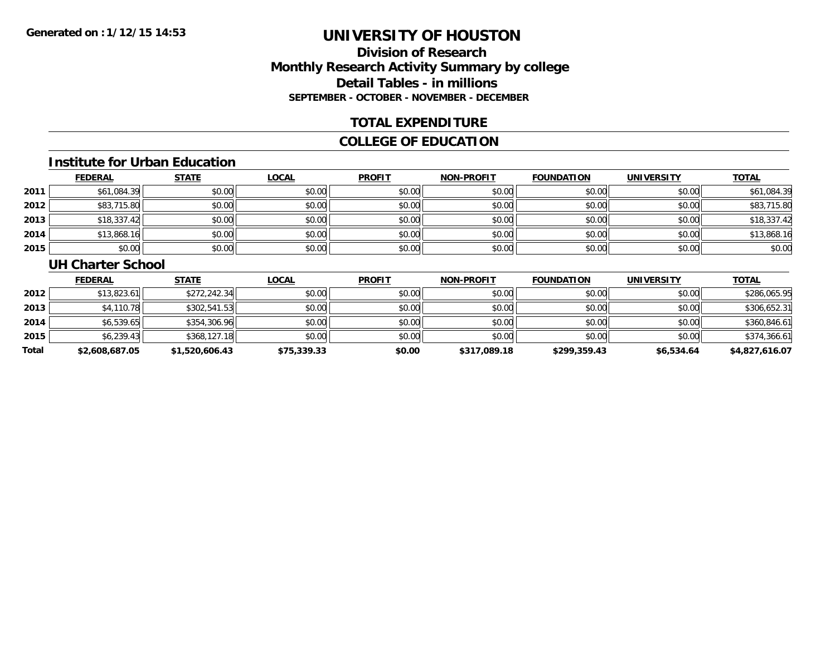### **Division of ResearchMonthly Research Activity Summary by college Detail Tables - in millions SEPTEMBER - OCTOBER - NOVEMBER - DECEMBER**

#### **TOTAL EXPENDITURE**

### **COLLEGE OF EDUCATION**

#### **Institute for Urban Education**

|      | <b>FEDERAL</b> | <b>STATE</b> | <b>LOCAL</b> | <b>PROFIT</b> | <b>NON-PROFIT</b> | <b>FOUNDATION</b> | <b>UNIVERSITY</b> | <b>TOTAL</b> |
|------|----------------|--------------|--------------|---------------|-------------------|-------------------|-------------------|--------------|
| 2011 | \$61,084.39    | \$0.00       | \$0.00       | \$0.00        | \$0.00            | \$0.00            | \$0.00            | \$61,084.39  |
| 2012 | \$83,715.80    | \$0.00       | \$0.00       | \$0.00        | \$0.00            | \$0.00            | \$0.00            | \$83,715.80  |
| 2013 | \$18,337.42    | \$0.00       | \$0.00       | \$0.00        | \$0.00            | \$0.00            | \$0.00            | \$18,337.42  |
| 2014 | \$13,868.16    | \$0.00       | \$0.00       | \$0.00        | \$0.00            | \$0.00            | \$0.00            | \$13,868.16  |
| 2015 | \$0.00         | \$0.00       | \$0.00       | \$0.00        | \$0.00            | \$0.00            | \$0.00            | \$0.00       |

#### **UH Charter School**

|       | <b>FEDERAL</b> | <b>STATE</b>   | <u>LOCAL</u> | <b>PROFIT</b> | <b>NON-PROFIT</b> | <b>FOUNDATION</b> | <b>UNIVERSITY</b> | <b>TOTAL</b>   |
|-------|----------------|----------------|--------------|---------------|-------------------|-------------------|-------------------|----------------|
| 2012  | \$13,823.61    | \$272,242.34   | \$0.00       | \$0.00        | \$0.00            | \$0.00            | \$0.00            | \$286,065.95   |
| 2013  | \$4,110.78     | \$302,541.53   | \$0.00       | \$0.00        | \$0.00            | \$0.00            | \$0.00            | \$306,652.31   |
| 2014  | \$6,539.65     | \$354,306.96   | \$0.00       | \$0.00        | \$0.00            | \$0.00            | \$0.00            | \$360,846.61   |
| 2015  | \$6,239.43     | \$368,127.18   | \$0.00       | \$0.00        | \$0.00            | \$0.00            | \$0.00            | \$374,366.61   |
| Total | \$2,608,687.05 | \$1,520,606.43 | \$75,339.33  | \$0.00        | \$317,089.18      | \$299,359.43      | \$6,534.64        | \$4,827,616.07 |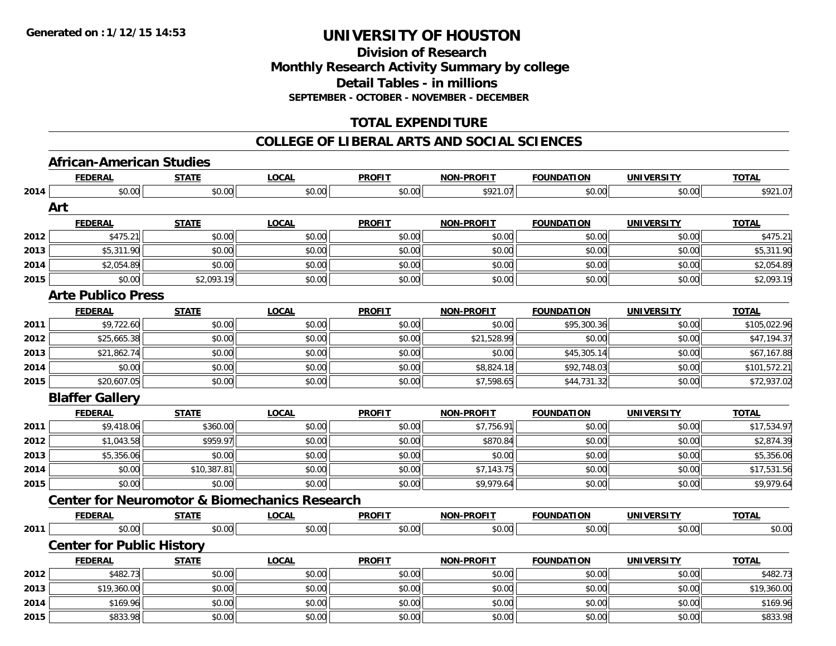#### **Division of Research Monthly Research Activity Summary by college Detail Tables - in millions SEPTEMBER - OCTOBER - NOVEMBER - DECEMBER**

### **TOTAL EXPENDITURE**

#### **COLLEGE OF LIBERAL ARTS AND SOCIAL SCIENCES**

### **African-American Studies**

|      | <b>FEDERAL</b>                                           | <b>STATE</b> | <b>LOCAL</b> | <b>PROFIT</b> | <b>NON-PROFIT</b> | <b>FOUNDATION</b> | <b>UNIVERSITY</b> | <b>TOTAL</b> |
|------|----------------------------------------------------------|--------------|--------------|---------------|-------------------|-------------------|-------------------|--------------|
| 2014 | \$0.00                                                   | \$0.00       | \$0.00       | \$0.00        | \$921.07          | \$0.00            | \$0.00            | \$921.07     |
|      | Art                                                      |              |              |               |                   |                   |                   |              |
|      | <b>FEDERAL</b>                                           | <b>STATE</b> | <b>LOCAL</b> | <b>PROFIT</b> | <b>NON-PROFIT</b> | <b>FOUNDATION</b> | <b>UNIVERSITY</b> | <b>TOTAL</b> |
| 2012 | \$475.21                                                 | \$0.00       | \$0.00       | \$0.00        | \$0.00            | \$0.00            | \$0.00            | \$475.21     |
| 2013 | \$5,311.90                                               | \$0.00       | \$0.00       | \$0.00        | \$0.00            | \$0.00            | \$0.00            | \$5,311.90   |
| 2014 | \$2,054.89                                               | \$0.00       | \$0.00       | \$0.00        | \$0.00            | \$0.00            | \$0.00            | \$2,054.89   |
| 2015 | \$0.00                                                   | \$2,093.19   | \$0.00       | \$0.00        | \$0.00            | \$0.00            | \$0.00            | \$2,093.19   |
|      | <b>Arte Publico Press</b>                                |              |              |               |                   |                   |                   |              |
|      | <b>FEDERAL</b>                                           | <b>STATE</b> | <b>LOCAL</b> | <b>PROFIT</b> | <b>NON-PROFIT</b> | <b>FOUNDATION</b> | <b>UNIVERSITY</b> | <b>TOTAL</b> |
| 2011 | \$9,722.60                                               | \$0.00       | \$0.00       | \$0.00        | \$0.00            | \$95,300.36       | \$0.00            | \$105,022.96 |
| 2012 | \$25,665.38                                              | \$0.00       | \$0.00       | \$0.00        | \$21,528.99       | \$0.00            | \$0.00            | \$47,194.37  |
| 2013 | \$21,862.74                                              | \$0.00       | \$0.00       | \$0.00        | \$0.00            | \$45,305.14       | \$0.00            | \$67,167.88  |
| 2014 | \$0.00                                                   | \$0.00       | \$0.00       | \$0.00        | \$8,824.18        | \$92,748.03       | \$0.00            | \$101,572.21 |
| 2015 | \$20,607.05                                              | \$0.00       | \$0.00       | \$0.00        | \$7,598.65        | \$44,731.32       | \$0.00            | \$72,937.02  |
|      | <b>Blaffer Gallery</b>                                   |              |              |               |                   |                   |                   |              |
|      | <b>FEDERAL</b>                                           | <b>STATE</b> | <b>LOCAL</b> | <b>PROFIT</b> | <b>NON-PROFIT</b> | <b>FOUNDATION</b> | <b>UNIVERSITY</b> | <b>TOTAL</b> |
| 2011 | \$9,418.06                                               | \$360.00     | \$0.00       | \$0.00        | \$7,756.91        | \$0.00            | \$0.00            | \$17,534.97  |
| 2012 | \$1,043.58                                               | \$959.97     | \$0.00       | \$0.00        | \$870.84          | \$0.00            | \$0.00            | \$2,874.39   |
| 2013 | \$5,356.06                                               | \$0.00       | \$0.00       | \$0.00        | \$0.00            | \$0.00            | \$0.00            | \$5,356.06   |
| 2014 | \$0.00                                                   | \$10,387.81  | \$0.00       | \$0.00        | \$7,143.75        | \$0.00            | \$0.00            | \$17,531.56  |
| 2015 | \$0.00                                                   | \$0.00       | \$0.00       | \$0.00        | \$9,979.64        | \$0.00            | \$0.00            | \$9,979.64   |
|      | <b>Center for Neuromotor &amp; Biomechanics Research</b> |              |              |               |                   |                   |                   |              |
|      | <b>FEDERAL</b>                                           | <b>STATE</b> | <b>LOCAL</b> | <b>PROFIT</b> | <b>NON-PROFIT</b> | <b>FOUNDATION</b> | <b>UNIVERSITY</b> | <b>TOTAL</b> |
| 2011 | \$0.00                                                   | \$0.00       | \$0.00       | \$0.00        | \$0.00            | \$0.00            | \$0.00            | \$0.00       |
|      | <b>Center for Public History</b>                         |              |              |               |                   |                   |                   |              |
|      | <b>FEDERAL</b>                                           | <b>STATE</b> | <b>LOCAL</b> | <b>PROFIT</b> | <b>NON-PROFIT</b> | <b>FOUNDATION</b> | <b>UNIVERSITY</b> | <b>TOTAL</b> |
| 2012 | \$482.73                                                 | \$0.00       | \$0.00       | \$0.00        | \$0.00            | \$0.00            | \$0.00            | \$482.73     |
| 2013 | \$19,360.00                                              | \$0.00       | \$0.00       | \$0.00        | \$0.00            | \$0.00            | \$0.00            | \$19,360.00  |
|      |                                                          |              |              |               |                   |                   |                   |              |
| 2014 | \$169.96                                                 | \$0.00       | \$0.00       | \$0.00        | \$0.00            | \$0.00            | \$0.00            | \$169.96     |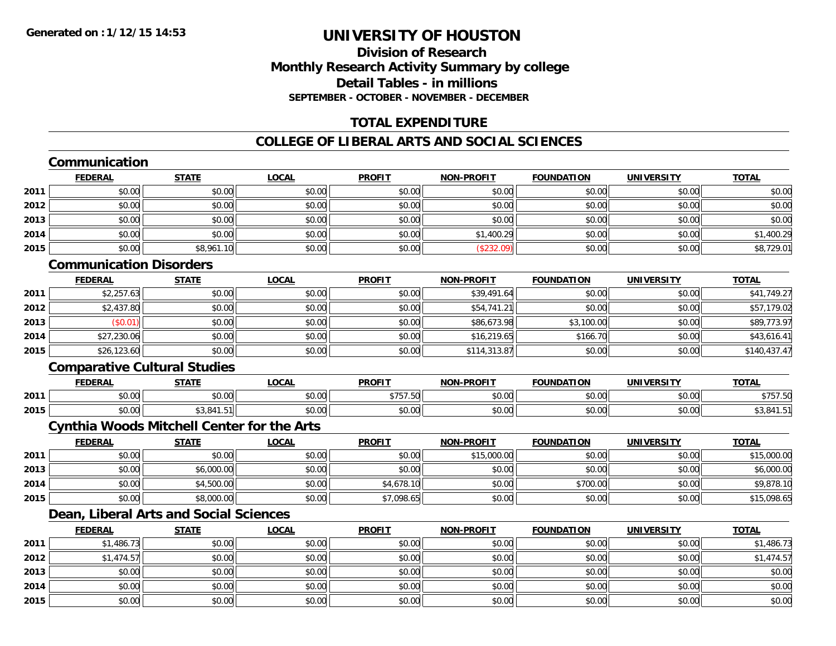### **Division of ResearchMonthly Research Activity Summary by college Detail Tables - in millions SEPTEMBER - OCTOBER - NOVEMBER - DECEMBER**

### **TOTAL EXPENDITURE**

### **COLLEGE OF LIBERAL ARTS AND SOCIAL SCIENCES**

## **Communication**

|      | <b>FEDERAL</b> | <b>STATE</b> | <b>LOCAL</b> | <b>PROFIT</b> | <b>NON-PROFIT</b> | <b>FOUNDATION</b> | <b>UNIVERSITY</b> | <b>TOTAL</b> |
|------|----------------|--------------|--------------|---------------|-------------------|-------------------|-------------------|--------------|
| 2011 | \$0.00         | \$0.00       | \$0.00       | \$0.00        | \$0.00            | \$0.00            | \$0.00            | \$0.00       |
| 2012 | \$0.00         | \$0.00       | \$0.00       | \$0.00        | \$0.00            | \$0.00            | \$0.00            | \$0.00       |
| 2013 | \$0.00         | \$0.00       | \$0.00       | \$0.00        | \$0.00            | \$0.00            | \$0.00            | \$0.00       |
| 2014 | \$0.00         | \$0.00       | \$0.00       | \$0.00        | \$1,400.29        | \$0.00            | \$0.00            | \$1,400.29   |
| 2015 | \$0.00         | \$8,961.10   | \$0.00       | \$0.00        | (\$232.09)        | \$0.00            | \$0.00            | \$8,729.01   |

### **Communication Disorders**

|      | <u>FEDERAL</u> | <u>STATE</u> | <u>LOCAL</u> | <b>PROFIT</b> | <b>NON-PROFIT</b> | <b>FOUNDATION</b> | <b>UNIVERSITY</b> | <b>TOTAL</b> |
|------|----------------|--------------|--------------|---------------|-------------------|-------------------|-------------------|--------------|
| 2011 | \$2,257.63     | \$0.00       | \$0.00       | \$0.00        | \$39,491.64       | \$0.00            | \$0.00            | \$41,749.27  |
| 2012 | \$2,437.80     | \$0.00       | \$0.00       | \$0.00        | \$54,741.21       | \$0.00            | \$0.00            | \$57,179.02  |
| 2013 | \$0.01         | \$0.00       | \$0.00       | \$0.00        | \$86,673.98       | \$3,100.00        | \$0.00            | \$89,773.97  |
| 2014 | \$27,230.06    | \$0.00       | \$0.00       | \$0.00        | \$16,219.65       | \$166.70          | \$0.00            | \$43,616.41  |
| 2015 | \$26,123.60    | \$0.00       | \$0.00       | \$0.00        | \$114,313.87      | \$0.00            | \$0.00            | \$140,437.47 |

### **Comparative Cultural Studies**

|      | <b>FEDERAI</b> | <b>CTATI</b><br>,,,,,  | .OCAI                                      | <b>PROFIT</b>                          | -PROFIT<br><b>MAN</b>                                  | <b>FOLINDAT</b><br>ΓΙΟΝ | <b>UNIVERSITY</b>    | <b>TOTAL</b>      |
|------|----------------|------------------------|--------------------------------------------|----------------------------------------|--------------------------------------------------------|-------------------------|----------------------|-------------------|
| 2011 | 0000<br>pv.uu  | $\sim$ $\sim$<br>vu.uu | $\mathsf{A} \cap \mathsf{A} \cap$<br>J∪.∪∪ | ATFTF2<br>، ب ر<br>$\cdot \cdot \cdot$ | $\mathsf{A} \cap \mathsf{A} \cap \mathsf{A}$<br>\$U.UC | \$0.00                  | 0000<br>JU.UU        | $+ - - -$<br>,,,, |
| 2015 | 0000<br>pu.uu  | 0.11<br>r.51II         | $\sim$ 00<br>PO.OO                         | \$0.00                                 | \$0.00                                                 | \$0.00                  | ስ ሰሰ<br><b>JU.UU</b> | ∸0,ںپ             |

### **Cynthia Woods Mitchell Center for the Arts**

|      | <b>FEDERAL</b> | <u>STATE</u> | <u>LOCAL</u> | <b>PROFIT</b> | <b>NON-PROFIT</b> | <b>FOUNDATION</b> | <b>UNIVERSITY</b> | <b>TOTAL</b> |
|------|----------------|--------------|--------------|---------------|-------------------|-------------------|-------------------|--------------|
| 2011 | \$0.00         | \$0.00       | \$0.00       | \$0.00        | \$15,000.00       | \$0.00            | \$0.00            | \$15,000.00  |
| 2013 | \$0.00         | \$6,000.00   | \$0.00       | \$0.00        | \$0.00            | \$0.00            | \$0.00            | \$6,000.00   |
| 2014 | \$0.00         | \$4,500.00   | \$0.00       | \$4,678.10    | \$0.00            | \$700.00          | \$0.00            | \$9,878.10   |
| 2015 | \$0.00         | \$8,000.00   | \$0.00       | \$7,098.65    | \$0.00            | \$0.00            | \$0.00            | \$15,098.65  |

## **Dean, Liberal Arts and Social Sciences**

|      | <b>FEDERAL</b> | <b>STATE</b> | <b>LOCAL</b> | <b>PROFIT</b> | <b>NON-PROFIT</b> | <b>FOUNDATION</b> | <b>UNIVERSITY</b> | <b>TOTAL</b> |
|------|----------------|--------------|--------------|---------------|-------------------|-------------------|-------------------|--------------|
| 2011 | \$1,486.73     | \$0.00       | \$0.00       | \$0.00        | \$0.00            | \$0.00            | \$0.00            | \$1,486.73   |
| 2012 | \$1,474.57     | \$0.00       | \$0.00       | \$0.00        | \$0.00            | \$0.00            | \$0.00            | \$1,474.57   |
| 2013 | \$0.00         | \$0.00       | \$0.00       | \$0.00        | \$0.00            | \$0.00            | \$0.00            | \$0.00       |
| 2014 | \$0.00         | \$0.00       | \$0.00       | \$0.00        | \$0.00            | \$0.00            | \$0.00            | \$0.00       |
| 2015 | \$0.00         | \$0.00       | \$0.00       | \$0.00        | \$0.00            | \$0.00            | \$0.00            | \$0.00       |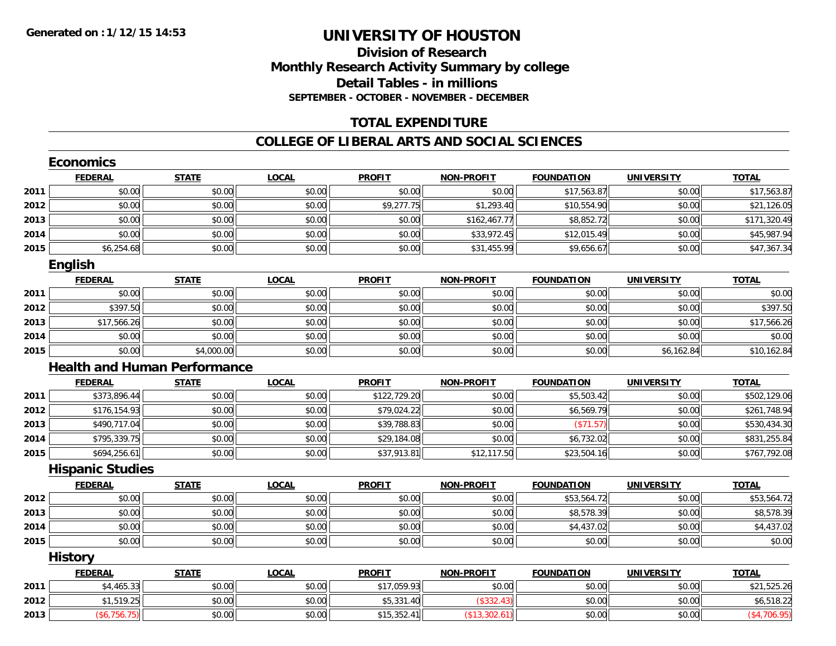### **Division of ResearchMonthly Research Activity Summary by college Detail Tables - in millions SEPTEMBER - OCTOBER - NOVEMBER - DECEMBER**

### **TOTAL EXPENDITURE**

#### **COLLEGE OF LIBERAL ARTS AND SOCIAL SCIENCES**

|      | <b>FEDERAL</b>          | <b>STATE</b>                        | <b>LOCAL</b> | <b>PROFIT</b> | <b>NON-PROFIT</b> | <b>FOUNDATION</b> | <b>UNIVERSITY</b> | <b>TOTAL</b> |
|------|-------------------------|-------------------------------------|--------------|---------------|-------------------|-------------------|-------------------|--------------|
| 2011 | \$0.00                  | \$0.00                              | \$0.00       | \$0.00        | \$0.00            | \$17,563.87       | \$0.00            | \$17,563.87  |
| 2012 | \$0.00                  | \$0.00                              | \$0.00       | \$9,277.75    | \$1,293.40        | \$10,554.90       | \$0.00            | \$21,126.05  |
| 2013 | \$0.00                  | \$0.00                              | \$0.00       | \$0.00        | \$162,467.77      | \$8,852.72        | \$0.00            | \$171,320.49 |
| 2014 | \$0.00                  | \$0.00                              | \$0.00       | \$0.00        | \$33,972.45       | \$12,015.49       | \$0.00            | \$45,987.94  |
| 2015 | \$6,254.68              | \$0.00                              | \$0.00       | \$0.00        | \$31,455.99       | \$9,656.67        | \$0.00            | \$47,367.34  |
|      | <b>English</b>          |                                     |              |               |                   |                   |                   |              |
|      | <b>FEDERAL</b>          | <b>STATE</b>                        | <b>LOCAL</b> | <b>PROFIT</b> | <b>NON-PROFIT</b> | <b>FOUNDATION</b> | <b>UNIVERSITY</b> | <b>TOTAL</b> |
| 2011 | \$0.00                  | \$0.00                              | \$0.00       | \$0.00        | \$0.00            | \$0.00            | \$0.00            | \$0.00       |
| 2012 | \$397.50                | \$0.00                              | \$0.00       | \$0.00        | \$0.00            | \$0.00            | \$0.00            | \$397.50     |
| 2013 | \$17,566.26             | \$0.00                              | \$0.00       | \$0.00        | \$0.00            | \$0.00            | \$0.00            | \$17,566.26  |
| 2014 | \$0.00                  | \$0.00                              | \$0.00       | \$0.00        | \$0.00            | \$0.00            | \$0.00            | \$0.00       |
| 2015 | \$0.00                  | \$4,000.00                          | \$0.00       | \$0.00        | \$0.00            | \$0.00            | \$6,162.84        | \$10,162.84  |
|      |                         | <b>Health and Human Performance</b> |              |               |                   |                   |                   |              |
|      | <b>FEDERAL</b>          | <b>STATE</b>                        | <b>LOCAL</b> | <b>PROFIT</b> | <b>NON-PROFIT</b> | <b>FOUNDATION</b> | <b>UNIVERSITY</b> | <b>TOTAL</b> |
| 2011 | \$373,896.44            | \$0.00                              | \$0.00       | \$122,729.20  | \$0.00            | \$5,503.42        | \$0.00            | \$502,129.06 |
| 2012 | \$176,154.93            | \$0.00                              | \$0.00       | \$79,024.22   | \$0.00            | \$6,569.79        | \$0.00            | \$261,748.94 |
| 2013 | \$490,717.04            | \$0.00                              | \$0.00       | \$39,788.83   | \$0.00            | (\$71.57)         | \$0.00            | \$530,434.30 |
| 2014 | \$795,339.75            | \$0.00                              | \$0.00       | \$29,184.08   | \$0.00            | \$6,732.02        | \$0.00            | \$831,255.84 |
| 2015 | \$694,256.61            | \$0.00                              | \$0.00       | \$37,913.81   | \$12,117.50       | \$23,504.16       | \$0.00            | \$767,792.08 |
|      | <b>Hispanic Studies</b> |                                     |              |               |                   |                   |                   |              |
|      | <b>FEDERAL</b>          | <b>STATE</b>                        | <b>LOCAL</b> | <b>PROFIT</b> | <b>NON-PROFIT</b> | <b>FOUNDATION</b> | <b>UNIVERSITY</b> | <b>TOTAL</b> |
| 2012 | \$0.00                  | \$0.00                              | \$0.00       | \$0.00        | \$0.00            | \$53,564.72       | \$0.00            | \$53,564.72  |
| 2013 | \$0.00                  | \$0.00                              | \$0.00       | \$0.00        | \$0.00            | \$8,578.39        | \$0.00            | \$8,578.39   |
| 2014 | \$0.00                  | \$0.00                              | \$0.00       | \$0.00        | \$0.00            | \$4,437.02        | \$0.00            | \$4,437.02   |
| 2015 | \$0.00                  | \$0.00                              | \$0.00       | \$0.00        | \$0.00            | \$0.00            | \$0.00            | \$0.00       |
|      | <b>History</b>          |                                     |              |               |                   |                   |                   |              |
|      | <b>FEDERAL</b>          | <b>STATE</b>                        | <b>LOCAL</b> | <b>PROFIT</b> | <b>NON-PROFIT</b> | <b>FOUNDATION</b> | <b>UNIVERSITY</b> | <b>TOTAL</b> |
| 2011 | \$4,465.33              | \$0.00                              | \$0.00       | \$17,059.93   | \$0.00            | \$0.00            | \$0.00            | \$21,525.26  |
| 2012 | \$1,519.25              | \$0.00                              | \$0.00       | \$5,331.40    | (\$332.43)        | \$0.00            | \$0.00            | \$6,518.22   |
| 2013 | (\$6,756.75)            | \$0.00                              | \$0.00       | \$15,352.41   | (\$13,302.61)     | \$0.00            | \$0.00            | (\$4,706.95) |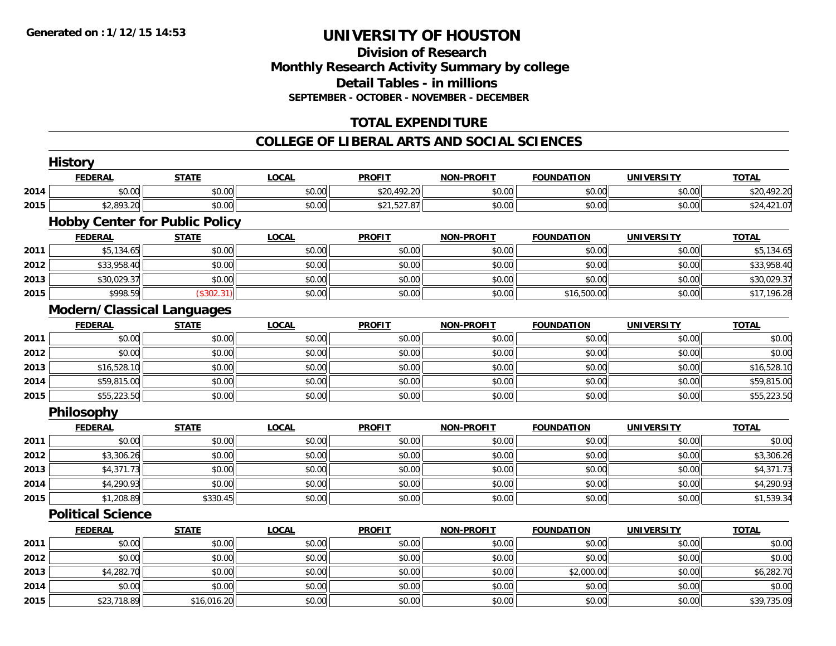#### **Division of Research Monthly Research Activity Summary by college Detail Tables - in millions SEPTEMBER - OCTOBER - NOVEMBER - DECEMBER**

### **TOTAL EXPENDITURE**

#### **COLLEGE OF LIBERAL ARTS AND SOCIAL SCIENCES**

|      | <b>History</b>           |                                       |              |               |                   |                   |                   |              |
|------|--------------------------|---------------------------------------|--------------|---------------|-------------------|-------------------|-------------------|--------------|
|      | <b>FEDERAL</b>           | <b>STATE</b>                          | <b>LOCAL</b> | <b>PROFIT</b> | <b>NON-PROFIT</b> | <b>FOUNDATION</b> | <b>UNIVERSITY</b> | <b>TOTAL</b> |
| 2014 | \$0.00                   | \$0.00                                | \$0.00       | \$20,492.20   | \$0.00            | \$0.00            | \$0.00            | \$20,492.20  |
| 2015 | \$2,893.20               | \$0.00                                | \$0.00       | \$21,527.87   | \$0.00            | \$0.00            | \$0.00            | \$24,421.07  |
|      |                          | <b>Hobby Center for Public Policy</b> |              |               |                   |                   |                   |              |
|      | <b>FEDERAL</b>           | <b>STATE</b>                          | <b>LOCAL</b> | <b>PROFIT</b> | <b>NON-PROFIT</b> | <b>FOUNDATION</b> | <b>UNIVERSITY</b> | <b>TOTAL</b> |
| 2011 | \$5,134.65               | \$0.00                                | \$0.00       | \$0.00        | \$0.00            | \$0.00            | \$0.00            | \$5,134.65   |
| 2012 | \$33,958.40              | \$0.00                                | \$0.00       | \$0.00        | \$0.00            | \$0.00            | \$0.00            | \$33,958.40  |
| 2013 | \$30,029.37              | \$0.00                                | \$0.00       | \$0.00        | \$0.00            | \$0.00            | \$0.00            | \$30,029.37  |
| 2015 | \$998.59                 | (\$302.31)                            | \$0.00       | \$0.00        | \$0.00            | \$16,500.00       | \$0.00            | \$17,196.28  |
|      |                          | <b>Modern/Classical Languages</b>     |              |               |                   |                   |                   |              |
|      | <b>FEDERAL</b>           | <b>STATE</b>                          | <b>LOCAL</b> | <b>PROFIT</b> | <b>NON-PROFIT</b> | <b>FOUNDATION</b> | <b>UNIVERSITY</b> | <b>TOTAL</b> |
| 2011 | \$0.00                   | \$0.00                                | \$0.00       | \$0.00        | \$0.00            | \$0.00            | \$0.00            | \$0.00       |
| 2012 | \$0.00                   | \$0.00                                | \$0.00       | \$0.00        | \$0.00            | \$0.00            | \$0.00            | \$0.00       |
| 2013 | \$16,528.10              | \$0.00                                | \$0.00       | \$0.00        | \$0.00            | \$0.00            | \$0.00            | \$16,528.10  |
| 2014 | \$59,815.00              | \$0.00                                | \$0.00       | \$0.00        | \$0.00            | \$0.00            | \$0.00            | \$59,815.00  |
| 2015 | \$55,223.50              | \$0.00                                | \$0.00       | \$0.00        | \$0.00            | \$0.00            | \$0.00            | \$55,223.50  |
|      | Philosophy               |                                       |              |               |                   |                   |                   |              |
|      | <b>FEDERAL</b>           | <b>STATE</b>                          | <b>LOCAL</b> | <b>PROFIT</b> | <b>NON-PROFIT</b> | <b>FOUNDATION</b> | <b>UNIVERSITY</b> | <b>TOTAL</b> |
| 2011 | \$0.00                   | \$0.00                                | \$0.00       | \$0.00        | \$0.00            | \$0.00            | \$0.00            | \$0.00       |
| 2012 | \$3,306.26               | \$0.00                                | \$0.00       | \$0.00        | \$0.00            | \$0.00            | \$0.00            | \$3,306.26   |
| 2013 | \$4,371.73               | \$0.00                                | \$0.00       | \$0.00        | \$0.00            | \$0.00            | \$0.00            | \$4,371.73   |
| 2014 | \$4,290.93               | \$0.00                                | \$0.00       | \$0.00        | \$0.00            | \$0.00            | \$0.00            | \$4,290.93   |
| 2015 | \$1,208.89               | \$330.45                              | \$0.00       | \$0.00        | \$0.00            | \$0.00            | \$0.00            | \$1,539.34   |
|      | <b>Political Science</b> |                                       |              |               |                   |                   |                   |              |
|      | <b>FEDERAL</b>           | <b>STATE</b>                          | <b>LOCAL</b> | <b>PROFIT</b> | <b>NON-PROFIT</b> | <b>FOUNDATION</b> | <b>UNIVERSITY</b> | <b>TOTAL</b> |
| 2011 | \$0.00                   | \$0.00                                | \$0.00       | \$0.00        | \$0.00            | \$0.00            | \$0.00            | \$0.00       |
| 2012 | \$0.00                   | \$0.00                                | \$0.00       | \$0.00        | \$0.00            | \$0.00            | \$0.00            | \$0.00       |
| 2013 | \$4,282.70               | \$0.00                                | \$0.00       | \$0.00        | \$0.00            | \$2,000.00        | \$0.00            | \$6,282.70   |
| 2014 | \$0.00                   | \$0.00                                | \$0.00       | \$0.00        | \$0.00            | \$0.00            | \$0.00            | \$0.00       |
| 2015 | \$23,718.89              | \$16,016.20                           | \$0.00       | \$0.00        | \$0.00            | \$0.00            | \$0.00            | \$39,735.09  |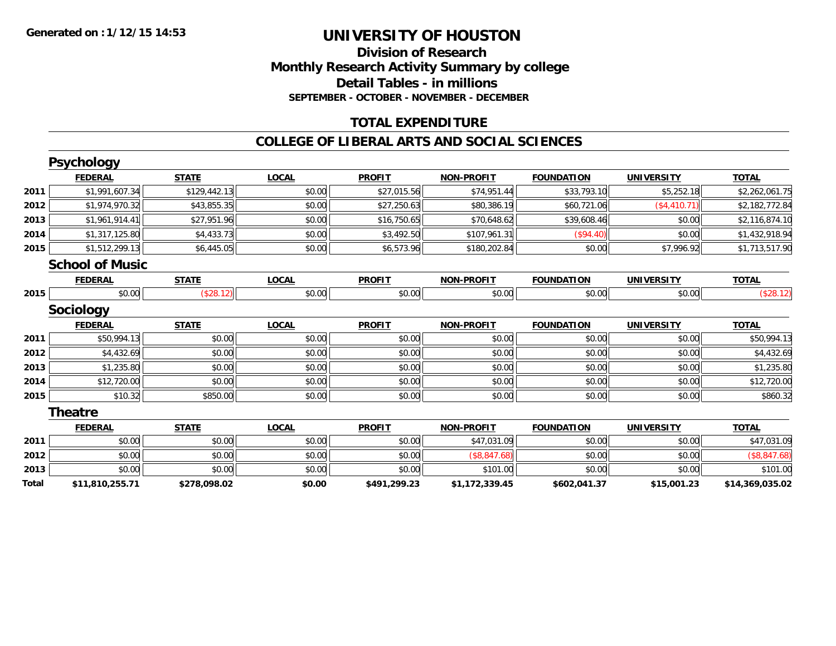#### **Division of Research Monthly Research Activity Summary by college Detail Tables - in millions SEPTEMBER - OCTOBER - NOVEMBER - DECEMBER**

### **TOTAL EXPENDITURE**

#### **COLLEGE OF LIBERAL ARTS AND SOCIAL SCIENCES**

|       | <b>Psychology</b>      |              |              |               |                   |                   |                   |                 |
|-------|------------------------|--------------|--------------|---------------|-------------------|-------------------|-------------------|-----------------|
|       | <b>FEDERAL</b>         | <b>STATE</b> | <b>LOCAL</b> | <b>PROFIT</b> | <b>NON-PROFIT</b> | <b>FOUNDATION</b> | <b>UNIVERSITY</b> | <b>TOTAL</b>    |
| 2011  | \$1,991,607.34         | \$129,442.13 | \$0.00       | \$27,015.56   | \$74,951.44       | \$33,793.10       | \$5,252.18        | \$2,262,061.75  |
| 2012  | \$1,974,970.32         | \$43,855.35  | \$0.00       | \$27,250.63   | \$80,386.19       | \$60,721.06       | (\$4,410.71)      | \$2,182,772.84  |
| 2013  | \$1,961,914.41         | \$27,951.96  | \$0.00       | \$16,750.65   | \$70,648.62       | \$39,608.46       | \$0.00            | \$2,116,874.10  |
| 2014  | \$1,317,125.80         | \$4,433.73   | \$0.00       | \$3,492.50    | \$107,961.31      | (\$94.40)         | \$0.00            | \$1,432,918.94  |
| 2015  | \$1,512,299.13         | \$6,445.05   | \$0.00       | \$6,573.96    | \$180,202.84      | \$0.00            | \$7,996.92        | \$1,713,517.90  |
|       | <b>School of Music</b> |              |              |               |                   |                   |                   |                 |
|       | <b>FEDERAL</b>         | <b>STATE</b> | <b>LOCAL</b> | <b>PROFIT</b> | <b>NON-PROFIT</b> | <b>FOUNDATION</b> | <b>UNIVERSITY</b> | <b>TOTAL</b>    |
| 2015  | \$0.00                 | (\$28.12)    | \$0.00       | \$0.00        | \$0.00            | \$0.00            | \$0.00            | (\$28.12)       |
|       | <b>Sociology</b>       |              |              |               |                   |                   |                   |                 |
|       | <b>FEDERAL</b>         | <b>STATE</b> | <b>LOCAL</b> | <b>PROFIT</b> | <b>NON-PROFIT</b> | <b>FOUNDATION</b> | <b>UNIVERSITY</b> | <b>TOTAL</b>    |
| 2011  | \$50,994.13            | \$0.00       | \$0.00       | \$0.00        | \$0.00            | \$0.00            | \$0.00            | \$50,994.13     |
| 2012  | \$4,432.69             | \$0.00       | \$0.00       | \$0.00        | \$0.00            | \$0.00            | \$0.00            | \$4,432.69      |
| 2013  | \$1,235.80             | \$0.00       | \$0.00       | \$0.00        | \$0.00            | \$0.00            | \$0.00            | \$1,235.80      |
| 2014  | \$12,720.00            | \$0.00       | \$0.00       | \$0.00        | \$0.00            | \$0.00            | \$0.00            | \$12,720.00     |
| 2015  | \$10.32                | \$850.00     | \$0.00       | \$0.00        | \$0.00            | \$0.00            | \$0.00            | \$860.32        |
|       | <b>Theatre</b>         |              |              |               |                   |                   |                   |                 |
|       | <b>FEDERAL</b>         | <b>STATE</b> | <b>LOCAL</b> | <b>PROFIT</b> | <b>NON-PROFIT</b> | <b>FOUNDATION</b> | <b>UNIVERSITY</b> | <b>TOTAL</b>    |
| 2011  | \$0.00                 | \$0.00       | \$0.00       | \$0.00        | \$47,031.09       | \$0.00            | \$0.00            | \$47,031.09     |
| 2012  | \$0.00                 | \$0.00       | \$0.00       | \$0.00        | (\$8,847.68)      | \$0.00            | \$0.00            | (\$8,847.68)    |
| 2013  | \$0.00                 | \$0.00       | \$0.00       | \$0.00        | \$101.00          | \$0.00            | \$0.00            | \$101.00        |
| Total | \$11,810,255.71        | \$278,098.02 | \$0.00       | \$491,299.23  | \$1,172,339.45    | \$602,041.37      | \$15,001.23       | \$14,369,035.02 |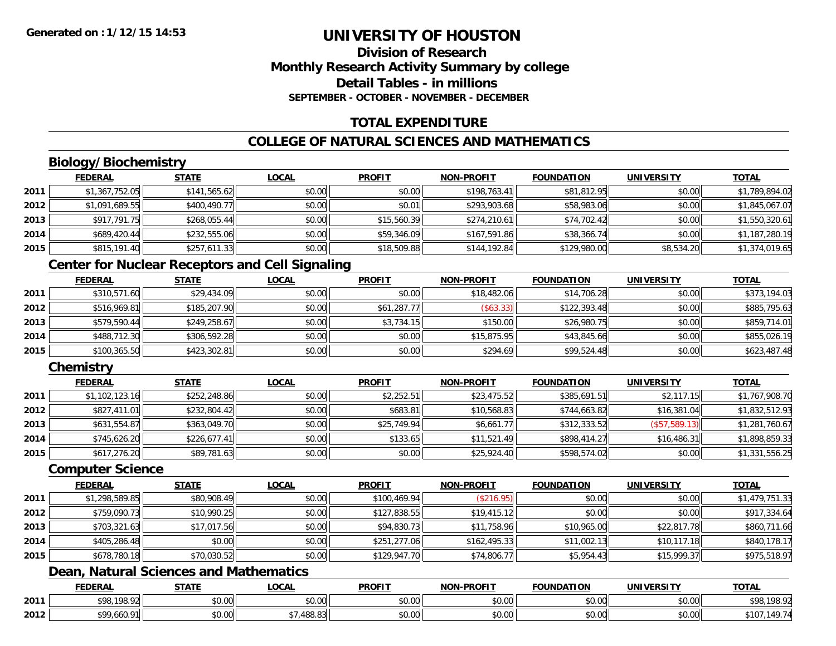### **Division of ResearchMonthly Research Activity Summary by college Detail Tables - in millionsSEPTEMBER - OCTOBER - NOVEMBER - DECEMBER**

### **TOTAL EXPENDITURE**

### **COLLEGE OF NATURAL SCIENCES AND MATHEMATICS**

## **Biology/Biochemistry**

|      | <b>FEDERAL</b> | <b>STATE</b> | <u>LOCAL</u> | <b>PROFIT</b> | <b>NON-PROFIT</b> | <b>FOUNDATION</b> | <b>UNIVERSITY</b> | <u>TOTAL</u>   |
|------|----------------|--------------|--------------|---------------|-------------------|-------------------|-------------------|----------------|
| 2011 | \$1,367,752.05 | \$141,565.62 | \$0.00       | \$0.00        | \$198,763.41      | \$81,812.95       | \$0.00            | \$1,789,894.02 |
| 2012 | \$1,091,689.55 | \$400,490.77 | \$0.00       | \$0.01        | \$293,903.68      | \$58,983.06       | \$0.00            | \$1,845,067.07 |
| 2013 | \$917,791.75   | \$268,055.44 | \$0.00       | \$15,560.39   | \$274,210.61      | \$74,702.42       | \$0.00            | \$1,550,320.61 |
| 2014 | \$689,420.44   | \$232,555.06 | \$0.00       | \$59,346.09   | \$167,591.86      | \$38,366.74       | \$0.00            | \$1,187,280.19 |
| 2015 | \$815,191.40   | \$257,611.33 | \$0.00       | \$18,509.88   | \$144,192.84      | \$129,980.00      | \$8,534.20        | \$1,374,019.65 |

### **Center for Nuclear Receptors and Cell Signaling**

|      | <b>FEDERAL</b> | <u>STATE</u> | <b>LOCAL</b> | <b>PROFIT</b> | <b>NON-PROFIT</b> | <b>FOUNDATION</b> | <b>UNIVERSITY</b> | <b>TOTAL</b> |
|------|----------------|--------------|--------------|---------------|-------------------|-------------------|-------------------|--------------|
| 2011 | \$310,571.60   | \$29,434.09  | \$0.00       | \$0.00        | \$18,482.06       | \$14,706.28       | \$0.00            | \$373,194.03 |
| 2012 | \$516,969.81   | \$185,207.90 | \$0.00       | \$61,287.77   | ( \$63.33)        | \$122,393.48      | \$0.00            | \$885,795.63 |
| 2013 | \$579,590.44   | \$249,258.67 | \$0.00       | \$3,734.15    | \$150.00          | \$26,980.75       | \$0.00            | \$859,714.01 |
| 2014 | \$488,712.30   | \$306,592.28 | \$0.00       | \$0.00        | \$15,875.95       | \$43,845.66       | \$0.00            | \$855,026.19 |
| 2015 | \$100,365.50   | \$423,302.81 | \$0.00       | \$0.00        | \$294.69          | \$99,524.48       | \$0.00            | \$623,487.48 |

### **Chemistry**

|      | <b>FEDERAL</b> | <b>STATE</b> | <u>LOCAL</u> | <b>PROFIT</b> | <b>NON-PROFIT</b> | <b>FOUNDATION</b> | <b>UNIVERSITY</b> | <b>TOTAL</b>   |
|------|----------------|--------------|--------------|---------------|-------------------|-------------------|-------------------|----------------|
| 2011 | \$1,102,123.16 | \$252,248.86 | \$0.00       | \$2,252.51    | \$23,475.52       | \$385,691.51      | \$2,117.15        | \$1,767,908.70 |
| 2012 | \$827,411.01   | \$232,804.42 | \$0.00       | \$683.81      | \$10,568.83       | \$744,663.82      | \$16,381.04       | \$1,832,512.93 |
| 2013 | \$631,554.87   | \$363,049.70 | \$0.00       | \$25,749.94   | \$6,661.77        | \$312,333.52      | (\$57,589.13)     | \$1,281,760.67 |
| 2014 | \$745,626.20   | \$226,677.41 | \$0.00       | \$133.65      | \$11,521.49       | \$898,414.27      | \$16,486.31       | \$1,898,859.33 |
| 2015 | \$617,276.20   | \$89,781.63  | \$0.00       | \$0.00        | \$25,924.40       | \$598,574.02      | \$0.00            | \$1,331,556.25 |

#### **Computer Science**

|      | <b>FEDERAL</b> | <b>STATE</b> | <b>LOCAL</b> | <b>PROFIT</b> | <b>NON-PROFIT</b> | <b>FOUNDATION</b> | <b>UNIVERSITY</b> | <b>TOTAL</b>   |
|------|----------------|--------------|--------------|---------------|-------------------|-------------------|-------------------|----------------|
| 2011 | \$1,298,589.85 | \$80,908.49  | \$0.00       | \$100.469.94  | (\$216.95)        | \$0.00            | \$0.00            | \$1,479,751.33 |
| 2012 | \$759,090.73   | \$10,990.25  | \$0.00       | \$127,838.55  | \$19,415.12       | \$0.00            | \$0.00            | \$917,334.64   |
| 2013 | \$703,321.63   | \$17,017.56  | \$0.00       | \$94,830.73   | \$11,758.96       | \$10,965.00       | \$22,817.78       | \$860,711.66   |
| 2014 | \$405,286.48   | \$0.00       | \$0.00       | \$251,277.06  | \$162,495.33      | \$11,002.13       | \$10,117.18       | \$840,178.17   |
| 2015 | \$678,780.18   | \$70,030.52  | \$0.00       | \$129,947.70  | \$74,806.77       | \$5,954.43        | \$15,999.37       | \$975,518.97   |

### **Dean, Natural Sciences and Mathematics**

|      | <b>FEDERAL</b>         | <b>STATE</b>    | <b>_OCAL</b>       | <b>PROFIT</b> | $LDD$ $N$<br>וחרות   | NDATION                  | UNIVERSITY                | <b>TOTAL</b>           |
|------|------------------------|-----------------|--------------------|---------------|----------------------|--------------------------|---------------------------|------------------------|
| 2011 | 108.02<br><b>¢ O C</b> | $\sim$<br>JU.UU | $\sim$ 00<br>vv.vv | 0000<br>vu.vu | 0000<br>pu.uu        | \$0.00                   | $\sim$ 00<br><b>JU.UU</b> | 0000<br>, . <i>. .</i> |
| 2012 | ¢∩∩<br>01<br>.oou.     | 0000<br>JU.U    | ده ۱۵۵<br>00.O.    | 0000<br>PO.OO | 0.00<br><b>DU.UU</b> | $n \cap \Omega$<br>JU.UU | $\sim$ 00<br>\$U.UU       |                        |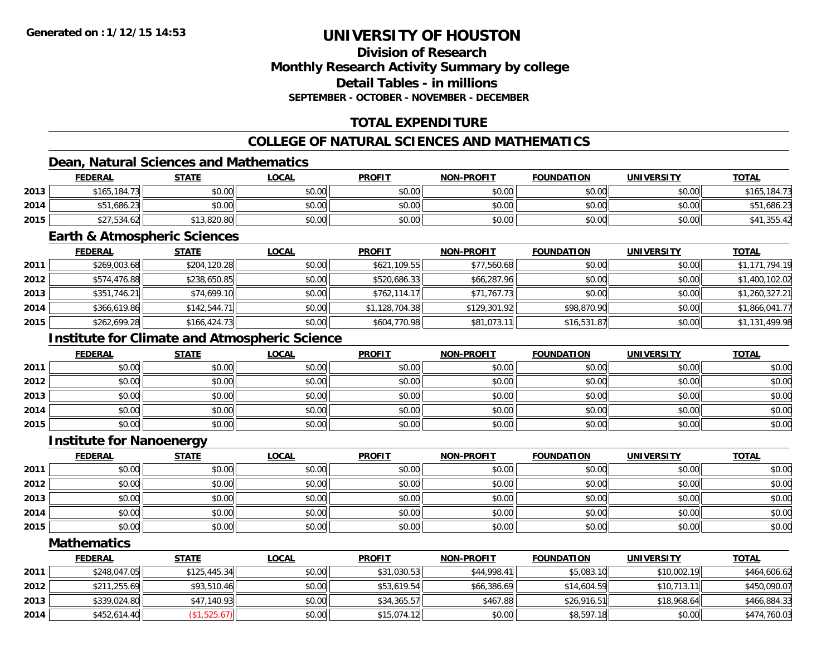### **Division of ResearchMonthly Research Activity Summary by college Detail Tables - in millionsSEPTEMBER - OCTOBER - NOVEMBER - DECEMBER**

## **TOTAL EXPENDITURE**

### **COLLEGE OF NATURAL SCIENCES AND MATHEMATICS**

### **Dean, Natural Sciences and Mathematics**

|      | <b>FEDERAL</b>   | <b>STATE</b>       | <u>LOCAL</u> | <b>PROFIT</b> | <b>NON-PROFIT</b> | <b>FOUNDATION</b> | <b>UNIVERSITY</b> | <b>TOTAL</b>      |
|------|------------------|--------------------|--------------|---------------|-------------------|-------------------|-------------------|-------------------|
| 2013 | \$165.184.73     | \$0.00             | \$0.00       | \$0.00        | \$0.00            | \$0.00            | \$0.00            | .184.73<br>\$165. |
| 2014 | 1,686.23<br>\$51 | \$0.00             | \$0.00       | \$0.00        | \$0.00            | \$0.00            | \$0.00            | .686.23           |
| 2015 | /,534.62<br>ぐつつ  | 13,820.80<br>* 4 C | \$0.00       | \$0.00        | \$0.00            | \$0.00            | \$0.00            |                   |

#### **Earth & Atmospheric Sciences**

|      | <b>FEDERAL</b> | <b>STATE</b> | <b>LOCAL</b> | <b>PROFIT</b>  | <b>NON-PROFIT</b> | <b>FOUNDATION</b> | <b>UNIVERSITY</b> | <b>TOTAL</b>   |
|------|----------------|--------------|--------------|----------------|-------------------|-------------------|-------------------|----------------|
| 2011 | \$269,003.68   | \$204,120.28 | \$0.00       | \$621,109.55   | \$77,560.68       | \$0.00            | \$0.00            | \$1,171,794.19 |
| 2012 | \$574,476.88   | \$238,650.85 | \$0.00       | \$520,686.33   | \$66,287.96       | \$0.00            | \$0.00            | \$1,400,102.02 |
| 2013 | \$351,746.21   | \$74,699.10  | \$0.00       | \$762,114.17   | \$71,767.73       | \$0.00            | \$0.00            | \$1,260,327.21 |
| 2014 | \$366,619.86   | \$142,544.71 | \$0.00       | \$1,128,704.38 | \$129,301.92      | \$98,870.90       | \$0.00            | \$1,866,041.77 |
| 2015 | \$262,699.28   | \$166,424.73 | \$0.00       | \$604,770.98   | \$81,073.11       | \$16,531.87       | \$0.00            | \$1,131,499.98 |

## **Institute for Climate and Atmospheric Science**

|      | <b>FEDERAL</b> | <b>STATE</b> | <u>LOCAL</u> | <b>PROFIT</b> | <b>NON-PROFIT</b> | <b>FOUNDATION</b> | <b>UNIVERSITY</b> | <b>TOTAL</b> |
|------|----------------|--------------|--------------|---------------|-------------------|-------------------|-------------------|--------------|
| 2011 | \$0.00         | \$0.00       | \$0.00       | \$0.00        | \$0.00            | \$0.00            | \$0.00            | \$0.00       |
| 2012 | \$0.00         | \$0.00       | \$0.00       | \$0.00        | \$0.00            | \$0.00            | \$0.00            | \$0.00       |
| 2013 | \$0.00         | \$0.00       | \$0.00       | \$0.00        | \$0.00            | \$0.00            | \$0.00            | \$0.00       |
| 2014 | \$0.00         | \$0.00       | \$0.00       | \$0.00        | \$0.00            | \$0.00            | \$0.00            | \$0.00       |
| 2015 | \$0.00         | \$0.00       | \$0.00       | \$0.00        | \$0.00            | \$0.00            | \$0.00            | \$0.00       |

#### **Institute for Nanoenergy**

|      | <u>FEDERAL</u> | <b>STATE</b> | <b>LOCAL</b> | <b>PROFIT</b> | <b>NON-PROFIT</b> | <b>FOUNDATION</b> | <b>UNIVERSITY</b> | <b>TOTAL</b> |
|------|----------------|--------------|--------------|---------------|-------------------|-------------------|-------------------|--------------|
| 2011 | \$0.00         | \$0.00       | \$0.00       | \$0.00        | \$0.00            | \$0.00            | \$0.00            | \$0.00       |
| 2012 | \$0.00         | \$0.00       | \$0.00       | \$0.00        | \$0.00            | \$0.00            | \$0.00            | \$0.00       |
| 2013 | \$0.00         | \$0.00       | \$0.00       | \$0.00        | \$0.00            | \$0.00            | \$0.00            | \$0.00       |
| 2014 | \$0.00         | \$0.00       | \$0.00       | \$0.00        | \$0.00            | \$0.00            | \$0.00            | \$0.00       |
| 2015 | \$0.00         | \$0.00       | \$0.00       | \$0.00        | \$0.00            | \$0.00            | \$0.00            | \$0.00       |

#### **Mathematics**

|      | <u>FEDERAL</u> | <u>STATE</u> | <u>LOCAL</u> | <b>PROFIT</b> | <b>NON-PROFIT</b> | <b>FOUNDATION</b> | <b>UNIVERSITY</b> | <b>TOTAL</b> |
|------|----------------|--------------|--------------|---------------|-------------------|-------------------|-------------------|--------------|
| 2011 | \$248,047.05   | \$125,445.34 | \$0.00       | \$31,030.53   | \$44,998.41       | \$5,083.10        | \$10,002.19       | \$464,606.62 |
| 2012 | \$211,255.69   | \$93,510.46  | \$0.00       | \$53,619.54   | \$66,386.69       | \$14,604.59       | \$10,713.11       | \$450,090.07 |
| 2013 | \$339,024.80   | \$47,140.93  | \$0.00       | \$34,365.57   | \$467.88          | \$26.916.51       | \$18,968.64       | \$466,884.33 |
| 2014 | \$452,614.40   | (\$1,525.67) | \$0.00       | \$15,074.12   | \$0.00            | \$8,597.18        | \$0.00            | \$474,760.03 |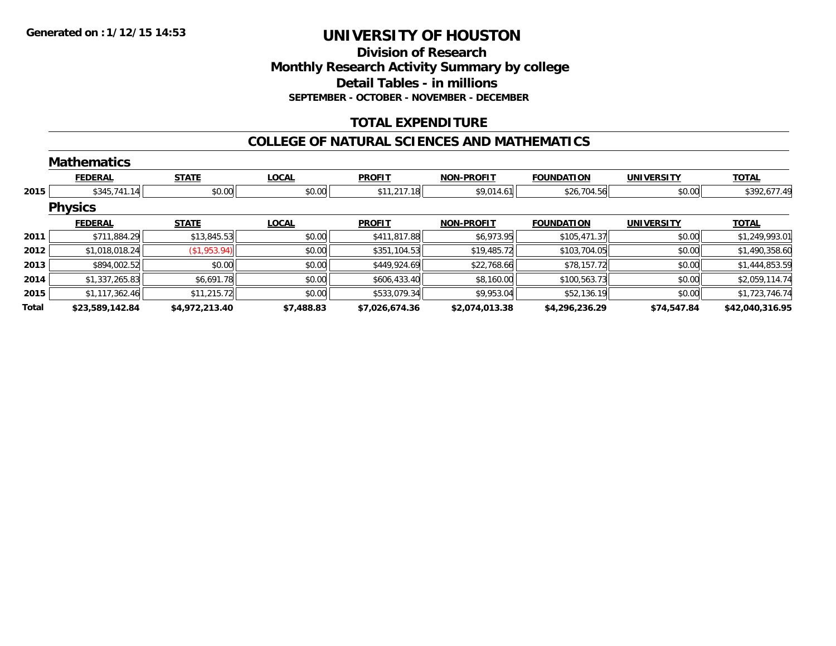### **Division of ResearchMonthly Research Activity Summary by college Detail Tables - in millions SEPTEMBER - OCTOBER - NOVEMBER - DECEMBER**

### **TOTAL EXPENDITURE**

#### **COLLEGE OF NATURAL SCIENCES AND MATHEMATICS**

|       | <b>Mathematics</b> |                |              |                |                   |                   |                   |                 |
|-------|--------------------|----------------|--------------|----------------|-------------------|-------------------|-------------------|-----------------|
|       | <b>FEDERAL</b>     | <b>STATE</b>   | <b>LOCAL</b> | <b>PROFIT</b>  | <b>NON-PROFIT</b> | <b>FOUNDATION</b> | <b>UNIVERSITY</b> | <b>TOTAL</b>    |
| 2015  | \$345,741.14       | \$0.00         | \$0.00       | \$11,217.18    | \$9,014.61        | \$26,704.56       | \$0.00            | \$392,677.49    |
|       | <b>Physics</b>     |                |              |                |                   |                   |                   |                 |
|       | <b>FEDERAL</b>     | <b>STATE</b>   | <b>LOCAL</b> | <b>PROFIT</b>  | <b>NON-PROFIT</b> | <b>FOUNDATION</b> | <b>UNIVERSITY</b> | <b>TOTAL</b>    |
| 2011  | \$711,884.29       | \$13,845.53    | \$0.00       | \$411,817.88   | \$6,973.95        | \$105,471.37      | \$0.00            | \$1,249,993.01  |
| 2012  | \$1,018,018.24     | (\$1,953.94)   | \$0.00       | \$351,104.53   | \$19,485.72       | \$103,704.05      | \$0.00            | \$1,490,358.60  |
| 2013  | \$894,002.52       | \$0.00         | \$0.00       | \$449,924.69   | \$22,768.66       | \$78,157.72       | \$0.00            | \$1,444,853.59  |
| 2014  | \$1,337,265.83     | \$6,691.78     | \$0.00       | \$606,433.40   | \$8,160.00        | \$100,563.73      | \$0.00            | \$2,059,114.74  |
| 2015  | \$1,117,362.46     | \$11,215.72    | \$0.00       | \$533,079.34   | \$9,953.04        | \$52,136.19       | \$0.00            | \$1,723,746.74  |
| Total | \$23,589,142.84    | \$4,972,213.40 | \$7,488.83   | \$7,026,674.36 | \$2,074,013.38    | \$4,296,236.29    | \$74,547.84       | \$42,040,316.95 |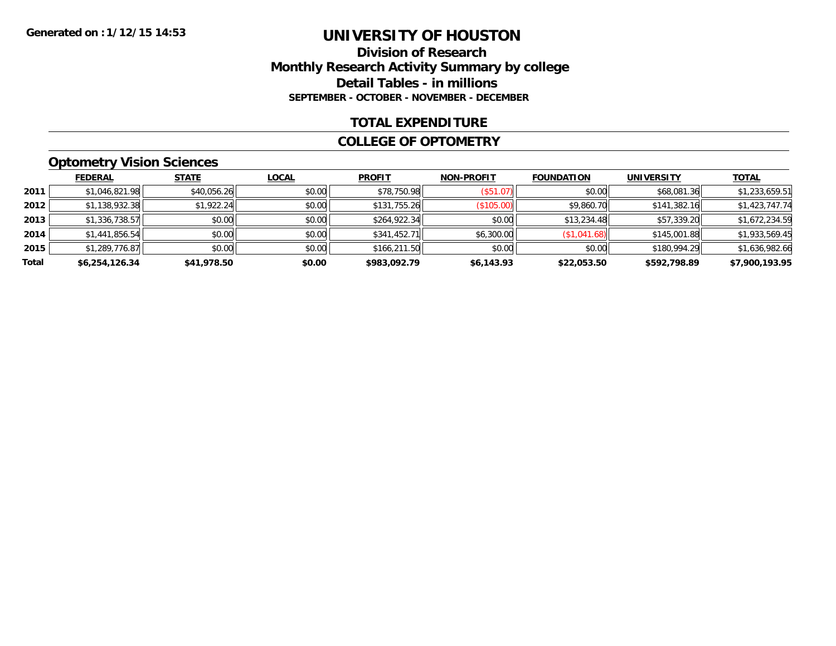#### **Division of Research Monthly Research Activity Summary by college Detail Tables - in millions SEPTEMBER - OCTOBER - NOVEMBER - DECEMBER**

#### **TOTAL EXPENDITURE**

#### **COLLEGE OF OPTOMETRY**

## **Optometry Vision Sciences**

|       | <b>FEDERAL</b> | <b>STATE</b> | <b>LOCAL</b> | <b>PROFIT</b> | <b>NON-PROFIT</b> | <b>FOUNDATION</b> | <b>UNIVERSITY</b> | <b>TOTAL</b>   |
|-------|----------------|--------------|--------------|---------------|-------------------|-------------------|-------------------|----------------|
| 2011  | \$1,046,821.98 | \$40,056.26  | \$0.00       | \$78,750.98   | (\$51.07)         | \$0.00            | \$68,081.36       | \$1,233,659.51 |
| 2012  | \$1,138,932.38 | \$1,922.24   | \$0.00       | \$131,755.26  | (\$105.00)        | \$9,860.70        | \$141,382.16      | \$1,423,747.74 |
| 2013  | \$1,336,738.57 | \$0.00       | \$0.00       | \$264,922.34  | \$0.00            | \$13,234.48       | \$57,339.20       | \$1,672,234.59 |
| 2014  | \$1,441,856.54 | \$0.00       | \$0.00       | \$341,452.71  | \$6,300.00        | (\$1,041.68)      | \$145,001.88      | \$1,933,569.45 |
| 2015  | \$1,289,776.87 | \$0.00       | \$0.00       | \$166,211.50  | \$0.00            | \$0.00            | \$180,994.29      | \$1,636,982.66 |
| Total | \$6,254,126.34 | \$41,978.50  | \$0.00       | \$983,092.79  | \$6,143.93        | \$22,053.50       | \$592,798.89      | \$7,900,193.95 |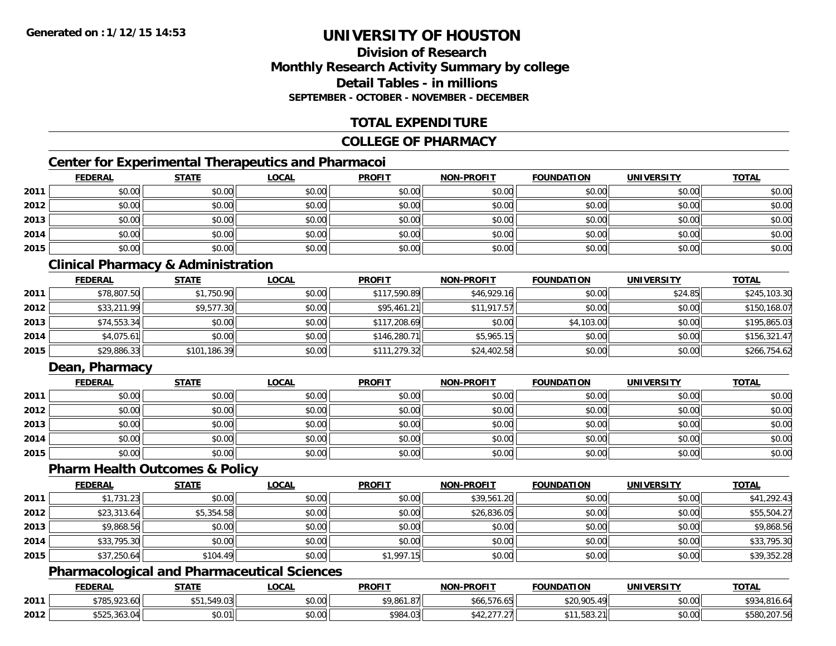### **Division of ResearchMonthly Research Activity Summary by college Detail Tables - in millionsSEPTEMBER - OCTOBER - NOVEMBER - DECEMBER**

### **TOTAL EXPENDITURE**

#### **COLLEGE OF PHARMACY**

### **Center for Experimental Therapeutics and Pharmacoi**

|      | <b>FEDERAL</b> | <b>STATE</b> | <b>LOCAL</b> | <b>PROFIT</b> | <b>NON-PROFIT</b> | <b>FOUNDATION</b> | <b>UNIVERSITY</b> | <b>TOTAL</b> |
|------|----------------|--------------|--------------|---------------|-------------------|-------------------|-------------------|--------------|
| 2011 | \$0.00         | \$0.00       | \$0.00       | \$0.00        | \$0.00            | \$0.00            | \$0.00            | \$0.00       |
| 2012 | \$0.00         | \$0.00       | \$0.00       | \$0.00        | \$0.00            | \$0.00            | \$0.00            | \$0.00       |
| 2013 | \$0.00         | \$0.00       | \$0.00       | \$0.00        | \$0.00            | \$0.00            | \$0.00            | \$0.00       |
| 2014 | \$0.00         | \$0.00       | \$0.00       | \$0.00        | \$0.00            | \$0.00            | \$0.00            | \$0.00       |
| 2015 | \$0.00         | \$0.00       | \$0.00       | \$0.00        | \$0.00            | \$0.00            | \$0.00            | \$0.00       |

## **Clinical Pharmacy & Administration**

|      | <b>FEDERAL</b> | <b>STATE</b> | <u>LOCAL</u> | <b>PROFIT</b> | <b>NON-PROFIT</b> | <b>FOUNDATION</b> | <b>UNIVERSITY</b> | <b>TOTAL</b> |
|------|----------------|--------------|--------------|---------------|-------------------|-------------------|-------------------|--------------|
| 2011 | \$78,807.50    | \$1,750.90   | \$0.00       | \$117,590.89  | \$46,929.16       | \$0.00            | \$24.85           | \$245,103.30 |
| 2012 | \$33,211.99    | \$9,577.30   | \$0.00       | \$95,461.21   | \$11,917.57       | \$0.00            | \$0.00            | \$150,168.07 |
| 2013 | \$74,553.34    | \$0.00       | \$0.00       | \$117,208.69  | \$0.00            | \$4,103.00        | \$0.00            | \$195,865.03 |
| 2014 | \$4,075.61     | \$0.00       | \$0.00       | \$146,280.71  | \$5,965.15        | \$0.00            | \$0.00            | \$156,321.47 |
| 2015 | \$29,886.33    | \$101,186.39 | \$0.00       | \$111,279.32  | \$24,402.58       | \$0.00            | \$0.00            | \$266,754.62 |

### **Dean, Pharmacy**

|      | <b>FEDERAL</b> | <b>STATE</b> | <u>LOCAL</u> | <b>PROFIT</b> | <b>NON-PROFIT</b> | <b>FOUNDATION</b> | <b>UNIVERSITY</b> | <b>TOTAL</b> |
|------|----------------|--------------|--------------|---------------|-------------------|-------------------|-------------------|--------------|
| 2011 | \$0.00         | \$0.00       | \$0.00       | \$0.00        | \$0.00            | \$0.00            | \$0.00            | \$0.00       |
| 2012 | \$0.00         | \$0.00       | \$0.00       | \$0.00        | \$0.00            | \$0.00            | \$0.00            | \$0.00       |
| 2013 | \$0.00         | \$0.00       | \$0.00       | \$0.00        | \$0.00            | \$0.00            | \$0.00            | \$0.00       |
| 2014 | \$0.00         | \$0.00       | \$0.00       | \$0.00        | \$0.00            | \$0.00            | \$0.00            | \$0.00       |
| 2015 | \$0.00         | \$0.00       | \$0.00       | \$0.00        | \$0.00            | \$0.00            | \$0.00            | \$0.00       |

#### **Pharm Health Outcomes & Policy**

|      | <b>FEDERAL</b> | <b>STATE</b> | <b>LOCAL</b> | <b>PROFIT</b> | <b>NON-PROFIT</b> | <b>FOUNDATION</b> | <b>UNIVERSITY</b> | <b>TOTAL</b> |
|------|----------------|--------------|--------------|---------------|-------------------|-------------------|-------------------|--------------|
| 2011 | \$1,731.23     | \$0.00       | \$0.00       | \$0.00        | \$39,561.20       | \$0.00            | \$0.00            | \$41,292.43  |
| 2012 | \$23,313.64    | \$5,354.58   | \$0.00       | \$0.00        | \$26,836.05       | \$0.00            | \$0.00            | \$55,504.27  |
| 2013 | \$9,868.56     | \$0.00       | \$0.00       | \$0.00        | \$0.00            | \$0.00            | \$0.00            | \$9,868.56   |
| 2014 | \$33,795.30    | \$0.00       | \$0.00       | \$0.00        | \$0.00            | \$0.00            | \$0.00            | \$33,795.30  |
| 2015 | \$37,250.64    | \$104.49     | \$0.00       | \$1,997.15    | \$0.00            | \$0.00            | \$0.00            | \$39,352.28  |

#### **Pharmacological and Pharmaceutical Sciences**

|      | <b>FEDERAL</b>                      | <b>STATE</b> | <b>LOCAL</b>       | <b>PROFIT</b> | <b>NON-PROFIT</b>                | <b>FOUNDATION</b> | <b>UNIVERSITY</b> | <b>TOTAL</b>                  |
|------|-------------------------------------|--------------|--------------------|---------------|----------------------------------|-------------------|-------------------|-------------------------------|
| 2011 | \$785,923.60                        | .549.03<br>י | 0.00<br>DU.UU      | \$9,861.87    | \$66,576.65                      | \$20,905.49       | \$0.00            | <b>¢∩</b> ?<br>.816.64<br>ر ر |
| 2012 | $+ - - -$<br>$\sim$<br>\$525.363.U4 | \$0.01       | $\sim$ 00<br>DU.UU | \$984.03      | $\sim$ $\sim$ $\sim$<br>JTL, L/I | \$11,583.21       | \$0.00            | \$580,207.56<br>0.500         |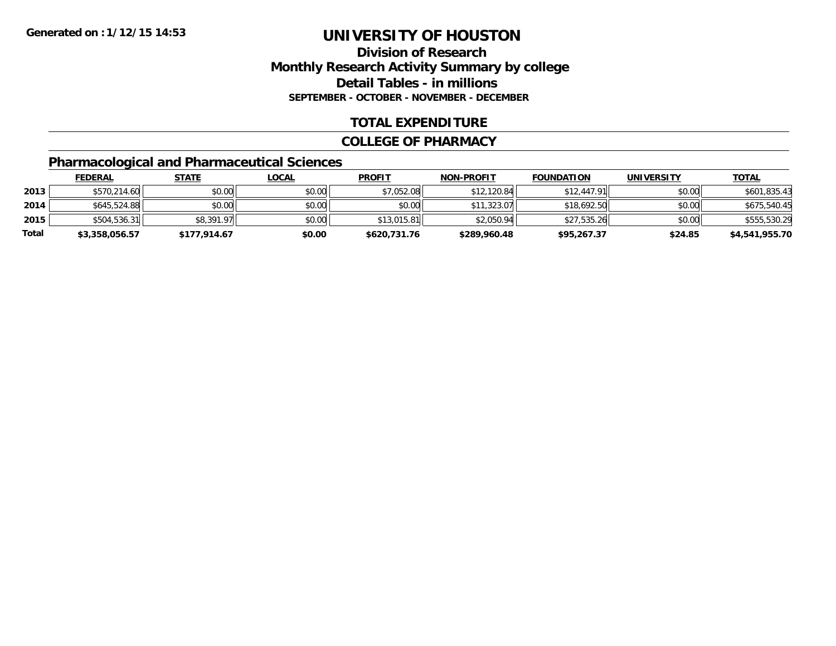### **Division of ResearchMonthly Research Activity Summary by college Detail Tables - in millions SEPTEMBER - OCTOBER - NOVEMBER - DECEMBER**

#### **TOTAL EXPENDITURE**

#### **COLLEGE OF PHARMACY**

## **Pharmacological and Pharmaceutical Sciences**

|       | <b>FEDERAL</b> | <u>STATE</u> | <u>LOCAL</u> | <b>PROFIT</b> | <b>NON-PROFIT</b> | <b>FOUNDATION</b> | UNIVERSITY | <b>TOTAL</b>   |
|-------|----------------|--------------|--------------|---------------|-------------------|-------------------|------------|----------------|
| 2013  | \$570,214.60   | \$0.00       | \$0.00       | \$7,052.08    | \$12,120.84       | \$12,447.91       | \$0.00     | \$601,835.43   |
| 2014  | \$645,524.88   | \$0.00       | \$0.00       | \$0.00        | \$11,323.07       | \$18,692.50       | \$0.00     | \$675,540.45   |
| 2015  | \$504,536.31   | \$8,391.97   | \$0.00       | \$13,015.81   | \$2,050.94        | \$27,535.26       | \$0.00     | \$555,530.29   |
| Total | \$3,358,056.57 | \$177,914.67 | \$0.00       | \$620,731.76  | \$289,960.48      | \$95,267.37       | \$24.85    | \$4,541,955.70 |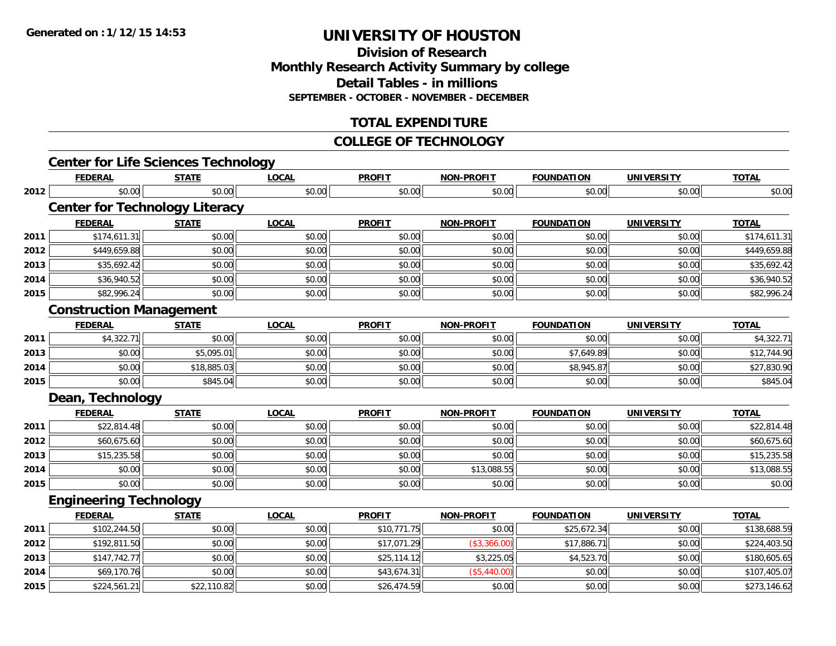**Division of ResearchMonthly Research Activity Summary by college Detail Tables - in millions SEPTEMBER - OCTOBER - NOVEMBER - DECEMBER**

### **TOTAL EXPENDITURE**

#### **COLLEGE OF TECHNOLOGY**

|      | <b>Center for Life Sciences Technology</b> |              |              |               |                   |                   |                   |              |
|------|--------------------------------------------|--------------|--------------|---------------|-------------------|-------------------|-------------------|--------------|
|      | <b>FEDERAL</b>                             | <b>STATE</b> | <b>LOCAL</b> | <b>PROFIT</b> | <b>NON-PROFIT</b> | <b>FOUNDATION</b> | <b>UNIVERSITY</b> | <b>TOTAL</b> |
| 2012 | \$0.00                                     | \$0.00       | \$0.00       | \$0.00        | \$0.00            | \$0.00            | \$0.00            | \$0.00       |
|      | <b>Center for Technology Literacy</b>      |              |              |               |                   |                   |                   |              |
|      | <b>FEDERAL</b>                             | <b>STATE</b> | <b>LOCAL</b> | <b>PROFIT</b> | <b>NON-PROFIT</b> | <b>FOUNDATION</b> | <b>UNIVERSITY</b> | <b>TOTAL</b> |
| 2011 | \$174,611.31                               | \$0.00       | \$0.00       | \$0.00        | \$0.00            | \$0.00            | \$0.00            | \$174,611.31 |
| 2012 | \$449,659.88                               | \$0.00       | \$0.00       | \$0.00        | \$0.00            | \$0.00            | \$0.00            | \$449,659.88 |
| 2013 | \$35,692.42                                | \$0.00       | \$0.00       | \$0.00        | \$0.00            | \$0.00            | \$0.00            | \$35,692.42  |
| 2014 | \$36,940.52                                | \$0.00       | \$0.00       | \$0.00        | \$0.00            | \$0.00            | \$0.00            | \$36,940.52  |
| 2015 | \$82,996.24                                | \$0.00       | \$0.00       | \$0.00        | \$0.00            | \$0.00            | \$0.00            | \$82,996.24  |
|      | <b>Construction Management</b>             |              |              |               |                   |                   |                   |              |
|      | <b>FEDERAL</b>                             | <b>STATE</b> | <b>LOCAL</b> | <b>PROFIT</b> | <b>NON-PROFIT</b> | <b>FOUNDATION</b> | <b>UNIVERSITY</b> | <b>TOTAL</b> |
| 2011 | \$4,322.71                                 | \$0.00       | \$0.00       | \$0.00        | \$0.00            | \$0.00            | \$0.00            | \$4,322.71   |
| 2013 | \$0.00                                     | \$5,095.01   | \$0.00       | \$0.00        | \$0.00            | \$7,649.89        | \$0.00            | \$12,744.90  |
| 2014 | \$0.00                                     | \$18,885.03  | \$0.00       | \$0.00        | \$0.00            | \$8,945.87        | \$0.00            | \$27,830.90  |
| 2015 | \$0.00                                     | \$845.04     | \$0.00       | \$0.00        | \$0.00            | \$0.00            | \$0.00            | \$845.04     |
|      | Dean, Technology                           |              |              |               |                   |                   |                   |              |
|      | <b>FEDERAL</b>                             | <b>STATE</b> | <b>LOCAL</b> | <b>PROFIT</b> | <b>NON-PROFIT</b> | <b>FOUNDATION</b> | <b>UNIVERSITY</b> | <b>TOTAL</b> |
| 2011 | \$22,814.48                                | \$0.00       | \$0.00       | \$0.00        | \$0.00            | \$0.00            | \$0.00            | \$22,814.48  |
| 2012 | \$60,675.60                                | \$0.00       | \$0.00       | \$0.00        | \$0.00            | \$0.00            | \$0.00            | \$60,675.60  |
| 2013 | \$15,235.58                                | \$0.00       | \$0.00       | \$0.00        | \$0.00            | \$0.00            | \$0.00            | \$15,235.58  |
| 2014 | \$0.00                                     | \$0.00       | \$0.00       | \$0.00        | \$13,088.55       | \$0.00            | \$0.00            | \$13,088.55  |
| 2015 | \$0.00                                     | \$0.00       | \$0.00       | \$0.00        | \$0.00            | \$0.00            | \$0.00            | \$0.00       |
|      | <b>Engineering Technology</b>              |              |              |               |                   |                   |                   |              |
|      | <b>FEDERAL</b>                             | <b>STATE</b> | <b>LOCAL</b> | <b>PROFIT</b> | <b>NON-PROFIT</b> | <b>FOUNDATION</b> | <b>UNIVERSITY</b> | <b>TOTAL</b> |
| 2011 | \$102,244.50                               | \$0.00       | \$0.00       | \$10,771.75   | \$0.00            | \$25,672.34       | \$0.00            | \$138,688.59 |
| 2012 | \$192,811.50                               | \$0.00       | \$0.00       | \$17,071.29   | (\$3,366.00)      | \$17,886.71       | \$0.00            | \$224,403.50 |
| 2013 | \$147,742.77                               | \$0.00       | \$0.00       | \$25,114.12   | \$3,225.05        | \$4,523.70        | \$0.00            | \$180,605.65 |
| 2014 | \$69,170.76                                | \$0.00       | \$0.00       | \$43,674.31   | (\$5,440.00)      | \$0.00            | \$0.00            | \$107,405.07 |
| 2015 | \$224,561.21                               | \$22,110.82  | \$0.00       | \$26,474.59   | \$0.00            | \$0.00            | \$0.00            | \$273,146.62 |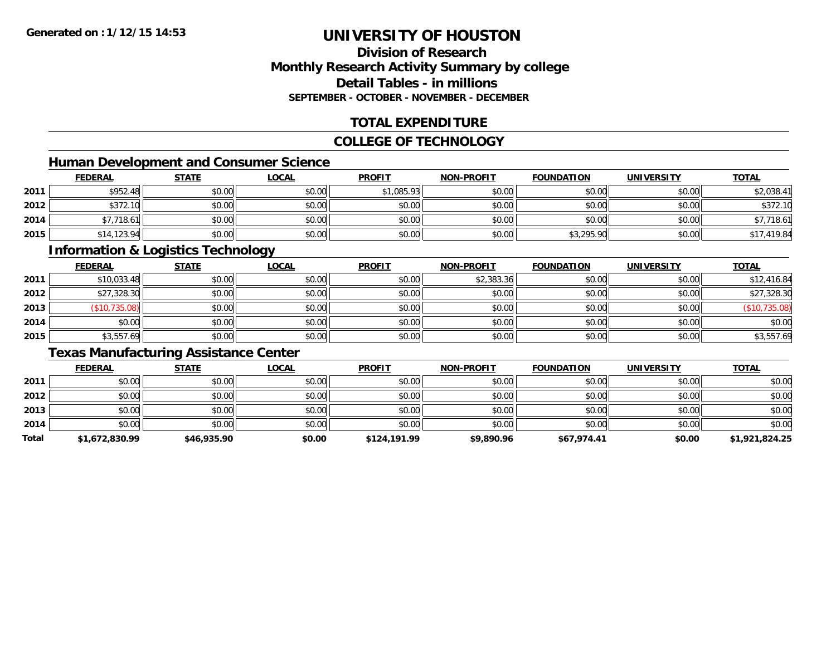### **Division of ResearchMonthly Research Activity Summary by college Detail Tables - in millionsSEPTEMBER - OCTOBER - NOVEMBER - DECEMBER**

### **TOTAL EXPENDITURE**

#### **COLLEGE OF TECHNOLOGY**

## **Human Development and Consumer Science**

|      | <b>FEDERAL</b> | <b>STATE</b> | <b>LOCAL</b> | <b>PROFIT</b> | NON-PROFIT | <b>FOUNDATION</b> | <b>UNIVERSITY</b> | <b>TOTAL</b> |
|------|----------------|--------------|--------------|---------------|------------|-------------------|-------------------|--------------|
| 2011 | \$952.48       | \$0.00       | \$0.00       | \$1,085.93    | \$0.00     | \$0.00            | \$0.00            | \$2,038.41   |
| 2012 | \$372.10       | \$0.00       | \$0.00       | \$0.00        | \$0.00     | \$0.00            | \$0.00            | \$372.10     |
| 2014 | 7,718.61       | \$0.00       | \$0.00       | \$0.00        | \$0.00     | \$0.00            | \$0.00            | \$7,718.61   |
| 2015 | \$14,123.94    | \$0.00       | \$0.00       | \$0.00        | \$0.00     | \$3,295.90        | \$0.00            | \$17,419.84  |

#### **Information & Logistics Technology**

|      | <b>FEDERAL</b> | <b>STATE</b> | <u>LOCAL</u> | <b>PROFIT</b> | <b>NON-PROFIT</b> | <b>FOUNDATION</b> | <b>UNIVERSITY</b> | <b>TOTAL</b>  |
|------|----------------|--------------|--------------|---------------|-------------------|-------------------|-------------------|---------------|
| 2011 | \$10,033.48    | \$0.00       | \$0.00       | \$0.00        | \$2,383.36        | \$0.00            | \$0.00            | \$12,416.84   |
| 2012 | \$27,328.30    | \$0.00       | \$0.00       | \$0.00        | \$0.00            | \$0.00            | \$0.00            | \$27,328.30   |
| 2013 | \$10,735.08    | \$0.00       | \$0.00       | \$0.00        | \$0.00            | \$0.00            | \$0.00            | (\$10,735.08) |
| 2014 | \$0.00         | \$0.00       | \$0.00       | \$0.00        | \$0.00            | \$0.00            | \$0.00            | \$0.00        |
| 2015 | \$3,557.69     | \$0.00       | \$0.00       | \$0.00        | \$0.00            | \$0.00            | \$0.00            | \$3,557.69    |

## **Texas Manufacturing Assistance Center**

|       | <u>FEDERAL</u> | <b>STATE</b> | <b>LOCAL</b> | <b>PROFIT</b> | <b>NON-PROFIT</b> | <b>FOUNDATION</b> | <b>UNIVERSITY</b> | <b>TOTAL</b>   |
|-------|----------------|--------------|--------------|---------------|-------------------|-------------------|-------------------|----------------|
| 2011  | \$0.00         | \$0.00       | \$0.00       | \$0.00        | \$0.00            | \$0.00            | \$0.00            | \$0.00         |
| 2012  | \$0.00         | \$0.00       | \$0.00       | \$0.00        | \$0.00            | \$0.00            | \$0.00            | \$0.00         |
| 2013  | \$0.00         | \$0.00       | \$0.00       | \$0.00        | \$0.00            | \$0.00            | \$0.00            | \$0.00         |
| 2014  | \$0.00         | \$0.00       | \$0.00       | \$0.00        | \$0.00            | \$0.00            | \$0.00            | \$0.00         |
| Total | \$1,672,830.99 | \$46,935.90  | \$0.00       | \$124,191.99  | \$9,890.96        | \$67,974.41       | \$0.00            | \$1,921,824.25 |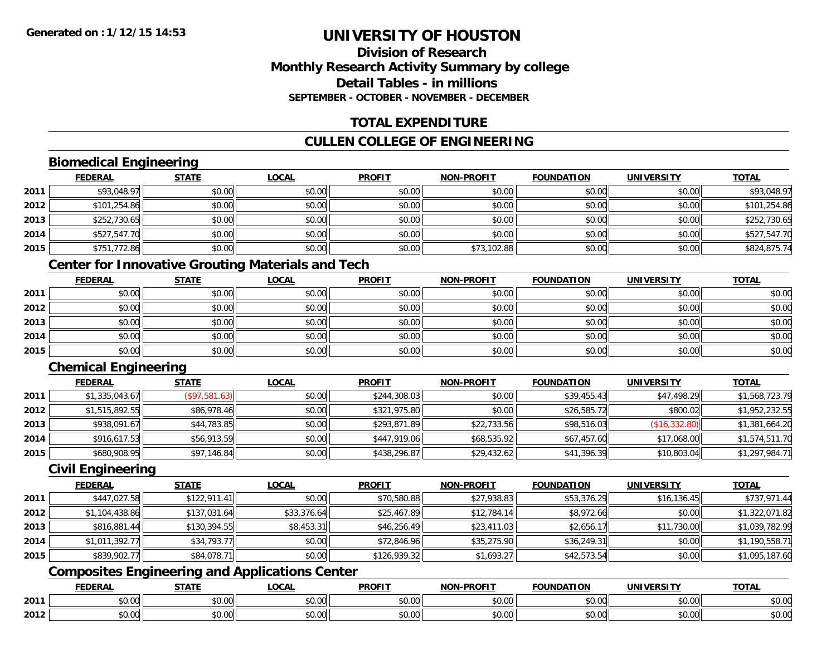### **Division of ResearchMonthly Research Activity Summary by college Detail Tables - in millionsSEPTEMBER - OCTOBER - NOVEMBER - DECEMBER**

## **TOTAL EXPENDITURE**

### **CULLEN COLLEGE OF ENGINEERING**

## **Biomedical Engineering**

|      | <b>FEDERAL</b> | <b>STATE</b> | <b>LOCAL</b> | <b>PROFIT</b> | <b>NON-PROFIT</b> | <b>FOUNDATION</b> | <b>UNIVERSITY</b> | <b>TOTAL</b> |
|------|----------------|--------------|--------------|---------------|-------------------|-------------------|-------------------|--------------|
| 2011 | \$93,048.97    | \$0.00       | \$0.00       | \$0.00        | \$0.00            | \$0.00            | \$0.00            | \$93,048.97  |
| 2012 | \$101,254.86   | \$0.00       | \$0.00       | \$0.00        | \$0.00            | \$0.00            | \$0.00            | \$101,254.86 |
| 2013 | \$252,730.65   | \$0.00       | \$0.00       | \$0.00        | \$0.00            | \$0.00            | \$0.00            | \$252,730.65 |
| 2014 | \$527,547.70   | \$0.00       | \$0.00       | \$0.00        | \$0.00            | \$0.00            | \$0.00            | \$527,547.70 |
| 2015 | \$751,772.86   | \$0.00       | \$0.00       | \$0.00        | \$73,102.88       | \$0.00            | \$0.00            | \$824,875.74 |

## **Center for Innovative Grouting Materials and Tech**

|      | <u>FEDERAL</u> | <b>STATE</b> | <u>LOCAL</u> | <b>PROFIT</b> | <b>NON-PROFIT</b> | <b>FOUNDATION</b> | <b>UNIVERSITY</b> | <b>TOTAL</b> |
|------|----------------|--------------|--------------|---------------|-------------------|-------------------|-------------------|--------------|
| 2011 | \$0.00         | \$0.00       | \$0.00       | \$0.00        | \$0.00            | \$0.00            | \$0.00            | \$0.00       |
| 2012 | \$0.00         | \$0.00       | \$0.00       | \$0.00        | \$0.00            | \$0.00            | \$0.00            | \$0.00       |
| 2013 | \$0.00         | \$0.00       | \$0.00       | \$0.00        | \$0.00            | \$0.00            | \$0.00            | \$0.00       |
| 2014 | \$0.00         | \$0.00       | \$0.00       | \$0.00        | \$0.00            | \$0.00            | \$0.00            | \$0.00       |
| 2015 | \$0.00         | \$0.00       | \$0.00       | \$0.00        | \$0.00            | \$0.00            | \$0.00            | \$0.00       |

## **Chemical Engineering**

|      | <b>FEDERAL</b> | <u>STATE</u>  | <b>LOCAL</b> | <b>PROFIT</b> | <b>NON-PROFIT</b> | <b>FOUNDATION</b> | <b>UNIVERSITY</b> | <b>TOTAL</b>   |
|------|----------------|---------------|--------------|---------------|-------------------|-------------------|-------------------|----------------|
| 2011 | \$1,335,043.67 | (S97, 581.63) | \$0.00       | \$244,308.03  | \$0.00            | \$39,455.43       | \$47,498.29       | \$1,568,723.79 |
| 2012 | \$1,515,892.55 | \$86,978.46   | \$0.00       | \$321,975.80  | \$0.00            | \$26,585.72       | \$800.02          | \$1,952,232.55 |
| 2013 | \$938,091.67   | \$44,783.85   | \$0.00       | \$293,871.89  | \$22,733.56       | \$98,516.03       | (\$16,332.80)     | \$1,381,664.20 |
| 2014 | \$916,617.53   | \$56,913.59   | \$0.00       | \$447,919.06  | \$68,535.92       | \$67,457.60       | \$17,068.00       | \$1,574,511.70 |
| 2015 | \$680,908.95   | \$97,146.84   | \$0.00       | \$438,296.87  | \$29,432.62       | \$41,396.39       | \$10,803.04       | \$1,297,984.71 |

#### **Civil Engineering**

|      | <b>FEDERAL</b> | <b>STATE</b> | <b>LOCAL</b> | <b>PROFIT</b> | <b>NON-PROFIT</b> | <b>FOUNDATION</b> | <b>UNIVERSITY</b> | <b>TOTAL</b>   |
|------|----------------|--------------|--------------|---------------|-------------------|-------------------|-------------------|----------------|
| 2011 | \$447,027.58   | \$122,911.41 | \$0.00       | \$70,580.88   | \$27,938.83       | \$53,376.29       | \$16, 136.45      | \$737,971.44   |
| 2012 | \$1,104,438.86 | \$137,031.64 | \$33,376.64  | \$25,467.89   | \$12,784.14       | \$8,972.66        | \$0.00            | \$1,322,071.82 |
| 2013 | \$816,881.44   | \$130,394.55 | \$8,453.31   | \$46,256.49   | \$23,411.03       | \$2,656.17        | \$11,730.00       | \$1,039,782.99 |
| 2014 | \$1,011,392.77 | \$34,793.77  | \$0.00       | \$72,846.96   | \$35,275.90       | \$36,249.31       | \$0.00            | \$1,190,558.71 |
| 2015 | \$839,902.77   | \$84,078.71  | \$0.00       | \$126,939.32  | \$1,693.27        | \$42,573.54       | \$0.00            | \$1,095,187.60 |

## **Composites Engineering and Applications Center**

|      | <b>FEBER!</b><br>LI\ <i>r</i> | $C = A = 1$              | $\bigcap_{n=1}^{\infty}$<br>.OCAI   | <b>PROFIT</b>          | יוחמחח<br><b>BIOB</b>         | ាកស<br>I ) Д                                 | . <i></i><br>.JIV∶ | <b>TOTAL</b>                                          |
|------|-------------------------------|--------------------------|-------------------------------------|------------------------|-------------------------------|----------------------------------------------|--------------------|-------------------------------------------------------|
| 2011 | 0.00<br>שט.טע                 | $\sim$ 0.0 $\sim$<br>ט.ט | $\sim$ 00<br>וטטוע                  | $\sim$ $\sim$<br>וטטוע | $\sim$ $\sim$ $\sim$<br>vv.vv | $\triangle$ $\triangle$ $\triangle$<br>wu.uu | 0.00<br>PU.UU      | $\mathbf{A} \cap \mathbf{A} \cap \mathbf{A}$<br>JU.UU |
| 2012 | 0000<br>JU.UU                 | <b>↑∩</b><br>JU.U        | $\uparrow$ $\land$ $\land$<br>PU.UU | $\sim$ 00<br>⊸ ∿ບ.ບບ⊩  | $\sim$<br>$\sim$<br>vv.vv     | $\sim$<br>JU.UU                              | 0000<br>JU.UU      | JU.UU                                                 |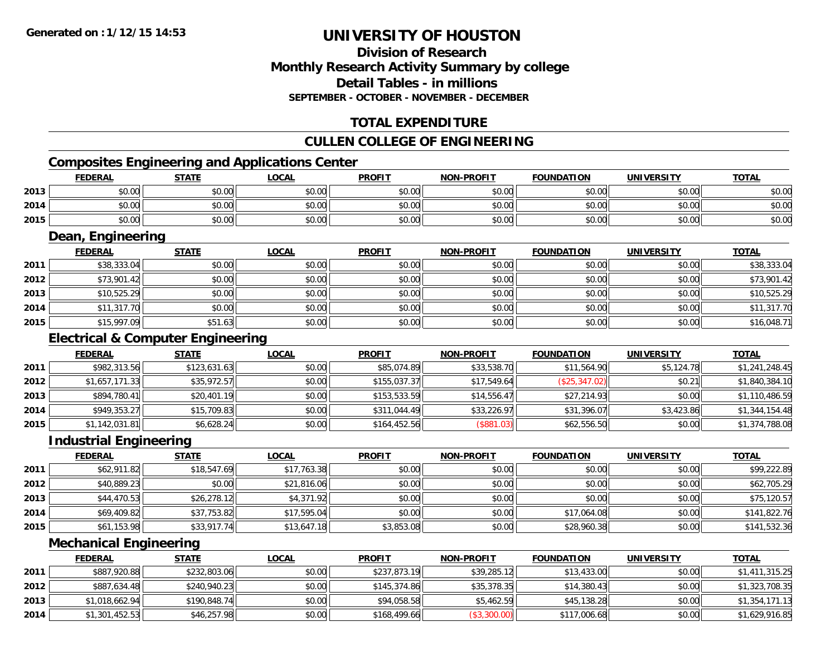### **Division of ResearchMonthly Research Activity Summary by college Detail Tables - in millionsSEPTEMBER - OCTOBER - NOVEMBER - DECEMBER**

## **TOTAL EXPENDITURE**

### **CULLEN COLLEGE OF ENGINEERING**

## **Composites Engineering and Applications Center**

|      | <b>FEDERAL</b>                                             | <b>STATE</b> | <u>LOCAL</u> | <b>PROFIT</b> | <b>NON-PROFIT</b> | <b>FOUNDATION</b> | <b>UNIVERSITY</b> | <b>TOTAL</b> |
|------|------------------------------------------------------------|--------------|--------------|---------------|-------------------|-------------------|-------------------|--------------|
| 2013 | \$0.00                                                     | \$0.00       | \$0.00       | \$0.00        | \$0.00            | \$0.00            | \$0.00            | \$0.00       |
| 2014 | \$0.00                                                     | \$0.00       | \$0.00       | \$0.00        | \$0.00            | \$0.00            | \$0.00            | \$0.00       |
| 2015 | \$0.00                                                     | \$0.00       | \$0.00       | \$0.00        | \$0.00            | \$0.00            | \$0.00            | \$0.00       |
|      | $\overline{\phantom{a}}$<br>$\overline{\phantom{a}}$<br>__ |              |              |               |                   |                   |                   |              |

#### **Dean, Engineering**

|      | <b>FEDERAL</b> | <b>STATE</b> | <b>LOCAL</b> | <b>PROFIT</b> | <b>NON-PROFIT</b> | <b>FOUNDATION</b> | <b>UNIVERSITY</b> | <b>TOTAL</b> |
|------|----------------|--------------|--------------|---------------|-------------------|-------------------|-------------------|--------------|
| 2011 | \$38,333.04    | \$0.00       | \$0.00       | \$0.00        | \$0.00            | \$0.00            | \$0.00            | \$38,333.04  |
| 2012 | \$73,901.42    | \$0.00       | \$0.00       | \$0.00        | \$0.00            | \$0.00            | \$0.00            | \$73,901.42  |
| 2013 | \$10,525.29    | \$0.00       | \$0.00       | \$0.00        | \$0.00            | \$0.00            | \$0.00            | \$10,525.29  |
| 2014 | \$11,317.70    | \$0.00       | \$0.00       | \$0.00        | \$0.00            | \$0.00            | \$0.00            | \$11,317.70  |
| 2015 | \$15,997.09    | \$51.63      | \$0.00       | \$0.00        | \$0.00            | \$0.00            | \$0.00            | \$16,048.71  |

## **Electrical & Computer Engineering**

|      | <b>FEDERAL</b> | <b>STATE</b> | <b>LOCAL</b> | <b>PROFIT</b> | <b>NON-PROFIT</b> | <b>FOUNDATION</b> | <b>UNIVERSITY</b> | <b>TOTAL</b>   |
|------|----------------|--------------|--------------|---------------|-------------------|-------------------|-------------------|----------------|
| 2011 | \$982,313.56   | \$123,631.63 | \$0.00       | \$85,074.89   | \$33,538.70       | \$11,564.90       | \$5,124.78        | \$1,241,248.45 |
| 2012 | \$1,657,171.33 | \$35,972.57  | \$0.00       | \$155,037.37  | \$17,549.64       | (\$25,347.02)     | \$0.21            | \$1,840,384.10 |
| 2013 | \$894,780.41   | \$20,401.19  | \$0.00       | \$153,533.59  | \$14,556.47       | \$27,214.93       | \$0.00            | \$1,110,486.59 |
| 2014 | \$949,353.27   | \$15,709.83  | \$0.00       | \$311,044.49  | \$33,226.97       | \$31,396.07       | \$3,423.86        | \$1,344,154.48 |
| 2015 | \$1,142,031.81 | \$6,628.24   | \$0.00       | \$164,452.56  | (S881.03)         | \$62,556.50       | \$0.00            | \$1,374,788.08 |

#### **Industrial Engineering**

|      | <b>FEDERAL</b> | <b>STATE</b> | <b>LOCAL</b> | <b>PROFIT</b> | <b>NON-PROFIT</b> | <b>FOUNDATION</b> | <b>UNIVERSITY</b> | <b>TOTAL</b> |
|------|----------------|--------------|--------------|---------------|-------------------|-------------------|-------------------|--------------|
| 2011 | \$62,911.82    | \$18,547.69  | \$17,763.38  | \$0.00        | \$0.00            | \$0.00            | \$0.00            | \$99,222.89  |
| 2012 | \$40,889.23    | \$0.00       | \$21,816.06  | \$0.00        | \$0.00            | \$0.00            | \$0.00            | \$62,705.29  |
| 2013 | \$44,470.53    | \$26,278.12  | \$4,371.92   | \$0.00        | \$0.00            | \$0.00            | \$0.00            | \$75,120.57  |
| 2014 | \$69,409.82    | \$37,753.82  | \$17,595.04  | \$0.00        | \$0.00            | \$17,064.08       | \$0.00            | \$141,822.76 |
| 2015 | \$61,153.98    | \$33,917.74  | \$13,647.18  | \$3,853.08    | \$0.00            | \$28,960.38       | \$0.00            | \$141,532.36 |

#### **Mechanical Engineering**

|      | <b>FEDERAL</b> | <u>STATE</u> | <u>LOCAL</u> | <b>PROFIT</b> | <b>NON-PROFIT</b> | <b>FOUNDATION</b> | <b>UNIVERSITY</b> | <b>TOTAL</b>   |
|------|----------------|--------------|--------------|---------------|-------------------|-------------------|-------------------|----------------|
| 2011 | \$887,920.88   | \$232,803.06 | \$0.00       | \$237,873.19  | \$39,285.12       | \$13,433.00       | \$0.00            | \$1,411,315.25 |
| 2012 | \$887,634.48   | \$240,940.23 | \$0.00       | \$145,374.86  | \$35,378.35       | \$14,380.43       | \$0.00            | \$1,323,708.35 |
| 2013 | \$1,018,662.94 | \$190,848.74 | \$0.00       | \$94,058.58   | \$5,462.59        | \$45,138.28       | \$0.00            | \$1,354,171.13 |
| 2014 | \$1,301,452.53 | \$46,257.98  | \$0.00       | \$168,499.66  | (\$3,300.00)      | \$117,006.68      | \$0.00            | \$1,629,916.85 |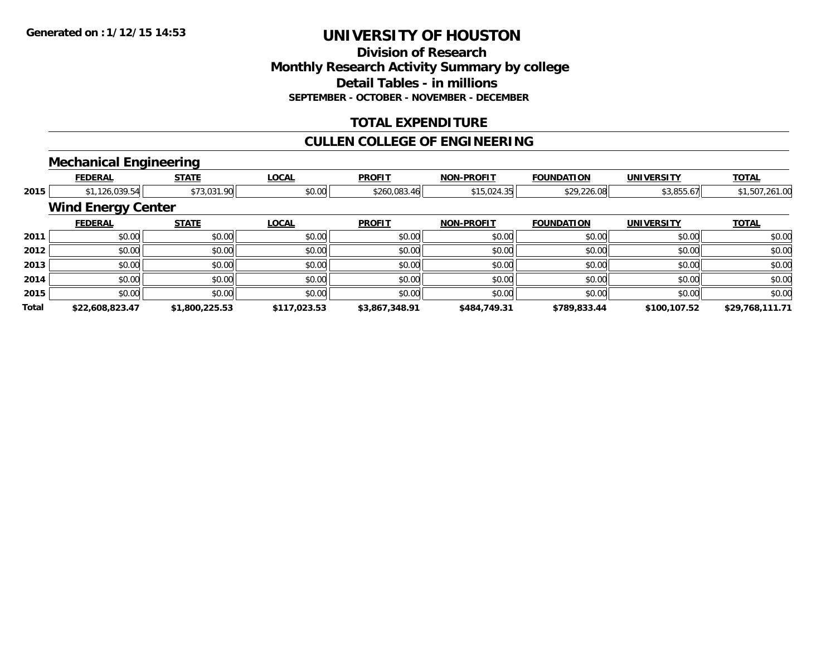#### **Division of Research Monthly Research Activity Summary by college Detail Tables - in millions SEPTEMBER - OCTOBER - NOVEMBER - DECEMBER**

### **TOTAL EXPENDITURE**

### **CULLEN COLLEGE OF ENGINEERING**

### **Mechanical Engineering**

|              | <b>FEDERAL</b>            | <b>STATE</b>   | <b>LOCAL</b> | <b>PROFIT</b>  | <b>NON-PROFIT</b> | <b>FOUNDATION</b> | <b>UNIVERSITY</b> | <b>TOTAL</b>    |
|--------------|---------------------------|----------------|--------------|----------------|-------------------|-------------------|-------------------|-----------------|
| 2015         | \$1,126,039.54            | \$73,031.90    | \$0.00       | \$260,083.46   | \$15,024.35       | \$29,226.08       | \$3,855.67        | \$1,507,261.00  |
|              | <b>Wind Energy Center</b> |                |              |                |                   |                   |                   |                 |
|              | <b>FEDERAL</b>            | <b>STATE</b>   | <b>LOCAL</b> | <b>PROFIT</b>  | <b>NON-PROFIT</b> | <b>FOUNDATION</b> | <b>UNIVERSITY</b> | <b>TOTAL</b>    |
| 2011         | \$0.00                    | \$0.00         | \$0.00       | \$0.00         | \$0.00            | \$0.00            | \$0.00            | \$0.00          |
| 2012         | \$0.00                    | \$0.00         | \$0.00       | \$0.00         | \$0.00            | \$0.00            | \$0.00            | \$0.00          |
| 2013         | \$0.00                    | \$0.00         | \$0.00       | \$0.00         | \$0.00            | \$0.00            | \$0.00            | \$0.00          |
| 2014         | \$0.00                    | \$0.00         | \$0.00       | \$0.00         | \$0.00            | \$0.00            | \$0.00            | \$0.00          |
| 2015         | \$0.00                    | \$0.00         | \$0.00       | \$0.00         | \$0.00            | \$0.00            | \$0.00            | \$0.00          |
| <b>Total</b> | \$22,608,823.47           | \$1,800,225.53 | \$117,023.53 | \$3,867,348.91 | \$484,749.31      | \$789,833.44      | \$100.107.52      | \$29,768,111.71 |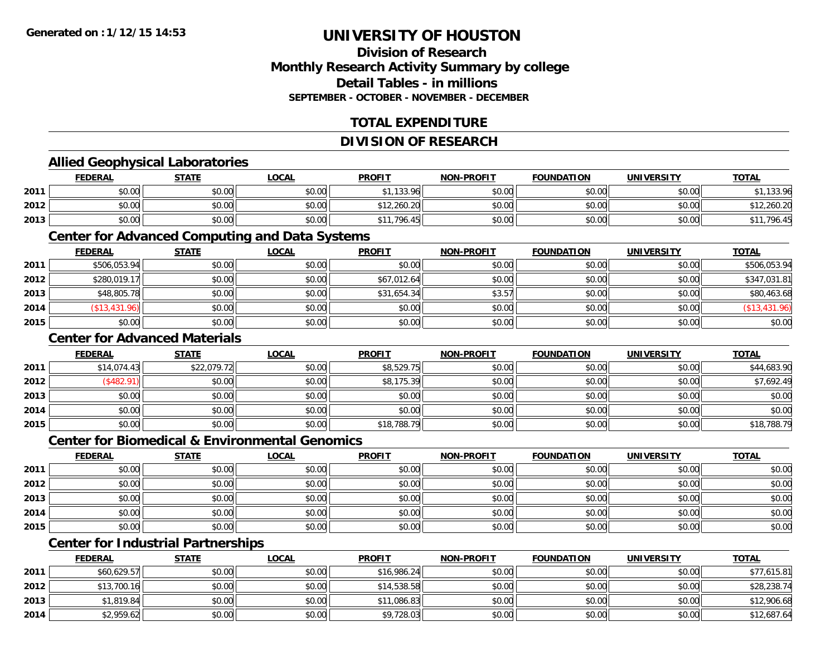### **Division of ResearchMonthly Research Activity Summary by college Detail Tables - in millionsSEPTEMBER - OCTOBER - NOVEMBER - DECEMBER**

## **TOTAL EXPENDITURE**

#### **DIVISION OF RESEARCH**

### **Allied Geophysical Laboratories**

|      | <b>FEDERAL</b> | <b>STATE</b>          | <b>LOCAL</b>         | <b>PROFIT</b>          | <b>NON-PROFIT</b> | <b>FOUNDATION</b> | UNIVERSITY | <b>TOTAL</b> |
|------|----------------|-----------------------|----------------------|------------------------|-------------------|-------------------|------------|--------------|
| 2011 | \$0.00         | ¢Λ<br>JU.UU           | 0000<br>JU.UU        | 133 QA<br>**<br>199.70 | \$0.00            | ≮∩ ∩∩<br>JU.UU    | \$0.00     | 133.96       |
| 2012 | \$0.00         | Ψυ<br>$\sim$<br>DU.UG | 0000<br>DU.UU        | \$12,260.20            | \$0.00            | mn n¢<br>JU.UU    | \$0.00     | 12,260.20    |
| 2013 | \$0.00         | \$0.00                | 0000<br><b>DU.UG</b> | 796.45                 | \$0.00            | \$0.00            | \$0.00     | ,796.45      |

#### **Center for Advanced Computing and Data Systems**

|      | <u>FEDERAL</u> | <u>STATE</u> | <u>LOCAL</u> | <b>PROFIT</b> | <b>NON-PROFIT</b> | <b>FOUNDATION</b> | <b>UNIVERSITY</b> | <b>TOTAL</b>  |
|------|----------------|--------------|--------------|---------------|-------------------|-------------------|-------------------|---------------|
| 2011 | \$506,053.94   | \$0.00       | \$0.00       | \$0.00        | \$0.00            | \$0.00            | \$0.00            | \$506,053.94  |
| 2012 | \$280,019.17   | \$0.00       | \$0.00       | \$67,012.64   | \$0.00            | \$0.00            | \$0.00            | \$347,031.81  |
| 2013 | \$48,805.78    | \$0.00       | \$0.00       | \$31,654.34   | \$3.57            | \$0.00            | \$0.00            | \$80,463.68   |
| 2014 | (\$13,431.96)  | \$0.00       | \$0.00       | \$0.00        | \$0.00            | \$0.00            | \$0.00            | (\$13,431.96) |
| 2015 | \$0.00         | \$0.00       | \$0.00       | \$0.00        | \$0.00            | \$0.00            | \$0.00            | \$0.00        |

#### **Center for Advanced Materials**

|      | <b>FEDERAL</b> | <b>STATE</b> | <b>LOCAL</b> | <b>PROFIT</b> | <b>NON-PROFIT</b> | <b>FOUNDATION</b> | <b>UNIVERSITY</b> | <b>TOTAL</b> |
|------|----------------|--------------|--------------|---------------|-------------------|-------------------|-------------------|--------------|
| 2011 | \$14,074.43    | \$22,079.72  | \$0.00       | \$8,529.75    | \$0.00            | \$0.00            | \$0.00            | \$44,683.90  |
| 2012 | \$482.91       | \$0.00       | \$0.00       | \$8,175.39    | \$0.00            | \$0.00            | \$0.00            | \$7,692.49   |
| 2013 | \$0.00         | \$0.00       | \$0.00       | \$0.00        | \$0.00            | \$0.00            | \$0.00            | \$0.00       |
| 2014 | \$0.00         | \$0.00       | \$0.00       | \$0.00        | \$0.00            | \$0.00            | \$0.00            | \$0.00       |
| 2015 | \$0.00         | \$0.00       | \$0.00       | \$18,788.79   | \$0.00            | \$0.00            | \$0.00            | \$18,788.79  |

#### **Center for Biomedical & Environmental Genomics**

|      | <u>FEDERAL</u> | <b>STATE</b> | <b>LOCAL</b> | <b>PROFIT</b> | <b>NON-PROFIT</b> | <b>FOUNDATION</b> | <b>UNIVERSITY</b> | <b>TOTAL</b> |
|------|----------------|--------------|--------------|---------------|-------------------|-------------------|-------------------|--------------|
| 2011 | \$0.00         | \$0.00       | \$0.00       | \$0.00        | \$0.00            | \$0.00            | \$0.00            | \$0.00       |
| 2012 | \$0.00         | \$0.00       | \$0.00       | \$0.00        | \$0.00            | \$0.00            | \$0.00            | \$0.00       |
| 2013 | \$0.00         | \$0.00       | \$0.00       | \$0.00        | \$0.00            | \$0.00            | \$0.00            | \$0.00       |
| 2014 | \$0.00         | \$0.00       | \$0.00       | \$0.00        | \$0.00            | \$0.00            | \$0.00            | \$0.00       |
| 2015 | \$0.00         | \$0.00       | \$0.00       | \$0.00        | \$0.00            | \$0.00            | \$0.00            | \$0.00       |

## **Center for Industrial Partnerships**

|      | <b>FEDERAL</b> | <b>STATE</b> | <b>LOCAL</b> | <b>PROFIT</b> | <b>NON-PROFIT</b> | <b>FOUNDATION</b> | <b>UNIVERSITY</b> | <b>TOTAL</b> |
|------|----------------|--------------|--------------|---------------|-------------------|-------------------|-------------------|--------------|
| 2011 | \$60,629.57    | \$0.00       | \$0.00       | \$16,986.24   | \$0.00            | \$0.00            | \$0.00            | \$77,615.81  |
| 2012 | \$13,700.16    | \$0.00       | \$0.00       | \$14,538.58   | \$0.00            | \$0.00            | \$0.00            | \$28,238.74  |
| 2013 | \$1,819.84     | \$0.00       | \$0.00       | \$11,086.83   | \$0.00            | \$0.00            | \$0.00            | \$12,906.68  |
| 2014 | \$2,959.62     | \$0.00       | \$0.00       | \$9,728.03    | \$0.00            | \$0.00            | \$0.00            | \$12,687.64  |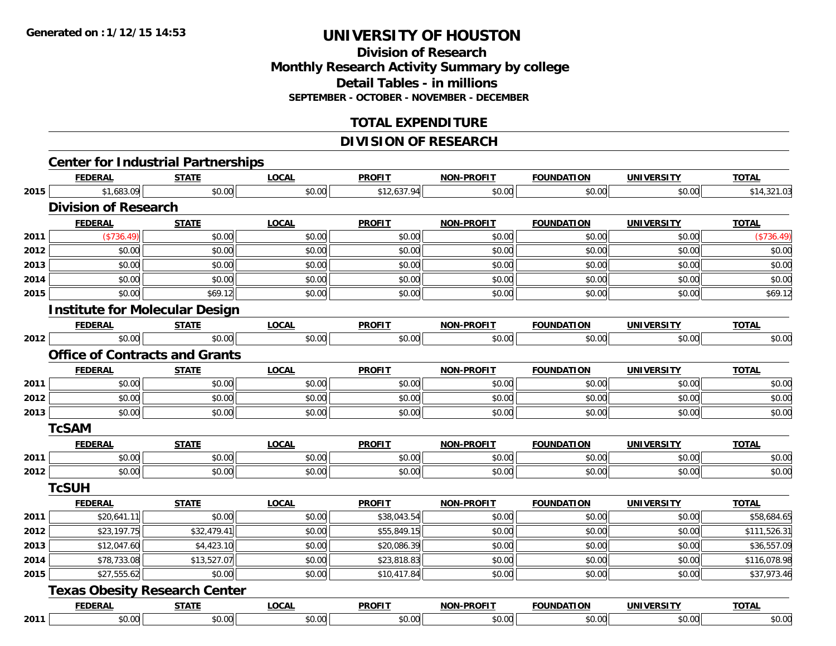## **Division of ResearchMonthly Research Activity Summary by college Detail Tables - in millions SEPTEMBER - OCTOBER - NOVEMBER - DECEMBER**

### **TOTAL EXPENDITURE**

## **DIVISION OF RESEARCH**

|      | <b>Center for Industrial Partnerships</b> |              |              |               |                   |                   |                   |              |
|------|-------------------------------------------|--------------|--------------|---------------|-------------------|-------------------|-------------------|--------------|
|      | <b>FEDERAL</b>                            | <b>STATE</b> | <b>LOCAL</b> | <b>PROFIT</b> | <b>NON-PROFIT</b> | <b>FOUNDATION</b> | <b>UNIVERSITY</b> | <b>TOTAL</b> |
|      | \$1,683.09<br>2015                        | \$0.00       | \$0.00       | \$12,637.94   | $\sqrt{0.00}$     | \$0.00            | \$0.00            | \$14,321.03  |
|      | <b>Division of Research</b>               |              |              |               |                   |                   |                   |              |
|      | <b>FEDERAL</b>                            | <b>STATE</b> | <b>LOCAL</b> | <b>PROFIT</b> | <b>NON-PROFIT</b> | <b>FOUNDATION</b> | <b>UNIVERSITY</b> | <b>TOTAL</b> |
| 2011 | $(*736.49)$                               | \$0.00       | \$0.00       | \$0.00        | \$0.00            | \$0.00            | \$0.00            | (\$736.49)   |
| 2012 | \$0.00                                    | \$0.00       | \$0.00       | \$0.00        | \$0.00            | \$0.00            | \$0.00            | \$0.00       |
| 2013 | \$0.00                                    | \$0.00       | \$0.00       | \$0.00        | \$0.00            | \$0.00            | \$0.00            | \$0.00       |
| 2014 | \$0.00                                    | \$0.00       | \$0.00       | \$0.00        | \$0.00            | \$0.00            | \$0.00            | \$0.00       |
| 2015 | \$0.00                                    | \$69.12      | \$0.00       | \$0.00        | \$0.00            | \$0.00            | \$0.00            | \$69.12      |
|      | <b>Institute for Molecular Design</b>     |              |              |               |                   |                   |                   |              |
|      | <b>FEDERAL</b>                            | <b>STATE</b> | <b>LOCAL</b> | <b>PROFIT</b> | <b>NON-PROFIT</b> | <b>FOUNDATION</b> | <b>UNIVERSITY</b> | <b>TOTAL</b> |
| 2012 | \$0.00                                    | \$0.00       | \$0.00       | \$0.00        | \$0.00            | \$0.00            | \$0.00            | \$0.00       |
|      | <b>Office of Contracts and Grants</b>     |              |              |               |                   |                   |                   |              |
|      | <b>FEDERAL</b>                            | <b>STATE</b> | <b>LOCAL</b> | <b>PROFIT</b> | <b>NON-PROFIT</b> | <b>FOUNDATION</b> | <b>UNIVERSITY</b> | <b>TOTAL</b> |
| 2011 | \$0.00                                    | \$0.00       | \$0.00       | \$0.00        | \$0.00            | \$0.00            | \$0.00            | \$0.00       |
| 2012 | \$0.00                                    | \$0.00       | \$0.00       | \$0.00        | \$0.00            | \$0.00            | \$0.00            | \$0.00       |
| 2013 | \$0.00                                    | \$0.00       | \$0.00       | \$0.00        | \$0.00            | \$0.00            | \$0.00            | \$0.00       |
|      | <b>TcSAM</b>                              |              |              |               |                   |                   |                   |              |
|      | <b>FEDERAL</b>                            | <b>STATE</b> | <b>LOCAL</b> | <b>PROFIT</b> | <b>NON-PROFIT</b> | <b>FOUNDATION</b> | <b>UNIVERSITY</b> | <b>TOTAL</b> |
| 2011 | \$0.00                                    | \$0.00       | \$0.00       | \$0.00        | \$0.00            | \$0.00            | \$0.00            | \$0.00       |
| 2012 | \$0.00                                    | \$0.00       | \$0.00       | \$0.00        | \$0.00            | \$0.00            | \$0.00            | \$0.00       |
|      | <b>TcSUH</b>                              |              |              |               |                   |                   |                   |              |
|      | <b>FEDERAL</b>                            | <b>STATE</b> | <b>LOCAL</b> | <b>PROFIT</b> | <b>NON-PROFIT</b> | <b>FOUNDATION</b> | <b>UNIVERSITY</b> | <b>TOTAL</b> |
| 2011 | \$20,641.11                               | \$0.00       | \$0.00       | \$38,043.54   | \$0.00            | \$0.00            | \$0.00            | \$58,684.65  |
| 2012 | \$23,197.75                               | \$32,479.41  | \$0.00       | \$55,849.15   | \$0.00            | \$0.00            | \$0.00            | \$111,526.31 |
| 2013 | \$12,047.60                               | \$4,423.10   | \$0.00       | \$20,086.39   | \$0.00            | \$0.00            | \$0.00            | \$36,557.09  |
| 2014 | \$78,733.08                               | \$13,527.07  | \$0.00       | \$23,818.83   | \$0.00            | \$0.00            | \$0.00            | \$116,078.98 |
| 2015 | \$27,555.62                               | \$0.00       | \$0.00       | \$10,417.84   | \$0.00            | \$0.00            | \$0.00            | \$37,973.46  |
|      | <b>Texas Obesity Research Center</b>      |              |              |               |                   |                   |                   |              |
|      | <b>FEDERAL</b>                            | <b>STATE</b> | <b>LOCAL</b> | <b>PROFIT</b> | <b>NON-PROFIT</b> | <b>FOUNDATION</b> | <b>UNIVERSITY</b> | <b>TOTAL</b> |
| 2011 | \$0.00                                    | \$0.00       | \$0.00       | \$0.00        | \$0.00            | \$0.00            | \$0.00            | \$0.00       |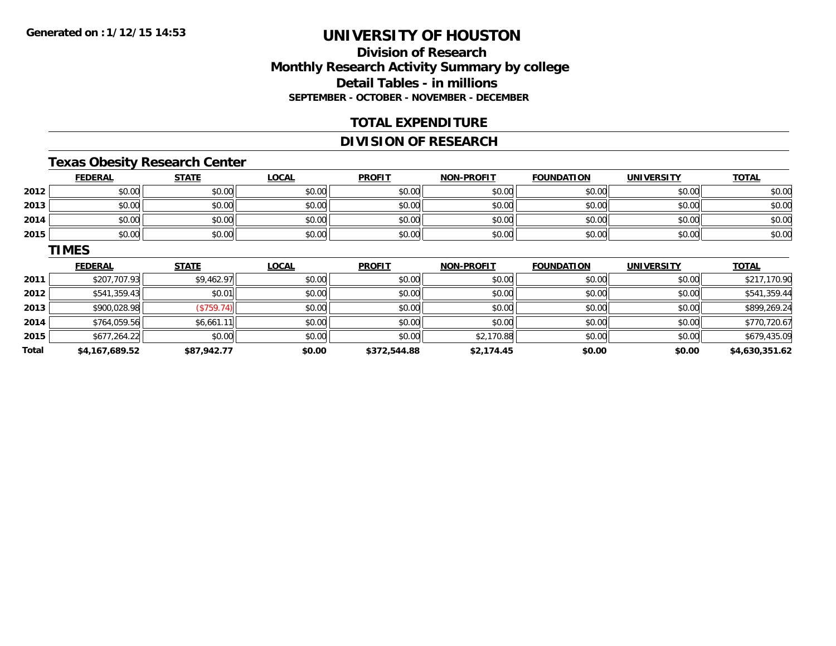## **Division of ResearchMonthly Research Activity Summary by college Detail Tables - in millions SEPTEMBER - OCTOBER - NOVEMBER - DECEMBER**

#### **TOTAL EXPENDITURE**

### **DIVISION OF RESEARCH**

## **Texas Obesity Research Center**

|      | <b>FEDERAL</b> | <b>STATE</b> | <u>LOCAL</u> | <b>PROFIT</b> | <b>NON-PROFIT</b> | <b>FOUNDATION</b> | <b>UNIVERSITY</b> | <b>TOTAL</b> |
|------|----------------|--------------|--------------|---------------|-------------------|-------------------|-------------------|--------------|
| 2012 | \$0.00         | \$0.00       | \$0.00       | \$0.00        | \$0.00            | \$0.00            | \$0.00            | \$0.00       |
| 2013 | \$0.00         | \$0.00       | \$0.00       | \$0.00        | \$0.00            | \$0.00            | \$0.00            | \$0.00       |
| 2014 | \$0.00         | \$0.00       | \$0.00       | \$0.00        | \$0.00            | \$0.00            | \$0.00            | \$0.00       |
| 2015 | \$0.00         | \$0.00       | \$0.00       | \$0.00        | \$0.00            | \$0.00            | \$0.00            | \$0.00       |

#### **TIMES**

|       | <b>FEDERAL</b> | <b>STATE</b> | LOCAL  | <b>PROFIT</b> | <b>NON-PROFIT</b> | <b>FOUNDATION</b> | <b>UNIVERSITY</b> | <b>TOTAL</b>   |
|-------|----------------|--------------|--------|---------------|-------------------|-------------------|-------------------|----------------|
| 2011  | \$207,707.93   | \$9,462.97   | \$0.00 | \$0.00        | \$0.00            | \$0.00            | \$0.00            | \$217,170.90   |
| 2012  | \$541,359.43   | \$0.01       | \$0.00 | \$0.00        | \$0.00            | \$0.00            | \$0.00            | \$541,359.44   |
| 2013  | \$900,028.98   | (\$759.74)   | \$0.00 | \$0.00        | \$0.00            | \$0.00            | \$0.00            | \$899,269.24   |
| 2014  | \$764,059.56   | \$6,661.11   | \$0.00 | \$0.00        | \$0.00            | \$0.00            | \$0.00            | \$770,720.67   |
| 2015  | \$677,264.22   | \$0.00       | \$0.00 | \$0.00        | \$2,170.88        | \$0.00            | \$0.00            | \$679,435.09   |
| Total | \$4,167,689.52 | \$87,942.77  | \$0.00 | \$372,544.88  | \$2,174.45        | \$0.00            | \$0.00            | \$4,630,351.62 |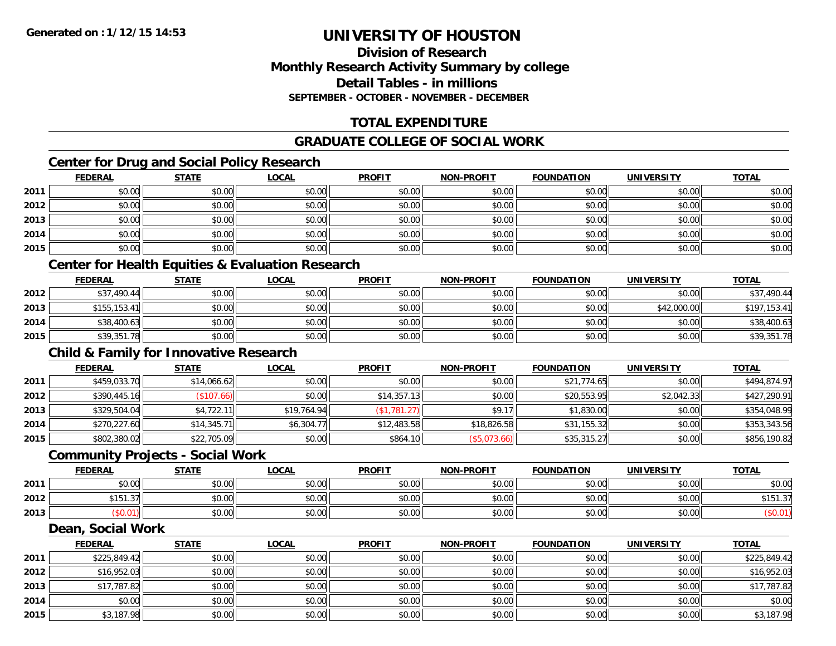### **Division of ResearchMonthly Research Activity Summary by college Detail Tables - in millionsSEPTEMBER - OCTOBER - NOVEMBER - DECEMBER**

## **TOTAL EXPENDITURE**

## **GRADUATE COLLEGE OF SOCIAL WORK**

## **Center for Drug and Social Policy Research**

|      | <b>FEDERAL</b>                                              | <b>STATE</b> | <u>LOCAL</u> | <b>PROFIT</b> | <b>NON-PROFIT</b> | <b>FOUNDATION</b> | <b>UNIVERSITY</b> | <b>TOTAL</b> |  |  |
|------|-------------------------------------------------------------|--------------|--------------|---------------|-------------------|-------------------|-------------------|--------------|--|--|
| 2011 | \$0.00                                                      | \$0.00       | \$0.00       | \$0.00        | \$0.00            | \$0.00            | \$0.00            | \$0.00       |  |  |
| 2012 | \$0.00                                                      | \$0.00       | \$0.00       | \$0.00        | \$0.00            | \$0.00            | \$0.00            | \$0.00       |  |  |
| 2013 | \$0.00                                                      | \$0.00       | \$0.00       | \$0.00        | \$0.00            | \$0.00            | \$0.00            | \$0.00       |  |  |
| 2014 | \$0.00                                                      | \$0.00       | \$0.00       | \$0.00        | \$0.00            | \$0.00            | \$0.00            | \$0.00       |  |  |
| 2015 | \$0.00                                                      | \$0.00       | \$0.00       | \$0.00        | \$0.00            | \$0.00            | \$0.00            | \$0.00       |  |  |
|      | <b>Center for Health Equities &amp; Evaluation Research</b> |              |              |               |                   |                   |                   |              |  |  |

|      | <b>FEDERAL</b> | <u>STATE</u> | <b>LOCAL</b> | <b>PROFIT</b> | <b>NON-PROFIT</b> | <b>FOUNDATION</b> | <b>UNIVERSITY</b> | <b>TOTAL</b> |
|------|----------------|--------------|--------------|---------------|-------------------|-------------------|-------------------|--------------|
| 2012 | \$37,490.44    | \$0.00       | \$0.00       | \$0.00        | \$0.00            | \$0.00            | \$0.00            | \$37,490.44  |
| 2013 | \$155.153.41   | \$0.00       | \$0.00       | \$0.00        | \$0.00            | \$0.00            | \$42,000.00       | \$197,153.41 |
| 2014 | \$38,400.63    | \$0.00       | \$0.00       | \$0.00        | \$0.00            | \$0.00            | \$0.00            | \$38,400.63  |
| 2015 | \$39,351.78    | \$0.00       | \$0.00       | \$0.00        | \$0.00            | \$0.00            | \$0.00            | \$39,351.78  |

## **Child & Family for Innovative Research**

|      | <b>FEDERAL</b> | <b>STATE</b> | <u>LOCAL</u> | <b>PROFIT</b> | <b>NON-PROFIT</b> | <b>FOUNDATION</b> | <b>UNIVERSITY</b> | <b>TOTAL</b> |
|------|----------------|--------------|--------------|---------------|-------------------|-------------------|-------------------|--------------|
| 2011 | \$459,033.70   | \$14,066.62  | \$0.00       | \$0.00        | \$0.00            | \$21,774.65       | \$0.00            | \$494,874.97 |
| 2012 | \$390,445.16   | (\$107.66)   | \$0.00       | \$14,357.13   | \$0.00            | \$20,553.95       | \$2,042.33        | \$427,290.91 |
| 2013 | \$329,504.04   | \$4,722.11   | \$19,764.94  | (\$1,781.27)  | \$9.17            | \$1,830.00        | \$0.00            | \$354,048.99 |
| 2014 | \$270,227.60   | \$14,345.71  | \$6,304.77   | \$12,483.58   | \$18,826.58       | \$31,155.32       | \$0.00            | \$353,343.56 |
| 2015 | \$802,380.02   | \$22,705.09  | \$0.00       | \$864.10      | (\$5,073.66)      | \$35,315.27       | \$0.00            | \$856,190.82 |

#### **Community Projects - Social Work**

|      | <b>FEDERAL</b> | <b>STATE</b> | <b>LOCAL</b> | <b>PROFIT</b> | <b>NON-PROFIT</b> | <b>FOUNDATION</b> | <b>UNIVERSITY</b> | <u>TOTAL</u> |
|------|----------------|--------------|--------------|---------------|-------------------|-------------------|-------------------|--------------|
| 2011 | ስስ ስስ<br>JU.UU | \$0.00       | \$0.00       | \$0.00        | \$0.00            | \$0.00            | \$0.00            | \$0.00       |
| 2012 | $\sim$<br>، ن. | \$0.00       | \$0.00       | \$0.00        | \$0.00            | \$0.00            | \$0.00            | \$151.3      |
| 2013 |                | \$0.00       | \$0.00       | \$0.00        | \$0.00            | \$0.00            | \$0.00            |              |

#### **Dean, Social Work**

|      | <b>FEDERAL</b> | <b>STATE</b> | <b>LOCAL</b> | <b>PROFIT</b> | <b>NON-PROFIT</b> | <b>FOUNDATION</b> | <b>UNIVERSITY</b> | <b>TOTAL</b> |
|------|----------------|--------------|--------------|---------------|-------------------|-------------------|-------------------|--------------|
| 2011 | \$225,849.42   | \$0.00       | \$0.00       | \$0.00        | \$0.00            | \$0.00            | \$0.00            | \$225,849.42 |
| 2012 | \$16,952.03    | \$0.00       | \$0.00       | \$0.00        | \$0.00            | \$0.00            | \$0.00            | \$16,952.03  |
| 2013 | \$17,787.82    | \$0.00       | \$0.00       | \$0.00        | \$0.00            | \$0.00            | \$0.00            | \$17,787.82  |
| 2014 | \$0.00         | \$0.00       | \$0.00       | \$0.00        | \$0.00            | \$0.00            | \$0.00            | \$0.00       |
| 2015 | \$3,187.98     | \$0.00       | \$0.00       | \$0.00        | \$0.00            | \$0.00            | \$0.00            | \$3,187.98   |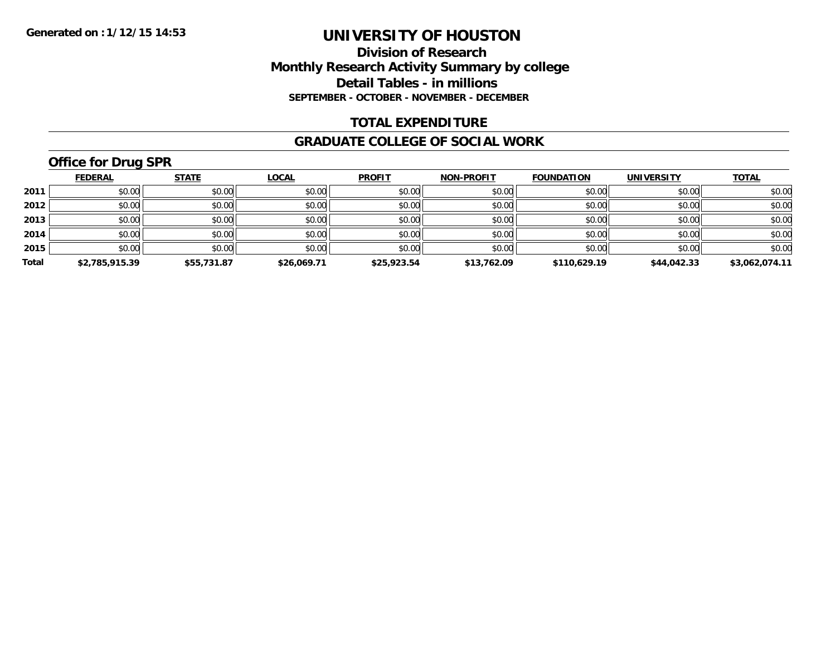#### **Division of Research Monthly Research Activity Summary by college Detail Tables - in millions SEPTEMBER - OCTOBER - NOVEMBER - DECEMBER**

#### **TOTAL EXPENDITURE**

#### **GRADUATE COLLEGE OF SOCIAL WORK**

## **Office for Drug SPR**

|       | <b>FEDERAL</b> | <b>STATE</b> | <b>LOCAL</b> | <b>PROFIT</b> | <b>NON-PROFIT</b> | <b>FOUNDATION</b> | <b>UNIVERSITY</b> | <b>TOTAL</b>   |
|-------|----------------|--------------|--------------|---------------|-------------------|-------------------|-------------------|----------------|
| 2011  | \$0.00         | \$0.00       | \$0.00       | \$0.00        | \$0.00            | \$0.00            | \$0.00            | \$0.00         |
| 2012  | \$0.00         | \$0.00       | \$0.00       | \$0.00        | \$0.00            | \$0.00            | \$0.00            | \$0.00         |
| 2013  | \$0.00         | \$0.00       | \$0.00       | \$0.00        | \$0.00            | \$0.00            | \$0.00            | \$0.00         |
| 2014  | \$0.00         | \$0.00       | \$0.00       | \$0.00        | \$0.00            | \$0.00            | \$0.00            | \$0.00         |
| 2015  | \$0.00         | \$0.00       | \$0.00       | \$0.00        | \$0.00            | \$0.00            | \$0.00            | \$0.00         |
| Total | \$2,785,915.39 | \$55,731.87  | \$26,069.71  | \$25,923.54   | \$13,762.09       | \$110,629.19      | \$44,042.33       | \$3,062,074.11 |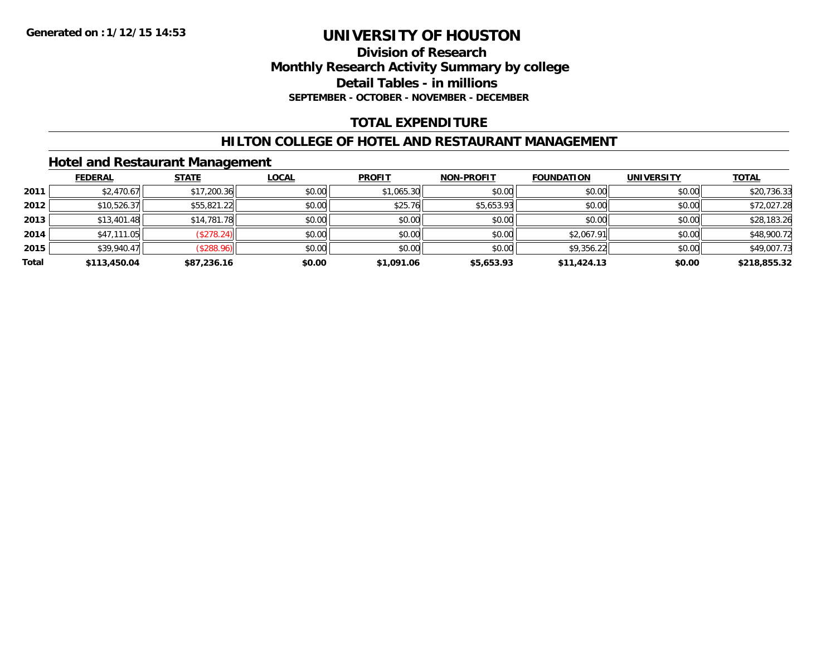#### **Division of Research Monthly Research Activity Summary by college Detail Tables - in millions SEPTEMBER - OCTOBER - NOVEMBER - DECEMBER**

## **TOTAL EXPENDITURE**

#### **HILTON COLLEGE OF HOTEL AND RESTAURANT MANAGEMENT**

### **Hotel and Restaurant Management**

|       | <b>FEDERAL</b> | <b>STATE</b> | <b>LOCAL</b> | <b>PROFIT</b> | <b>NON-PROFIT</b> | <b>FOUNDATION</b> | <b>UNIVERSITY</b> | <b>TOTAL</b> |
|-------|----------------|--------------|--------------|---------------|-------------------|-------------------|-------------------|--------------|
| 2011  | \$2,470.67     | \$17,200.36  | \$0.00       | \$1,065.30    | \$0.00            | \$0.00            | \$0.00            | \$20,736.33  |
| 2012  | \$10,526.37    | \$55,821.22  | \$0.00       | \$25.76       | \$5,653.93        | \$0.00            | \$0.00            | \$72,027.28  |
| 2013  | \$13,401.48    | \$14,781.78  | \$0.00       | \$0.00        | \$0.00            | \$0.00            | \$0.00            | \$28,183.26  |
| 2014  | \$47,111.05    | (\$278.24)   | \$0.00       | \$0.00        | \$0.00            | \$2,067.91        | \$0.00            | \$48,900.72  |
| 2015  | \$39,940.47    | (S288.96)    | \$0.00       | \$0.00        | \$0.00            | \$9,356.22        | \$0.00            | \$49,007.73  |
| Total | \$113,450.04   | \$87,236.16  | \$0.00       | \$1,091.06    | \$5,653.93        | \$11,424.13       | \$0.00            | \$218,855.32 |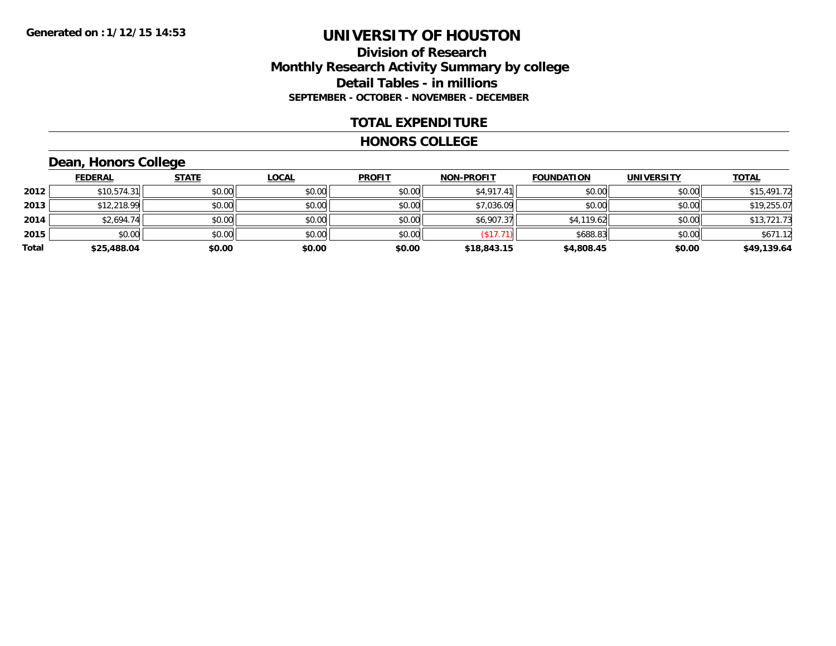#### **Division of Research Monthly Research Activity Summary by college Detail Tables - in millions SEPTEMBER - OCTOBER - NOVEMBER - DECEMBER**

#### **TOTAL EXPENDITURE**

#### **HONORS COLLEGE**

## **Dean, Honors College**

|       | <b>FEDERAL</b> | <b>STATE</b> | <b>LOCAL</b> | <b>PROFIT</b> | <b>NON-PROFIT</b> | <b>FOUNDATION</b> | <b>UNIVERSITY</b> | <b>TOTAL</b> |
|-------|----------------|--------------|--------------|---------------|-------------------|-------------------|-------------------|--------------|
| 2012  | \$10,574.31    | \$0.00       | \$0.00       | \$0.00        | \$4,917.41        | \$0.00            | \$0.00            | \$15,491.72  |
| 2013  | \$12,218.99    | \$0.00       | \$0.00       | \$0.00        | \$7,036.09        | \$0.00            | \$0.00            | \$19,255.07  |
| 2014  | \$2,694.74     | \$0.00       | \$0.00       | \$0.00        | \$6,907.37        | \$4,119.62        | \$0.00            | \$13,721.73  |
| 2015  | \$0.00         | \$0.00       | \$0.00       | \$0.00        | 's17.7            | \$688.83          | \$0.00            | \$671.12     |
| Total | \$25,488.04    | \$0.00       | \$0.00       | \$0.00        | \$18,843.15       | \$4,808.45        | \$0.00            | \$49,139.64  |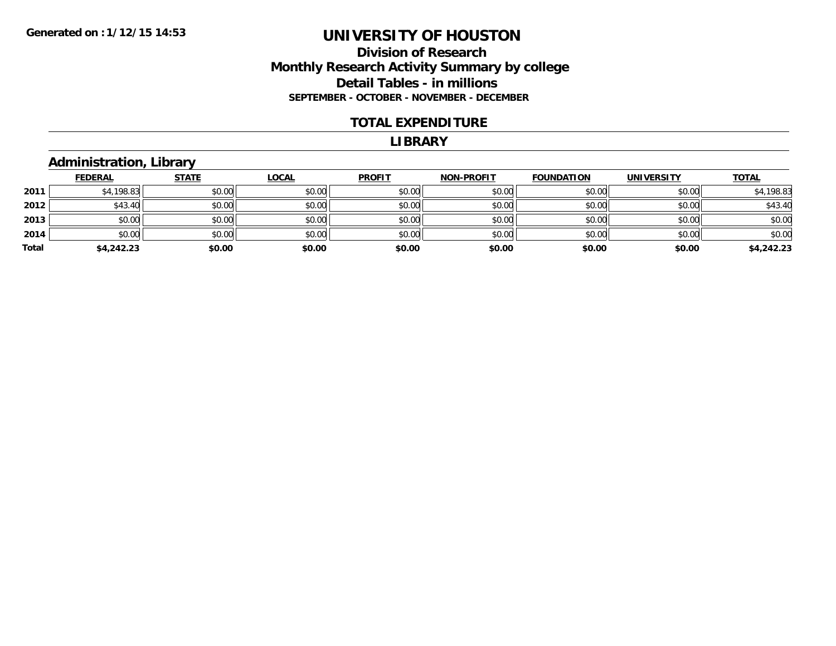#### **Division of Research Monthly Research Activity Summary by college Detail Tables - in millions SEPTEMBER - OCTOBER - NOVEMBER - DECEMBER**

#### **TOTAL EXPENDITURE**

#### **LIBRARY**

#### **Administration, Library**

|       | <b>FEDERAL</b> | <b>STATE</b> | <b>LOCAL</b> | <b>PROFIT</b> | <b>NON-PROFIT</b> | <b>FOUNDATION</b> | <b>UNIVERSITY</b> | <b>TOTAL</b> |
|-------|----------------|--------------|--------------|---------------|-------------------|-------------------|-------------------|--------------|
| 2011  | \$4,198.83     | \$0.00       | \$0.00       | \$0.00        | \$0.00            | \$0.00            | \$0.00            | \$4,198.83   |
| 2012  | \$43.40        | \$0.00       | \$0.00       | \$0.00        | \$0.00            | \$0.00            | \$0.00            | \$43.40      |
| 2013  | \$0.00         | \$0.00       | \$0.00       | \$0.00        | \$0.00            | \$0.00            | \$0.00            | \$0.00       |
| 2014  | \$0.00         | \$0.00       | \$0.00       | \$0.00        | \$0.00            | \$0.00            | \$0.00            | \$0.00       |
| Total | \$4,242.23     | \$0.00       | \$0.00       | \$0.00        | \$0.00            | \$0.00            | \$0.00            | \$4,242.23   |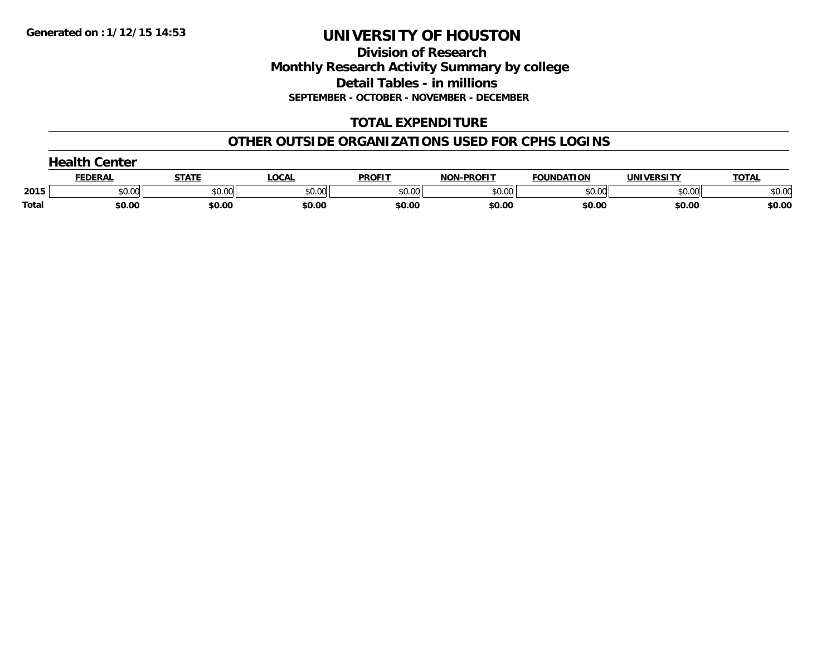**Division of Research Monthly Research Activity Summary by college Detail Tables - in millions SEPTEMBER - OCTOBER - NOVEMBER - DECEMBER**

## **TOTAL EXPENDITURE**

#### **OTHER OUTSIDE ORGANIZATIONS USED FOR CPHS LOGINS**

| <b>Health Center</b> |         |        |        |               |                   |                   |            |              |
|----------------------|---------|--------|--------|---------------|-------------------|-------------------|------------|--------------|
|                      | FEDERAL | STATI  | LOCAL  | <b>PROFIT</b> | <b>NON-PROFIT</b> | <b>FOUNDATION</b> | UNIVERSITY | <b>TOTAL</b> |
| 2015                 | \$0.00  | \$0.00 | \$0.00 | \$0.00        | \$0.00            | \$0.00            | \$0.00     | \$0.00       |
| Total                | \$0.00  | \$0.00 | \$0.00 | \$0.00        | \$0.00            | \$0.00            | \$0.00     | \$0.00       |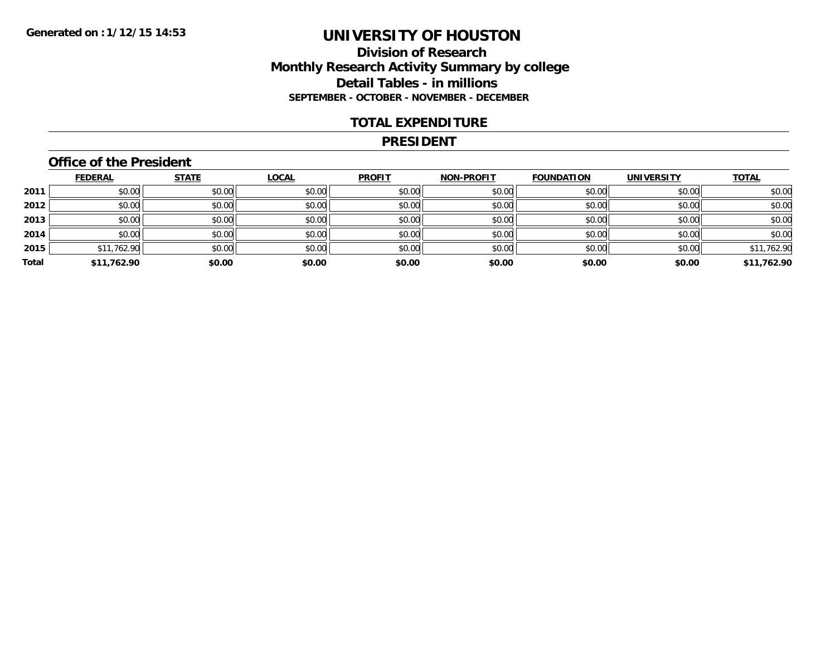#### **Division of Research Monthly Research Activity Summary by college Detail Tables - in millions SEPTEMBER - OCTOBER - NOVEMBER - DECEMBER**

#### **TOTAL EXPENDITURE**

#### **PRESIDENT**

### **Office of the President**

|       | <b>FEDERAL</b> | <b>STATE</b> | <b>LOCAL</b> | <b>PROFIT</b> | <b>NON-PROFIT</b> | <b>FOUNDATION</b> | <b>UNIVERSITY</b> | <b>TOTAL</b> |
|-------|----------------|--------------|--------------|---------------|-------------------|-------------------|-------------------|--------------|
| 2011  | \$0.00         | \$0.00       | \$0.00       | \$0.00        | \$0.00            | \$0.00            | \$0.00            | \$0.00       |
| 2012  | \$0.00         | \$0.00       | \$0.00       | \$0.00        | \$0.00            | \$0.00            | \$0.00            | \$0.00       |
| 2013  | \$0.00         | \$0.00       | \$0.00       | \$0.00        | \$0.00            | \$0.00            | \$0.00            | \$0.00       |
| 2014  | \$0.00         | \$0.00       | \$0.00       | \$0.00        | \$0.00            | \$0.00            | \$0.00            | \$0.00       |
| 2015  | \$11,762.90    | \$0.00       | \$0.00       | \$0.00        | \$0.00            | \$0.00            | \$0.00            | \$11,762.90  |
| Total | \$11,762.90    | \$0.00       | \$0.00       | \$0.00        | \$0.00            | \$0.00            | \$0.00            | \$11,762.90  |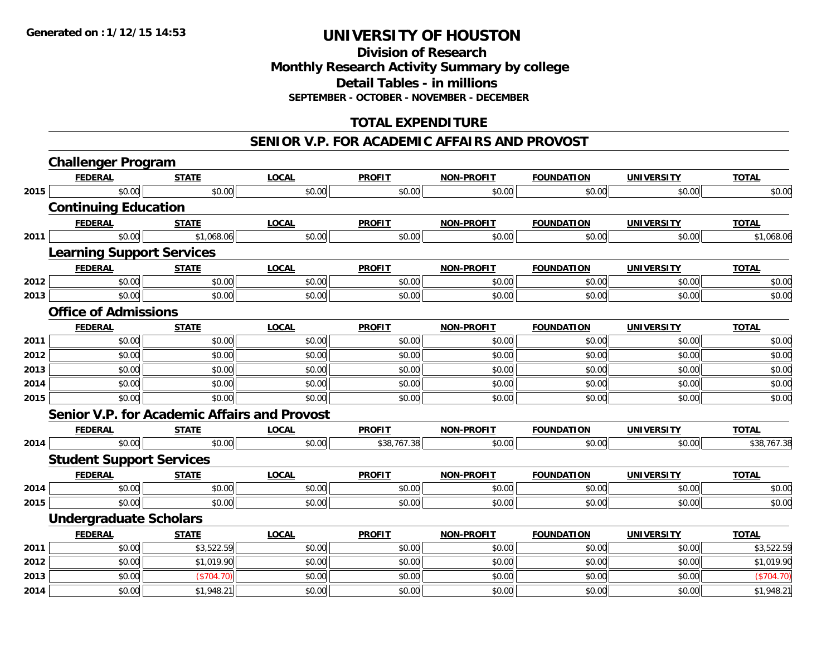**Division of ResearchMonthly Research Activity Summary by college Detail Tables - in millions SEPTEMBER - OCTOBER - NOVEMBER - DECEMBER**

## **TOTAL EXPENDITURE**

#### **SENIOR V.P. FOR ACADEMIC AFFAIRS AND PROVOST**

|      | <b>Challenger Program</b>                           |              |              |               |                   |                   |                   |              |
|------|-----------------------------------------------------|--------------|--------------|---------------|-------------------|-------------------|-------------------|--------------|
|      | <b>FEDERAL</b>                                      | <b>STATE</b> | <b>LOCAL</b> | <b>PROFIT</b> | <b>NON-PROFIT</b> | <b>FOUNDATION</b> | <b>UNIVERSITY</b> | <b>TOTAL</b> |
| 2015 | \$0.00                                              | \$0.00       | \$0.00       | \$0.00        | \$0.00            | \$0.00            | \$0.00            | \$0.00       |
|      | <b>Continuing Education</b>                         |              |              |               |                   |                   |                   |              |
|      | <b>FEDERAL</b>                                      | <b>STATE</b> | <b>LOCAL</b> | <b>PROFIT</b> | <b>NON-PROFIT</b> | <b>FOUNDATION</b> | <b>UNIVERSITY</b> | <b>TOTAL</b> |
| 2011 | \$0.00                                              | \$1,068.06   | \$0.00       | \$0.00        | \$0.00            | \$0.00            | \$0.00            | \$1,068.06   |
|      | <b>Learning Support Services</b>                    |              |              |               |                   |                   |                   |              |
|      | <b>FEDERAL</b>                                      | <b>STATE</b> | <b>LOCAL</b> | <b>PROFIT</b> | <b>NON-PROFIT</b> | <b>FOUNDATION</b> | <b>UNIVERSITY</b> | <b>TOTAL</b> |
| 2012 | \$0.00                                              | \$0.00       | \$0.00       | \$0.00        | \$0.00            | \$0.00            | \$0.00            | \$0.00       |
| 2013 | \$0.00                                              | \$0.00       | \$0.00       | \$0.00        | \$0.00            | \$0.00            | \$0.00            | \$0.00       |
|      | <b>Office of Admissions</b>                         |              |              |               |                   |                   |                   |              |
|      | <b>FEDERAL</b>                                      | <b>STATE</b> | <b>LOCAL</b> | <b>PROFIT</b> | <b>NON-PROFIT</b> | <b>FOUNDATION</b> | <b>UNIVERSITY</b> | <b>TOTAL</b> |
| 2011 | \$0.00                                              | \$0.00       | \$0.00       | \$0.00        | \$0.00            | \$0.00            | \$0.00            | \$0.00       |
| 2012 | \$0.00                                              | \$0.00       | \$0.00       | \$0.00        | \$0.00            | \$0.00            | \$0.00            | \$0.00       |
| 2013 | \$0.00                                              | \$0.00       | \$0.00       | \$0.00        | \$0.00            | \$0.00            | \$0.00            | \$0.00       |
| 2014 | \$0.00                                              | \$0.00       | \$0.00       | \$0.00        | \$0.00            | \$0.00            | \$0.00            | \$0.00       |
| 2015 | \$0.00                                              | \$0.00       | \$0.00       | \$0.00        | \$0.00            | \$0.00            | \$0.00            | \$0.00       |
|      | <b>Senior V.P. for Academic Affairs and Provost</b> |              |              |               |                   |                   |                   |              |
|      | <b>FEDERAL</b>                                      | <b>STATE</b> | <b>LOCAL</b> | <b>PROFIT</b> | <b>NON-PROFIT</b> | <b>FOUNDATION</b> | <b>UNIVERSITY</b> | <b>TOTAL</b> |
| 2014 | \$0.00                                              | \$0.00       | \$0.00       | \$38,767.38   | \$0.00            | \$0.00            | \$0.00            | \$38,767.38  |
|      | <b>Student Support Services</b>                     |              |              |               |                   |                   |                   |              |
|      | <b>FEDERAL</b>                                      | <b>STATE</b> | <b>LOCAL</b> | <b>PROFIT</b> | <b>NON-PROFIT</b> | <b>FOUNDATION</b> | <b>UNIVERSITY</b> | <b>TOTAL</b> |
| 2014 | \$0.00                                              | \$0.00       | \$0.00       | \$0.00        | \$0.00            | \$0.00            | \$0.00            | \$0.00       |
| 2015 | \$0.00                                              | \$0.00       | \$0.00       | \$0.00        | \$0.00            | \$0.00            | \$0.00            | \$0.00       |
|      | <b>Undergraduate Scholars</b>                       |              |              |               |                   |                   |                   |              |
|      | <b>FEDERAL</b>                                      | <b>STATE</b> | <b>LOCAL</b> | <b>PROFIT</b> | <b>NON-PROFIT</b> | <b>FOUNDATION</b> | <b>UNIVERSITY</b> | <b>TOTAL</b> |
| 2011 | \$0.00                                              | \$3,522.59   | \$0.00       | \$0.00        | \$0.00            | \$0.00            | \$0.00            | \$3,522.59   |
| 2012 | \$0.00                                              | \$1,019.90   | \$0.00       | \$0.00        | \$0.00            | \$0.00            | \$0.00            | \$1,019.90   |
| 2013 | \$0.00                                              | (\$704.70)   | \$0.00       | \$0.00        | \$0.00            | \$0.00            | \$0.00            | (\$704.70)   |
| 2014 | \$0.00                                              | \$1,948.21   | \$0.00       | \$0.00        | \$0.00            | \$0.00            | \$0.00            | \$1,948.21   |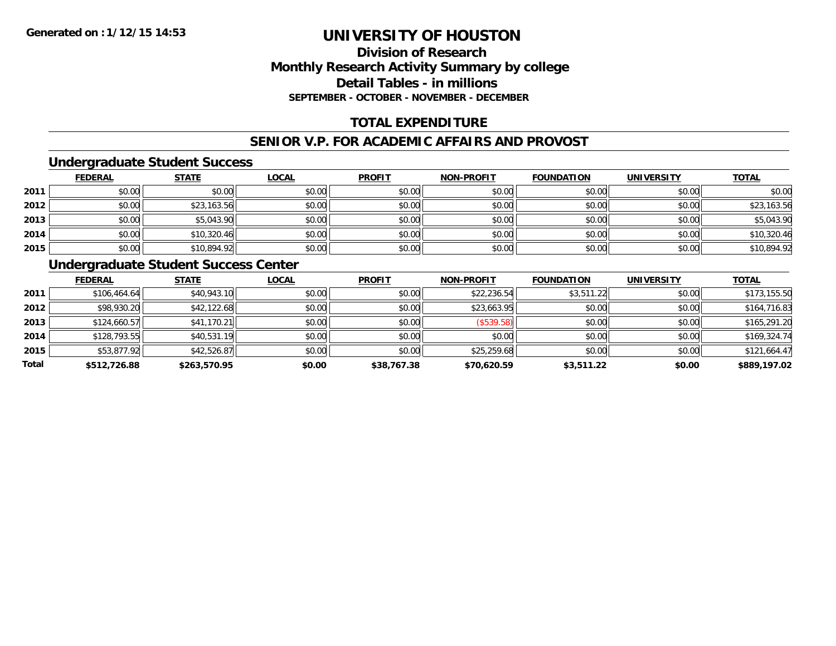### **Division of ResearchMonthly Research Activity Summary by college Detail Tables - in millions SEPTEMBER - OCTOBER - NOVEMBER - DECEMBER**

## **TOTAL EXPENDITURE**

#### **SENIOR V.P. FOR ACADEMIC AFFAIRS AND PROVOST**

#### **Undergraduate Student Success**

|      | <b>FEDERAL</b> | <b>STATE</b> | <u>LOCAL</u> | <b>PROFIT</b> | <b>NON-PROFIT</b> | <b>FOUNDATION</b> | <b>UNIVERSITY</b> | <b>TOTAL</b> |
|------|----------------|--------------|--------------|---------------|-------------------|-------------------|-------------------|--------------|
| 2011 | \$0.00         | \$0.00       | \$0.00       | \$0.00        | \$0.00            | \$0.00            | \$0.00            | \$0.00       |
| 2012 | \$0.00         | \$23,163.56  | \$0.00       | \$0.00        | \$0.00            | \$0.00            | \$0.00            | \$23,163.56  |
| 2013 | \$0.00         | \$5,043.90   | \$0.00       | \$0.00        | \$0.00            | \$0.00            | \$0.00            | \$5,043.90   |
| 2014 | \$0.00         | \$10,320.46  | \$0.00       | \$0.00        | \$0.00            | \$0.00            | \$0.00            | \$10,320.46  |
| 2015 | \$0.00         | \$10,894.92  | \$0.00       | \$0.00        | \$0.00            | \$0.00            | \$0.00            | \$10,894.92  |

## **Undergraduate Student Success Center**

|       | <b>FEDERAL</b> | <b>STATE</b> | <u>LOCAL</u> | <b>PROFIT</b> | <b>NON-PROFIT</b> | <b>FOUNDATION</b> | <b>UNIVERSITY</b> | <b>TOTAL</b> |
|-------|----------------|--------------|--------------|---------------|-------------------|-------------------|-------------------|--------------|
| 2011  | \$106,464.64   | \$40,943.10  | \$0.00       | \$0.00        | \$22,236.54       | \$3,511.22        | \$0.00            | \$173,155.50 |
| 2012  | \$98,930.20    | \$42,122.68  | \$0.00       | \$0.00        | \$23,663.95       | \$0.00            | \$0.00            | \$164,716.83 |
| 2013  | \$124,660.57   | \$41,170.21  | \$0.00       | \$0.00        | (\$539.58)        | \$0.00            | \$0.00            | \$165,291.20 |
| 2014  | \$128,793.55   | \$40,531.19  | \$0.00       | \$0.00        | \$0.00            | \$0.00            | \$0.00            | \$169,324.74 |
| 2015  | \$53,877.92    | \$42,526.87  | \$0.00       | \$0.00        | \$25,259.68       | \$0.00            | \$0.00            | \$121,664.47 |
| Total | \$512,726.88   | \$263,570.95 | \$0.00       | \$38,767.38   | \$70,620.59       | \$3,511.22        | \$0.00            | \$889,197.02 |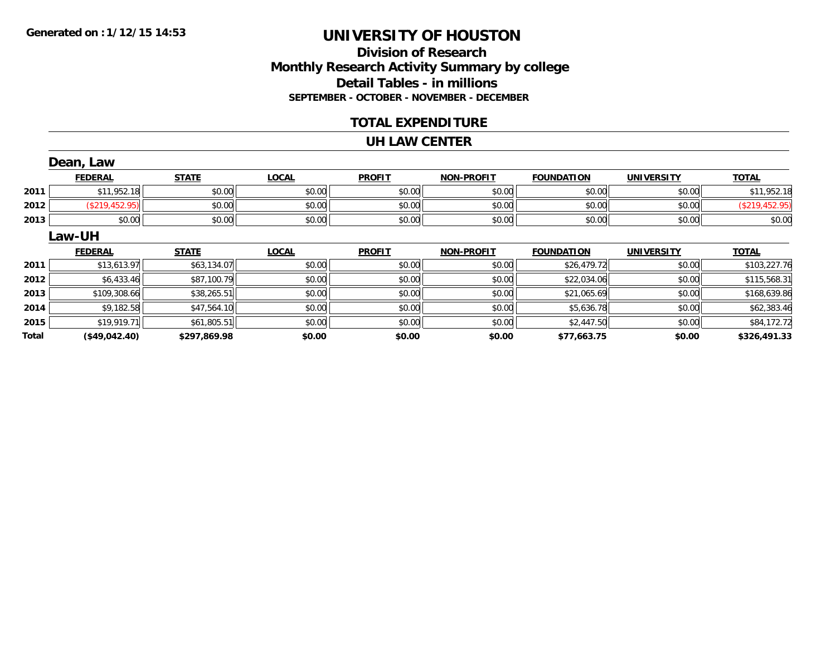## **Division of ResearchMonthly Research Activity Summary by college Detail Tables - in millions SEPTEMBER - OCTOBER - NOVEMBER - DECEMBER**

#### **TOTAL EXPENDITURE**

#### **UH LAW CENTER**

|       | Dean, Law      |              |              |               |                   |                   |                   |                |
|-------|----------------|--------------|--------------|---------------|-------------------|-------------------|-------------------|----------------|
|       | <b>FEDERAL</b> | <b>STATE</b> | <b>LOCAL</b> | <b>PROFIT</b> | <b>NON-PROFIT</b> | <b>FOUNDATION</b> | <b>UNIVERSITY</b> | <b>TOTAL</b>   |
| 2011  | \$11,952.18    | \$0.00       | \$0.00       | \$0.00        | \$0.00            | \$0.00            | \$0.00            | \$11,952.18    |
| 2012  | (\$219,452.95) | \$0.00       | \$0.00       | \$0.00        | \$0.00            | \$0.00            | \$0.00            | (\$219,452.95) |
| 2013  | \$0.00         | \$0.00       | \$0.00       | \$0.00        | \$0.00            | \$0.00            | \$0.00            | \$0.00         |
|       | Law-UH         |              |              |               |                   |                   |                   |                |
|       | <b>FEDERAL</b> | <b>STATE</b> | <b>LOCAL</b> | <b>PROFIT</b> | <b>NON-PROFIT</b> | <b>FOUNDATION</b> | <b>UNIVERSITY</b> | <b>TOTAL</b>   |
| 2011  | \$13,613.97    | \$63,134.07  | \$0.00       | \$0.00        | \$0.00            | \$26,479.72       | \$0.00            | \$103,227.76   |
| 2012  | \$6,433.46     | \$87,100.79  | \$0.00       | \$0.00        | \$0.00            | \$22,034.06       | \$0.00            | \$115,568.31   |
| 2013  | \$109,308.66   | \$38,265.51  | \$0.00       | \$0.00        | \$0.00            | \$21,065.69       | \$0.00            | \$168,639.86   |
| 2014  | \$9,182.58     | \$47,564.10  | \$0.00       | \$0.00        | \$0.00            | \$5,636.78        | \$0.00            | \$62,383.46    |
| 2015  | \$19,919.71    | \$61,805.51  | \$0.00       | \$0.00        | \$0.00            | \$2,447.50        | \$0.00            | \$84,172.72    |
| Total | (\$49,042.40)  | \$297,869.98 | \$0.00       | \$0.00        | \$0.00            | \$77,663.75       | \$0.00            | \$326,491.33   |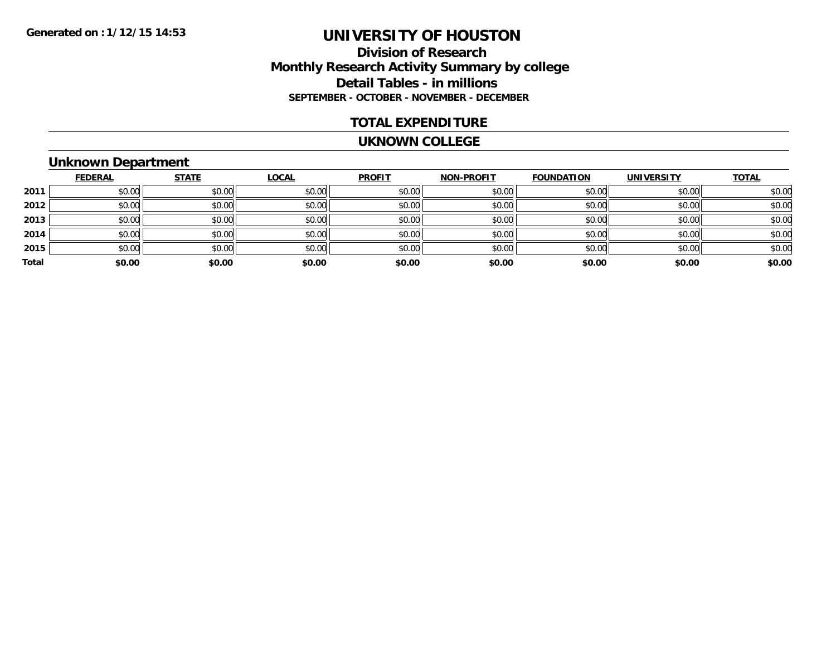#### **Division of Research Monthly Research Activity Summary by college Detail Tables - in millions SEPTEMBER - OCTOBER - NOVEMBER - DECEMBER**

#### **TOTAL EXPENDITURE**

#### **UKNOWN COLLEGE**

## **Unknown Department**

|       | <b>FEDERAL</b> | <b>STATE</b> | <b>LOCAL</b> | <b>PROFIT</b> | <b>NON-PROFIT</b> | <b>FOUNDATION</b> | <b>UNIVERSITY</b> | <b>TOTAL</b> |
|-------|----------------|--------------|--------------|---------------|-------------------|-------------------|-------------------|--------------|
| 2011  | \$0.00         | \$0.00       | \$0.00       | \$0.00        | \$0.00            | \$0.00            | \$0.00            | \$0.00       |
| 2012  | \$0.00         | \$0.00       | \$0.00       | \$0.00        | \$0.00            | \$0.00            | \$0.00            | \$0.00       |
| 2013  | \$0.00         | \$0.00       | \$0.00       | \$0.00        | \$0.00            | \$0.00            | \$0.00            | \$0.00       |
| 2014  | \$0.00         | \$0.00       | \$0.00       | \$0.00        | \$0.00            | \$0.00            | \$0.00            | \$0.00       |
| 2015  | \$0.00         | \$0.00       | \$0.00       | \$0.00        | \$0.00            | \$0.00            | \$0.00            | \$0.00       |
| Total | \$0.00         | \$0.00       | \$0.00       | \$0.00        | \$0.00            | \$0.00            | \$0.00            | \$0.00       |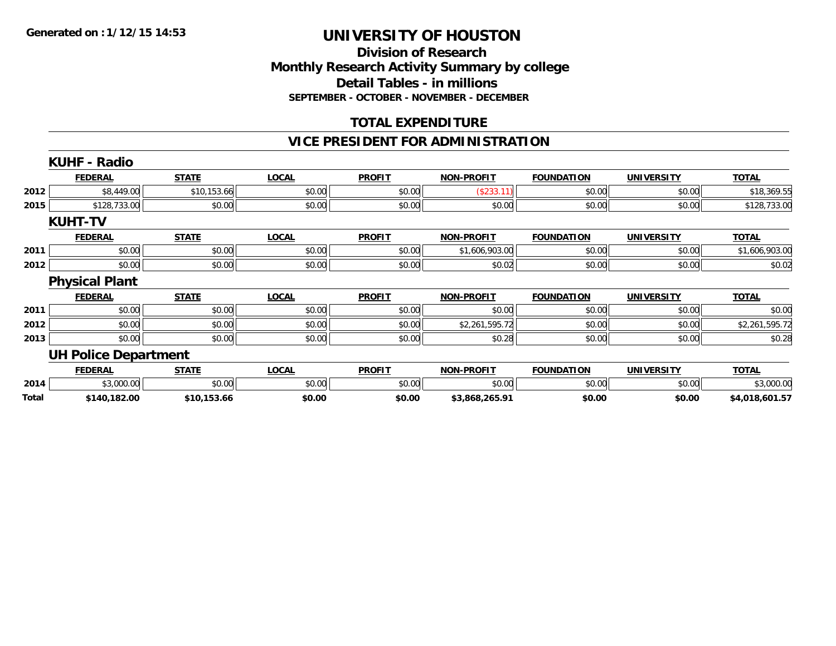#### **Division of Research Monthly Research Activity Summary by college Detail Tables - in millions SEPTEMBER - OCTOBER - NOVEMBER - DECEMBER**

#### **TOTAL EXPENDITURE**

#### **VICE PRESIDENT FOR ADMINISTRATION**

|       | <b>KUHF - Radio</b>         |              |              |               |                   |                   |                   |                |
|-------|-----------------------------|--------------|--------------|---------------|-------------------|-------------------|-------------------|----------------|
|       | <b>FEDERAL</b>              | <b>STATE</b> | <b>LOCAL</b> | <b>PROFIT</b> | <b>NON-PROFIT</b> | <b>FOUNDATION</b> | <b>UNIVERSITY</b> | <b>TOTAL</b>   |
| 2012  | \$8,449.00                  | \$10,153.66  | \$0.00       | \$0.00        | (\$233.11)        | \$0.00            | \$0.00            | \$18,369.55    |
| 2015  | \$128,733.00                | \$0.00       | \$0.00       | \$0.00        | \$0.00            | \$0.00            | \$0.00            | \$128,733.00   |
|       | <b>KUHT-TV</b>              |              |              |               |                   |                   |                   |                |
|       | <b>FEDERAL</b>              | <b>STATE</b> | <b>LOCAL</b> | <b>PROFIT</b> | <b>NON-PROFIT</b> | <b>FOUNDATION</b> | <b>UNIVERSITY</b> | <b>TOTAL</b>   |
| 2011  | \$0.00                      | \$0.00       | \$0.00       | \$0.00        | \$1,606,903.00    | \$0.00            | \$0.00            | \$1,606,903.00 |
| 2012  | \$0.00                      | \$0.00       | \$0.00       | \$0.00        | \$0.02            | \$0.00            | \$0.00            | \$0.02         |
|       | <b>Physical Plant</b>       |              |              |               |                   |                   |                   |                |
|       | <b>FEDERAL</b>              | <b>STATE</b> | <b>LOCAL</b> | <b>PROFIT</b> | <b>NON-PROFIT</b> | <b>FOUNDATION</b> | <b>UNIVERSITY</b> | <b>TOTAL</b>   |
| 2011  | \$0.00                      | \$0.00       | \$0.00       | \$0.00        | \$0.00            | \$0.00            | \$0.00            | \$0.00         |
| 2012  | \$0.00                      | \$0.00       | \$0.00       | \$0.00        | \$2,261,595.72    | \$0.00            | \$0.00            | \$2,261,595.72 |
| 2013  | \$0.00                      | \$0.00       | \$0.00       | \$0.00        | \$0.28            | \$0.00            | \$0.00            | \$0.28         |
|       | <b>UH Police Department</b> |              |              |               |                   |                   |                   |                |
|       | <b>FEDERAL</b>              | <b>STATE</b> | <b>LOCAL</b> | <b>PROFIT</b> | <b>NON-PROFIT</b> | <b>FOUNDATION</b> | <b>UNIVERSITY</b> | <b>TOTAL</b>   |
| 2014  | \$3,000.00                  | \$0.00       | \$0.00       | \$0.00        | \$0.00            | \$0.00            | \$0.00            | \$3,000.00     |
| Total | \$140,182.00                | \$10,153.66  | \$0.00       | \$0.00        | \$3,868,265.91    | \$0.00            | \$0.00            | \$4,018,601.57 |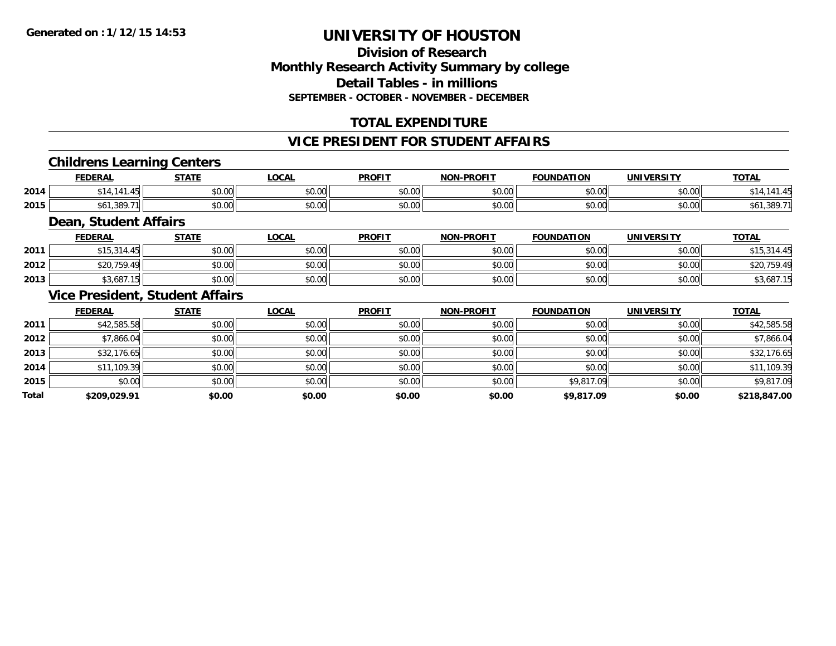### **Division of ResearchMonthly Research Activity Summary by college Detail Tables - in millions SEPTEMBER - OCTOBER - NOVEMBER - DECEMBER**

## **TOTAL EXPENDITURE**

#### **VICE PRESIDENT FOR STUDENT AFFAIRS**

#### **Childrens Learning Centers**

|      | <b>FEDERAL</b>            | <b>STATE</b><br>.  | .OCAI              | <b>PROFIT</b> | <b>NON-PROFIT</b> | <b>FOUNDATION</b>      | <b>UNIVERSITY</b> | <b>TOTAL</b> |
|------|---------------------------|--------------------|--------------------|---------------|-------------------|------------------------|-------------------|--------------|
| 2014 |                           | $\sim$ 00<br>vu.uu | $\sim$ 00<br>pu.uu | 0.00<br>JU.UU | \$0.00            | $n \cap \neg$<br>pu.uu | nn nn<br>PU.UU    |              |
| 2015 | .389.71<br>$\blacksquare$ | $\sim$ 00<br>JU.UU | $\sim$ 00<br>PU.UU | 0.00<br>JU.UU | \$0.00            | nn na<br>JU.UU         | nn nn<br>DU.UG    |              |

#### **Dean, Student Affairs**

|      | <b>FEDERAL</b> | <b>STATE</b> | <u>LOCAL</u> | <b>PROFIT</b> | <b>NON-PROFIT</b> | <b>FOUNDATION</b> | UNIVERSITY | <b>TOTAL</b> |
|------|----------------|--------------|--------------|---------------|-------------------|-------------------|------------|--------------|
| 2011 | \$15,314.45    | \$0.00       | \$0.00       | \$0.00        | \$0.00            | \$0.00            | \$0.00     | ں بن ا       |
| 2012 | \$20.759.49    | \$0.00       | \$0.00       | \$0.00        | \$0.00            | \$0.00            | \$0.00     | \$20,759.49  |
| 2013 | \$3,687.15     | \$0.00       | \$0.00       | \$0.00        | \$0.00            | \$0.00            | \$0.00     | \$3,687.15   |

#### **Vice President, Student Affairs**

|              | <b>FEDERAL</b> | <b>STATE</b> | <u>LOCAL</u> | <b>PROFIT</b> | <b>NON-PROFIT</b> | <b>FOUNDATION</b> | <b>UNIVERSITY</b> | <b>TOTAL</b> |
|--------------|----------------|--------------|--------------|---------------|-------------------|-------------------|-------------------|--------------|
| 2011         | \$42,585.58    | \$0.00       | \$0.00       | \$0.00        | \$0.00            | \$0.00            | \$0.00            | \$42,585.58  |
| 2012         | \$7,866.04     | \$0.00       | \$0.00       | \$0.00        | \$0.00            | \$0.00            | \$0.00            | \$7,866.04   |
| 2013         | \$32,176.65    | \$0.00       | \$0.00       | \$0.00        | \$0.00            | \$0.00            | \$0.00            | \$32,176.65  |
| 2014         | \$11,109.39    | \$0.00       | \$0.00       | \$0.00        | \$0.00            | \$0.00            | \$0.00            | \$11,109.39  |
| 2015         | \$0.00         | \$0.00       | \$0.00       | \$0.00        | \$0.00            | \$9,817.09        | \$0.00            | \$9,817.09   |
| <b>Total</b> | \$209,029.91   | \$0.00       | \$0.00       | \$0.00        | \$0.00            | \$9,817.09        | \$0.00            | \$218,847.00 |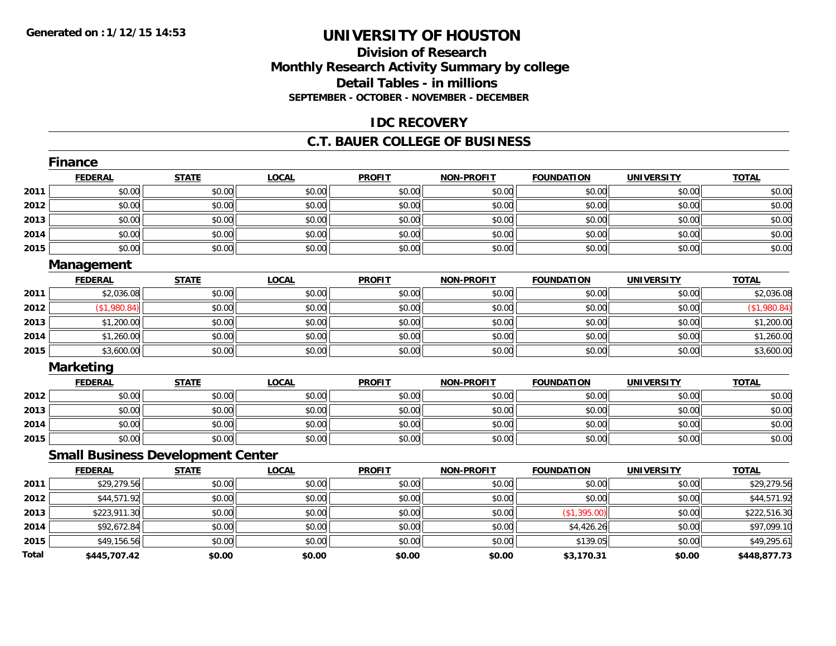## **Division of ResearchMonthly Research Activity Summary by college Detail Tables - in millions SEPTEMBER - OCTOBER - NOVEMBER - DECEMBER**

#### **IDC RECOVERY**

#### **C.T. BAUER COLLEGE OF BUSINESS**

|       | <b>Finance</b>                           |              |              |               |                   |                   |                   |              |
|-------|------------------------------------------|--------------|--------------|---------------|-------------------|-------------------|-------------------|--------------|
|       | <b>FEDERAL</b>                           | <b>STATE</b> | <b>LOCAL</b> | <b>PROFIT</b> | <b>NON-PROFIT</b> | <b>FOUNDATION</b> | <b>UNIVERSITY</b> | <b>TOTAL</b> |
| 2011  | \$0.00                                   | \$0.00       | \$0.00       | \$0.00        | \$0.00            | \$0.00            | \$0.00            | \$0.00       |
| 2012  | \$0.00                                   | \$0.00       | \$0.00       | \$0.00        | \$0.00            | \$0.00            | \$0.00            | \$0.00       |
| 2013  | \$0.00                                   | \$0.00       | \$0.00       | \$0.00        | \$0.00            | \$0.00            | \$0.00            | \$0.00       |
| 2014  | \$0.00                                   | \$0.00       | \$0.00       | \$0.00        | \$0.00            | \$0.00            | \$0.00            | \$0.00       |
| 2015  | \$0.00                                   | \$0.00       | \$0.00       | \$0.00        | \$0.00            | \$0.00            | \$0.00            | \$0.00       |
|       | Management                               |              |              |               |                   |                   |                   |              |
|       | <b>FEDERAL</b>                           | <b>STATE</b> | <b>LOCAL</b> | <b>PROFIT</b> | <b>NON-PROFIT</b> | <b>FOUNDATION</b> | <b>UNIVERSITY</b> | <b>TOTAL</b> |
| 2011  | \$2,036.08                               | \$0.00       | \$0.00       | \$0.00        | \$0.00            | \$0.00            | \$0.00            | \$2,036.08   |
| 2012  | (\$1,980.84)                             | \$0.00       | \$0.00       | \$0.00        | \$0.00            | \$0.00            | \$0.00            | (\$1,980.84) |
| 2013  | \$1,200.00                               | \$0.00       | \$0.00       | \$0.00        | \$0.00            | \$0.00            | \$0.00            | \$1,200.00   |
| 2014  | \$1,260.00                               | \$0.00       | \$0.00       | \$0.00        | \$0.00            | \$0.00            | \$0.00            | \$1,260.00   |
| 2015  | \$3,600.00                               | \$0.00       | \$0.00       | \$0.00        | \$0.00            | \$0.00            | \$0.00            | \$3,600.00   |
|       | <b>Marketing</b>                         |              |              |               |                   |                   |                   |              |
|       | <b>FEDERAL</b>                           | <b>STATE</b> | <b>LOCAL</b> | <b>PROFIT</b> | <b>NON-PROFIT</b> | <b>FOUNDATION</b> | <b>UNIVERSITY</b> | <b>TOTAL</b> |
| 2012  | \$0.00                                   | \$0.00       | \$0.00       | \$0.00        | \$0.00            | \$0.00            | \$0.00            | \$0.00       |
| 2013  | \$0.00                                   | \$0.00       | \$0.00       | \$0.00        | \$0.00            | \$0.00            | \$0.00            | \$0.00       |
| 2014  | \$0.00                                   | \$0.00       | \$0.00       | \$0.00        | \$0.00            | \$0.00            | \$0.00            | \$0.00       |
| 2015  | \$0.00                                   | \$0.00       | \$0.00       | \$0.00        | \$0.00            | \$0.00            | \$0.00            | \$0.00       |
|       | <b>Small Business Development Center</b> |              |              |               |                   |                   |                   |              |
|       | <b>FEDERAL</b>                           | <b>STATE</b> | <b>LOCAL</b> | <b>PROFIT</b> | <b>NON-PROFIT</b> | <b>FOUNDATION</b> | <b>UNIVERSITY</b> | <b>TOTAL</b> |
| 2011  | \$29,279.56                              | \$0.00       | \$0.00       | \$0.00        | \$0.00            | \$0.00            | \$0.00            | \$29,279.56  |
| 2012  | \$44,571.92                              | \$0.00       | \$0.00       | \$0.00        | \$0.00            | \$0.00            | \$0.00            | \$44,571.92  |
| 2013  | \$223,911.30                             | \$0.00       | \$0.00       | \$0.00        | \$0.00            | (\$1,395.00)      | \$0.00            | \$222,516.30 |
| 2014  | \$92,672.84                              | \$0.00       | \$0.00       | \$0.00        | \$0.00            | \$4,426.26        | \$0.00            | \$97,099.10  |
| 2015  | \$49,156.56                              | \$0.00       | \$0.00       | \$0.00        | \$0.00            | \$139.05          | \$0.00            | \$49,295.61  |
| Total | \$445,707.42                             | \$0.00       | \$0.00       | \$0.00        | \$0.00            | \$3,170.31        | \$0.00            | \$448,877.73 |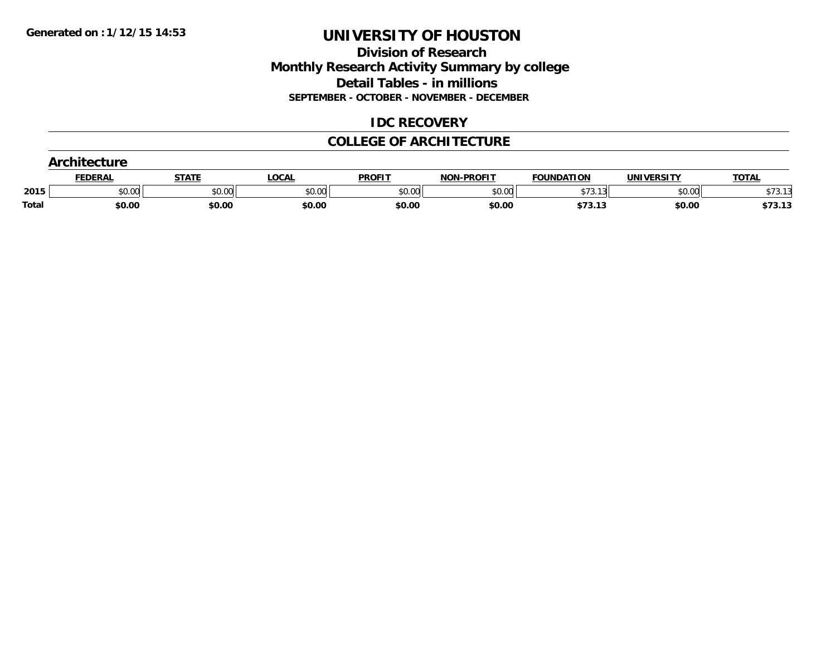#### **Division of Research Monthly Research Activity Summary by college Detail Tables - in millions SEPTEMBER - OCTOBER - NOVEMBER - DECEMBER**

#### **IDC RECOVERY**

#### **COLLEGE OF ARCHITECTURE**

|       | <b>ntecture</b> |        |              |               |                   |                    |            |              |
|-------|-----------------|--------|--------------|---------------|-------------------|--------------------|------------|--------------|
|       | FEDERAL         | STATI  | <b>LOCAL</b> | <b>PROFIT</b> | <b>NON-PROFIT</b> | <b>FOUNDATION</b>  | UNIVERSITY | <b>TOTAL</b> |
| 2015  | \$0.00          | \$0.00 | \$0.00       | \$0.00        | \$0.00            | $+ - -$<br>\$73.13 | \$0.00     | \$73.13      |
| Total | \$0.00          | \$0.00 | \$0.00       | \$0.00        | \$0.00            | \$73.13            | \$0.00     | \$73.13      |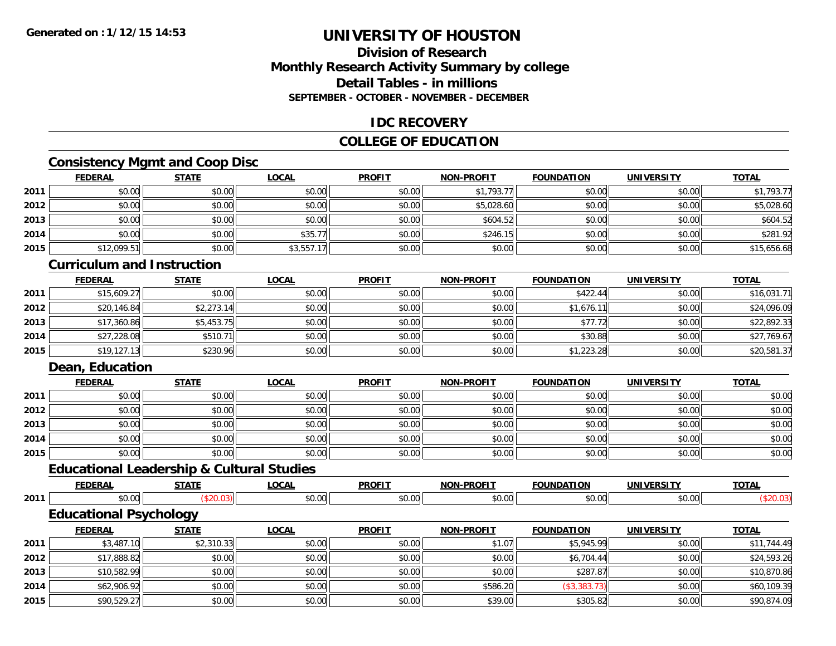### **Division of ResearchMonthly Research Activity Summary by college Detail Tables - in millionsSEPTEMBER - OCTOBER - NOVEMBER - DECEMBER**

#### **IDC RECOVERY**

## **COLLEGE OF EDUCATION**

## **Consistency Mgmt and Coop Disc**

|      | <b>FEDERAL</b> | <b>STATE</b> | <b>LOCAL</b> | <b>PROFIT</b> | <b>NON-PROFIT</b> | <b>FOUNDATION</b> | <b>UNIVERSITY</b> | <b>TOTAL</b> |
|------|----------------|--------------|--------------|---------------|-------------------|-------------------|-------------------|--------------|
| 2011 | \$0.00         | \$0.00       | \$0.00       | \$0.00        | \$1,793.77        | \$0.00            | \$0.00            | \$1,793.77   |
| 2012 | \$0.00         | \$0.00       | \$0.00       | \$0.00        | \$5,028.60        | \$0.00            | \$0.00            | \$5,028.60   |
| 2013 | \$0.00         | \$0.00       | \$0.00       | \$0.00        | \$604.52          | \$0.00            | \$0.00            | \$604.52     |
| 2014 | \$0.00         | \$0.00       | \$35.77      | \$0.00        | \$246.15          | \$0.00            | \$0.00            | \$281.92     |
| 2015 | \$12,099.51    | \$0.00       | \$3,557.17   | \$0.00        | \$0.00            | \$0.00            | \$0.00            | \$15,656.68  |

### **Curriculum and Instruction**

|      | <b>FEDERAL</b> | <b>STATE</b> | <b>LOCAL</b> | <b>PROFIT</b> | <b>NON-PROFIT</b> | <b>FOUNDATION</b> | <b>UNIVERSITY</b> | <b>TOTAL</b> |
|------|----------------|--------------|--------------|---------------|-------------------|-------------------|-------------------|--------------|
| 2011 | \$15,609.27    | \$0.00       | \$0.00       | \$0.00        | \$0.00            | \$422.44          | \$0.00            | \$16,031.71  |
| 2012 | \$20,146.84    | \$2,273.14   | \$0.00       | \$0.00        | \$0.00            | \$1,676.11        | \$0.00            | \$24,096.09  |
| 2013 | \$17,360.86    | \$5,453.75   | \$0.00       | \$0.00        | \$0.00            | \$77.72           | \$0.00            | \$22,892.33  |
| 2014 | \$27,228.08    | \$510.71     | \$0.00       | \$0.00        | \$0.00            | \$30.88           | \$0.00            | \$27,769.67  |
| 2015 | \$19,127.13    | \$230.96     | \$0.00       | \$0.00        | \$0.00            | \$1,223.28        | \$0.00            | \$20,581.37  |

### **Dean, Education**

|      | <b>FEDERAL</b> | <b>STATE</b> | <u>LOCAL</u> | <b>PROFIT</b> | <b>NON-PROFIT</b> | <b>FOUNDATION</b> | <b>UNIVERSITY</b> | <b>TOTAL</b> |
|------|----------------|--------------|--------------|---------------|-------------------|-------------------|-------------------|--------------|
| 2011 | \$0.00         | \$0.00       | \$0.00       | \$0.00        | \$0.00            | \$0.00            | \$0.00            | \$0.00       |
| 2012 | \$0.00         | \$0.00       | \$0.00       | \$0.00        | \$0.00            | \$0.00            | \$0.00            | \$0.00       |
| 2013 | \$0.00         | \$0.00       | \$0.00       | \$0.00        | \$0.00            | \$0.00            | \$0.00            | \$0.00       |
| 2014 | \$0.00         | \$0.00       | \$0.00       | \$0.00        | \$0.00            | \$0.00            | \$0.00            | \$0.00       |
| 2015 | \$0.00         | \$0.00       | \$0.00       | \$0.00        | \$0.00            | \$0.00            | \$0.00            | \$0.00       |

## **Educational Leadership & Cultural Studies**

|      | <b>FEDERAL</b>                | <b>STATE</b> | <b>LOCAL</b> | <b>PROFIT</b> | <b>NON-PROFIT</b> | <b>FOUNDATION</b> | <b>UNIVERSITY</b> | <b>TOTAL</b> |
|------|-------------------------------|--------------|--------------|---------------|-------------------|-------------------|-------------------|--------------|
| 2011 | \$0.00                        | (\$20.03)    | \$0.00       | \$0.00        | \$0.00            | \$0.00            | \$0.00            | (\$20.03)    |
|      | <b>Educational Psychology</b> |              |              |               |                   |                   |                   |              |
|      | <b>FEDERAL</b>                | <b>STATE</b> | <b>LOCAL</b> | <b>PROFIT</b> | <b>NON-PROFIT</b> | <b>FOUNDATION</b> | <b>UNIVERSITY</b> | <b>TOTAL</b> |
| 2011 | \$3,487.10                    | \$2,310.33   | \$0.00       | \$0.00        | \$1.07            | \$5,945.99        | \$0.00            | \$11,744.49  |
| 2012 | \$17,888.82                   | \$0.00       | \$0.00       | \$0.00        | \$0.00            | \$6,704.44        | \$0.00            | \$24,593.26  |
| 2013 | \$10,582.99                   | \$0.00       | \$0.00       | \$0.00        | \$0.00            | \$287.87          | \$0.00            | \$10,870.86  |
| 2014 | \$62,906.92                   | \$0.00       | \$0.00       | \$0.00        | \$586.20          | (\$3,383.73)      | \$0.00            | \$60,109.39  |
| 2015 | \$90,529.27                   | \$0.00       | \$0.00       | \$0.00        | \$39.00           | \$305.82          | \$0.00            | \$90,874.09  |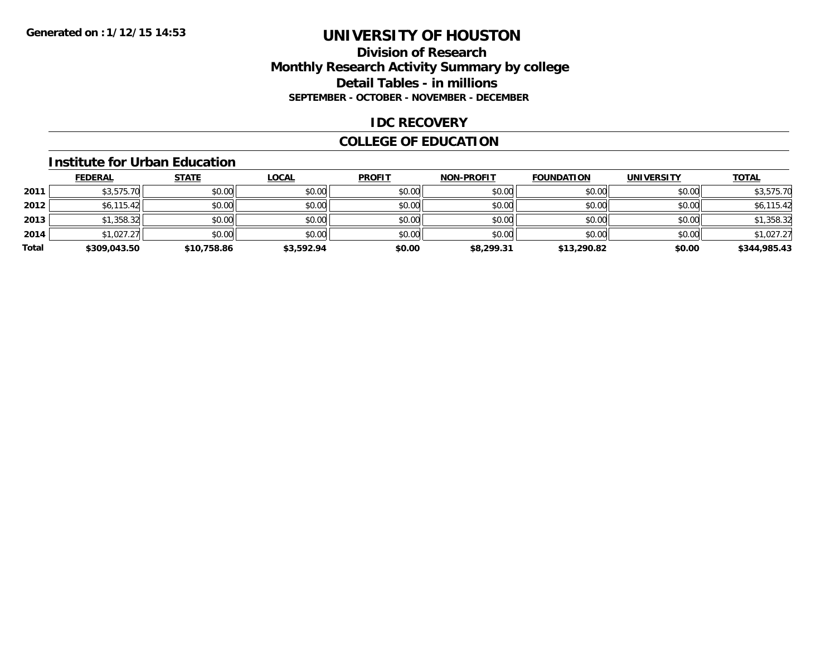#### **Division of Research Monthly Research Activity Summary by college Detail Tables - in millions SEPTEMBER - OCTOBER - NOVEMBER - DECEMBER**

#### **IDC RECOVERY**

## **COLLEGE OF EDUCATION**

#### **Institute for Urban Education**

|       | <b>FEDERAL</b> | <b>STATE</b> | <u>LOCAL</u> | <b>PROFIT</b> | <b>NON-PROFIT</b> | <b>FOUNDATION</b> | <b>UNIVERSITY</b> | <b>TOTAL</b> |
|-------|----------------|--------------|--------------|---------------|-------------------|-------------------|-------------------|--------------|
| 2011  | \$3,575.70     | \$0.00       | \$0.00       | \$0.00        | \$0.00            | \$0.00            | \$0.00            | \$3,575.70   |
| 2012  | \$6,115.42     | \$0.00       | \$0.00       | \$0.00        | \$0.00            | \$0.00            | \$0.00            | \$6,115.42   |
| 2013  | \$1,358.32     | \$0.00       | \$0.00       | \$0.00        | \$0.00            | \$0.00            | \$0.00            | \$1,358.32   |
| 2014  | \$1,027.27     | \$0.00       | \$0.00       | \$0.00        | \$0.00            | \$0.00            | \$0.00            | \$1,027.27   |
| Total | \$309,043.50   | \$10,758.86  | \$3,592.94   | \$0.00        | \$8,299.31        | \$13,290.82       | \$0.00            | \$344,985.43 |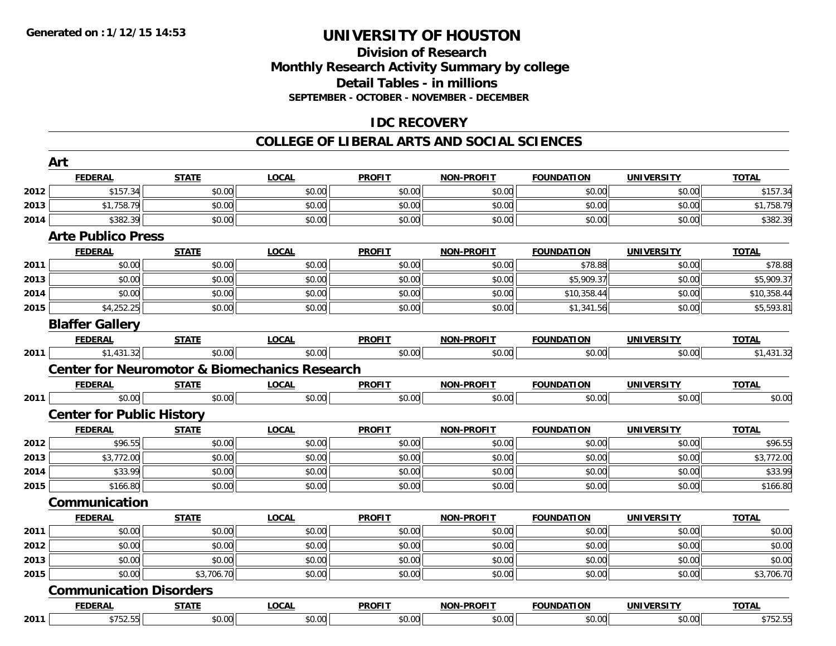#### **Division of Research Monthly Research Activity Summary by college Detail Tables - in millions SEPTEMBER - OCTOBER - NOVEMBER - DECEMBER**

## **IDC RECOVERY**

#### **COLLEGE OF LIBERAL ARTS AND SOCIAL SCIENCES**

|      | Art                              |              |                                                          |               |                   |                   |                   |              |
|------|----------------------------------|--------------|----------------------------------------------------------|---------------|-------------------|-------------------|-------------------|--------------|
|      | <b>FEDERAL</b>                   | <b>STATE</b> | <b>LOCAL</b>                                             | <b>PROFIT</b> | <b>NON-PROFIT</b> | <b>FOUNDATION</b> | <b>UNIVERSITY</b> | <b>TOTAL</b> |
| 2012 | \$157.34                         | \$0.00       | \$0.00                                                   | \$0.00        | \$0.00            | \$0.00            | \$0.00            | \$157.34     |
| 2013 | \$1,758.79                       | \$0.00       | \$0.00                                                   | \$0.00        | \$0.00            | \$0.00            | \$0.00            | \$1,758.79   |
| 2014 | \$382.39                         | \$0.00       | \$0.00                                                   | \$0.00        | \$0.00            | \$0.00            | \$0.00            | \$382.39     |
|      | <b>Arte Publico Press</b>        |              |                                                          |               |                   |                   |                   |              |
|      | <b>FEDERAL</b>                   | <b>STATE</b> | <b>LOCAL</b>                                             | <b>PROFIT</b> | <b>NON-PROFIT</b> | <b>FOUNDATION</b> | <b>UNIVERSITY</b> | <b>TOTAL</b> |
| 2011 | \$0.00                           | \$0.00       | \$0.00                                                   | \$0.00        | \$0.00            | \$78.88           | \$0.00            | \$78.88      |
| 2013 | \$0.00                           | \$0.00       | \$0.00                                                   | \$0.00        | \$0.00            | \$5,909.37        | \$0.00            | \$5,909.37   |
| 2014 | \$0.00                           | \$0.00       | \$0.00                                                   | \$0.00        | \$0.00            | \$10,358.44       | \$0.00            | \$10,358.44  |
| 2015 | \$4,252.25                       | \$0.00       | \$0.00                                                   | \$0.00        | \$0.00            | \$1,341.56        | \$0.00            | \$5,593.81   |
|      | <b>Blaffer Gallery</b>           |              |                                                          |               |                   |                   |                   |              |
|      | <b>FEDERAL</b>                   | <b>STATE</b> | <b>LOCAL</b>                                             | <b>PROFIT</b> | <b>NON-PROFIT</b> | <b>FOUNDATION</b> | <b>UNIVERSITY</b> | <b>TOTAL</b> |
| 2011 | \$1,431.32                       | \$0.00       | \$0.00                                                   | \$0.00        | \$0.00            | \$0.00            | \$0.00            | \$1,431.32   |
|      |                                  |              | <b>Center for Neuromotor &amp; Biomechanics Research</b> |               |                   |                   |                   |              |
|      | <b>FEDERAL</b>                   | <u>STATE</u> | <b>LOCAL</b>                                             | <b>PROFIT</b> | <b>NON-PROFIT</b> | <b>FOUNDATION</b> | <b>UNIVERSITY</b> | <b>TOTAL</b> |
| 2011 | \$0.00                           | \$0.00       | \$0.00                                                   | \$0.00        | \$0.00            | \$0.00            | \$0.00            | \$0.00       |
|      | <b>Center for Public History</b> |              |                                                          |               |                   |                   |                   |              |
|      | <b>FEDERAL</b>                   | <b>STATE</b> | <b>LOCAL</b>                                             | <b>PROFIT</b> | <b>NON-PROFIT</b> | <b>FOUNDATION</b> | <b>UNIVERSITY</b> | <b>TOTAL</b> |
| 2012 | \$96.55                          | \$0.00       | \$0.00                                                   | \$0.00        | \$0.00            | \$0.00            | \$0.00            | \$96.55      |
| 2013 | \$3,772.00                       | \$0.00       | \$0.00                                                   | \$0.00        | \$0.00            | \$0.00            | \$0.00            | \$3,772.00   |
| 2014 | \$33.99                          | \$0.00       | \$0.00                                                   | \$0.00        | \$0.00            | \$0.00            | \$0.00            | \$33.99      |
| 2015 | \$166.80                         | \$0.00       | \$0.00                                                   | \$0.00        | \$0.00            | \$0.00            | \$0.00            | \$166.80     |
|      | Communication                    |              |                                                          |               |                   |                   |                   |              |
|      | <b>FEDERAL</b>                   | <b>STATE</b> | <b>LOCAL</b>                                             | <b>PROFIT</b> | <b>NON-PROFIT</b> | <b>FOUNDATION</b> | <b>UNIVERSITY</b> | <b>TOTAL</b> |
| 2011 | \$0.00                           | \$0.00       | \$0.00                                                   | \$0.00        | \$0.00            | \$0.00            | \$0.00            | \$0.00       |
| 2012 | \$0.00                           | \$0.00       | \$0.00                                                   | \$0.00        | \$0.00            | \$0.00            | \$0.00            | \$0.00       |
| 2013 | \$0.00                           | \$0.00       | \$0.00                                                   | \$0.00        | \$0.00            | \$0.00            | \$0.00            | \$0.00       |
| 2015 | \$0.00                           | \$3,706.70   | \$0.00                                                   | \$0.00        | \$0.00            | \$0.00            | \$0.00            | \$3,706.70   |
|      | <b>Communication Disorders</b>   |              |                                                          |               |                   |                   |                   |              |
|      | <b>FEDERAL</b>                   | <b>STATE</b> | <b>LOCAL</b>                                             | <b>PROFIT</b> | <b>NON-PROFIT</b> | <b>FOUNDATION</b> | <b>UNIVERSITY</b> | <b>TOTAL</b> |
| 2011 | \$752.55                         | \$0.00       | \$0.00                                                   | \$0.00        | \$0.00            | \$0.00            | \$0.00            | \$752.55     |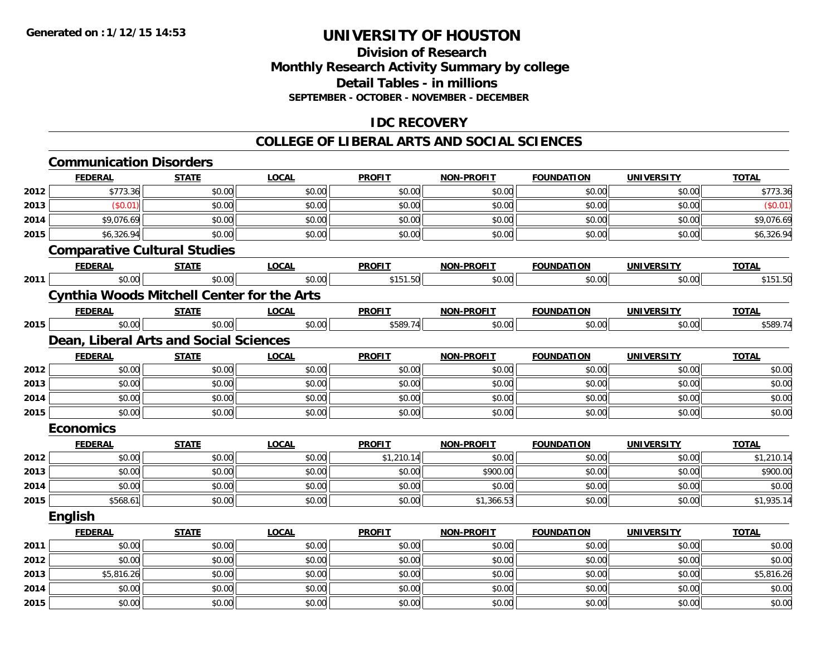## **Division of ResearchMonthly Research Activity Summary by college Detail Tables - in millions SEPTEMBER - OCTOBER - NOVEMBER - DECEMBER**

## **IDC RECOVERY**

#### **COLLEGE OF LIBERAL ARTS AND SOCIAL SCIENCES**

|      | <b>Communication Disorders</b>      |                                                   |              |               |                   |                   |                   |              |
|------|-------------------------------------|---------------------------------------------------|--------------|---------------|-------------------|-------------------|-------------------|--------------|
|      | <b>FEDERAL</b>                      | <b>STATE</b>                                      | <b>LOCAL</b> | <b>PROFIT</b> | <b>NON-PROFIT</b> | <b>FOUNDATION</b> | <b>UNIVERSITY</b> | <b>TOTAL</b> |
| 2012 | \$773.36                            | \$0.00                                            | \$0.00       | \$0.00        | \$0.00            | \$0.00            | \$0.00            | \$773.36     |
| 2013 | (\$0.01)                            | \$0.00                                            | \$0.00       | \$0.00        | \$0.00            | \$0.00            | \$0.00            | (\$0.01)     |
| 2014 | \$9,076.69                          | \$0.00                                            | \$0.00       | \$0.00        | \$0.00            | \$0.00            | \$0.00            | \$9,076.69   |
| 2015 | \$6,326.94                          | \$0.00                                            | \$0.00       | \$0.00        | \$0.00            | \$0.00            | \$0.00            | \$6,326.94   |
|      | <b>Comparative Cultural Studies</b> |                                                   |              |               |                   |                   |                   |              |
|      | <b>FEDERAL</b>                      | <b>STATE</b>                                      | <b>LOCAL</b> | <b>PROFIT</b> | <b>NON-PROFIT</b> | <b>FOUNDATION</b> | <b>UNIVERSITY</b> | <b>TOTAL</b> |
| 2011 | \$0.00                              | \$0.00                                            | \$0.00       | \$151.50      | \$0.00            | \$0.00            | \$0.00            | \$151.50     |
|      |                                     | <b>Cynthia Woods Mitchell Center for the Arts</b> |              |               |                   |                   |                   |              |
|      | <b>FEDERAL</b>                      | <b>STATE</b>                                      | <b>LOCAL</b> | <b>PROFIT</b> | <b>NON-PROFIT</b> | <b>FOUNDATION</b> | <b>UNIVERSITY</b> | <b>TOTAL</b> |
| 2015 | \$0.00                              | \$0.00                                            | \$0.00       | \$589.74      | \$0.00            | \$0.00            | \$0.00            | \$589.74     |
|      |                                     | Dean, Liberal Arts and Social Sciences            |              |               |                   |                   |                   |              |
|      | <b>FEDERAL</b>                      | <b>STATE</b>                                      | <b>LOCAL</b> | <b>PROFIT</b> | <b>NON-PROFIT</b> | <b>FOUNDATION</b> | <b>UNIVERSITY</b> | <b>TOTAL</b> |
| 2012 | \$0.00                              | \$0.00                                            | \$0.00       | \$0.00        | \$0.00            | \$0.00            | \$0.00            | \$0.00       |
| 2013 | \$0.00                              | \$0.00                                            | \$0.00       | \$0.00        | \$0.00            | \$0.00            | \$0.00            | \$0.00       |
| 2014 | \$0.00                              | \$0.00                                            | \$0.00       | \$0.00        | \$0.00            | \$0.00            | \$0.00            | \$0.00       |
| 2015 | \$0.00                              | \$0.00                                            | \$0.00       | \$0.00        | \$0.00            | \$0.00            | \$0.00            | \$0.00       |
|      | <b>Economics</b>                    |                                                   |              |               |                   |                   |                   |              |
|      | <b>FEDERAL</b>                      | <b>STATE</b>                                      | <b>LOCAL</b> | <b>PROFIT</b> | <b>NON-PROFIT</b> | <b>FOUNDATION</b> | <b>UNIVERSITY</b> | <b>TOTAL</b> |
| 2012 | \$0.00                              | \$0.00                                            | \$0.00       | \$1,210.14    | \$0.00            | \$0.00            | \$0.00            | \$1,210.14   |
| 2013 | \$0.00                              | \$0.00                                            | \$0.00       | \$0.00        | \$900.00          | \$0.00            | \$0.00            | \$900.00     |
| 2014 | \$0.00                              | \$0.00                                            | \$0.00       | \$0.00        | \$0.00            | \$0.00            | \$0.00            | \$0.00       |
| 2015 | \$568.61                            | \$0.00                                            | \$0.00       | \$0.00        | \$1,366.53        | \$0.00            | \$0.00            | \$1,935.14   |
|      | <b>English</b>                      |                                                   |              |               |                   |                   |                   |              |
|      | <b>FEDERAL</b>                      | <b>STATE</b>                                      | <b>LOCAL</b> | <b>PROFIT</b> | <b>NON-PROFIT</b> | <b>FOUNDATION</b> | <b>UNIVERSITY</b> | <b>TOTAL</b> |
| 2011 | \$0.00                              | \$0.00                                            | \$0.00       | \$0.00        | \$0.00            | \$0.00            | \$0.00            | \$0.00       |
| 2012 | \$0.00                              | \$0.00                                            | \$0.00       | \$0.00        | \$0.00            | \$0.00            | \$0.00            | \$0.00       |
| 2013 | \$5,816.26                          | \$0.00                                            | \$0.00       | \$0.00        | \$0.00            | \$0.00            | \$0.00            | \$5,816.26   |
| 2014 | \$0.00                              | \$0.00                                            | \$0.00       | \$0.00        | \$0.00            | \$0.00            | \$0.00            | \$0.00       |
| 2015 | \$0.00                              | \$0.00                                            | \$0.00       | \$0.00        | \$0.00            | \$0.00            | \$0.00            | \$0.00       |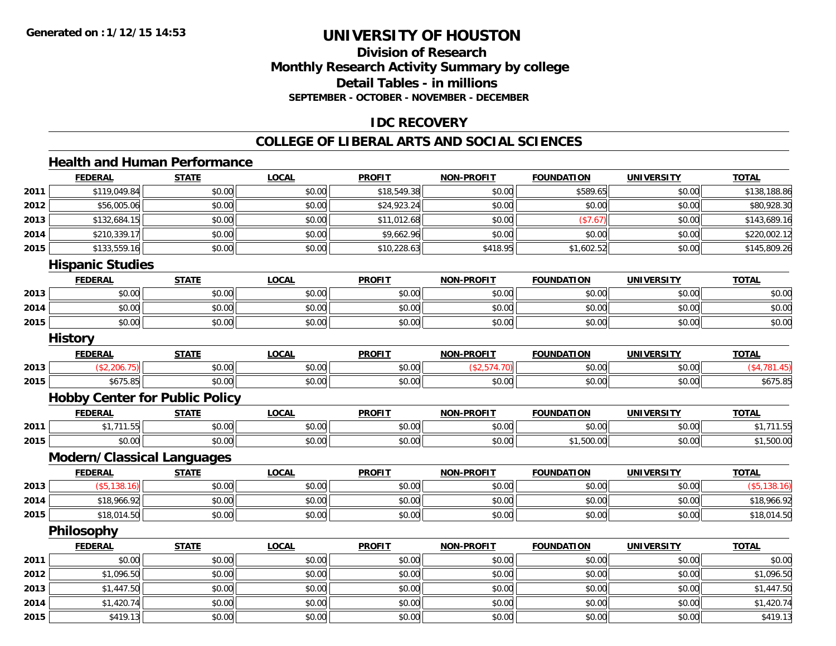## **Division of ResearchMonthly Research Activity Summary by college Detail Tables - in millions SEPTEMBER - OCTOBER - NOVEMBER - DECEMBER**

### **IDC RECOVERY**

## **COLLEGE OF LIBERAL ARTS AND SOCIAL SCIENCES**

## **Health and Human Performance**

|      | <b>FEDERAL</b>                        | <b>STATE</b> | <b>LOCAL</b> | <b>PROFIT</b> | <b>NON-PROFIT</b> | <b>FOUNDATION</b> | <b>UNIVERSITY</b> | <b>TOTAL</b> |
|------|---------------------------------------|--------------|--------------|---------------|-------------------|-------------------|-------------------|--------------|
| 2011 | \$119,049.84                          | \$0.00       | \$0.00       | \$18,549.38   | \$0.00            | \$589.65          | \$0.00            | \$138,188.86 |
| 2012 | \$56,005.06                           | \$0.00       | \$0.00       | \$24,923.24   | \$0.00            | \$0.00            | \$0.00            | \$80,928.30  |
| 2013 | \$132,684.15                          | \$0.00       | \$0.00       | \$11,012.68   | \$0.00            | (\$7.67)          | \$0.00            | \$143,689.16 |
| 2014 | \$210,339.17                          | \$0.00       | \$0.00       | \$9,662.96    | \$0.00            | \$0.00            | \$0.00            | \$220,002.12 |
| 2015 | \$133,559.16                          | \$0.00       | \$0.00       | \$10,228.63   | \$418.95          | \$1,602.52        | \$0.00            | \$145,809.26 |
|      | <b>Hispanic Studies</b>               |              |              |               |                   |                   |                   |              |
|      | <b>FEDERAL</b>                        | <b>STATE</b> | <b>LOCAL</b> | <b>PROFIT</b> | <b>NON-PROFIT</b> | <b>FOUNDATION</b> | <b>UNIVERSITY</b> | <b>TOTAL</b> |
| 2013 | \$0.00                                | \$0.00       | \$0.00       | \$0.00        | \$0.00            | \$0.00            | \$0.00            | \$0.00       |
| 2014 | \$0.00                                | \$0.00       | \$0.00       | \$0.00        | \$0.00            | \$0.00            | \$0.00            | \$0.00       |
| 2015 | \$0.00                                | \$0.00       | \$0.00       | \$0.00        | \$0.00            | \$0.00            | \$0.00            | \$0.00       |
|      | <b>History</b>                        |              |              |               |                   |                   |                   |              |
|      | <b>FEDERAL</b>                        | <b>STATE</b> | <b>LOCAL</b> | <b>PROFIT</b> | <b>NON-PROFIT</b> | <b>FOUNDATION</b> | <b>UNIVERSITY</b> | <b>TOTAL</b> |
| 2013 | (\$2,206.75)                          | \$0.00       | \$0.00       | \$0.00        | (\$2,574.70)      | \$0.00            | \$0.00            | (\$4,781.45) |
| 2015 | \$675.85                              | \$0.00       | \$0.00       | \$0.00        | \$0.00            | \$0.00            | \$0.00            | \$675.85     |
|      | <b>Hobby Center for Public Policy</b> |              |              |               |                   |                   |                   |              |
|      | <b>FEDERAL</b>                        | <b>STATE</b> | <b>LOCAL</b> | <b>PROFIT</b> | <b>NON-PROFIT</b> | <b>FOUNDATION</b> | <b>UNIVERSITY</b> | <b>TOTAL</b> |
| 2011 | \$1,711.55                            | \$0.00       | \$0.00       | \$0.00        | \$0.00            | \$0.00            | \$0.00            | \$1,711.55   |
| 2015 | \$0.00                                | \$0.00       | \$0.00       | \$0.00        | \$0.00            | \$1,500.00        | \$0.00            | \$1,500.00   |
|      | <b>Modern/Classical Languages</b>     |              |              |               |                   |                   |                   |              |
|      | <b>FEDERAL</b>                        | <b>STATE</b> | <b>LOCAL</b> | <b>PROFIT</b> | <b>NON-PROFIT</b> | <b>FOUNDATION</b> | <b>UNIVERSITY</b> | <b>TOTAL</b> |
| 2013 | (\$5,138.16)                          | \$0.00       | \$0.00       | \$0.00        | \$0.00            | \$0.00            | \$0.00            | (\$5,138.16) |
| 2014 | \$18,966.92                           | \$0.00       | \$0.00       | \$0.00        | \$0.00            | \$0.00            | \$0.00            | \$18,966.92  |
| 2015 | \$18,014.50                           | \$0.00       | \$0.00       | \$0.00        | \$0.00            | \$0.00            | \$0.00            | \$18,014.50  |
|      | Philosophy                            |              |              |               |                   |                   |                   |              |
|      | <b>FEDERAL</b>                        | <b>STATE</b> | <b>LOCAL</b> | <b>PROFIT</b> | <b>NON-PROFIT</b> | <b>FOUNDATION</b> | <b>UNIVERSITY</b> | <b>TOTAL</b> |
| 2011 | \$0.00                                | \$0.00       | \$0.00       | \$0.00        | \$0.00            | \$0.00            | \$0.00            | \$0.00       |
| 2012 | \$1,096.50                            | \$0.00       | \$0.00       | \$0.00        | \$0.00            | \$0.00            | \$0.00            | \$1,096.50   |
| 2013 | \$1,447.50                            | \$0.00       | \$0.00       | \$0.00        | \$0.00            | \$0.00            | \$0.00            | \$1,447.50   |
| 2014 | \$1,420.74                            | \$0.00       | \$0.00       | \$0.00        | \$0.00            | \$0.00            | \$0.00            | \$1,420.74   |
| 2015 | \$419.13                              | \$0.00       | \$0.00       | \$0.00        | \$0.00            | \$0.00            | \$0.00            | \$419.13     |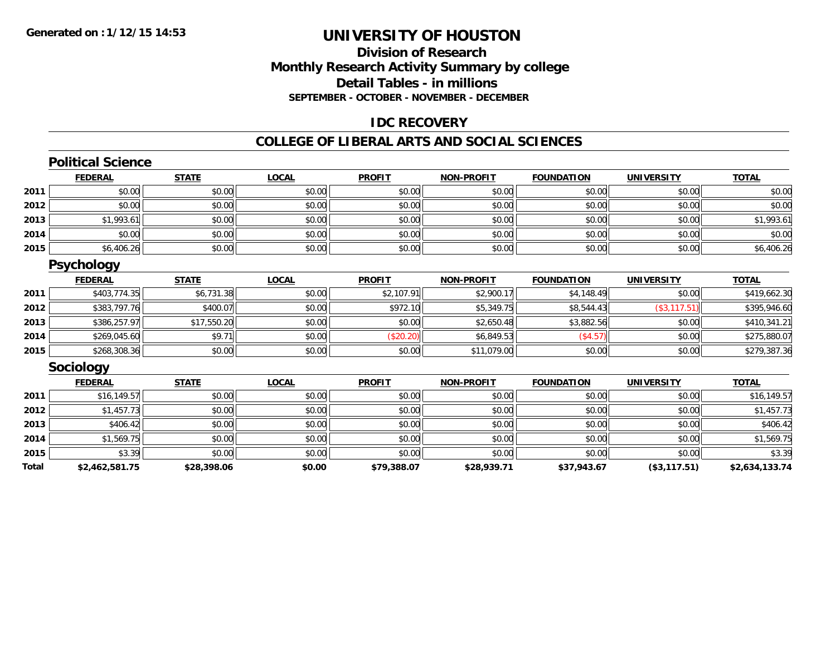### **Division of ResearchMonthly Research Activity Summary by college Detail Tables - in millions SEPTEMBER - OCTOBER - NOVEMBER - DECEMBER**

### **IDC RECOVERY**

#### **COLLEGE OF LIBERAL ARTS AND SOCIAL SCIENCES**

## **Political Science**

|      | <b>FEDERAL</b> | <b>STATE</b> | <u>LOCAL</u> | <b>PROFIT</b> | <b>NON-PROFIT</b> | <b>FOUNDATION</b> | <b>UNIVERSITY</b> | <b>TOTAL</b> |
|------|----------------|--------------|--------------|---------------|-------------------|-------------------|-------------------|--------------|
| 2011 | \$0.00         | \$0.00       | \$0.00       | \$0.00        | \$0.00            | \$0.00            | \$0.00            | \$0.00       |
| 2012 | \$0.00         | \$0.00       | \$0.00       | \$0.00        | \$0.00            | \$0.00            | \$0.00            | \$0.00       |
| 2013 | \$1,993.61     | \$0.00       | \$0.00       | \$0.00        | \$0.00            | \$0.00            | \$0.00            | \$1,993.61   |
| 2014 | \$0.00         | \$0.00       | \$0.00       | \$0.00        | \$0.00            | \$0.00            | \$0.00            | \$0.00       |
| 2015 | \$6,406.26     | \$0.00       | \$0.00       | \$0.00        | \$0.00            | \$0.00            | \$0.00            | \$6,406.26   |

### **Psychology**

|      | <b>FEDERAL</b> | <b>STATE</b> | <u>LOCAL</u> | <b>PROFIT</b> | <b>NON-PROFIT</b> | <b>FOUNDATION</b> | <b>UNIVERSITY</b> | <b>TOTAL</b> |
|------|----------------|--------------|--------------|---------------|-------------------|-------------------|-------------------|--------------|
| 2011 | \$403,774.35   | \$6,731.38   | \$0.00       | \$2,107.91    | \$2,900.17        | \$4,148.49        | \$0.00            | \$419,662.30 |
| 2012 | \$383,797.76   | \$400.07     | \$0.00       | \$972.10      | \$5,349.75        | \$8,544.43        | (\$3,117.51)      | \$395,946.60 |
| 2013 | \$386,257.97   | \$17,550.20  | \$0.00       | \$0.00        | \$2,650.48        | \$3,882.56        | \$0.00            | \$410,341.21 |
| 2014 | \$269,045.60   | \$9.7        | \$0.00       | \$20.20       | \$6,849.53        | (\$4.57)          | \$0.00            | \$275,880.07 |
| 2015 | \$268,308.36   | \$0.00       | \$0.00       | \$0.00        | \$11,079.00       | \$0.00            | \$0.00            | \$279,387.36 |

#### **Sociology**

|       | <b>FEDERAL</b> | <b>STATE</b> | <b>LOCAL</b> | <b>PROFIT</b> | <b>NON-PROFIT</b> | <b>FOUNDATION</b> | <b>UNIVERSITY</b> | <b>TOTAL</b>   |
|-------|----------------|--------------|--------------|---------------|-------------------|-------------------|-------------------|----------------|
| 2011  | \$16, 149.57   | \$0.00       | \$0.00       | \$0.00        | \$0.00            | \$0.00            | \$0.00            | \$16,149.57    |
| 2012  | \$1,457.73     | \$0.00       | \$0.00       | \$0.00        | \$0.00            | \$0.00            | \$0.00            | \$1,457.73     |
| 2013  | \$406.42       | \$0.00       | \$0.00       | \$0.00        | \$0.00            | \$0.00            | \$0.00            | \$406.42       |
| 2014  | \$1,569.75     | \$0.00       | \$0.00       | \$0.00        | \$0.00            | \$0.00            | \$0.00            | \$1,569.75     |
| 2015  | \$3.39         | \$0.00       | \$0.00       | \$0.00        | \$0.00            | \$0.00            | \$0.00            | \$3.39         |
| Total | \$2,462,581.75 | \$28,398.06  | \$0.00       | \$79,388.07   | \$28,939.71       | \$37,943.67       | (\$3,117.51)      | \$2,634,133.74 |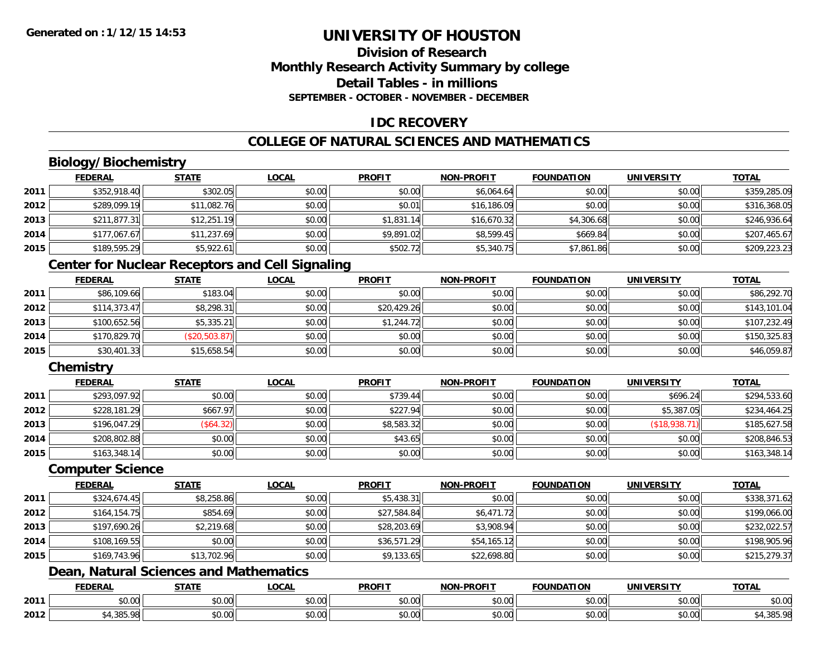## **Division of ResearchMonthly Research Activity Summary by college Detail Tables - in millionsSEPTEMBER - OCTOBER - NOVEMBER - DECEMBER**

## **IDC RECOVERY**

## **COLLEGE OF NATURAL SCIENCES AND MATHEMATICS**

## **Biology/Biochemistry**

|      | <b>FEDERAL</b> | <b>STATE</b> | <b>LOCAL</b> | <b>PROFIT</b> | <b>NON-PROFIT</b> | <b>FOUNDATION</b> | UNIVERSITY | <b>TOTAL</b> |
|------|----------------|--------------|--------------|---------------|-------------------|-------------------|------------|--------------|
| 2011 | \$352,918.40   | \$302.05     | \$0.00       | \$0.00        | \$6,064.64        | \$0.00            | \$0.00     | \$359,285.09 |
| 2012 | \$289,099.19   | \$11,082.76  | \$0.00       | \$0.01        | \$16,186.09       | \$0.00            | \$0.00     | \$316,368.05 |
| 2013 | \$211,877.31   | \$12,251.19  | \$0.00       | \$1,831.14    | \$16,670.32       | \$4,306.68        | \$0.00     | \$246,936.64 |
| 2014 | \$177,067.67   | \$11,237.69  | \$0.00       | \$9,891.02    | \$8,599.45        | \$669.84          | \$0.00     | \$207,465.67 |
| 2015 | \$189,595.29   | \$5,922.61   | \$0.00       | \$502.72      | \$5,340.75        | \$7,861.86        | \$0.00     | \$209,223.23 |

### **Center for Nuclear Receptors and Cell Signaling**

|      | <b>FEDERAL</b> | <u>STATE</u>  | <b>LOCAL</b> | <b>PROFIT</b> | <b>NON-PROFIT</b> | <b>FOUNDATION</b> | <b>UNIVERSITY</b> | <b>TOTAL</b> |
|------|----------------|---------------|--------------|---------------|-------------------|-------------------|-------------------|--------------|
| 2011 | \$86,109.66    | \$183.04      | \$0.00       | \$0.00        | \$0.00            | \$0.00            | \$0.00            | \$86,292.70  |
| 2012 | \$114,373.47   | \$8,298.31    | \$0.00       | \$20,429.26   | \$0.00            | \$0.00            | \$0.00            | \$143,101.04 |
| 2013 | \$100,652.56   | \$5,335.21    | \$0.00       | \$1,244.72    | \$0.00            | \$0.00            | \$0.00            | \$107,232.49 |
| 2014 | \$170,829.70   | (\$20,503.87) | \$0.00       | \$0.00        | \$0.00            | \$0.00            | \$0.00            | \$150,325.83 |
| 2015 | \$30,401.33    | \$15,658.54   | \$0.00       | \$0.00        | \$0.00            | \$0.00            | \$0.00            | \$46,059.87  |

## **Chemistry**

|      | <u>FEDERAL</u> | <u>STATE</u> | <u>LOCAL</u> | <b>PROFIT</b> | <b>NON-PROFIT</b> | <b>FOUNDATION</b> | <b>UNIVERSITY</b> | <b>TOTAL</b> |
|------|----------------|--------------|--------------|---------------|-------------------|-------------------|-------------------|--------------|
| 2011 | \$293,097.92   | \$0.00       | \$0.00       | \$739.44      | \$0.00            | \$0.00            | \$696.24          | \$294,533.60 |
| 2012 | \$228,181.29   | \$667.97     | \$0.00       | \$227.94      | \$0.00            | \$0.00            | \$5,387.05        | \$234,464.25 |
| 2013 | \$196,047.29   | (\$64.32)    | \$0.00       | \$8,583.32    | \$0.00            | \$0.00            | (\$18,938.71)     | \$185,627.58 |
| 2014 | \$208,802.88   | \$0.00       | \$0.00       | \$43.65       | \$0.00            | \$0.00            | \$0.00            | \$208,846.53 |
| 2015 | \$163,348.14   | \$0.00       | \$0.00       | \$0.00        | \$0.00            | \$0.00            | \$0.00            | \$163,348.14 |

#### **Computer Science**

|      | <b>FEDERAL</b> | <b>STATE</b> | <b>LOCAL</b> | <b>PROFIT</b> | <b>NON-PROFIT</b> | <b>FOUNDATION</b> | <b>UNIVERSITY</b> | <b>TOTAL</b> |
|------|----------------|--------------|--------------|---------------|-------------------|-------------------|-------------------|--------------|
| 2011 | \$324,674.45   | \$8,258.86   | \$0.00       | \$5,438.31    | \$0.00            | \$0.00            | \$0.00            | \$338,371.62 |
| 2012 | \$164,154.75   | \$854.69     | \$0.00       | \$27,584.84   | \$6,471.72        | \$0.00            | \$0.00            | \$199,066.00 |
| 2013 | \$197,690.26   | \$2,219.68   | \$0.00       | \$28,203.69   | \$3,908.94        | \$0.00            | \$0.00            | \$232,022.57 |
| 2014 | \$108,169.55   | \$0.00       | \$0.00       | \$36,571.29   | \$54,165.12       | \$0.00            | \$0.00            | \$198,905.96 |
| 2015 | \$169,743.96   | \$13,702.96  | \$0.00       | \$9,133.65    | \$22,698.80       | \$0.00            | \$0.00            | \$215,279.37 |

## **Dean, Natural Sciences and Mathematics**

|      | <b>DERAI</b> | <b>STATL</b>      | <b>_OCAI</b>       | <b>PROFIT</b> | <b>J-PROFIT</b><br><b>NON</b> | .<br><b>INDA</b>                                      | INIVE              | <b>TOTAL</b>                     |
|------|--------------|-------------------|--------------------|---------------|-------------------------------|-------------------------------------------------------|--------------------|----------------------------------|
| 2011 | 0.00         | $\sim$<br>70.UU   | $\sim$ 00<br>DU.UU | 0.00<br>DU.UU | \$0.00                        | $\mathsf{A} \cap \mathsf{A} \cap \mathsf{A}$<br>vv.vv | $\sim$ 00<br>vu.vu | JU.UU                            |
| 2012 | 20E          | $\uparrow$<br>ט.ט | ሶስ ሰሰ<br>DU.UG     | 0.00<br>DU.UG | \$0.00                        | 0000<br>vv.vv                                         | امہ مہ<br>vu.vu    | $\sim$ $\sim$ $\sim$<br>7.303.70 |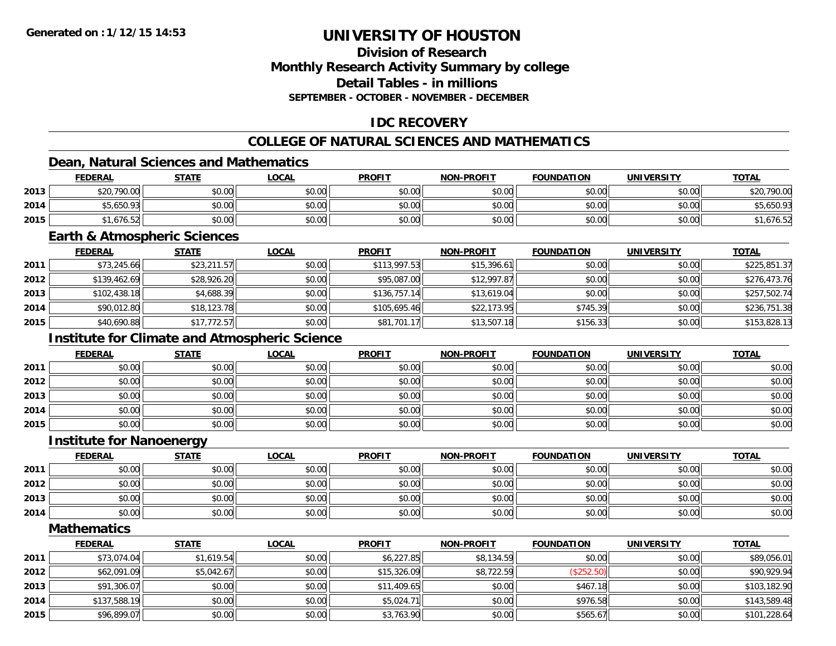## **Division of ResearchMonthly Research Activity Summary by college Detail Tables - in millionsSEPTEMBER - OCTOBER - NOVEMBER - DECEMBER**

## **IDC RECOVERY**

## **COLLEGE OF NATURAL SCIENCES AND MATHEMATICS**

## **Dean, Natural Sciences and Mathematics**

|      | <b>FEDERAL</b> | <b>STATE</b> | <b>LOCAL</b> | <b>PROFIT</b> | <b>NON-PROFIT</b> | <b>FOUNDATION</b> | <b>UNIVERSITY</b> | <b>TOTAL</b> |
|------|----------------|--------------|--------------|---------------|-------------------|-------------------|-------------------|--------------|
| 2013 | \$20,790.00    | \$0.00       | \$0.00       | \$0.00        | \$0.00            | \$0.00            | \$0.00            | \$20,790.00  |
| 2014 | \$5,650.93     | \$0.00       | \$0.00       | \$0.00        | \$0.00            | \$0.00            | \$0.00            | \$5,650.93   |
| 2015 | 1.676.52       | \$0.00       | \$0.00       | \$0.00        | \$0.00            | \$0.00            | \$0.00            | 676.52       |

#### **Earth & Atmospheric Sciences**

|      | <b>FEDERAL</b> | <b>STATE</b> | <u>LOCAL</u> | <b>PROFIT</b> | <b>NON-PROFIT</b> | <b>FOUNDATION</b> | <b>UNIVERSITY</b> | <b>TOTAL</b> |
|------|----------------|--------------|--------------|---------------|-------------------|-------------------|-------------------|--------------|
| 2011 | \$73,245.66    | \$23,211.57  | \$0.00       | \$113,997.53  | \$15,396.61       | \$0.00            | \$0.00            | \$225,851.37 |
| 2012 | \$139,462.69   | \$28,926.20  | \$0.00       | \$95,087.00   | \$12,997.87       | \$0.00            | \$0.00            | \$276,473.76 |
| 2013 | \$102,438.18   | \$4,688.39   | \$0.00       | \$136,757.14  | \$13,619.04       | \$0.00            | \$0.00            | \$257,502.74 |
| 2014 | \$90,012.80    | \$18,123.78  | \$0.00       | \$105,695.46  | \$22,173.95       | \$745.39          | \$0.00            | \$236,751.38 |
| 2015 | \$40,690.88    | \$17,772.57  | \$0.00       | \$81,701.17   | \$13,507.18       | \$156.33          | \$0.00            | \$153,828.13 |

## **Institute for Climate and Atmospheric Science**

|      | <u>FEDERAL</u> | <b>STATE</b> | <u>LOCAL</u> | <b>PROFIT</b> | <b>NON-PROFIT</b> | <b>FOUNDATION</b> | <b>UNIVERSITY</b> | <b>TOTAL</b> |
|------|----------------|--------------|--------------|---------------|-------------------|-------------------|-------------------|--------------|
| 2011 | \$0.00         | \$0.00       | \$0.00       | \$0.00        | \$0.00            | \$0.00            | \$0.00            | \$0.00       |
| 2012 | \$0.00         | \$0.00       | \$0.00       | \$0.00        | \$0.00            | \$0.00            | \$0.00            | \$0.00       |
| 2013 | \$0.00         | \$0.00       | \$0.00       | \$0.00        | \$0.00            | \$0.00            | \$0.00            | \$0.00       |
| 2014 | \$0.00         | \$0.00       | \$0.00       | \$0.00        | \$0.00            | \$0.00            | \$0.00            | \$0.00       |
| 2015 | \$0.00         | \$0.00       | \$0.00       | \$0.00        | \$0.00            | \$0.00            | \$0.00            | \$0.00       |

#### **Institute for Nanoenergy**

|      | <b>FEDERAL</b> | <b>STATE</b> | <u>LOCAL</u> | <b>PROFIT</b> | <b>NON-PROFIT</b> | <b>FOUNDATION</b> | <b>UNIVERSITY</b> | <b>TOTAL</b> |
|------|----------------|--------------|--------------|---------------|-------------------|-------------------|-------------------|--------------|
| 2011 | \$0.00         | \$0.00       | \$0.00       | \$0.00        | \$0.00            | \$0.00            | \$0.00            | \$0.00       |
| 2012 | \$0.00         | \$0.00       | \$0.00       | \$0.00        | \$0.00            | \$0.00            | \$0.00            | \$0.00       |
| 2013 | \$0.00         | \$0.00       | \$0.00       | \$0.00        | \$0.00            | \$0.00            | \$0.00            | \$0.00       |
| 2014 | \$0.00         | \$0.00       | \$0.00       | \$0.00        | \$0.00            | \$0.00            | \$0.00            | \$0.00       |

**Mathematics**

|      | <u>FEDERAL</u> | <b>STATE</b> | <b>LOCAL</b> | <b>PROFIT</b> | <b>NON-PROFIT</b> | <b>FOUNDATION</b> | <b>UNIVERSITY</b> | <b>TOTAL</b> |
|------|----------------|--------------|--------------|---------------|-------------------|-------------------|-------------------|--------------|
| 2011 | \$73,074.04    | \$1,619.54   | \$0.00       | \$6,227.85    | \$8,134.59        | \$0.00            | \$0.00            | \$89,056.01  |
| 2012 | \$62,091.09    | \$5,042.67   | \$0.00       | \$15,326.09   | \$8,722.59        | (\$252.50)        | \$0.00            | \$90,929.94  |
| 2013 | \$91,306.07    | \$0.00       | \$0.00       | \$11,409.65   | \$0.00            | \$467.18          | \$0.00            | \$103,182.90 |
| 2014 | \$137,588.19   | \$0.00       | \$0.00       | \$5,024.71    | \$0.00            | \$976.58          | \$0.00            | \$143,589.48 |
| 2015 | \$96,899.07    | \$0.00       | \$0.00       | \$3,763.90    | \$0.00            | \$565.67          | \$0.00            | \$101,228.64 |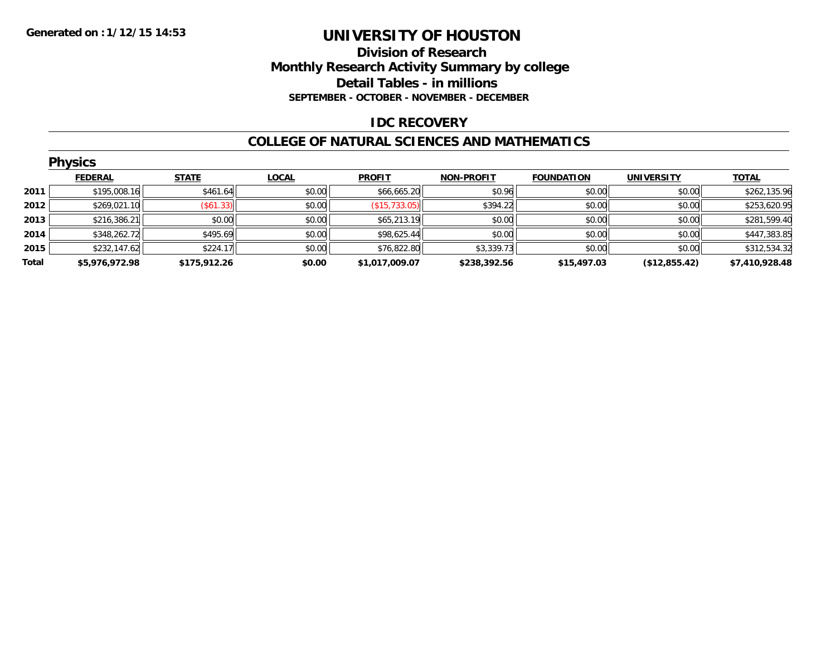#### **Division of Research Monthly Research Activity Summary by college Detail Tables - in millions SEPTEMBER - OCTOBER - NOVEMBER - DECEMBER**

#### **IDC RECOVERY**

#### **COLLEGE OF NATURAL SCIENCES AND MATHEMATICS**

|       | <b>Physics</b> |              |              |                |                   |                   |                   |                |  |  |  |  |
|-------|----------------|--------------|--------------|----------------|-------------------|-------------------|-------------------|----------------|--|--|--|--|
|       | <b>FEDERAL</b> | <b>STATE</b> | <b>LOCAL</b> | <b>PROFIT</b>  | <b>NON-PROFIT</b> | <b>FOUNDATION</b> | <b>UNIVERSITY</b> | <b>TOTAL</b>   |  |  |  |  |
| 2011  | \$195,008.16   | \$461.64     | \$0.00       | \$66,665.20    | \$0.96            | \$0.00            | \$0.00            | \$262,135.96   |  |  |  |  |
| 2012  | \$269,021.10   | (\$61.33)    | \$0.00       | (\$15,733.05)  | \$394.22          | \$0.00            | \$0.00            | \$253,620.95   |  |  |  |  |
| 2013  | \$216,386.21   | \$0.00       | \$0.00       | \$65,213.19    | \$0.00            | \$0.00            | \$0.00            | \$281,599.40   |  |  |  |  |
| 2014  | \$348,262.72   | \$495.69     | \$0.00       | \$98,625.44    | \$0.00            | \$0.00            | \$0.00            | \$447,383.85   |  |  |  |  |
| 2015  | \$232,147.62   | \$224.17     | \$0.00       | \$76,822.80    | \$3,339.73        | \$0.00            | \$0.00            | \$312,534.32   |  |  |  |  |
| Total | \$5,976,972.98 | \$175,912.26 | \$0.00       | \$1,017,009.07 | \$238,392.56      | \$15,497.03       | (\$12,855.42)     | \$7,410,928.48 |  |  |  |  |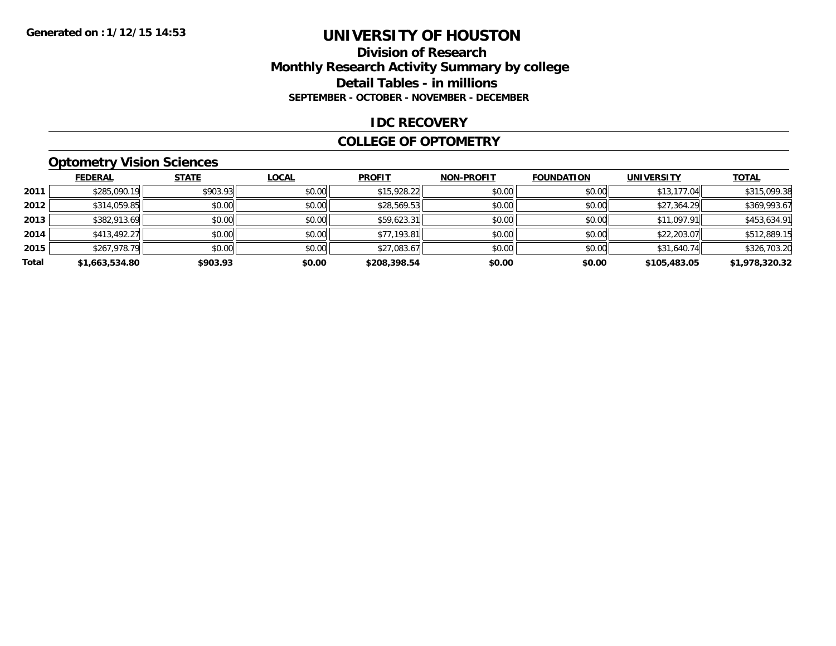#### **Division of Research Monthly Research Activity Summary by college Detail Tables - in millions SEPTEMBER - OCTOBER - NOVEMBER - DECEMBER**

#### **IDC RECOVERY**

#### **COLLEGE OF OPTOMETRY**

## **Optometry Vision Sciences**

|       | <b>FEDERAL</b> | <b>STATE</b> | <b>LOCAL</b> | <b>PROFIT</b> | <b>NON-PROFIT</b> | <b>FOUNDATION</b> | <b>UNIVERSITY</b> | <b>TOTAL</b>   |
|-------|----------------|--------------|--------------|---------------|-------------------|-------------------|-------------------|----------------|
| 2011  | \$285,090.19   | \$903.93     | \$0.00       | \$15,928.22   | \$0.00            | \$0.00            | \$13,177.04       | \$315,099.38   |
| 2012  | \$314,059.85   | \$0.00       | \$0.00       | \$28,569.53   | \$0.00            | \$0.00            | \$27,364.29       | \$369,993.67   |
| 2013  | \$382,913.69   | \$0.00       | \$0.00       | \$59,623.31   | \$0.00            | \$0.00            | \$11,097.91       | \$453,634.91   |
| 2014  | \$413,492.27   | \$0.00       | \$0.00       | \$77,193.81   | \$0.00            | \$0.00            | \$22,203.07       | \$512,889.15   |
| 2015  | \$267,978.79   | \$0.00       | \$0.00       | \$27,083.67   | \$0.00            | \$0.00            | \$31,640.74       | \$326,703.20   |
| Total | \$1,663,534.80 | \$903.93     | \$0.00       | \$208,398.54  | \$0.00            | \$0.00            | \$105,483.05      | \$1,978,320.32 |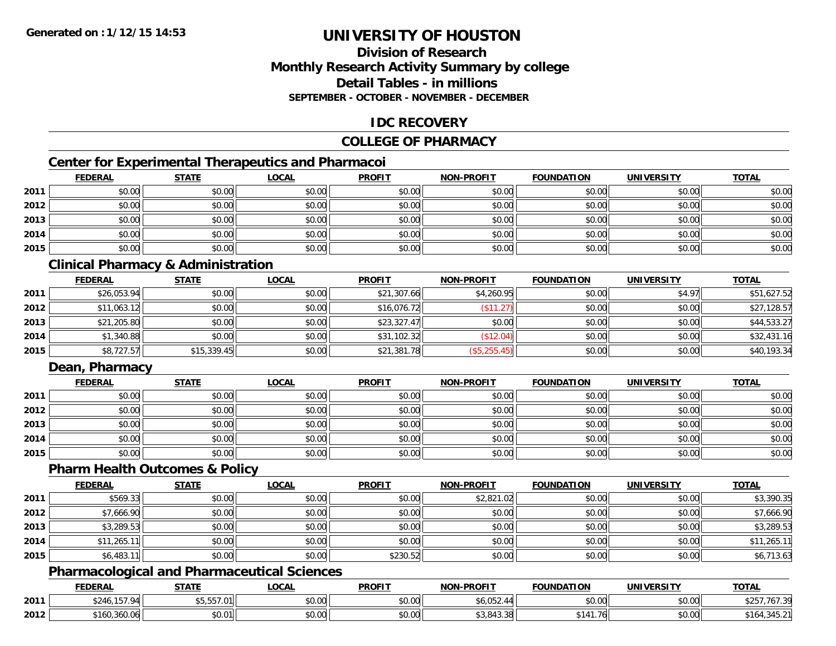## **Division of ResearchMonthly Research Activity Summary by college Detail Tables - in millionsSEPTEMBER - OCTOBER - NOVEMBER - DECEMBER**

## **IDC RECOVERY**

### **COLLEGE OF PHARMACY**

## **Center for Experimental Therapeutics and Pharmacoi**

|      | <b>FEDERAL</b> | <b>STATE</b> | <b>LOCAL</b> | <b>PROFIT</b> | <b>NON-PROFIT</b> | <b>FOUNDATION</b> | <b>UNIVERSITY</b> | <b>TOTAL</b> |
|------|----------------|--------------|--------------|---------------|-------------------|-------------------|-------------------|--------------|
| 2011 | \$0.00         | \$0.00       | \$0.00       | \$0.00        | \$0.00            | \$0.00            | \$0.00            | \$0.00       |
| 2012 | \$0.00         | \$0.00       | \$0.00       | \$0.00        | \$0.00            | \$0.00            | \$0.00            | \$0.00       |
| 2013 | \$0.00         | \$0.00       | \$0.00       | \$0.00        | \$0.00            | \$0.00            | \$0.00            | \$0.00       |
| 2014 | \$0.00         | \$0.00       | \$0.00       | \$0.00        | \$0.00            | \$0.00            | \$0.00            | \$0.00       |
| 2015 | \$0.00         | \$0.00       | \$0.00       | \$0.00        | \$0.00            | \$0.00            | \$0.00            | \$0.00       |

## **Clinical Pharmacy & Administration**

|      | <b>FEDERAL</b> | <b>STATE</b> | <u>LOCAL</u> | <b>PROFIT</b> | <b>NON-PROFIT</b> | <b>FOUNDATION</b> | <b>UNIVERSITY</b> | <b>TOTAL</b> |
|------|----------------|--------------|--------------|---------------|-------------------|-------------------|-------------------|--------------|
| 2011 | \$26,053.94    | \$0.00       | \$0.00       | \$21,307.66   | \$4,260.95        | \$0.00            | \$4.97            | \$51,627.52  |
| 2012 | \$11,063.12    | \$0.00       | \$0.00       | \$16,076.72   | (\$11.27)         | \$0.00            | \$0.00            | \$27,128.57  |
| 2013 | \$21,205.80    | \$0.00       | \$0.00       | \$23,327.47   | \$0.00            | \$0.00            | \$0.00            | \$44,533.27  |
| 2014 | \$1,340.88     | \$0.00       | \$0.00       | \$31,102.32   | (\$12.04)         | \$0.00            | \$0.00            | \$32,431.16  |
| 2015 | \$8,727.57     | \$15,339.45  | \$0.00       | \$21,381.78   | (\$5,255.45)      | \$0.00            | \$0.00            | \$40,193.34  |

### **Dean, Pharmacy**

|      | <b>FEDERAL</b> | <u>STATE</u> | <u>LOCAL</u> | <b>PROFIT</b> | <b>NON-PROFIT</b> | <b>FOUNDATION</b> | <b>UNIVERSITY</b> | <b>TOTAL</b> |
|------|----------------|--------------|--------------|---------------|-------------------|-------------------|-------------------|--------------|
| 2011 | \$0.00         | \$0.00       | \$0.00       | \$0.00        | \$0.00            | \$0.00            | \$0.00            | \$0.00       |
| 2012 | \$0.00         | \$0.00       | \$0.00       | \$0.00        | \$0.00            | \$0.00            | \$0.00            | \$0.00       |
| 2013 | \$0.00         | \$0.00       | \$0.00       | \$0.00        | \$0.00            | \$0.00            | \$0.00            | \$0.00       |
| 2014 | \$0.00         | \$0.00       | \$0.00       | \$0.00        | \$0.00            | \$0.00            | \$0.00            | \$0.00       |
| 2015 | \$0.00         | \$0.00       | \$0.00       | \$0.00        | \$0.00            | \$0.00            | \$0.00            | \$0.00       |

#### **Pharm Health Outcomes & Policy**

|      | <b>FEDERAL</b> | <b>STATE</b> | <b>LOCAL</b> | <b>PROFIT</b> | <b>NON-PROFIT</b> | <b>FOUNDATION</b> | <b>UNIVERSITY</b> | <b>TOTAL</b> |
|------|----------------|--------------|--------------|---------------|-------------------|-------------------|-------------------|--------------|
| 2011 | \$569.33       | \$0.00       | \$0.00       | \$0.00        | \$2,821.02        | \$0.00            | \$0.00            | \$3,390.35   |
| 2012 | \$7,666.90     | \$0.00       | \$0.00       | \$0.00        | \$0.00            | \$0.00            | \$0.00            | \$7,666.90   |
| 2013 | \$3,289.53     | \$0.00       | \$0.00       | \$0.00        | \$0.00            | \$0.00            | \$0.00            | \$3,289.53   |
| 2014 | \$11,265.11    | \$0.00       | \$0.00       | \$0.00        | \$0.00            | \$0.00            | \$0.00            | \$11,265.11  |
| 2015 | \$6,483.11     | \$0.00       | \$0.00       | \$230.52      | \$0.00            | \$0.00            | \$0.00            | \$6,713.63   |

## **Pharmacological and Pharmaceutical Sciences**

|      | <b>FEDERAL</b> | <b>STATE</b>       | _OCAL                  | <b>PROFIT</b> | <b>J-PROFIT</b><br><b>NIONI</b> | <b>FOUNDATION</b> | HNIVEI<br>$\cdots$      | <b>TOTAL</b> |
|------|----------------|--------------------|------------------------|---------------|---------------------------------|-------------------|-------------------------|--------------|
| 2011 |                | $ -$<br>−5,557.01∣ | $\sim$ 00<br>vu.uu     | 0000<br>JU.UU | $\sim$ $\sim$ $\sim$            | 0000<br>vv.vv     | $\sim$ $\sim$<br>\$0.00 | 101.3.       |
| 2012 | \$160,360.06   | \$0.01             | $\sim$ $\sim$<br>PU.UU | 0000<br>JU.UU | 0.012<br>\$3,843,38             | 761<br>- 14       | $\sim$ 00<br>\$0.00     |              |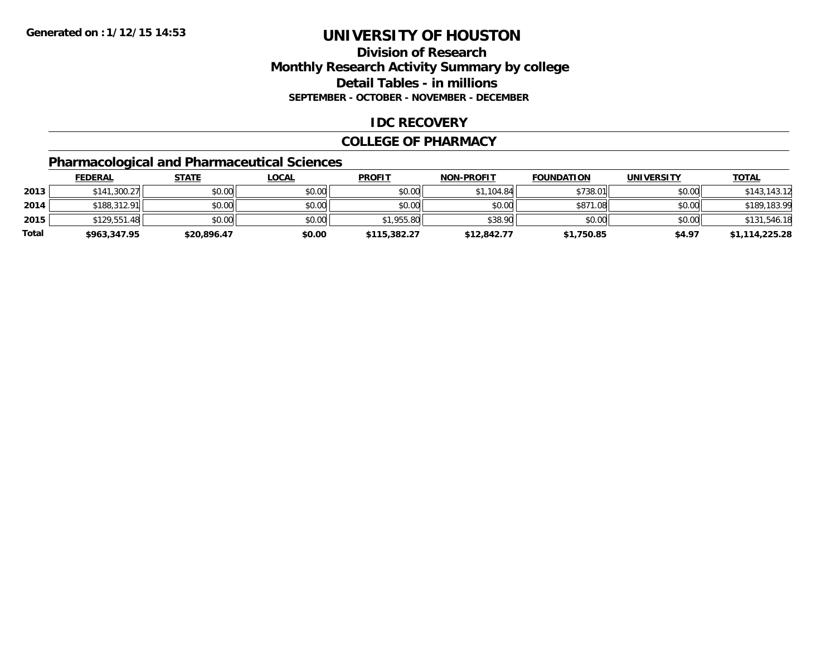## **Division of ResearchMonthly Research Activity Summary by college Detail Tables - in millions SEPTEMBER - OCTOBER - NOVEMBER - DECEMBER**

#### **IDC RECOVERY**

#### **COLLEGE OF PHARMACY**

## **Pharmacological and Pharmaceutical Sciences**

|       | <u>FEDERAL</u> | <b>STATE</b> | <u>LOCAL</u> | <b>PROFIT</b> | <b>NON-PROFIT</b> | <b>FOUNDATION</b> | <b>UNIVERSITY</b> | <b>TOTAL</b>   |
|-------|----------------|--------------|--------------|---------------|-------------------|-------------------|-------------------|----------------|
| 2013  | \$141,300.27   | \$0.00       | \$0.00       | \$0.00        | \$1.104.84        | \$738.01          | \$0.00            | \$143,143.12   |
| 2014  | \$188,312.91   | \$0.00       | \$0.00       | \$0.00        | \$0.00            | \$871<br>'08، ،   | \$0.00            | \$189,183.99   |
| 2015  | \$129,551.48   | \$0.00       | \$0.00       | \$1,955.80    | \$38.90           | \$0.00            | \$0.00            | \$131,546.18   |
| Total | \$963,347.95   | \$20,896.47  | \$0.00       | \$115,382.27  | \$12,842.77       | \$1,750.85        | \$4.97            | \$1,114,225.28 |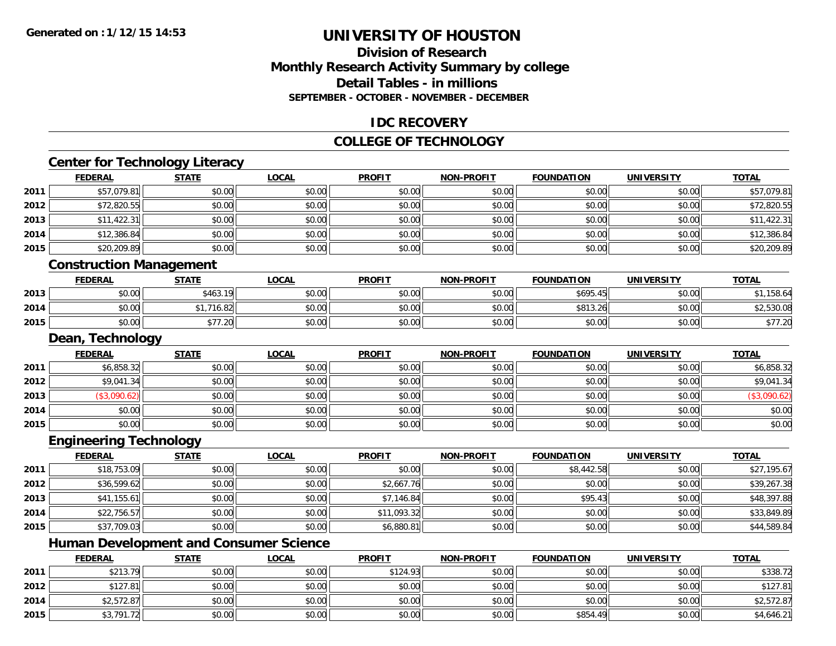## **Division of ResearchMonthly Research Activity Summary by college Detail Tables - in millions SEPTEMBER - OCTOBER - NOVEMBER - DECEMBER**

#### **IDC RECOVERY**

#### **COLLEGE OF TECHNOLOGY**

# **Center for Technology Literacy**

|      | <b>FEDERAL</b>                 | <b>STATE</b> | <b>LOCAL</b> | <b>PROFIT</b> | <b>NON-PROFIT</b> | <b>FOUNDATION</b> | <b>UNIVERSITY</b> | <b>TOTAL</b> |
|------|--------------------------------|--------------|--------------|---------------|-------------------|-------------------|-------------------|--------------|
| 2011 | \$57,079.81                    | \$0.00       | \$0.00       | \$0.00        | \$0.00            | \$0.00            | \$0.00            | \$57,079.81  |
| 2012 | \$72,820.55                    | \$0.00       | \$0.00       | \$0.00        | \$0.00            | \$0.00            | \$0.00            | \$72,820.55  |
| 2013 | \$11,422.31                    | \$0.00       | \$0.00       | \$0.00        | \$0.00            | \$0.00            | \$0.00            | \$11,422.31  |
| 2014 | \$12,386.84                    | \$0.00       | \$0.00       | \$0.00        | \$0.00            | \$0.00            | \$0.00            | \$12,386.84  |
| 2015 | \$20,209.89                    | \$0.00       | \$0.00       | \$0.00        | \$0.00            | \$0.00            | \$0.00            | \$20,209.89  |
|      | <b>Construction Management</b> |              |              |               |                   |                   |                   |              |
|      | <b>FEDERAL</b>                 | <b>STATE</b> | <b>LOCAL</b> | <b>PROFIT</b> | <b>NON-PROFIT</b> | <b>FOUNDATION</b> | <b>UNIVERSITY</b> | <b>TOTAL</b> |
| 2013 | \$0.00                         | \$463.19     | \$0.00       | \$0.00        | \$0.00            | \$695.45          | \$0.00            | \$1,158.64   |
| 2014 | \$0.00                         | \$1,716.82   | \$0.00       | \$0.00        | \$0.00            | \$813.26          | \$0.00            | \$2,530.08   |
| 2015 | \$0.00                         | \$77.20      | \$0.00       | \$0.00        | \$0.00            | \$0.00            | \$0.00            | \$77.20      |
|      | Dean, Technology               |              |              |               |                   |                   |                   |              |
|      | <b>FEDERAL</b>                 | <b>STATE</b> | <b>LOCAL</b> | <b>PROFIT</b> | <b>NON-PROFIT</b> | <b>FOUNDATION</b> | <b>UNIVERSITY</b> | <b>TOTAL</b> |
| 2011 | \$6,858.32                     | \$0.00       | \$0.00       | \$0.00        | \$0.00            | \$0.00            | \$0.00            | \$6,858.32   |
| 2012 | \$9,041.34                     | \$0.00       | \$0.00       | \$0.00        | \$0.00            | \$0.00            | \$0.00            | \$9,041.34   |
| 2013 | (\$3,090.62)                   | \$0.00       | \$0.00       | \$0.00        | \$0.00            | \$0.00            | \$0.00            | (\$3,090.62) |
| 2014 | \$0.00                         | \$0.00       | \$0.00       | \$0.00        | \$0.00            | \$0.00            | \$0.00            | \$0.00       |
| 2015 | \$0.00                         | \$0.00       | \$0.00       | \$0.00        | \$0.00            | \$0.00            | \$0.00            | \$0.00       |
|      | <b>Engineering Technology</b>  |              |              |               |                   |                   |                   |              |
|      | <b>FEDERAL</b>                 | <b>STATE</b> | <b>LOCAL</b> | <b>PROFIT</b> | <b>NON-PROFIT</b> | <b>FOUNDATION</b> | <b>UNIVERSITY</b> | <b>TOTAL</b> |
| nn11 | 6107520                        | $\sim$ 00    | 0.001        | $\sim$ $\sim$ | 0.00              | $60.442$ Foll     | 0000              | 62710517     |

| 2011 | \$18,753.09 | \$0.00 | \$0.00 | \$0.00      | \$0.00 | \$8,442.58 | \$0.00 | \$27,195.67 |
|------|-------------|--------|--------|-------------|--------|------------|--------|-------------|
| 2012 | \$36,599.62 | \$0.00 | \$0.00 | \$2,667.76  | \$0.00 | \$0.00     | \$0.00 | \$39,267.38 |
| 2013 | \$41,155.61 | \$0.00 | \$0.00 | \$7,146.84  | \$0.00 | \$95.43    | \$0.00 | \$48,397.88 |
| 2014 | \$22,756.57 | \$0.00 | \$0.00 | \$11,093.32 | \$0.00 | \$0.00     | \$0.00 | \$33,849.89 |
| 2015 | \$37,709.03 | \$0.00 | \$0.00 | \$6,880.81  | \$0.00 | \$0.00     | \$0.00 | \$44,589.84 |

## **Human Development and Consumer Science**

|      | <b>FEDERAL</b>       | STATE  | <u>LOCAL</u> | <b>PROFIT</b> | <b>NON-PROFIT</b> | <b>FOUNDATION</b> | UNIVERSITY | <b>TOTAL</b> |
|------|----------------------|--------|--------------|---------------|-------------------|-------------------|------------|--------------|
| 2011 | \$213.79<br>92 I J.I | \$0.00 | \$0.00       | \$124.93      | \$0.00            | \$0.00            | \$0.00     | \$338.72     |
| 2012 | \$127.81             | \$0.00 | \$0.00       | \$0.00        | \$0.00            | \$0.00            | \$0.00     | \$127.81     |
| 2014 | \$2,572.87           | \$0.00 | \$0.00       | \$0.00        | \$0.00            | \$0.00            | \$0.00     | \$2,572.87   |
| 2015 | \$3,791.72           | \$0.00 | \$0.00       | \$0.00        | \$0.00            | \$854.49          | \$0.00     | \$4,646.21   |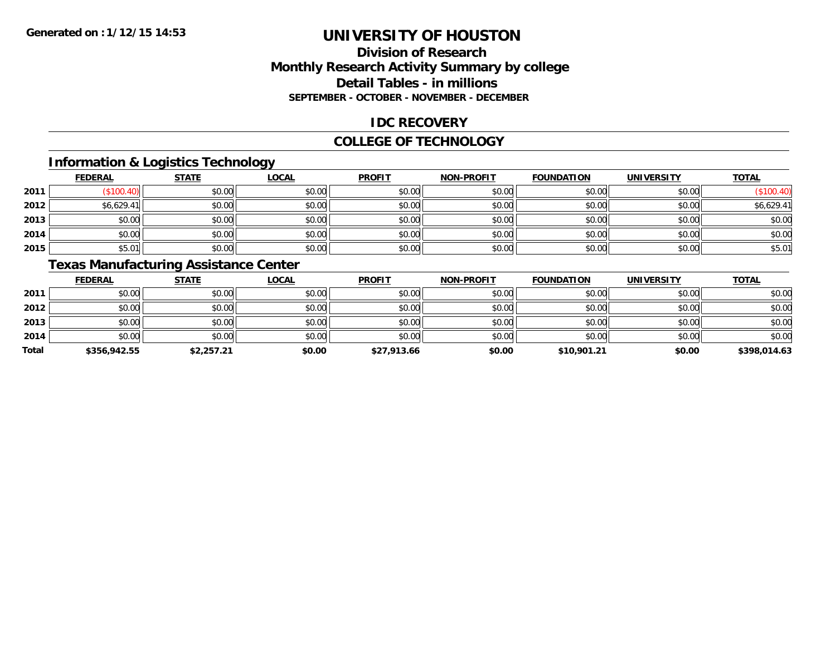## **Division of ResearchMonthly Research Activity Summary by college Detail Tables - in millions SEPTEMBER - OCTOBER - NOVEMBER - DECEMBER**

### **IDC RECOVERY**

#### **COLLEGE OF TECHNOLOGY**

## **Information & Logistics Technology**

|      | <b>FEDERAL</b> | <b>STATE</b> | <u>LOCAL</u> | <b>PROFIT</b> | <b>NON-PROFIT</b> | <b>FOUNDATION</b> | <b>UNIVERSITY</b> | <b>TOTAL</b> |
|------|----------------|--------------|--------------|---------------|-------------------|-------------------|-------------------|--------------|
| 2011 | \$100.4        | \$0.00       | \$0.00       | \$0.00        | \$0.00            | \$0.00            | \$0.00            |              |
| 2012 | \$6,629.41     | \$0.00       | \$0.00       | \$0.00        | \$0.00            | \$0.00            | \$0.00            | \$6,629.41   |
| 2013 | \$0.00         | \$0.00       | \$0.00       | \$0.00        | \$0.00            | \$0.00            | \$0.00            | \$0.00       |
| 2014 | \$0.00         | \$0.00       | \$0.00       | \$0.00        | \$0.00            | \$0.00            | \$0.00            | \$0.00       |
| 2015 | \$5.01         | \$0.00       | \$0.00       | \$0.00        | \$0.00            | \$0.00            | \$0.00            | \$5.01       |

## **Texas Manufacturing Assistance Center**

|       | <b>FEDERAL</b> | <b>STATE</b> | <u>LOCAL</u> | <b>PROFIT</b> | <b>NON-PROFIT</b> | <b>FOUNDATION</b> | <b>UNIVERSITY</b> | <b>TOTAL</b> |
|-------|----------------|--------------|--------------|---------------|-------------------|-------------------|-------------------|--------------|
| 2011  | \$0.00         | \$0.00       | \$0.00       | \$0.00        | \$0.00            | \$0.00            | \$0.00            | \$0.00       |
| 2012  | \$0.00         | \$0.00       | \$0.00       | \$0.00        | \$0.00            | \$0.00            | \$0.00            | \$0.00       |
| 2013  | \$0.00         | \$0.00       | \$0.00       | \$0.00        | \$0.00            | \$0.00            | \$0.00            | \$0.00       |
| 2014  | \$0.00         | \$0.00       | \$0.00       | \$0.00        | \$0.00            | \$0.00            | \$0.00            | \$0.00       |
| Total | \$356,942.55   | \$2,257.21   | \$0.00       | \$27,913.66   | \$0.00            | \$10,901.21       | \$0.00            | \$398,014.63 |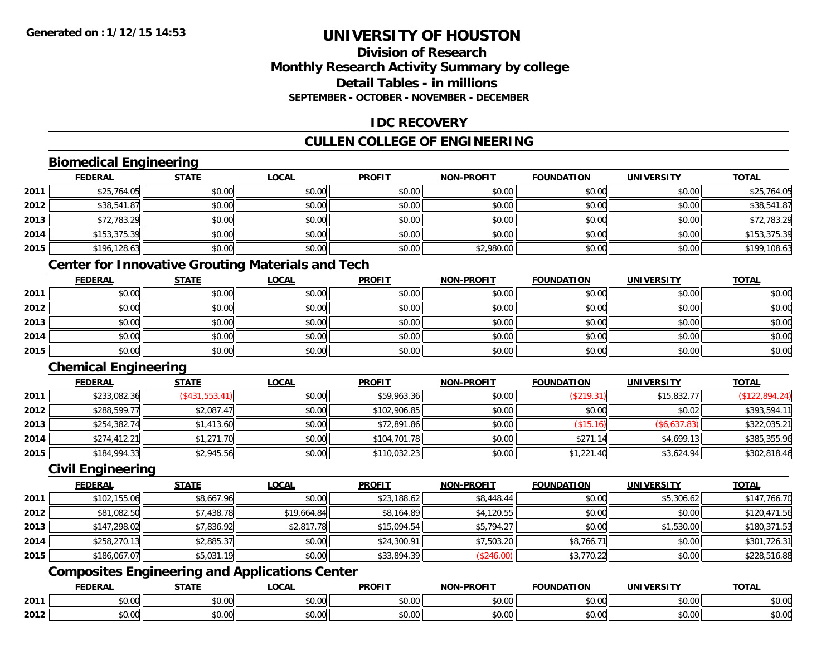# **Division of ResearchMonthly Research Activity Summary by college Detail Tables - in millionsSEPTEMBER - OCTOBER - NOVEMBER - DECEMBER**

# **IDC RECOVERY**

# **CULLEN COLLEGE OF ENGINEERING**

# **Biomedical Engineering**

|      | <b>FEDERAL</b> | <b>STATE</b> | <u>LOCAL</u> | <b>PROFIT</b> | <b>NON-PROFIT</b> | <b>FOUNDATION</b> | <b>UNIVERSITY</b> | <b>TOTAL</b> |
|------|----------------|--------------|--------------|---------------|-------------------|-------------------|-------------------|--------------|
| 2011 | \$25,764.05    | \$0.00       | \$0.00       | \$0.00        | \$0.00            | \$0.00            | \$0.00            | \$25,764.05  |
| 2012 | \$38,541.87    | \$0.00       | \$0.00       | \$0.00        | \$0.00            | \$0.00            | \$0.00            | \$38,541.87  |
| 2013 | \$72,783.29    | \$0.00       | \$0.00       | \$0.00        | \$0.00            | \$0.00            | \$0.00            | \$72,783.29  |
| 2014 | \$153,375.39   | \$0.00       | \$0.00       | \$0.00        | \$0.00            | \$0.00            | \$0.00            | \$153,375.39 |
| 2015 | \$196,128.63   | \$0.00       | \$0.00       | \$0.00        | \$2,980.00        | \$0.00            | \$0.00            | \$199,108.63 |

# **Center for Innovative Grouting Materials and Tech**

|      | <u>FEDERAL</u> | <b>STATE</b> | <u>LOCAL</u> | <b>PROFIT</b> | <b>NON-PROFIT</b> | <b>FOUNDATION</b> | <b>UNIVERSITY</b> | <b>TOTAL</b> |
|------|----------------|--------------|--------------|---------------|-------------------|-------------------|-------------------|--------------|
| 2011 | \$0.00         | \$0.00       | \$0.00       | \$0.00        | \$0.00            | \$0.00            | \$0.00            | \$0.00       |
| 2012 | \$0.00         | \$0.00       | \$0.00       | \$0.00        | \$0.00            | \$0.00            | \$0.00            | \$0.00       |
| 2013 | \$0.00         | \$0.00       | \$0.00       | \$0.00        | \$0.00            | \$0.00            | \$0.00            | \$0.00       |
| 2014 | \$0.00         | \$0.00       | \$0.00       | \$0.00        | \$0.00            | \$0.00            | \$0.00            | \$0.00       |
| 2015 | \$0.00         | \$0.00       | \$0.00       | \$0.00        | \$0.00            | \$0.00            | \$0.00            | \$0.00       |

# **Chemical Engineering**

|      | <b>FEDERAL</b> | <b>STATE</b>   | <b>LOCAL</b> | <b>PROFIT</b> | <b>NON-PROFIT</b> | <b>FOUNDATION</b> | <b>UNIVERSITY</b> | <b>TOTAL</b>   |
|------|----------------|----------------|--------------|---------------|-------------------|-------------------|-------------------|----------------|
| 2011 | \$233,082.36   | (S431, 553.41) | \$0.00       | \$59,963.36   | \$0.00            | (\$219.31)        | \$15,832.77       | (\$122,894.24) |
| 2012 | \$288,599.77   | \$2,087.47     | \$0.00       | \$102,906.85  | \$0.00            | \$0.00            | \$0.02            | \$393,594.11   |
| 2013 | \$254,382.74   | \$1,413.60     | \$0.00       | \$72,891.86   | \$0.00            | (\$15.16)         | (\$6,637.83)      | \$322,035.21   |
| 2014 | \$274,412.21   | \$1,271.70     | \$0.00       | \$104,701.78  | \$0.00            | \$271.14          | \$4,699.13        | \$385,355.96   |
| 2015 | \$184,994.33   | \$2,945.56     | \$0.00       | \$110,032.23  | \$0.00            | \$1,221.40        | \$3,624.94        | \$302,818.46   |

#### **Civil Engineering**

|      | <b>FEDERAL</b> | <b>STATE</b> | <u>LOCAL</u> | <b>PROFIT</b> | <b>NON-PROFIT</b> | <b>FOUNDATION</b> | <b>UNIVERSITY</b> | <b>TOTAL</b> |
|------|----------------|--------------|--------------|---------------|-------------------|-------------------|-------------------|--------------|
| 2011 | \$102,155.06   | \$8,667.96   | \$0.00       | \$23,188.62   | \$8,448.44        | \$0.00            | \$5,306.62        | \$147,766.70 |
| 2012 | \$81,082.50    | \$7,438.78   | \$19,664.84  | \$8,164.89    | \$4,120.55        | \$0.00            | \$0.00            | \$120,471.56 |
| 2013 | \$147,298.02   | \$7,836.92   | \$2,817.78   | \$15,094.54   | \$5,794.27        | \$0.00            | \$1,530.00        | \$180,371.53 |
| 2014 | \$258,270.13   | \$2,885.37   | \$0.00       | \$24,300.91   | \$7,503.20        | \$8,766.71        | \$0.00            | \$301,726.31 |
| 2015 | \$186,067.07   | \$5,031.19   | \$0.00       | \$33,894.39   | (S246.00)         | \$3,770.22        | \$0.00            | \$228,516.88 |

# **Composites Engineering and Applications Center**

|      | <b>FEDERAL</b>          | <b>STATE</b>  | <b>LOCAL</b>                           | <b>PROFIT</b> | <b>NON-PROFIT</b> | <b>FOUNDATION</b>                                 | <b>UNIVERSITY</b>        | <b>TOTAL</b> |
|------|-------------------------|---------------|----------------------------------------|---------------|-------------------|---------------------------------------------------|--------------------------|--------------|
| 2011 | 0000<br>DU.UU           | 0.00<br>JU.UU | ტი იი<br>JU.UU                         | 0000<br>JU.UU | 0.00<br>PO.OO     | 0.00<br>JU.UU                                     | 0.001<br>- JU.UUI.       | \$0.00       |
| 2012 | 0 <sub>n</sub><br>JU.UU | \$0.00        | $\uparrow$ $\cap$ .<br>$\sim$<br>JU.UU | 0000<br>JU.UU | $\sim$<br>JU.UU   | $\mathsf{A}\cap\mathsf{A}\cap\mathsf{A}$<br>JU.UU | $n \cap \Omega$<br>PO.OO | \$0.00       |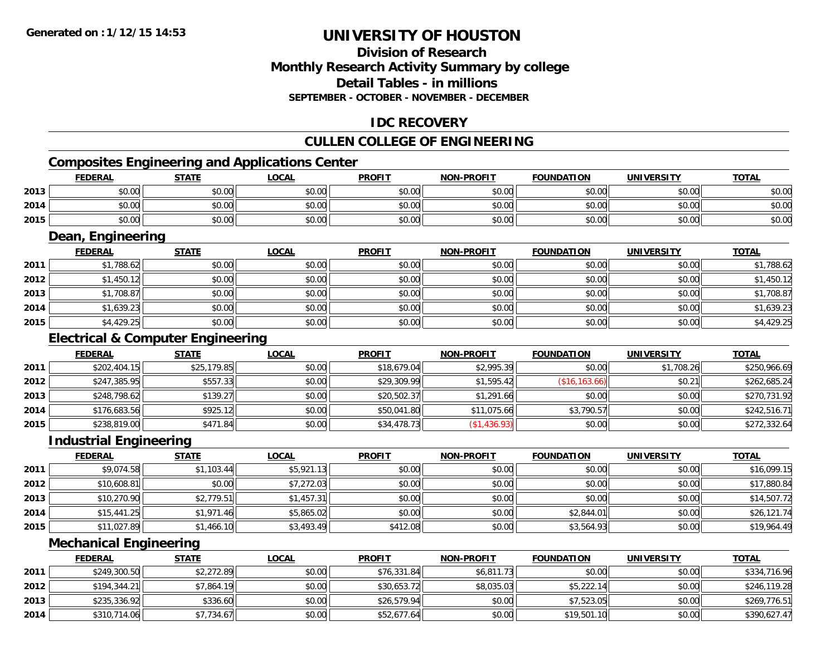# **Division of ResearchMonthly Research Activity Summary by college Detail Tables - in millions SEPTEMBER - OCTOBER - NOVEMBER - DECEMBER**

# **IDC RECOVERY**

# **CULLEN COLLEGE OF ENGINEERING**

# **Composites Engineering and Applications Center**

|      | <b>FEDERAL</b>    | <b>STATE</b> | <u>LOCAL</u> | <b>PROFIT</b> | <b>NON-PROFIT</b> | <b>FOUNDATION</b> | <b>UNIVERSITY</b> | <b>TOTAL</b> |
|------|-------------------|--------------|--------------|---------------|-------------------|-------------------|-------------------|--------------|
| 2013 | \$0.00            | \$0.00       | \$0.00       | \$0.00        | \$0.00            | \$0.00            | \$0.00            | \$0.00       |
| 2014 | \$0.00            | \$0.00       | \$0.00       | \$0.00        | \$0.00            | \$0.00            | \$0.00            | \$0.00       |
| 2015 | \$0.00            | \$0.00       | \$0.00       | \$0.00        | \$0.00            | \$0.00            | \$0.00            | \$0.00       |
|      | Dean, Engineering |              |              |               |                   |                   |                   |              |

|      | <b>FEDERAL</b> | <b>STATE</b> | <u>LOCAL</u> | <b>PROFIT</b> | <b>NON-PROFIT</b> | <b>FOUNDATION</b> | <b>UNIVERSITY</b> | <b>TOTAL</b> |
|------|----------------|--------------|--------------|---------------|-------------------|-------------------|-------------------|--------------|
| 2011 | \$1,788.62     | \$0.00       | \$0.00       | \$0.00        | \$0.00            | \$0.00            | \$0.00            | \$1,788.62   |
| 2012 | \$1,450.12     | \$0.00       | \$0.00       | \$0.00        | \$0.00            | \$0.00            | \$0.00            | \$1,450.12   |
| 2013 | \$1,708.87     | \$0.00       | \$0.00       | \$0.00        | \$0.00            | \$0.00            | \$0.00            | \$1,708.87   |
| 2014 | \$1,639.23     | \$0.00       | \$0.00       | \$0.00        | \$0.00            | \$0.00            | \$0.00            | \$1,639.23   |
| 2015 | \$4,429.25     | \$0.00       | \$0.00       | \$0.00        | \$0.00            | \$0.00            | \$0.00            | \$4,429.25   |

# **Electrical & Computer Engineering**

|      | <b>FEDERAL</b> | <b>STATE</b> | <b>LOCAL</b> | <b>PROFIT</b> | <b>NON-PROFIT</b> | <b>FOUNDATION</b> | UNIVERSITY | <b>TOTAL</b> |
|------|----------------|--------------|--------------|---------------|-------------------|-------------------|------------|--------------|
| 2011 | \$202,404.15   | \$25,179.85  | \$0.00       | \$18,679.04   | \$2,995.39        | \$0.00            | \$1,708.26 | \$250,966.69 |
| 2012 | \$247,385.95   | \$557.33     | \$0.00       | \$29,309.99   | \$1,595.42        | (S16.163.66)      | \$0.21     | \$262,685.24 |
| 2013 | \$248,798.62   | \$139.27     | \$0.00       | \$20,502.37   | \$1,291.66        | \$0.00            | \$0.00     | \$270,731.92 |
| 2014 | \$176,683.56   | \$925.12     | \$0.00       | \$50,041.80   | \$11,075.66       | \$3,790.57        | \$0.00     | \$242,516.71 |
| 2015 | \$238,819.00   | \$471.84     | \$0.00       | \$34,478.73   | \$1,436.93        | \$0.00            | \$0.00     | \$272,332.64 |

<u> 1980 - Johann Barn, mars ann an t-Amhain Aonaich an t-Aonaich an t-Aonaich an t-Aonaich an t-Aonaich an t-Aon</u>

#### **Industrial Engineering**

|      | <b>FEDERAL</b> | <b>STATE</b> | <u>LOCAL</u> | <b>PROFIT</b> | <b>NON-PROFIT</b> | <b>FOUNDATION</b> | <b>UNIVERSITY</b> | <b>TOTAL</b> |
|------|----------------|--------------|--------------|---------------|-------------------|-------------------|-------------------|--------------|
| 2011 | \$9,074.58     | \$1,103.44   | \$5,921.13   | \$0.00        | \$0.00            | \$0.00            | \$0.00            | \$16,099.15  |
| 2012 | \$10,608.81    | \$0.00       | \$7,272.03   | \$0.00        | \$0.00            | \$0.00            | \$0.00            | \$17,880.84  |
| 2013 | \$10,270.90    | \$2,779.51   | \$1,457.31   | \$0.00        | \$0.00            | \$0.00            | \$0.00            | \$14,507.72  |
| 2014 | \$15,441.25    | \$1,971.46   | \$5,865.02   | \$0.00        | \$0.00            | \$2,844.01        | \$0.00            | \$26,121.74  |
| 2015 | \$11,027.89    | \$1,466.10   | \$3,493.49   | \$412.08      | \$0.00            | \$3,564.93        | \$0.00            | \$19,964.49  |

# **Mechanical Engineering**

|      | <b>FEDERAL</b> | <u>STATE</u> | <u>LOCAL</u> | <b>PROFIT</b> | <b>NON-PROFIT</b> | <b>FOUNDATION</b> | UNIVERSITY | <b>TOTAL</b> |
|------|----------------|--------------|--------------|---------------|-------------------|-------------------|------------|--------------|
| 2011 | \$249,300.50   | \$2,272.89   | \$0.00       | \$76,331.84   | \$6,811.73        | \$0.00            | \$0.00     | \$334,716.96 |
| 2012 | \$194,344.21   | \$7,864.19   | \$0.00       | \$30,653.72   | \$8,035.03        | \$5,222.14        | \$0.00     | \$246,119.28 |
| 2013 | \$235,336.92   | \$336.60     | \$0.00       | \$26,579.94   | \$0.00            | \$7,523.05        | \$0.00     | \$269,776.51 |
| 2014 | \$310,714.06   | \$7,734.67   | \$0.00       | \$52,677.64   | \$0.00            | \$19,501.10       | \$0.00     | \$390,627.47 |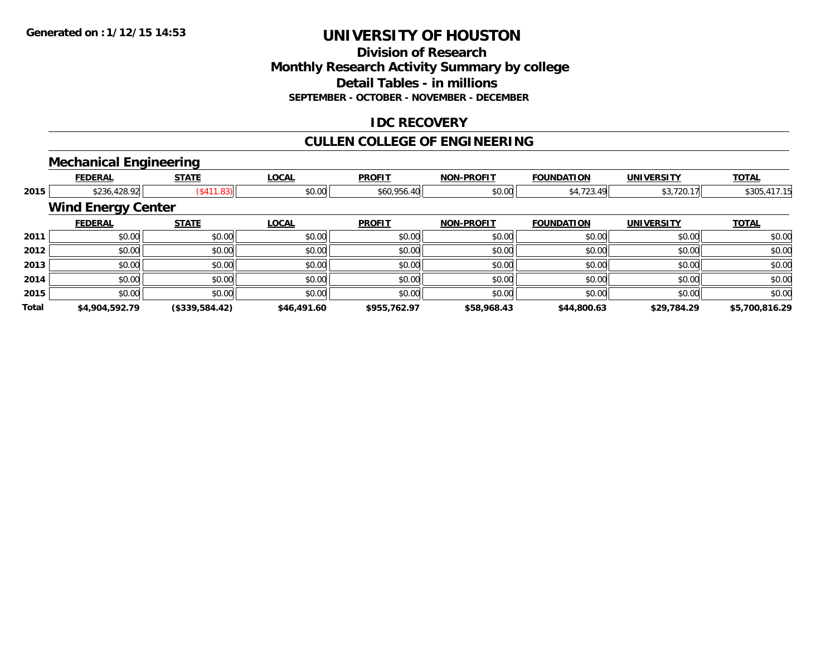# **Division of ResearchMonthly Research Activity Summary by college Detail Tables - in millions SEPTEMBER - OCTOBER - NOVEMBER - DECEMBER**

# **IDC RECOVERY**

# **CULLEN COLLEGE OF ENGINEERING**

# **Mechanical Engineering**

|       | <b>FEDERAL</b>            | <b>STATE</b>               | <b>LOCAL</b> | <b>PROFIT</b> | <b>NON-PROFIT</b> | <b>FOUNDATION</b> | <b>UNIVERSITY</b> | <b>TOTAL</b>   |  |  |  |  |
|-------|---------------------------|----------------------------|--------------|---------------|-------------------|-------------------|-------------------|----------------|--|--|--|--|
| 2015  |                           | \$236,428.92<br>(\$411.83) | \$0.00       | \$60,956.40   | \$0.00            | \$4,723.49        | \$3,720.17        | \$305,417.15   |  |  |  |  |
|       | <b>Wind Energy Center</b> |                            |              |               |                   |                   |                   |                |  |  |  |  |
|       | <b>FEDERAL</b>            | <b>STATE</b>               | <b>LOCAL</b> | <b>PROFIT</b> | <b>NON-PROFIT</b> | <b>FOUNDATION</b> | <b>UNIVERSITY</b> | <b>TOTAL</b>   |  |  |  |  |
| 2011  | \$0.00                    | \$0.00                     | \$0.00       | \$0.00        | \$0.00            | \$0.00            | \$0.00            | \$0.00         |  |  |  |  |
| 2012  | \$0.00                    | \$0.00                     | \$0.00       | \$0.00        | \$0.00            | \$0.00            | \$0.00            | \$0.00         |  |  |  |  |
| 2013  | \$0.00                    | \$0.00                     | \$0.00       | \$0.00        | \$0.00            | \$0.00            | \$0.00            | \$0.00         |  |  |  |  |
| 2014  | \$0.00                    | \$0.00                     | \$0.00       | \$0.00        | \$0.00            | \$0.00            | \$0.00            | \$0.00         |  |  |  |  |
| 2015  | \$0.00                    | \$0.00                     | \$0.00       | \$0.00        | \$0.00            | \$0.00            | \$0.00            | \$0.00         |  |  |  |  |
| Total | \$4,904,592.79            | (\$339,584.42)             | \$46,491.60  | \$955,762.97  | \$58,968.43       | \$44,800.63       | \$29,784.29       | \$5,700,816.29 |  |  |  |  |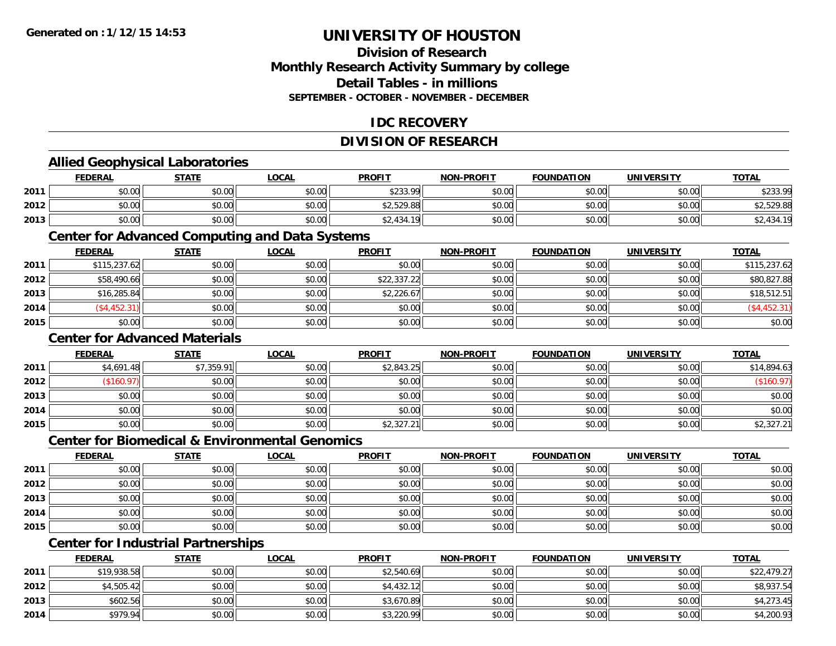# **Division of ResearchMonthly Research Activity Summary by college Detail Tables - in millionsSEPTEMBER - OCTOBER - NOVEMBER - DECEMBER**

# **IDC RECOVERY**

# **DIVISION OF RESEARCH**

# **Allied Geophysical Laboratories**

|      | <b>FEDERAL</b> | <b>STATE</b> | <b>LOCAL</b> | <b>PROFIT</b>   | <b>NON-PROFIT</b> | <b>FOUNDATION</b> | UNIVERSITY | <b>TOTAL</b>          |
|------|----------------|--------------|--------------|-----------------|-------------------|-------------------|------------|-----------------------|
| 2011 | \$0.00         | \$0.00       | \$0.00       | 423200<br>∴دد∠ب | ≮N UU<br>\$U.UU   | \$0.00            | \$0.00     | \$233.99              |
| 2012 | \$0.00         | \$0.00       | \$0.00       | \$2,529.88      | \$0.00            | \$0.00            | \$0.00     | \$2,529.88            |
| 2013 | \$0.00         | \$0.00       | \$0.00       | ⊺ا2,434.19      | \$0.00            | \$0.00            | \$0.00     | 434.19<br>^^<br>، ∠ ب |

#### **Center for Advanced Computing and Data Systems**

|      | <b>FEDERAL</b> | <b>STATE</b> | <b>LOCAL</b> | <b>PROFIT</b> | <b>NON-PROFIT</b> | <b>FOUNDATION</b> | <b>UNIVERSITY</b> | <b>TOTAL</b> |
|------|----------------|--------------|--------------|---------------|-------------------|-------------------|-------------------|--------------|
| 2011 | \$115,237.62   | \$0.00       | \$0.00       | \$0.00        | \$0.00            | \$0.00            | \$0.00            | \$115,237.62 |
| 2012 | \$58,490.66    | \$0.00       | \$0.00       | \$22,337.22   | \$0.00            | \$0.00            | \$0.00            | \$80,827.88  |
| 2013 | \$16,285.84    | \$0.00       | \$0.00       | \$2,226.67    | \$0.00            | \$0.00            | \$0.00            | \$18,512.51  |
| 2014 | (\$4,452.31)   | \$0.00       | \$0.00       | \$0.00        | \$0.00            | \$0.00            | \$0.00            | (\$4,452.31) |
| 2015 | \$0.00         | \$0.00       | \$0.00       | \$0.00        | \$0.00            | \$0.00            | \$0.00            | \$0.00       |

## **Center for Advanced Materials**

|      | <b>FEDERAL</b> | <b>STATE</b> | <b>LOCAL</b> | <b>PROFIT</b> | <b>NON-PROFIT</b> | <b>FOUNDATION</b> | <b>UNIVERSITY</b> | <b>TOTAL</b> |
|------|----------------|--------------|--------------|---------------|-------------------|-------------------|-------------------|--------------|
| 2011 | \$4,691.48     | \$7,359.91   | \$0.00       | \$2,843.25    | \$0.00            | \$0.00            | \$0.00            | \$14,894.63  |
| 2012 | (\$160.97)     | \$0.00       | \$0.00       | \$0.00        | \$0.00            | \$0.00            | \$0.00            | (\$160.97)   |
| 2013 | \$0.00         | \$0.00       | \$0.00       | \$0.00        | \$0.00            | \$0.00            | \$0.00            | \$0.00       |
| 2014 | \$0.00         | \$0.00       | \$0.00       | \$0.00        | \$0.00            | \$0.00            | \$0.00            | \$0.00       |
| 2015 | \$0.00         | \$0.00       | \$0.00       | \$2,327.21    | \$0.00            | \$0.00            | \$0.00            | \$2,327.21   |

#### **Center for Biomedical & Environmental Genomics**

|      | <u>FEDERAL</u> | <b>STATE</b> | <b>LOCAL</b> | <b>PROFIT</b> | <b>NON-PROFIT</b> | <b>FOUNDATION</b> | <b>UNIVERSITY</b> | <b>TOTAL</b> |
|------|----------------|--------------|--------------|---------------|-------------------|-------------------|-------------------|--------------|
| 2011 | \$0.00         | \$0.00       | \$0.00       | \$0.00        | \$0.00            | \$0.00            | \$0.00            | \$0.00       |
| 2012 | \$0.00         | \$0.00       | \$0.00       | \$0.00        | \$0.00            | \$0.00            | \$0.00            | \$0.00       |
| 2013 | \$0.00         | \$0.00       | \$0.00       | \$0.00        | \$0.00            | \$0.00            | \$0.00            | \$0.00       |
| 2014 | \$0.00         | \$0.00       | \$0.00       | \$0.00        | \$0.00            | \$0.00            | \$0.00            | \$0.00       |
| 2015 | \$0.00         | \$0.00       | \$0.00       | \$0.00        | \$0.00            | \$0.00            | \$0.00            | \$0.00       |

# **Center for Industrial Partnerships**

|      | <b>FEDERAL</b> | STATE  | <u>LOCAL</u> | <b>PROFIT</b> | <b>NON-PROFIT</b> | <b>FOUNDATION</b> | <b>UNIVERSITY</b> | <b>TOTAL</b> |
|------|----------------|--------|--------------|---------------|-------------------|-------------------|-------------------|--------------|
| 2011 | \$19,938.58    | \$0.00 | \$0.00       | \$2,540.69    | \$0.00            | \$0.00            | \$0.00            | \$22,479.27  |
| 2012 | \$4,505.42     | \$0.00 | \$0.00       | \$4,432.12    | \$0.00            | \$0.00            | \$0.00            | \$8,937.54   |
| 2013 | \$602.56       | \$0.00 | \$0.00       | \$3,670.89    | \$0.00            | \$0.00            | \$0.00            | \$4,273.45   |
| 2014 | \$979.94       | \$0.00 | \$0.00       | \$3,220.99    | \$0.00            | \$0.00            | \$0.00            | \$4,200.93   |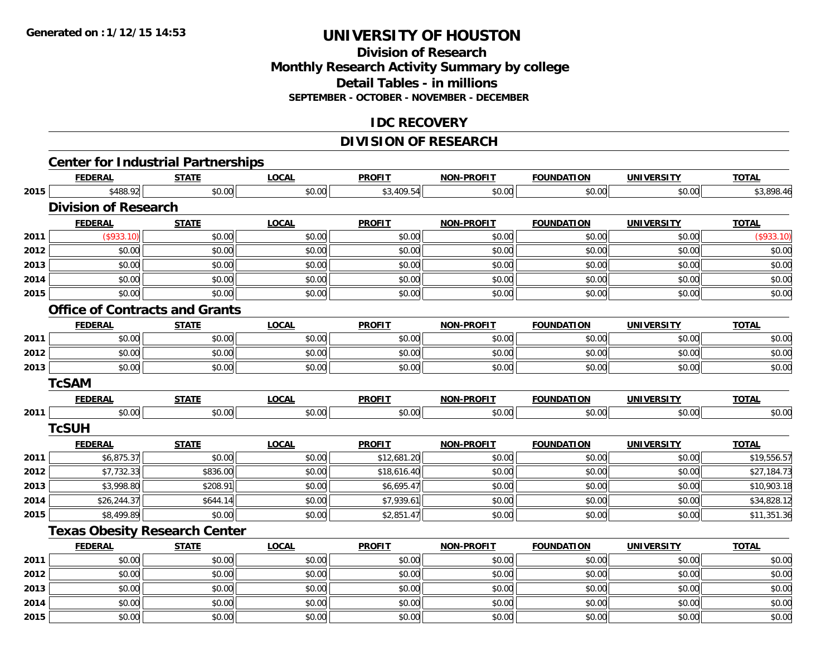**2014**

**2015**

# **UNIVERSITY OF HOUSTON**

# **Division of ResearchMonthly Research Activity Summary by college Detail Tables - in millions SEPTEMBER - OCTOBER - NOVEMBER - DECEMBER**

# **IDC RECOVERY**

# **DIVISION OF RESEARCH**

|      | <b>FEDERAL</b>              | <b>Center for Industrial Partnerships</b><br><b>STATE</b> | <b>LOCAL</b> | <b>PROFIT</b> | <b>NON-PROFIT</b> | <b>FOUNDATION</b> | <b>UNIVERSITY</b> | <b>TOTAL</b> |
|------|-----------------------------|-----------------------------------------------------------|--------------|---------------|-------------------|-------------------|-------------------|--------------|
| 2015 | \$488.92                    | \$0.00                                                    | \$0.00       | \$3,409.54    | \$0.00            | \$0.00            | \$0.00            | \$3,898.46   |
|      | <b>Division of Research</b> |                                                           |              |               |                   |                   |                   |              |
|      | <b>FEDERAL</b>              | <b>STATE</b>                                              | <b>LOCAL</b> | <b>PROFIT</b> | <b>NON-PROFIT</b> | <b>FOUNDATION</b> | <b>UNIVERSITY</b> | <b>TOTAL</b> |
| 2011 | (\$933.10)                  | \$0.00                                                    | \$0.00       | \$0.00        | \$0.00            | \$0.00            | \$0.00            | (\$933.10)   |
| 2012 | \$0.00                      | \$0.00                                                    | \$0.00       | \$0.00        | \$0.00            | \$0.00            | \$0.00            | \$0.00       |
| 2013 | \$0.00                      | \$0.00                                                    | \$0.00       | \$0.00        | \$0.00            | \$0.00            | \$0.00            | \$0.00       |
| 2014 | \$0.00                      | \$0.00                                                    | \$0.00       | \$0.00        | \$0.00            | \$0.00            | \$0.00            | \$0.00       |
| 2015 | \$0.00                      | \$0.00                                                    | \$0.00       | \$0.00        | \$0.00            | \$0.00            | \$0.00            | \$0.00       |
|      |                             | <b>Office of Contracts and Grants</b>                     |              |               |                   |                   |                   |              |
|      | <b>FEDERAL</b>              | <b>STATE</b>                                              | <b>LOCAL</b> | <b>PROFIT</b> | <b>NON-PROFIT</b> | <b>FOUNDATION</b> | <b>UNIVERSITY</b> | <b>TOTAL</b> |
| 2011 | \$0.00                      | \$0.00                                                    | \$0.00       | \$0.00        | \$0.00            | \$0.00            | \$0.00            | \$0.00       |
| 2012 | \$0.00                      | \$0.00                                                    | \$0.00       | \$0.00        | \$0.00            | \$0.00            | \$0.00            | \$0.00       |
| 2013 | \$0.00                      | \$0.00                                                    | \$0.00       | \$0.00        | \$0.00            | \$0.00            | \$0.00            | \$0.00       |
|      | <b>TcSAM</b>                |                                                           |              |               |                   |                   |                   |              |
|      | <b>FEDERAL</b>              | <b>STATE</b>                                              | <b>LOCAL</b> | <b>PROFIT</b> | <b>NON-PROFIT</b> | <b>FOUNDATION</b> | <b>UNIVERSITY</b> | <b>TOTAL</b> |
| 2011 | \$0.00                      | \$0.00                                                    | \$0.00       | \$0.00        | \$0.00            | \$0.00            | \$0.00            | \$0.00       |
|      | <b>TcSUH</b>                |                                                           |              |               |                   |                   |                   |              |
|      | <b>FEDERAL</b>              | <b>STATE</b>                                              | <b>LOCAL</b> | <b>PROFIT</b> | <b>NON-PROFIT</b> | <b>FOUNDATION</b> | <b>UNIVERSITY</b> | <b>TOTAL</b> |
| 2011 | \$6,875.37                  | \$0.00                                                    | \$0.00       | \$12,681.20   | \$0.00            | \$0.00            | \$0.00            | \$19,556.57  |
| 2012 | \$7,732.33                  | \$836.00                                                  | \$0.00       | \$18,616.40   | \$0.00            | \$0.00            | \$0.00            | \$27,184.73  |
| 2013 | \$3,998.80                  | \$208.91                                                  | \$0.00       | \$6,695.47    | \$0.00            | \$0.00            | \$0.00            | \$10,903.18  |
| 2014 | \$26,244.37                 | \$644.14                                                  | \$0.00       | \$7,939.61    | \$0.00            | \$0.00            | \$0.00            | \$34,828.12  |
| 2015 | \$8,499.89                  | \$0.00                                                    | \$0.00       | \$2,851.47    | \$0.00            | \$0.00            | \$0.00            | \$11,351.36  |
|      |                             | <b>Texas Obesity Research Center</b>                      |              |               |                   |                   |                   |              |
|      | <b>FEDERAL</b>              | <b>STATE</b>                                              | <b>LOCAL</b> | <b>PROFIT</b> | <b>NON-PROFIT</b> | <b>FOUNDATION</b> | <b>UNIVERSITY</b> | <b>TOTAL</b> |
| 2011 | \$0.00                      | \$0.00                                                    | \$0.00       | \$0.00        | \$0.00            | \$0.00            | \$0.00            | \$0.00       |
| 2012 | \$0.00                      | \$0.00                                                    | \$0.00       | \$0.00        | \$0.00            | \$0.00            | \$0.00            | \$0.00       |
| 2013 | \$0.00                      | \$0.00                                                    | \$0.00       | \$0.00        | \$0.00            | \$0.00            | \$0.00            | \$0.00       |

4 \$0.00 \$0.00 \$0.00 \$0.00 \$0.00 \$0.00 \$0.00 \$0.00 \$0.00 \$0.00 \$0.00 \$0.00 \$0.00 \$0.00 \$0.00 \$0.00 \$0.00 \$0.00

5 | \$0.00 \$0.00 \$0.00 \$0.00 \$0.00 \$0.00 \$0.00 \$0.00 \$0.00 \$0.00 \$0.00 \$0.00 \$0.00 \$0.00 \$0.00 \$0.00 \$0.00 \$0.00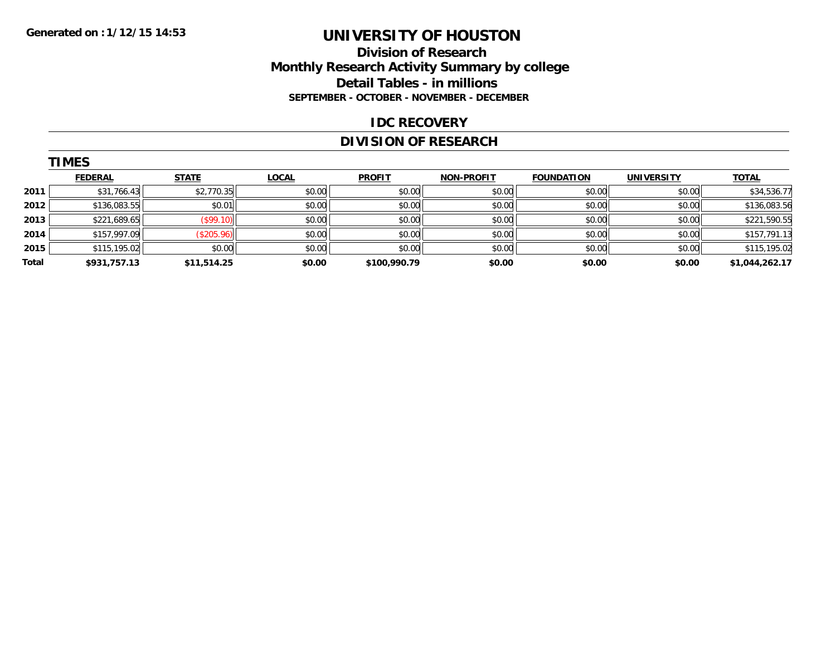## **Division of Research Monthly Research Activity Summary by college Detail Tables - in millions SEPTEMBER - OCTOBER - NOVEMBER - DECEMBER**

#### **IDC RECOVERY**

# **DIVISION OF RESEARCH**

|       | <b>TIMES</b>   |              |              |               |                   |                   |                   |                |
|-------|----------------|--------------|--------------|---------------|-------------------|-------------------|-------------------|----------------|
|       | <b>FEDERAL</b> | <b>STATE</b> | <b>LOCAL</b> | <b>PROFIT</b> | <b>NON-PROFIT</b> | <b>FOUNDATION</b> | <b>UNIVERSITY</b> | <b>TOTAL</b>   |
| 2011  | \$31,766.43    | \$2,770.35   | \$0.00       | \$0.00        | \$0.00            | \$0.00            | \$0.00            | \$34,536.77    |
| 2012  | \$136,083.55   | \$0.01       | \$0.00       | \$0.00        | \$0.00            | \$0.00            | \$0.00            | \$136,083.56   |
| 2013  | \$221,689.65   | (S99.10)     | \$0.00       | \$0.00        | \$0.00            | \$0.00            | \$0.00            | \$221,590.55   |
| 2014  | \$157,997.09   | (\$205.96)   | \$0.00       | \$0.00        | \$0.00            | \$0.00            | \$0.00            | \$157,791.13   |
| 2015  | \$115,195.02   | \$0.00       | \$0.00       | \$0.00        | \$0.00            | \$0.00            | \$0.00            | \$115,195.02   |
| Total | \$931,757.13   | \$11,514.25  | \$0.00       | \$100,990.79  | \$0.00            | \$0.00            | \$0.00            | \$1,044,262.17 |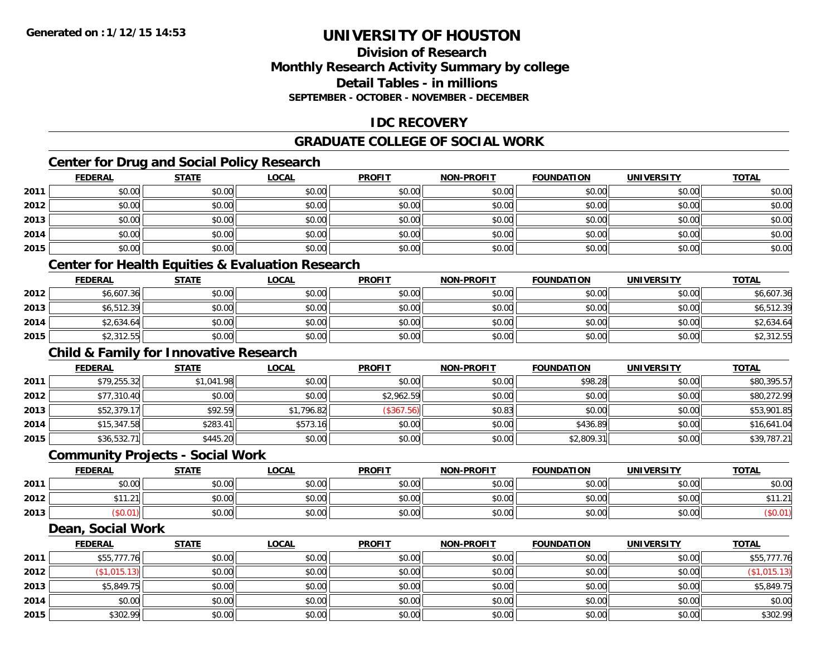# **Division of ResearchMonthly Research Activity Summary by college Detail Tables - in millionsSEPTEMBER - OCTOBER - NOVEMBER - DECEMBER**

# **IDC RECOVERY**

# **GRADUATE COLLEGE OF SOCIAL WORK**

# **Center for Drug and Social Policy Research**

|      | <b>FEDERAL</b>                                              | <b>STATE</b> | <b>LOCAL</b> | <b>PROFIT</b> | <b>NON-PROFIT</b> | <b>FOUNDATION</b> | <b>UNIVERSITY</b> | <b>TOTAL</b> |  |  |  |
|------|-------------------------------------------------------------|--------------|--------------|---------------|-------------------|-------------------|-------------------|--------------|--|--|--|
| 2011 | \$0.00                                                      | \$0.00       | \$0.00       | \$0.00        | \$0.00            | \$0.00            | \$0.00            | \$0.00       |  |  |  |
| 2012 | \$0.00                                                      | \$0.00       | \$0.00       | \$0.00        | \$0.00            | \$0.00            | \$0.00            | \$0.00       |  |  |  |
| 2013 | \$0.00                                                      | \$0.00       | \$0.00       | \$0.00        | \$0.00            | \$0.00            | \$0.00            | \$0.00       |  |  |  |
| 2014 | \$0.00                                                      | \$0.00       | \$0.00       | \$0.00        | \$0.00            | \$0.00            | \$0.00            | \$0.00       |  |  |  |
| 2015 | \$0.00                                                      | \$0.00       | \$0.00       | \$0.00        | \$0.00            | \$0.00            | \$0.00            | \$0.00       |  |  |  |
|      | <b>Center for Health Equities &amp; Evaluation Research</b> |              |              |               |                   |                   |                   |              |  |  |  |
|      | <b>FEDERAL</b>                                              | <b>STATE</b> | LOCAL        | <b>PROFIT</b> | <b>NON-PROFIT</b> | <b>FOUNDATION</b> | <b>UNIVERSITY</b> | <b>TOTAL</b> |  |  |  |

| 2012 | \$6,607.36 | \$0.00 | \$0.00 | \$0.00 | \$0.00 | \$0.00 | \$0.00 | \$6,607.36 |
|------|------------|--------|--------|--------|--------|--------|--------|------------|
| 2013 | \$6,512.39 | \$0.00 | \$0.00 | \$0.00 | \$0.00 | \$0.00 | \$0.00 | \$6,512.39 |
| 2014 | \$2,634.64 | \$0.00 | \$0.00 | \$0.00 | \$0.00 | \$0.00 | \$0.00 | \$2,634.64 |
| 2015 | \$2,312.55 | \$0.00 | \$0.00 | \$0.00 | \$0.00 | \$0.00 | \$0.00 | \$2,312.55 |

# **Child & Family for Innovative Research**

|      | <b>FEDERAL</b> | <b>STATE</b> | <u>LOCAL</u> | <b>PROFIT</b> | <b>NON-PROFIT</b> | FOUNDATION | <b>UNIVERSITY</b> | <b>TOTAL</b> |
|------|----------------|--------------|--------------|---------------|-------------------|------------|-------------------|--------------|
| 2011 | \$79,255.32    | \$1,041.98   | \$0.00       | \$0.00        | \$0.00            | \$98.28    | \$0.00            | \$80,395.57  |
| 2012 | \$77,310.40    | \$0.00       | \$0.00       | \$2,962.59    | \$0.00            | \$0.00     | \$0.00            | \$80,272.99  |
| 2013 | \$52,379.17    | \$92.59      | \$1,796.82   | (\$367.56)    | \$0.83            | \$0.00     | \$0.00            | \$53,901.85  |
| 2014 | \$15,347.58    | \$283.41     | \$573.16     | \$0.00        | \$0.00            | \$436.89   | \$0.00            | \$16,641.04  |
| 2015 | \$36,532.71    | \$445.20     | \$0.00       | \$0.00        | \$0.00            | \$2,809.31 | \$0.00            | \$39,787.21  |

# **Community Projects - Social Work**

|      | <b>FEDERAL</b> | <b>STATE</b> | <u>LOCAL</u> | <b>PROFIT</b> | <b>NON-PROFIT</b> | <b>FOUNDATION</b> | <b>UNIVERSITY</b> | <b>TOTAL</b> |
|------|----------------|--------------|--------------|---------------|-------------------|-------------------|-------------------|--------------|
| 2011 | ሳ ሳ<br>pv.uu   | \$0.00       | \$0.00       | \$0.00        | \$0.00            | \$0.00            | \$0.00            | \$0.00       |
| 2012 | .<br>.21       | \$0.00       | \$0.00       | \$0.00        | \$0.00            | \$0.00            | \$0.00            | \$11.2       |
| 2013 | 50.01          | \$0.00       | \$0.00       | \$0.00        | \$0.00            | \$0.00            | \$0.00            | \$0.01       |

#### **Dean, Social Work**

|      | <b>FEDERAL</b> | <b>STATE</b> | <u>LOCAL</u> | <b>PROFIT</b> | <b>NON-PROFIT</b> | <b>FOUNDATION</b> | <b>UNIVERSITY</b> | <b>TOTAL</b> |
|------|----------------|--------------|--------------|---------------|-------------------|-------------------|-------------------|--------------|
| 2011 | \$55,777.76    | \$0.00       | \$0.00       | \$0.00        | \$0.00            | \$0.00            | \$0.00            | \$55,777.76  |
| 2012 | \$1,015.13     | \$0.00       | \$0.00       | \$0.00        | \$0.00            | \$0.00            | \$0.00            | (\$1,015.13) |
| 2013 | \$5,849.75     | \$0.00       | \$0.00       | \$0.00        | \$0.00            | \$0.00            | \$0.00            | \$5,849.75   |
| 2014 | \$0.00         | \$0.00       | \$0.00       | \$0.00        | \$0.00            | \$0.00            | \$0.00            | \$0.00       |
| 2015 | \$302.99       | \$0.00       | \$0.00       | \$0.00        | \$0.00            | \$0.00            | \$0.00            | \$302.99     |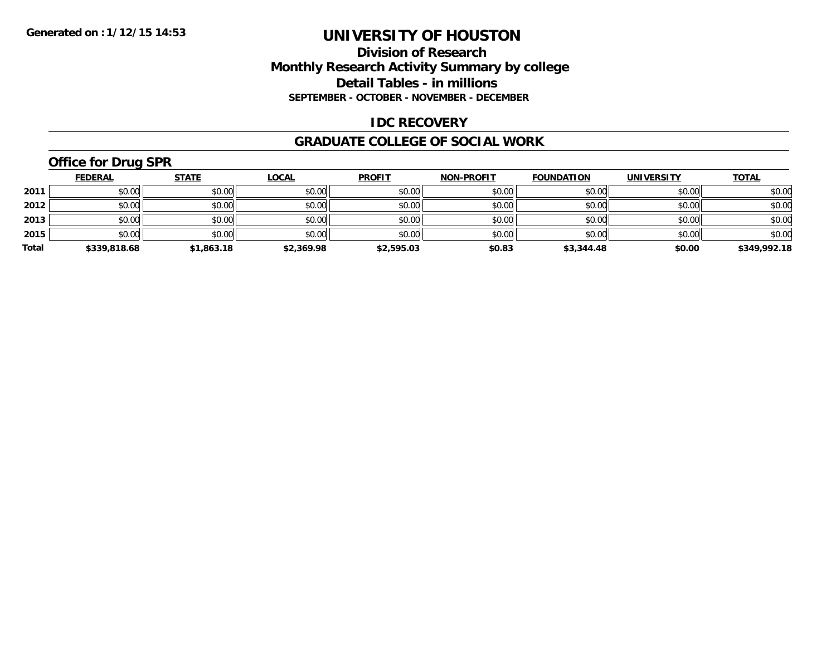## **Division of Research Monthly Research Activity Summary by college Detail Tables - in millions SEPTEMBER - OCTOBER - NOVEMBER - DECEMBER**

## **IDC RECOVERY**

#### **GRADUATE COLLEGE OF SOCIAL WORK**

# **Office for Drug SPR**

|       | <b>FEDERAL</b> | <u>STATE</u> | <u>LOCAL</u> | <b>PROFIT</b> | <b>NON-PROFIT</b> | <b>FOUNDATION</b> | <b>UNIVERSITY</b> | <b>TOTAL</b> |
|-------|----------------|--------------|--------------|---------------|-------------------|-------------------|-------------------|--------------|
| 2011  | \$0.00         | \$0.00       | \$0.00       | \$0.00        | \$0.00            | \$0.00            | \$0.00            | \$0.00       |
| 2012  | \$0.00         | \$0.00       | \$0.00       | \$0.00        | \$0.00            | \$0.00            | \$0.00            | \$0.00       |
| 2013  | \$0.00         | \$0.00       | \$0.00       | \$0.00        | \$0.00            | \$0.00            | \$0.00            | \$0.00       |
| 2015  | \$0.00         | \$0.00       | \$0.00       | \$0.00        | \$0.00            | \$0.00            | \$0.00            | \$0.00       |
| Total | \$339,818.68   | \$1,863.18   | \$2,369.98   | \$2,595.03    | \$0.83            | \$3,344.48        | \$0.00            | \$349,992.18 |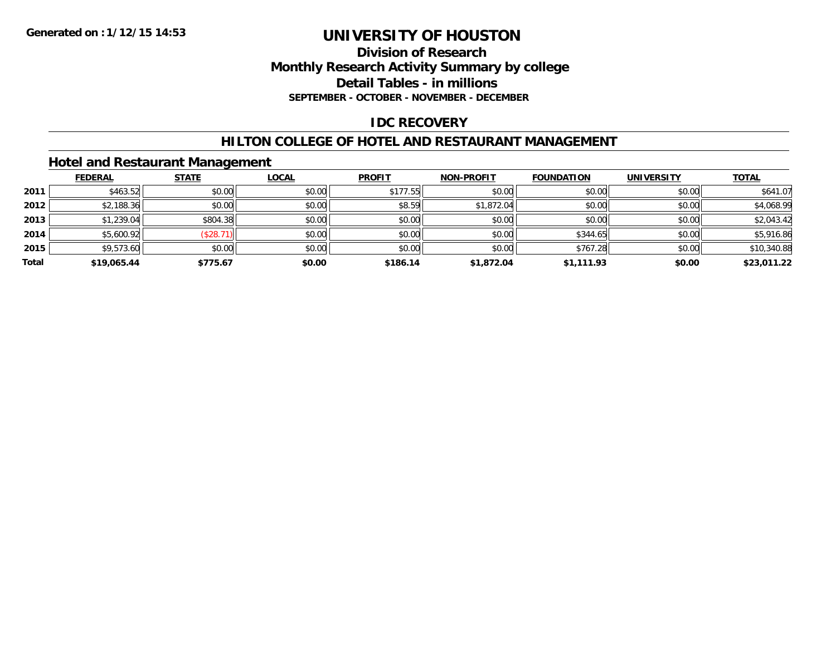### **Division of Research Monthly Research Activity Summary by college Detail Tables - in millions SEPTEMBER - OCTOBER - NOVEMBER - DECEMBER**

# **IDC RECOVERY**

## **HILTON COLLEGE OF HOTEL AND RESTAURANT MANAGEMENT**

## **Hotel and Restaurant Management**

|       | <b>FEDERAL</b> | <b>STATE</b> | <b>LOCAL</b> | <b>PROFIT</b> | <b>NON-PROFIT</b> | <b>FOUNDATION</b> | <b>UNIVERSITY</b> | <b>TOTAL</b> |
|-------|----------------|--------------|--------------|---------------|-------------------|-------------------|-------------------|--------------|
| 2011  | \$463.52       | \$0.00       | \$0.00       | \$177.55      | \$0.00            | \$0.00            | \$0.00            | \$641.07     |
| 2012  | \$2,188.36     | \$0.00       | \$0.00       | \$8.59        | \$1,872.04        | \$0.00            | \$0.00            | \$4,068.99   |
| 2013  | \$1,239.04     | \$804.38     | \$0.00       | \$0.00        | \$0.00            | \$0.00            | \$0.00            | \$2,043.42   |
| 2014  | \$5,600.92     | \$28.71      | \$0.00       | \$0.00        | \$0.00            | \$344.65          | \$0.00            | \$5,916.86   |
| 2015  | \$9,573.60     | \$0.00       | \$0.00       | \$0.00        | \$0.00            | \$767.28          | \$0.00            | \$10,340.88  |
| Total | \$19,065.44    | \$775.67     | \$0.00       | \$186.14      | \$1,872.04        | \$1.111.93        | \$0.00            | \$23,011.22  |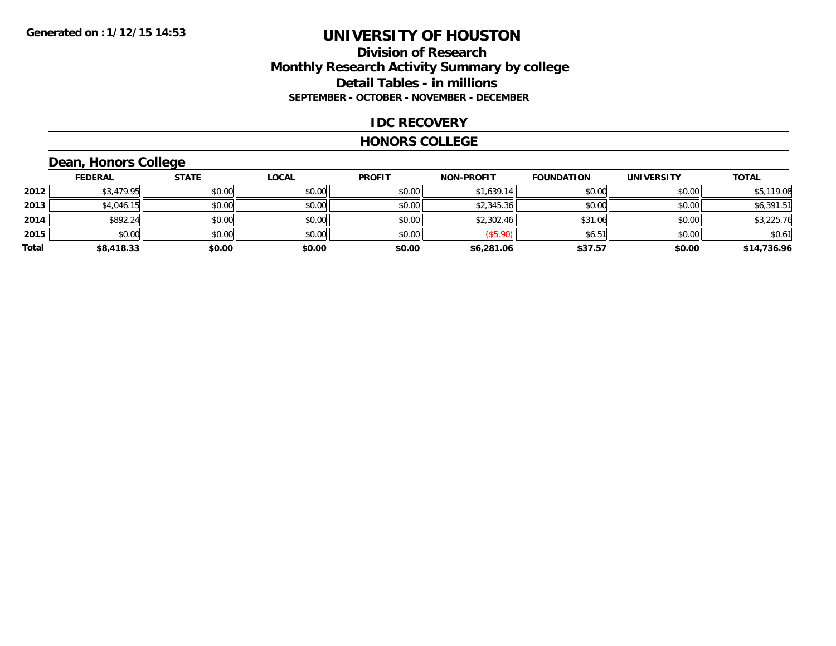## **Division of Research Monthly Research Activity Summary by college Detail Tables - in millions SEPTEMBER - OCTOBER - NOVEMBER - DECEMBER**

## **IDC RECOVERY**

#### **HONORS COLLEGE**

# **Dean, Honors College**

|       | <b>FEDERAL</b> | <b>STATE</b> | <u>LOCAL</u> | <b>PROFIT</b> | <b>NON-PROFIT</b> | <b>FOUNDATION</b> | <b>UNIVERSITY</b> | <b>TOTAL</b> |
|-------|----------------|--------------|--------------|---------------|-------------------|-------------------|-------------------|--------------|
| 2012  | \$3,479.95     | \$0.00       | \$0.00       | \$0.00        | \$1,639.14        | \$0.00            | \$0.00            | \$5,119.08   |
| 2013  | \$4,046.15     | \$0.00       | \$0.00       | \$0.00        | \$2,345.36        | \$0.00            | \$0.00            | \$6,391.51   |
| 2014  | \$892.24       | \$0.00       | \$0.00       | \$0.00        | \$2,302.46        | \$31.06           | \$0.00            | \$3,225.76   |
| 2015  | \$0.00         | \$0.00       | \$0.00       | \$0.00        | (\$5.90)          | \$6.51            | \$0.00            | \$0.61       |
| Total | \$8,418.33     | \$0.00       | \$0.00       | \$0.00        | \$6,281.06        | \$37.57           | \$0.00            | \$14,736.96  |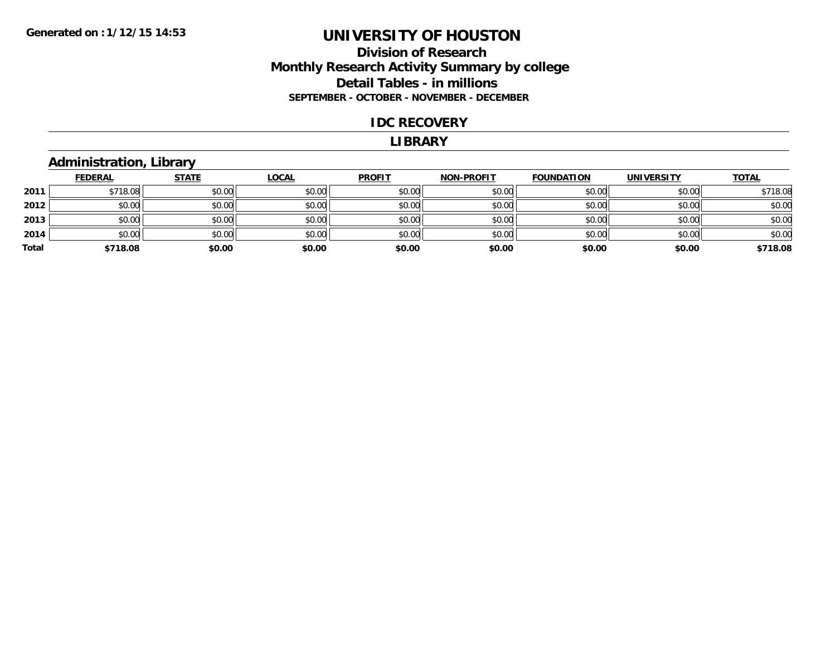# **Division of Research Monthly Research Activity Summary by college Detail Tables - in millions SEPTEMBER - OCTOBER - NOVEMBER - DECEMBER**

#### **IDC RECOVERY**

#### **LIBRARY**

## **Administration, Library**

|       | <b>FEDERAL</b> | <b>STATE</b> | <u>LOCAL</u> | <b>PROFIT</b> | <b>NON-PROFIT</b> | <b>FOUNDATION</b> | <b>UNIVERSITY</b> | <b>TOTAL</b> |
|-------|----------------|--------------|--------------|---------------|-------------------|-------------------|-------------------|--------------|
| 2011  | \$718.08       | \$0.00       | \$0.00       | \$0.00        | \$0.00            | \$0.00            | \$0.00            | \$718.08     |
| 2012  | \$0.00         | \$0.00       | \$0.00       | \$0.00        | \$0.00            | \$0.00            | \$0.00            | \$0.00       |
| 2013  | \$0.00         | \$0.00       | \$0.00       | \$0.00        | \$0.00            | \$0.00            | \$0.00            | \$0.00       |
| 2014  | \$0.00         | \$0.00       | \$0.00       | \$0.00        | \$0.00            | \$0.00            | \$0.00            | \$0.00       |
| Total | \$718.08       | \$0.00       | \$0.00       | \$0.00        | \$0.00            | \$0.00            | \$0.00            | \$718.08     |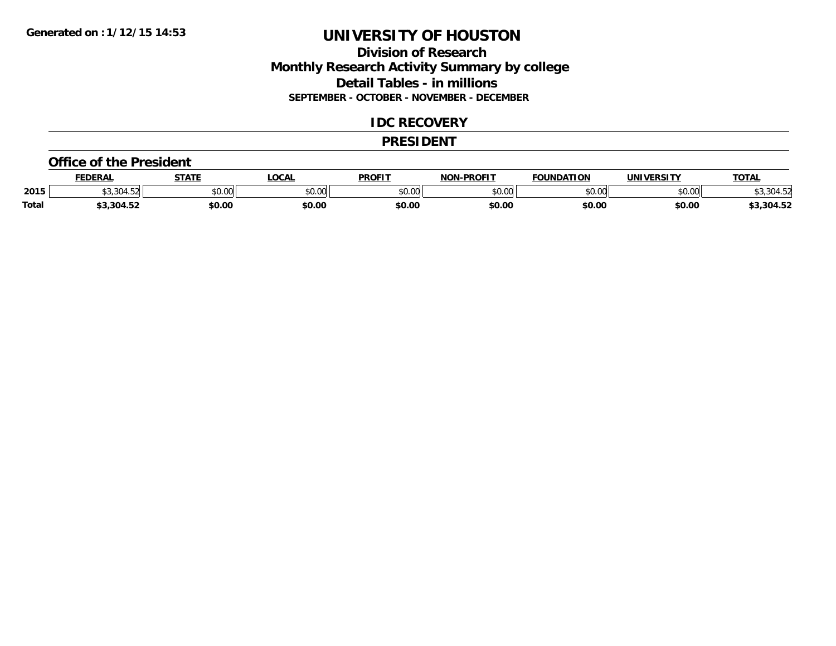# **Division of Research Monthly Research Activity Summary by college Detail Tables - in millions SEPTEMBER - OCTOBER - NOVEMBER - DECEMBER**

## **IDC RECOVERY**

#### **PRESIDENT**

#### **Office of the President**

|              | <b>FEDERAL</b>                        | <b>STATE</b> | <b>OCAL</b>    | <b>PROFIT</b>  | <b>-PROFIT</b><br>חרות | <b>FOUNDATION</b> | UNIVERSITY | <b>TOTAL</b> |
|--------------|---------------------------------------|--------------|----------------|----------------|------------------------|-------------------|------------|--------------|
| 2015         | $\ddotsc$<br>$\sim$ $\sim$ $\sim$<br> | \$0.00       | ደስ ሰሰ<br>PU.UU | 40.00<br>JU.UU | 0000<br>ט.טע           | \$0.00            | \$0.00     | \$3,304.52   |
| <b>Total</b> | 3,304.52                              | \$0.00       | \$0.00         | \$0.00         | \$0.00                 | \$0.00            | \$0.00     | \$3,304.52   |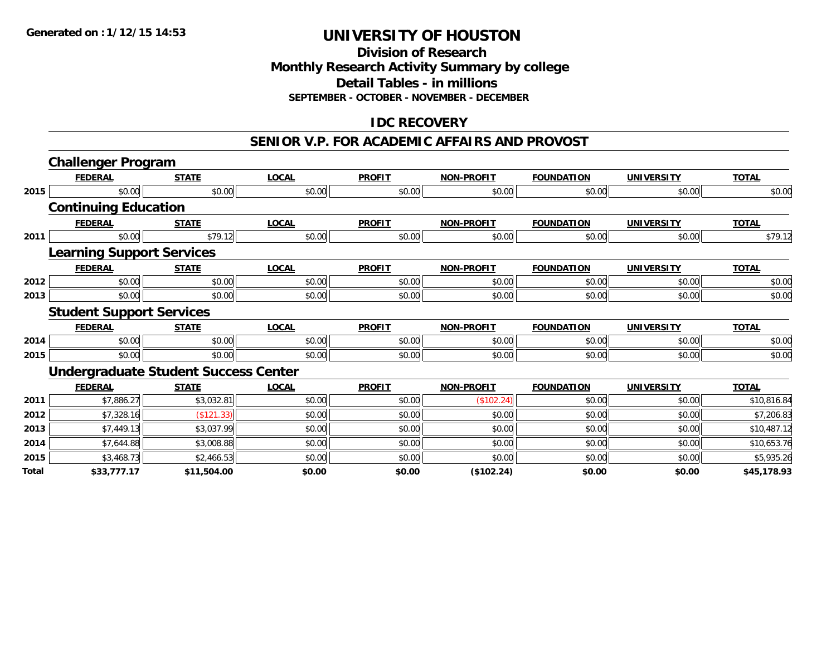#### **Division of Research Monthly Research Activity Summary by college Detail Tables - in millions SEPTEMBER - OCTOBER - NOVEMBER - DECEMBER**

# **IDC RECOVERY**

#### **SENIOR V.P. FOR ACADEMIC AFFAIRS AND PROVOST**

|              | <b>Challenger Program</b>        |                                             |              |               |                   |                   |                   |              |
|--------------|----------------------------------|---------------------------------------------|--------------|---------------|-------------------|-------------------|-------------------|--------------|
|              | <b>FEDERAL</b>                   | <b>STATE</b>                                | <b>LOCAL</b> | <b>PROFIT</b> | <b>NON-PROFIT</b> | <b>FOUNDATION</b> | <b>UNIVERSITY</b> | <b>TOTAL</b> |
| 2015         | \$0.00                           | \$0.00                                      | \$0.00       | \$0.00        | \$0.00            | \$0.00            | \$0.00            | \$0.00       |
|              | <b>Continuing Education</b>      |                                             |              |               |                   |                   |                   |              |
|              | <b>FEDERAL</b>                   | <b>STATE</b>                                | <b>LOCAL</b> | <b>PROFIT</b> | <b>NON-PROFIT</b> | <b>FOUNDATION</b> | <b>UNIVERSITY</b> | <b>TOTAL</b> |
| 2011         | \$0.00                           | \$79.12                                     | \$0.00       | \$0.00        | \$0.00            | \$0.00            | \$0.00            | \$79.12      |
|              | <b>Learning Support Services</b> |                                             |              |               |                   |                   |                   |              |
|              | <b>FEDERAL</b>                   | <b>STATE</b>                                | <b>LOCAL</b> | <b>PROFIT</b> | <b>NON-PROFIT</b> | <b>FOUNDATION</b> | <b>UNIVERSITY</b> | <b>TOTAL</b> |
| 2012         | \$0.00                           | \$0.00                                      | \$0.00       | \$0.00        | \$0.00            | \$0.00            | \$0.00            | \$0.00       |
| 2013         | \$0.00                           | \$0.00                                      | \$0.00       | \$0.00        | \$0.00            | \$0.00            | \$0.00            | \$0.00       |
|              | <b>Student Support Services</b>  |                                             |              |               |                   |                   |                   |              |
|              | <b>FEDERAL</b>                   | <b>STATE</b>                                | <b>LOCAL</b> | <b>PROFIT</b> | <b>NON-PROFIT</b> | <b>FOUNDATION</b> | <b>UNIVERSITY</b> | <b>TOTAL</b> |
| 2014         | \$0.00                           | \$0.00                                      | \$0.00       | \$0.00        | \$0.00            | \$0.00            | \$0.00            | \$0.00       |
| 2015         | \$0.00                           | \$0.00                                      | \$0.00       | \$0.00        | \$0.00            | \$0.00            | \$0.00            | \$0.00       |
|              |                                  | <b>Undergraduate Student Success Center</b> |              |               |                   |                   |                   |              |
|              | <b>FEDERAL</b>                   | <b>STATE</b>                                | <b>LOCAL</b> | <b>PROFIT</b> | <b>NON-PROFIT</b> | <b>FOUNDATION</b> | <b>UNIVERSITY</b> | <b>TOTAL</b> |
| 2011         | \$7,886.27                       | \$3,032.81                                  | \$0.00       | \$0.00        | (\$102.24)        | \$0.00            | \$0.00            | \$10,816.84  |
| 2012         | \$7,328.16                       | (\$121.33)                                  | \$0.00       | \$0.00        | \$0.00            | \$0.00            | \$0.00            | \$7,206.83   |
| 2013         | \$7,449.13                       | \$3,037.99                                  | \$0.00       | \$0.00        | \$0.00            | \$0.00            | \$0.00            | \$10,487.12  |
| 2014         | \$7,644.88                       | \$3,008.88                                  | \$0.00       | \$0.00        | \$0.00            | \$0.00            | \$0.00            | \$10,653.76  |
| 2015         | \$3,468.73                       | \$2,466.53                                  | \$0.00       | \$0.00        | \$0.00            | \$0.00            | \$0.00            | \$5,935.26   |
| <b>Total</b> | \$33,777.17                      | \$11,504.00                                 | \$0.00       | \$0.00        | (\$102.24)        | \$0.00            | \$0.00            | \$45,178.93  |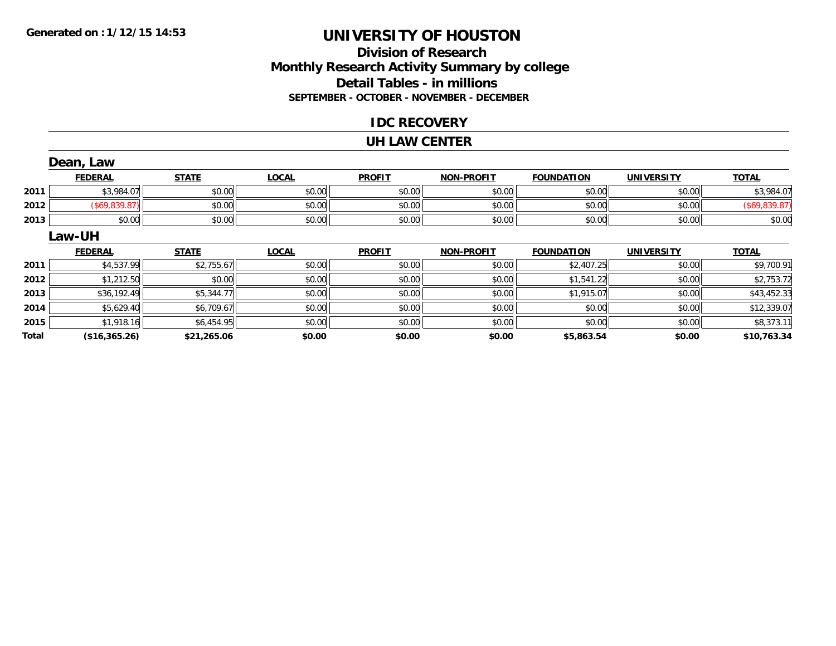# **Division of ResearchMonthly Research Activity Summary by college Detail Tables - in millions SEPTEMBER - OCTOBER - NOVEMBER - DECEMBER**

## **IDC RECOVERY**

#### **UH LAW CENTER**

|              | Dean, Law      |              |              |               |                   |                   |                   |               |
|--------------|----------------|--------------|--------------|---------------|-------------------|-------------------|-------------------|---------------|
|              | <b>FEDERAL</b> | <b>STATE</b> | <b>LOCAL</b> | <b>PROFIT</b> | <b>NON-PROFIT</b> | <b>FOUNDATION</b> | <b>UNIVERSITY</b> | <b>TOTAL</b>  |
| 2011         | \$3,984.07     | \$0.00       | \$0.00       | \$0.00        | \$0.00            | \$0.00            | \$0.00            | \$3,984.07    |
| 2012         | (\$69,839.87)  | \$0.00       | \$0.00       | \$0.00        | \$0.00            | \$0.00            | \$0.00            | (\$69,839.87) |
| 2013         | \$0.00         | \$0.00       | \$0.00       | \$0.00        | \$0.00            | \$0.00            | \$0.00            | \$0.00        |
|              | Law-UH         |              |              |               |                   |                   |                   |               |
|              | <b>FEDERAL</b> | <b>STATE</b> | <b>LOCAL</b> | <b>PROFIT</b> | <b>NON-PROFIT</b> | <b>FOUNDATION</b> | <b>UNIVERSITY</b> | <b>TOTAL</b>  |
| 2011         | \$4,537.99     | \$2,755.67   | \$0.00       | \$0.00        | \$0.00            | \$2,407.25        | \$0.00            | \$9,700.91    |
| 2012         | \$1,212.50     | \$0.00       | \$0.00       | \$0.00        | \$0.00            | \$1,541.22        | \$0.00            | \$2,753.72    |
| 2013         | \$36,192.49    | \$5,344.77   | \$0.00       | \$0.00        | \$0.00            | \$1,915.07        | \$0.00            | \$43,452.33   |
| 2014         | \$5,629.40     | \$6,709.67   | \$0.00       | \$0.00        | \$0.00            | \$0.00            | \$0.00            | \$12,339.07   |
| 2015         | \$1,918.16     | \$6,454.95   | \$0.00       | \$0.00        | \$0.00            | \$0.00            | \$0.00            | \$8,373.11    |
| <b>Total</b> | (\$16,365.26)  | \$21,265.06  | \$0.00       | \$0.00        | \$0.00            | \$5,863.54        | \$0.00            | \$10,763.34   |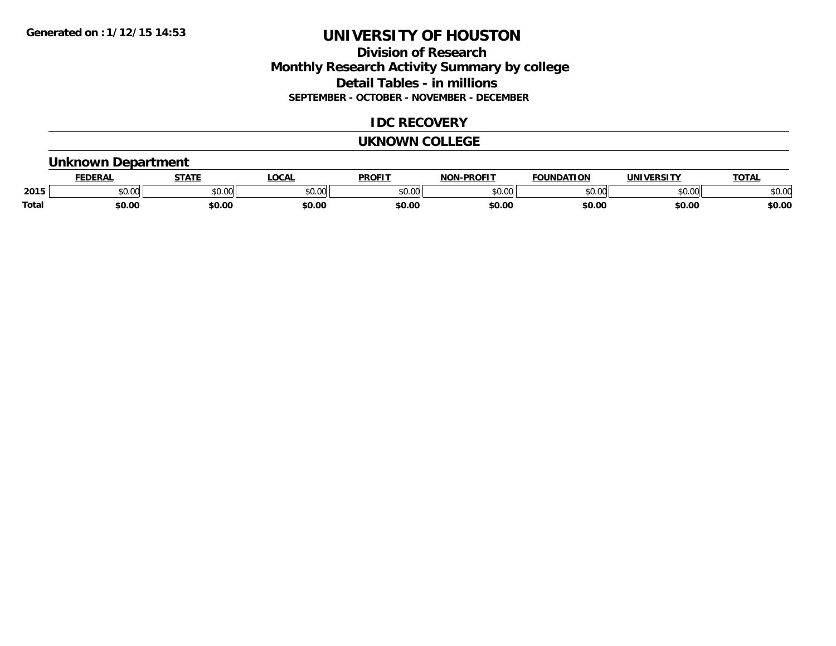# **Division of Research Monthly Research Activity Summary by college Detail Tables - in millions SEPTEMBER - OCTOBER - NOVEMBER - DECEMBER**

# **IDC RECOVERY**

#### **UKNOWN COLLEGE**

## **Unknown Department**

|              | <b>DERAL</b> | <b>STATE</b> | <b>OCAL</b> | <b>PROFIT</b> | <b>DDAEIT</b><br>810 R | <b>FOUNDATION</b> | JNI           | <b>TOTA</b>          |
|--------------|--------------|--------------|-------------|---------------|------------------------|-------------------|---------------|----------------------|
| 2015         | \$0.00       | JU.UU        | \$0.00      | 0000<br>JU.UU | 500<br>טט.טע           | 0000<br>$-0.00$   | to ool<br>,uu | 0000<br><b>DU.UU</b> |
| <b>Total</b> | 60.00        | \$0.00       | \$0.00      | \$0.00        | \$0.00                 | \$0.00            | \$0.00        | \$0.00               |